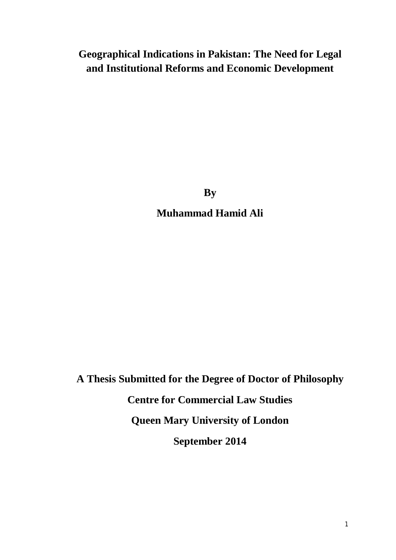## **Geographical Indications in Pakistan: The Need for Legal and Institutional Reforms and Economic Development**

**By**

**Muhammad Hamid Ali**

**A Thesis Submitted for the Degree of Doctor of Philosophy Centre for Commercial Law Studies Queen Mary University of London September 2014**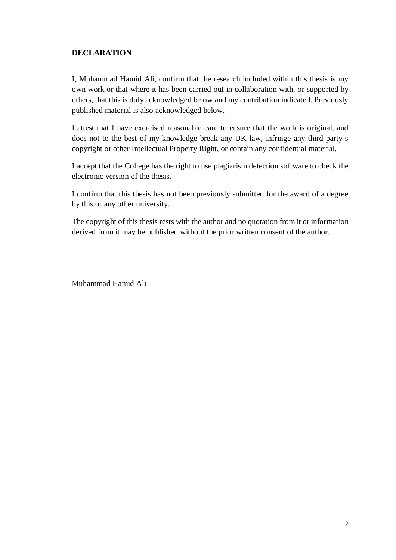#### **DECLARATION**

I, Muhammad Hamid Ali, confirm that the research included within this thesis is my own work or that where it has been carried out in collaboration with, or supported by others, that this is duly acknowledged below and my contribution indicated. Previously published material is also acknowledged below.

I attest that I have exercised reasonable care to ensure that the work is original, and does not to the best of my knowledge break any UK law, infringe any third party's copyright or other Intellectual Property Right, or contain any confidential material.

I accept that the College has the right to use plagiarism detection software to check the electronic version of the thesis.

I confirm that this thesis has not been previously submitted for the award of a degree by this or any other university.

The copyright of this thesis rests with the author and no quotation from it or information derived from it may be published without the prior written consent of the author.

Muhammad Hamid Ali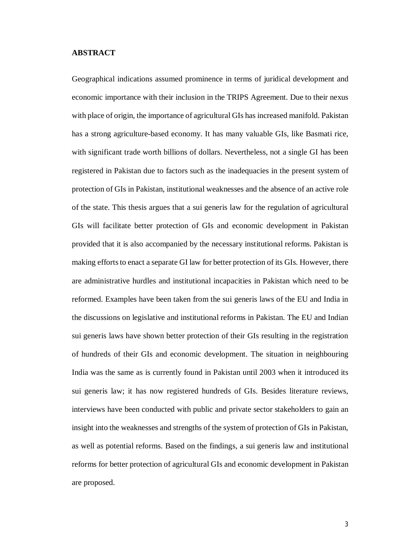#### **ABSTRACT**

Geographical indications assumed prominence in terms of juridical development and economic importance with their inclusion in the TRIPS Agreement. Due to their nexus with place of origin, the importance of agricultural GIs has increased manifold. Pakistan has a strong agriculture-based economy. It has many valuable GIs, like Basmati rice, with significant trade worth billions of dollars. Nevertheless, not a single GI has been registered in Pakistan due to factors such as the inadequacies in the present system of protection of GIs in Pakistan, institutional weaknesses and the absence of an active role of the state. This thesis argues that a sui generis law for the regulation of agricultural GIs will facilitate better protection of GIs and economic development in Pakistan provided that it is also accompanied by the necessary institutional reforms. Pakistan is making efforts to enact a separate GI law for better protection of its GIs. However, there are administrative hurdles and institutional incapacities in Pakistan which need to be reformed. Examples have been taken from the sui generis laws of the EU and India in the discussions on legislative and institutional reforms in Pakistan. The EU and Indian sui generis laws have shown better protection of their GIs resulting in the registration of hundreds of their GIs and economic development. The situation in neighbouring India was the same as is currently found in Pakistan until 2003 when it introduced its sui generis law; it has now registered hundreds of GIs. Besides literature reviews, interviews have been conducted with public and private sector stakeholders to gain an insight into the weaknesses and strengths of the system of protection of GIs in Pakistan, as well as potential reforms. Based on the findings, a sui generis law and institutional reforms for better protection of agricultural GIs and economic development in Pakistan are proposed.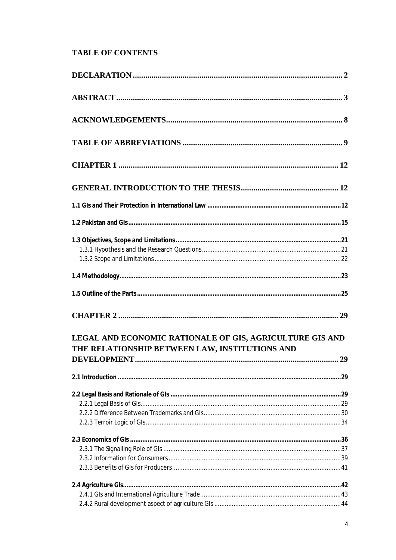### **TABLE OF CONTENTS**

| LEGAL AND ECONOMIC RATIONALE OF GIS, AGRICULTURE GIS AND<br>THE RELATIONSHIP BETWEEN LAW, INSTITUTIONS AND |  |
|------------------------------------------------------------------------------------------------------------|--|
|                                                                                                            |  |
|                                                                                                            |  |
|                                                                                                            |  |
|                                                                                                            |  |
|                                                                                                            |  |
|                                                                                                            |  |
|                                                                                                            |  |
|                                                                                                            |  |
|                                                                                                            |  |
|                                                                                                            |  |
|                                                                                                            |  |
|                                                                                                            |  |
|                                                                                                            |  |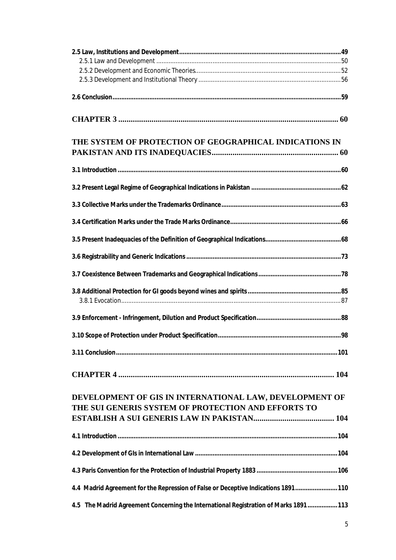| THE SYSTEM OF PROTECTION OF GEOGRAPHICAL INDICATIONS IN                             |  |
|-------------------------------------------------------------------------------------|--|
|                                                                                     |  |
|                                                                                     |  |
|                                                                                     |  |
|                                                                                     |  |
|                                                                                     |  |
|                                                                                     |  |
|                                                                                     |  |
|                                                                                     |  |
|                                                                                     |  |
|                                                                                     |  |
|                                                                                     |  |
|                                                                                     |  |
|                                                                                     |  |
|                                                                                     |  |
| DEVELOPMENT OF GIS IN INTERNATIONAL LAW, DEVELOPMENT OF                             |  |
| THE SUI GENERIS SYSTEM OF PROTECTION AND EFFORTS TO                                 |  |
|                                                                                     |  |
|                                                                                     |  |
|                                                                                     |  |
| 4.4 Madrid Agreement for the Repression of False or Deceptive Indications 1891 110  |  |
| 4.5 The Madrid Agreement Concerning the International Registration of Marks 1891113 |  |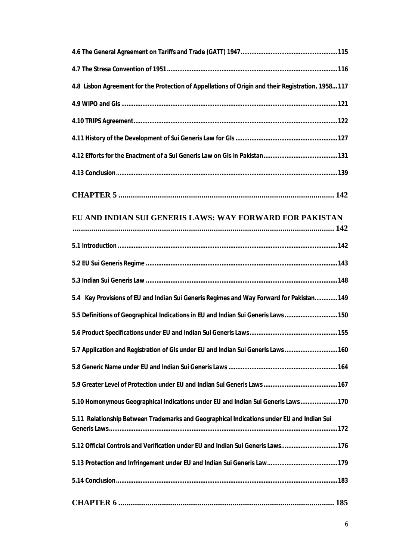| 4.8 Lisbon Agreement for the Protection of Appellations of Origin and their Registration, 1958117 |
|---------------------------------------------------------------------------------------------------|
|                                                                                                   |
|                                                                                                   |
|                                                                                                   |
|                                                                                                   |
|                                                                                                   |
|                                                                                                   |
| EU AND INDIAN SUI GENERIS LAWS: WAY FORWARD FOR PAKISTAN                                          |
|                                                                                                   |
|                                                                                                   |
|                                                                                                   |
| 5.4 Key Provisions of EU and Indian Sui Generis Regimes and Way Forward for Pakistan 149          |
| 5.5 Definitions of Geographical Indications in EU and Indian Sui Generis Laws  150                |
|                                                                                                   |
| 5.7 Application and Registration of GIs under EU and Indian Sui Generis Laws  160                 |
|                                                                                                   |
|                                                                                                   |
| 5.10 Homonymous Geographical Indications under EU and Indian Sui Generis Laws 170                 |
| 5.11 Relationship Between Trademarks and Geographical Indications under EU and Indian Sui         |
| 5.12 Official Controls and Verification under EU and Indian Sui Generis Laws 176                  |
|                                                                                                   |
|                                                                                                   |
|                                                                                                   |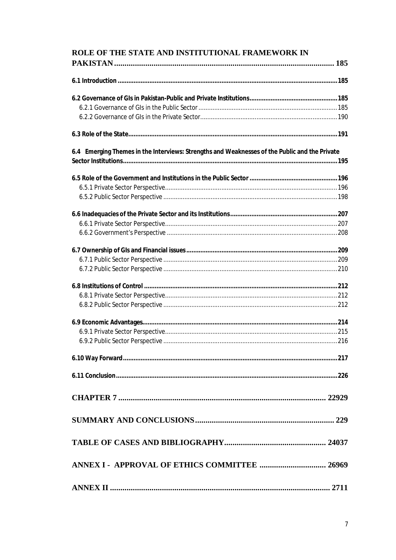| ROLE OF THE STATE AND INSTITUTIONAL FRAMEWORK IN                                              |  |
|-----------------------------------------------------------------------------------------------|--|
|                                                                                               |  |
|                                                                                               |  |
|                                                                                               |  |
|                                                                                               |  |
|                                                                                               |  |
|                                                                                               |  |
| 6.4 Emerging Themes in the Interviews: Strengths and Weaknesses of the Public and the Private |  |
|                                                                                               |  |
|                                                                                               |  |
|                                                                                               |  |
|                                                                                               |  |
|                                                                                               |  |
|                                                                                               |  |
|                                                                                               |  |
|                                                                                               |  |
|                                                                                               |  |
|                                                                                               |  |
|                                                                                               |  |
|                                                                                               |  |
|                                                                                               |  |
|                                                                                               |  |
|                                                                                               |  |
|                                                                                               |  |
|                                                                                               |  |
|                                                                                               |  |
|                                                                                               |  |
|                                                                                               |  |
|                                                                                               |  |
|                                                                                               |  |
|                                                                                               |  |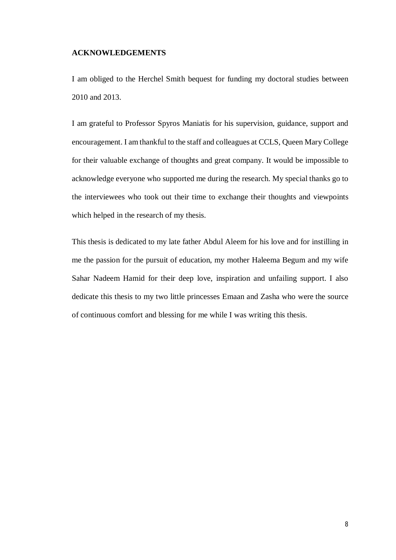#### **ACKNOWLEDGEMENTS**

I am obliged to the Herchel Smith bequest for funding my doctoral studies between 2010 and 2013.

I am grateful to Professor Spyros Maniatis for his supervision, guidance, support and encouragement. I am thankful to the staff and colleagues at CCLS, Queen Mary College for their valuable exchange of thoughts and great company. It would be impossible to acknowledge everyone who supported me during the research. My special thanks go to the interviewees who took out their time to exchange their thoughts and viewpoints which helped in the research of my thesis.

This thesis is dedicated to my late father Abdul Aleem for his love and for instilling in me the passion for the pursuit of education, my mother Haleema Begum and my wife Sahar Nadeem Hamid for their deep love, inspiration and unfailing support. I also dedicate this thesis to my two little princesses Emaan and Zasha who were the source of continuous comfort and blessing for me while I was writing this thesis.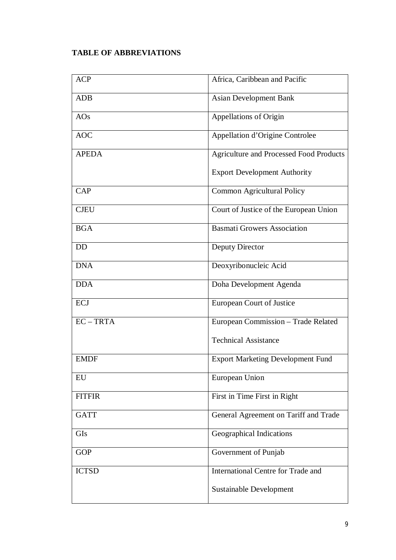## **TABLE OF ABBREVIATIONS**

| <b>ACP</b>    | Africa, Caribbean and Pacific                  |
|---------------|------------------------------------------------|
| <b>ADB</b>    | <b>Asian Development Bank</b>                  |
| AOS           | Appellations of Origin                         |
| <b>AOC</b>    | Appellation d'Origine Controlee                |
| <b>APEDA</b>  | <b>Agriculture and Processed Food Products</b> |
|               | <b>Export Development Authority</b>            |
| <b>CAP</b>    | Common Agricultural Policy                     |
| <b>CJEU</b>   | Court of Justice of the European Union         |
| <b>BGA</b>    | <b>Basmati Growers Association</b>             |
| <b>DD</b>     | Deputy Director                                |
| <b>DNA</b>    | Deoxyribonucleic Acid                          |
| <b>DDA</b>    | Doha Development Agenda                        |
| <b>ECJ</b>    | European Court of Justice                      |
| $EC - TRTA$   | European Commission - Trade Related            |
|               | <b>Technical Assistance</b>                    |
| <b>EMDF</b>   | <b>Export Marketing Development Fund</b>       |
| EU            | European Union                                 |
| <b>FITFIR</b> | First in Time First in Right                   |
| <b>GATT</b>   | General Agreement on Tariff and Trade          |
| <b>GIs</b>    | <b>Geographical Indications</b>                |
| <b>GOP</b>    | Government of Punjab                           |
| <b>ICTSD</b>  | <b>International Centre for Trade and</b>      |
|               | Sustainable Development                        |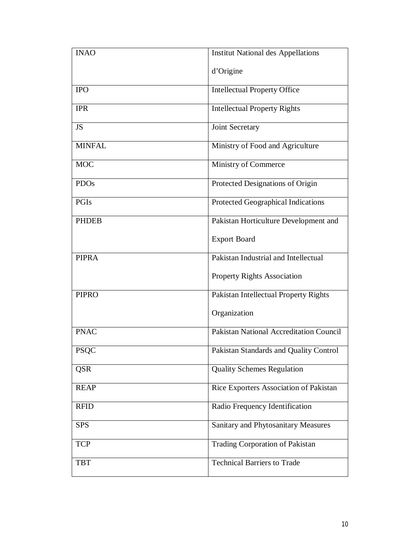| <b>INAO</b>   | <b>Institut National des Appellations</b>      |
|---------------|------------------------------------------------|
|               | d'Origine                                      |
| <b>IPO</b>    | <b>Intellectual Property Office</b>            |
| <b>IPR</b>    | <b>Intellectual Property Rights</b>            |
| <b>JS</b>     | Joint Secretary                                |
| <b>MINFAL</b> | Ministry of Food and Agriculture               |
| <b>MOC</b>    | Ministry of Commerce                           |
| <b>PDOs</b>   | Protected Designations of Origin               |
| PGIs          | Protected Geographical Indications             |
| <b>PHDEB</b>  | Pakistan Horticulture Development and          |
|               | <b>Export Board</b>                            |
| <b>PIPRA</b>  | Pakistan Industrial and Intellectual           |
|               | <b>Property Rights Association</b>             |
| <b>PIPRO</b>  | Pakistan Intellectual Property Rights          |
|               | Organization                                   |
| <b>PNAC</b>   | <b>Pakistan National Accreditation Council</b> |
| <b>PSQC</b>   | Pakistan Standards and Quality Control         |
| <b>QSR</b>    | <b>Quality Schemes Regulation</b>              |
| <b>REAP</b>   | Rice Exporters Association of Pakistan         |
| <b>RFID</b>   | Radio Frequency Identification                 |
| <b>SPS</b>    | Sanitary and Phytosanitary Measures            |
| <b>TCP</b>    | <b>Trading Corporation of Pakistan</b>         |
| <b>TBT</b>    | <b>Technical Barriers to Trade</b>             |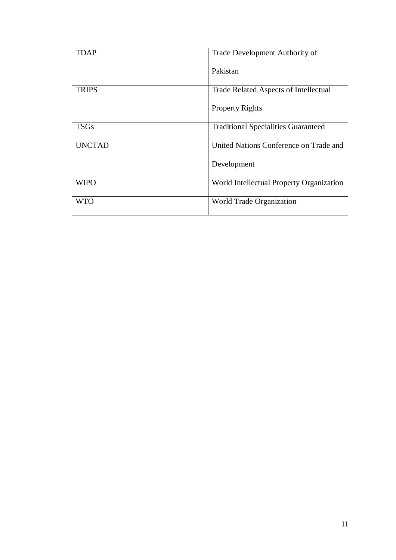| TDAP          | Trade Development Authority of             |
|---------------|--------------------------------------------|
|               | Pakistan                                   |
| <b>TRIPS</b>  | Trade Related Aspects of Intellectual      |
|               | <b>Property Rights</b>                     |
| <b>TSGs</b>   | <b>Traditional Specialities Guaranteed</b> |
| <b>UNCTAD</b> | United Nations Conference on Trade and     |
|               | Development                                |
| <b>WIPO</b>   | World Intellectual Property Organization   |
| WTO           | World Trade Organization                   |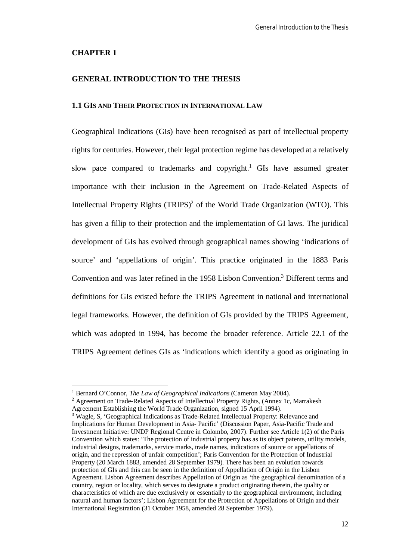#### **CHAPTER 1**

 $\overline{\phantom{a}}$ 

#### **GENERAL INTRODUCTION TO THE THESIS**

#### **1.1 GIS AND THEIR PROTECTION IN INTERNATIONAL LAW**

Geographical Indications (GIs) have been recognised as part of intellectual property rights for centuries. However, their legal protection regime has developed at a relatively slow pace compared to trademarks and copyright.<sup>1</sup> GIs have assumed greater importance with their inclusion in the Agreement on Trade-Related Aspects of Intellectual Property Rights  $(TRIPS)^2$  of the World Trade Organization (WTO). This has given a fillip to their protection and the implementation of GI laws. The juridical development of GIs has evolved through geographical names showing 'indications of source' and 'appellations of origin'. This practice originated in the 1883 Paris Convention and was later refined in the 1958 Lisbon Convention.<sup>3</sup> Different terms and definitions for GIs existed before the TRIPS Agreement in national and international legal frameworks. However, the definition of GIs provided by the TRIPS Agreement, which was adopted in 1994, has become the broader reference. Article 22.1 of the TRIPS Agreement defines GIs as 'indications which identify a good as originating in

<sup>1</sup> Bernard O'Connor, *The Law of Geographical Indications* (Cameron May 2004).

<sup>2</sup> Agreement on Trade-Related Aspects of Intellectual Property Rights, (Annex 1c, Marrakesh Agreement Establishing the World Trade Organization, signed 15 April 1994).

<sup>3</sup> Wagle, S, 'Geographical Indications as Trade-Related Intellectual Property: Relevance and Implications for Human Development in Asia- Pacific' (Discussion Paper, Asia-Pacific Trade and Investment Initiative: UNDP Regional Centre in Colombo, 2007). Further see Article 1(2) of the Paris Convention which states: 'The protection of industrial property has as its object patents, utility models, industrial designs, trademarks, service marks, trade names, indications of source or appellations of origin, and the repression of unfair competition'; Paris Convention for the Protection of Industrial Property (20 March 1883, amended 28 September 1979). There has been an evolution towards protection of GIs and this can be seen in the definition of Appellation of Origin in the Lisbon Agreement. Lisbon Agreement describes Appellation of Origin as 'the geographical denomination of a country, region or locality, which serves to designate a product originating therein, the quality or characteristics of which are due exclusively or essentially to the geographical environment, including natural and human factors'; Lisbon Agreement for the Protection of Appellations of Origin and their International Registration (31 October 1958, amended 28 September 1979).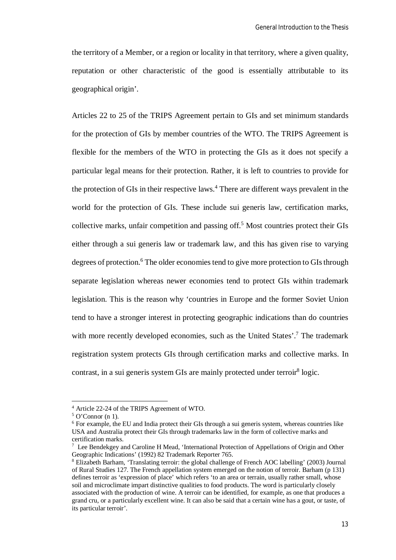the territory of a Member, or a region or locality in that territory, where a given quality, reputation or other characteristic of the good is essentially attributable to its geographical origin'.

Articles 22 to 25 of the TRIPS Agreement pertain to GIs and set minimum standards for the protection of GIs by member countries of the WTO. The TRIPS Agreement is flexible for the members of the WTO in protecting the GIs as it does not specify a particular legal means for their protection. Rather, it is left to countries to provide for the protection of GIs in their respective laws.<sup>4</sup> There are different ways prevalent in the world for the protection of GIs. These include sui generis law, certification marks, collective marks, unfair competition and passing off.<sup>5</sup> Most countries protect their GIs either through a sui generis law or trademark law, and this has given rise to varying degrees of protection.<sup>6</sup> The older economies tend to give more protection to GIs through separate legislation whereas newer economies tend to protect GIs within trademark legislation. This is the reason why 'countries in Europe and the former Soviet Union tend to have a stronger interest in protecting geographic indications than do countries with more recently developed economies, such as the United States'.<sup>7</sup> The trademark registration system protects GIs through certification marks and collective marks. In contrast, in a sui generis system GIs are mainly protected under terroir<sup>8</sup> logic.

<sup>4</sup> Article 22-24 of the TRIPS Agreement of WTO.

 $5$  O'Connor (n 1).

<sup>6</sup> For example, the EU and India protect their GIs through a sui generis system, whereas countries like USA and Australia protect their GIs through trademarks law in the form of collective marks and certification marks.

<sup>&</sup>lt;sup>7</sup> Lee Bendekgey and Caroline H Mead, 'International Protection of Appellations of Origin and Other Geographic Indications' (1992) 82 Trademark Reporter 765.

<sup>8</sup> Elizabeth Barham, 'Translating terroir: the global challenge of French AOC labelling' (2003) Journal of Rural Studies 127. The French appellation system emerged on the notion of terroir. Barham (p 131) defines terroir as 'expression of place' which refers 'to an area or terrain, usually rather small, whose soil and microclimate impart distinctive qualities to food products. The word is particularly closely associated with the production of wine. A terroir can be identified, for example, as one that produces a grand cru, or a particularly excellent wine. It can also be said that a certain wine has a gout, or taste, of its particular terroir'.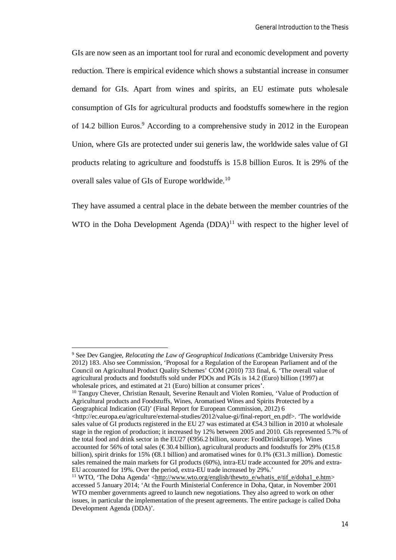GIs are now seen as an important tool for rural and economic development and poverty reduction. There is empirical evidence which shows a substantial increase in consumer demand for GIs. Apart from wines and spirits, an EU estimate puts wholesale consumption of GIs for agricultural products and foodstuffs somewhere in the region of 14.2 billion Euros.<sup>9</sup> According to a comprehensive study in 2012 in the European Union, where GIs are protected under sui generis law, the worldwide sales value of GI products relating to agriculture and foodstuffs is 15.8 billion Euros. It is 29% of the overall sales value of GIs of Europe worldwide.<sup>10</sup>

They have assumed a central place in the debate between the member countries of the WTO in the Doha Development Agenda  $(DDA)^{11}$  with respect to the higher level of

 $\overline{\phantom{a}}$ 

<sup>10</sup> Tanguy Chever, Christian Renault, Severine Renault and Violen Romieu, 'Value of Production of Agricultural products and Foodstuffs, Wines, Aromatised Wines and Spirits Protected by a Geographical Indication (GI)' (Final Report for European Commission, 2012) 6 <http://ec.europa.eu/agriculture/external-studies/2012/value-gi/final-report\_en.pdf>. 'The worldwide sales value of GI products registered in the EU 27 was estimated at  $\text{\textsterling}3$  billion in 2010 at wholesale

<sup>9</sup> See Dev Gangjee, *Relocating the Law of Geographical Indications* (Cambridge University Press 2012) 183. Also see Commission, 'Proposal for a Regulation of the European Parliament and of the Council on Agricultural Product Quality Schemes' COM (2010) 733 final, 6. 'The overall value of agricultural products and foodstuffs sold under PDOs and PGIs is 14.2 (Euro) billion (1997) at wholesale prices, and estimated at 21 (Euro) billion at consumer prices'.

stage in the region of production; it increased by 12% between 2005 and 2010. GIs represented 5.7% of the total food and drink sector in the EU27  $(\bigoplus 56.2$  billion, source: FoodDrinkEurope). Wines accounted for 56% of total sales ( $\epsilon$ 30.4 billion), agricultural products and foodstuffs for 29% ( $\epsilon$ 15.8 billion), spirit drinks for 15% (€8.1 billion) and aromatised wines for 0.1% (€31.3 million). Domestic sales remained the main markets for GI products (60%), intra-EU trade accounted for 20% and extra-EU accounted for 19%. Over the period, extra-EU trade increased by 29%.'

<sup>&</sup>lt;sup>11</sup> WTO, 'The Doha Agenda' <http://www.wto.org/english/thewto\_e/whatis\_e/tif\_e/doha1\_e.htm> accessed 5 January 2014; 'At the Fourth Ministerial Conference in Doha, Qatar, in November 2001 WTO member governments agreed to launch new negotiations. They also agreed to work on other issues, in particular the implementation of the present agreements. The entire package is called Doha Development Agenda (DDA)'.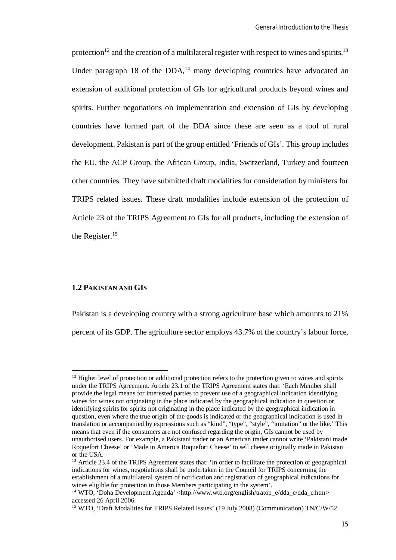protection<sup>12</sup> and the creation of a multilateral register with respect to wines and spirits.<sup>13</sup> Under paragraph 18 of the  $DDA<sub>14</sub>$  many developing countries have advocated an extension of additional protection of GIs for agricultural products beyond wines and spirits. Further negotiations on implementation and extension of GIs by developing countries have formed part of the DDA since these are seen as a tool of rural development. Pakistan is part of the group entitled 'Friends of GIs'. This group includes the EU, the ACP Group, the African Group, India, Switzerland, Turkey and fourteen other countries. They have submitted draft modalities for consideration by ministers for TRIPS related issues. These draft modalities include extension of the protection of Article 23 of the TRIPS Agreement to GIs for all products, including the extension of the Register.<sup>15</sup>

#### **1.2 PAKISTAN AND GIS**

 $\overline{a}$ 

Pakistan is a developing country with a strong agriculture base which amounts to 21% percent of its GDP. The agriculture sector employs 43.7% of the country's labour force,

 $12$  Higher level of protection or additional protection refers to the protection given to wines and spirits under the TRIPS Agreement. Article 23.1 of the TRIPS Agreement states that: 'Each Member shall provide the legal means for interested parties to prevent use of a geographical indication identifying wines for wines not originating in the place indicated by the geographical indication in question or identifying spirits for spirits not originating in the place indicated by the geographical indication in question, even where the true origin of the goods is indicated or the geographical indication is used in translation or accompanied by expressions such as "kind", "type", "style", "imitation" or the like.' This means that even if the consumers are not confused regarding the origin, GIs cannot be used by unauthorised users. For example, a Pakistani trader or an American trader cannot write 'Pakistani made Roquefort Cheese' or 'Made in America Roquefort Cheese' to sell cheese originally made in Pakistan or the USA.

<sup>&</sup>lt;sup>13</sup> Article 23.4 of the TRIPS Agreement states that: 'In order to facilitate the protection of geographical indications for wines, negotiations shall be undertaken in the Council for TRIPS concerning the establishment of a multilateral system of notification and registration of geographical indications for wines eligible for protection in those Members participating in the system'.

<sup>&</sup>lt;sup>14</sup> WTO, 'Doha Development Agenda' <http://www.wto.org/english/tratop\_e/dda\_e/dda\_e.htm> accessed 26 April 2006.

<sup>&</sup>lt;sup>15</sup> WTO, 'Draft Modalities for TRIPS Related Issues' (19 July 2008) (Communication) TN/C/W/52.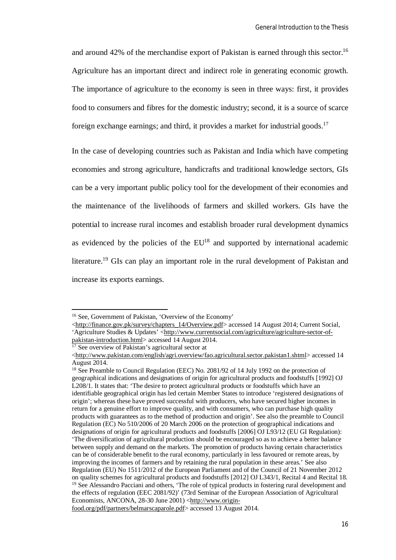and around 42% of the merchandise export of Pakistan is earned through this sector.<sup>16</sup> Agriculture has an important direct and indirect role in generating economic growth. The importance of agriculture to the economy is seen in three ways: first, it provides food to consumers and fibres for the domestic industry; second, it is a source of scarce foreign exchange earnings; and third, it provides a market for industrial goods.<sup>17</sup>

In the case of developing countries such as Pakistan and India which have competing economies and strong agriculture, handicrafts and traditional knowledge sectors, GIs can be a very important public policy tool for the development of their economies and the maintenance of the livelihoods of farmers and skilled workers. GIs have the potential to increase rural incomes and establish broader rural development dynamics as evidenced by the policies of the  $EU^{18}$  and supported by international academic literature.<sup>19</sup> GIs can play an important role in the rural development of Pakistan and increase its exports earnings.

<sup>&</sup>lt;sup>16</sup> See, Government of Pakistan, 'Overview of the Economy'

<sup>&</sup>lt;http://finance.gov.pk/survey/chapters\_14/Overview.pdf> accessed 14 August 2014; Current Social, 'Agriculture Studies & Updates' <http://www.currentsocial.com/agriculture/agriculture-sector-ofpakistan-introduction.html> accessed 14 August 2014.

 $\frac{17}{17}$  See overview of Pakistan's agricultural sector at

<sup>&</sup>lt;http://www.pakistan.com/english/agri.overview/fao.agricultural.sector.pakistan1.shtml> accessed 14 August 2014.

<sup>&</sup>lt;sup>18</sup> See Preamble to Council Regulation (EEC) No. 2081/92 of 14 July 1992 on the protection of geographical indications and designations of origin for agricultural products and foodstuffs [1992] OJ L208/1. It states that: 'The desire to protect agricultural products or foodstuffs which have an identifiable geographical origin has led certain Member States to introduce 'registered designations of origin'; whereas these have proved successful with producers, who have secured higher incomes in return for a genuine effort to improve quality, and with consumers, who can purchase high quality products with guarantees as to the method of production and origin'. See also the preamble to Council Regulation (EC) No 510/2006 of 20 March 2006 on the protection of geographical indications and designations of origin for agricultural products and foodstuffs [2006] OJ L93/12 (EU GI Regulation): 'The diversification of agricultural production should be encouraged so as to achieve a better balance between supply and demand on the markets. The promotion of products having certain characteristics can be of considerable benefit to the rural economy, particularly in less favoured or remote areas, by improving the incomes of farmers and by retaining the rural population in these areas.' See also Regulation (EU) No 1511/2012 of the European Parliament and of the Council of 21 November 2012 on quality schemes for agricultural products and foodstuffs [2012] OJ L343/1, Recital 4 and Recital 18. <sup>19</sup> See Alessandro Pacciani and others, 'The role of typical products in fostering rural development and the effects of regulation (EEC 2081/92)' (73rd Seminar of the European Association of Agricultural Economists, ANCONA, 28-30 June 2001) <http://www.originfood.org/pdf/partners/belmarscaparole.pdf> accessed 13 August 2014.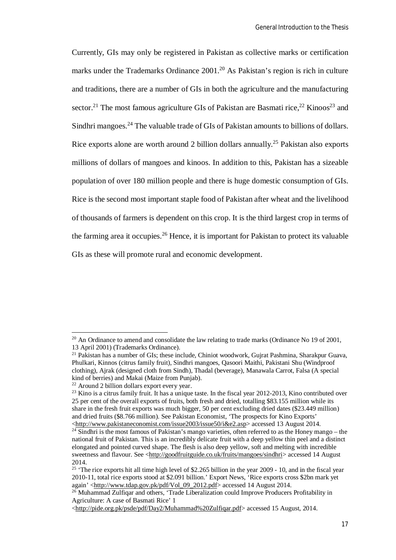Currently, GIs may only be registered in Pakistan as collective marks or certification marks under the Trademarks Ordinance 2001.<sup>20</sup> As Pakistan's region is rich in culture and traditions, there are a number of GIs in both the agriculture and the manufacturing sector.<sup>21</sup> The most famous agriculture GIs of Pakistan are Basmati rice,<sup>22</sup> Kinoos<sup>23</sup> and Sindhri mangoes.<sup>24</sup> The valuable trade of GIs of Pakistan amounts to billions of dollars. Rice exports alone are worth around 2 billion dollars annually.<sup>25</sup> Pakistan also exports millions of dollars of mangoes and kinoos. In addition to this, Pakistan has a sizeable population of over 180 million people and there is huge domestic consumption of GIs. Rice is the second most important staple food of Pakistan after wheat and the livelihood of thousands of farmers is dependent on this crop. It is the third largest crop in terms of the farming area it occupies.<sup>26</sup> Hence, it is important for Pakistan to protect its valuable GIs as these will promote rural and economic development.

 $^{20}$  An Ordinance to amend and consolidate the law relating to trade marks (Ordinance No 19 of 2001, 13 April 2001) (Trademarks Ordinance).

 $21$  Pakistan has a number of GIs; these include, Chiniot woodwork, Gujrat Pashmina, Sharakpur Guava, Phulkari, Kinnos (citrus family fruit), Sindhri mangoes, Qasoori Maithi, Pakistani Shu (Windproof clothing), Ajrak (designed cloth from Sindh), Thadal (beverage), Manawala Carrot, Falsa (A special kind of berries) and Makai (Maize from Punjab).

<sup>22</sup> Around 2 billion dollars export every year.

<sup>&</sup>lt;sup>23</sup> Kino is a citrus family fruit. It has a unique taste. In the fiscal year 2012-2013, Kino contributed over 25 per cent of the overall exports of fruits, both fresh and dried, totalling \$83.155 million while its share in the fresh fruit exports was much bigger, 50 per cent excluding dried dates (\$23.449 million) and dried fruits (\$8.766 million). See Pakistan Economist, 'The prospects for Kino Exports' <http://www.pakistaneconomist.com/issue2003/issue50/i&e2.asp> accessed 13 August 2014.

<sup>&</sup>lt;sup>24</sup> Sindhri is the most famous of Pakistan's mango varieties, often referred to as the Honey mango – the national fruit of Pakistan. This is an incredibly delicate fruit with a deep yellow thin peel and a distinct elongated and pointed curved shape. The flesh is also deep yellow, soft and melting with incredible sweetness and flavour. See <http://goodfruitguide.co.uk/fruits/mangoes/sindhri> accessed 14 August 2014.

<sup>&</sup>lt;sup>25</sup> 'The rice exports hit all time high level of \$2.265 billion in the year 2009 - 10, and in the fiscal year 2010-11, total rice exports stood at \$2.091 billion.' Export News, 'Rice exports cross \$2bn mark yet again' <http://www.tdap.gov.pk/pdf/Vol\_09\_2012.pdf> accessed 14 August 2014.

<sup>&</sup>lt;sup>26</sup> Muhammad Zulfiqar and others, 'Trade Liberalization could Improve Producers Profitability in Agriculture: A case of Basmati Rice' 1

<sup>&</sup>lt;http://pide.org.pk/psde/pdf/Day2/Muhammad%20Zulfiqar.pdf> accessed 15 August, 2014.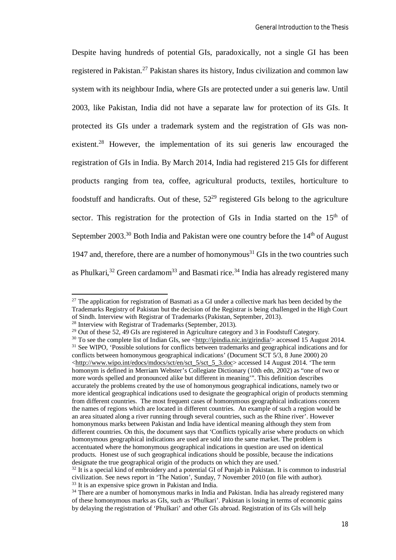Despite having hundreds of potential GIs, paradoxically, not a single GI has been registered in Pakistan.<sup>27</sup> Pakistan shares its history, Indus civilization and common law system with its neighbour India, where GIs are protected under a sui generis law. Until 2003, like Pakistan, India did not have a separate law for protection of its GIs. It protected its GIs under a trademark system and the registration of GIs was nonexistent.<sup>28</sup> However, the implementation of its sui generis law encouraged the registration of GIs in India. By March 2014, India had registered 215 GIs for different products ranging from tea, coffee, agricultural products, textiles, horticulture to foodstuff and handicrafts. Out of these,  $52^{29}$  registered GIs belong to the agriculture sector. This registration for the protection of GIs in India started on the  $15<sup>th</sup>$  of September  $2003$ <sup>30</sup> Both India and Pakistan were one country before the  $14<sup>th</sup>$  of August 1947 and, therefore, there are a number of homonymous<sup>31</sup> GIs in the two countries such as Phulkari,<sup>32</sup> Green cardamom<sup>33</sup> and Basmati rice.<sup>34</sup> India has already registered many

 $\overline{\phantom{a}}$ 

 $27$  The application for registration of Basmati as a GI under a collective mark has been decided by the Trademarks Registry of Pakistan but the decision of the Registrar is being challenged in the High Court of Sindh. Interview with Registrar of Trademarks (Pakistan, September, 2013).

<sup>28</sup> Interview with Registrar of Trademarks (September, 2013).

<sup>&</sup>lt;sup>29</sup> Out of these 52,  $\overline{49}$  GIs are registered in Agriculture category and 3 in Foodstuff Category.

<sup>&</sup>lt;sup>30</sup> To see the complete list of Indian GIs, see <http://ipindia.nic.in/girindia/> accessed 15 August 2014. <sup>31</sup> See WIPO, 'Possible solutions for conflicts between trademarks and geographical indications and for conflicts between homonymous geographical indications' (Document SCT 5/3, 8 June 2000) 20 <http://www.wipo.int/edocs/mdocs/sct/en/sct\_5/sct\_5\_3.doc> accessed 14 August 2014. 'The term homonym is defined in Merriam Webster's Collegiate Dictionary (10th edn, 2002) as "one of two or more words spelled and pronounced alike but different in meaning'". This definition describes accurately the problems created by the use of homonymous geographical indications, namely two or more identical geographical indications used to designate the geographical origin of products stemming from different countries. The most frequent cases of homonymous geographical indications concern the names of regions which are located in different countries. An example of such a region would be an area situated along a river running through several countries, such as the Rhine river'. However homonymous marks between Pakistan and India have identical meaning although they stem from different countries. On this, the document says that 'Conflicts typically arise where products on which homonymous geographical indications are used are sold into the same market. The problem is accentuated where the homonymous geographical indications in question are used on identical products. Honest use of such geographical indications should be possible, because the indications designate the true geographical origin of the products on which they are used.'

<sup>&</sup>lt;sup>32</sup> It is a special kind of embroidery and a potential GI of Punjab in Pakistan. It is common to industrial civilization. See news report in 'The Nation', Sunday, 7 November 2010 (on file with author). <sup>33</sup> It is an expensive spice grown in Pakistan and India.

<sup>&</sup>lt;sup>34</sup> There are a number of homonymous marks in India and Pakistan. India has already registered many of these homonymous marks as GIs, such as 'Phulkari'. Pakistan is losing in terms of economic gains by delaying the registration of 'Phulkari' and other GIs abroad. Registration of its GIs will help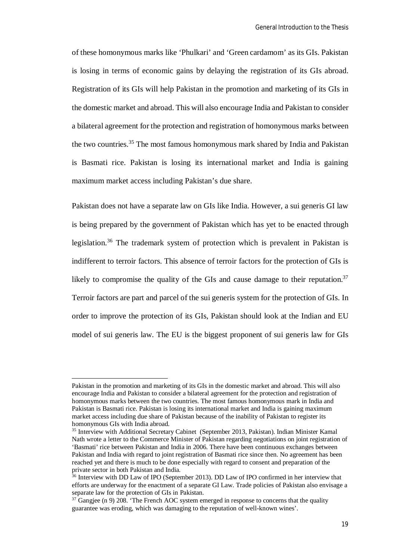of these homonymous marks like 'Phulkari' and 'Green cardamom' as its GIs. Pakistan is losing in terms of economic gains by delaying the registration of its GIs abroad. Registration of its GIs will help Pakistan in the promotion and marketing of its GIs in the domestic market and abroad. This will also encourage India and Pakistan to consider a bilateral agreement for the protection and registration of homonymous marks between the two countries.<sup>35</sup> The most famous homonymous mark shared by India and Pakistan is Basmati rice. Pakistan is losing its international market and India is gaining maximum market access including Pakistan's due share.

Pakistan does not have a separate law on GIs like India. However, a sui generis GI law is being prepared by the government of Pakistan which has yet to be enacted through legislation.<sup>36</sup> The trademark system of protection which is prevalent in Pakistan is indifferent to terroir factors. This absence of terroir factors for the protection of GIs is likely to compromise the quality of the GIs and cause damage to their reputation.<sup>37</sup> Terroir factors are part and parcel of the sui generis system for the protection of GIs. In order to improve the protection of its GIs, Pakistan should look at the Indian and EU model of sui generis law. The EU is the biggest proponent of sui generis law for GIs

Pakistan in the promotion and marketing of its GIs in the domestic market and abroad. This will also encourage India and Pakistan to consider a bilateral agreement for the protection and registration of homonymous marks between the two countries. The most famous homonymous mark in India and Pakistan is Basmati rice. Pakistan is losing its international market and India is gaining maximum market access including due share of Pakistan because of the inability of Pakistan to register its homonymous GIs with India abroad.

<sup>&</sup>lt;sup>35</sup> Interview with Additional Secretary Cabinet (September 2013, Pakistan). Indian Minister Kamal Nath wrote a letter to the Commerce Minister of Pakistan regarding negotiations on joint registration of 'Basmati' rice between Pakistan and India in 2006. There have been continuous exchanges between Pakistan and India with regard to joint registration of Basmati rice since then. No agreement has been reached yet and there is much to be done especially with regard to consent and preparation of the private sector in both Pakistan and India.

<sup>&</sup>lt;sup>36</sup> Interview with DD Law of IPO (September 2013). DD Law of IPO confirmed in her interview that efforts are underway for the enactment of a separate GI Law. Trade policies of Pakistan also envisage a separate law for the protection of GIs in Pakistan.

 $37$  Gangjee (n 9) 208. 'The French AOC system emerged in response to concerns that the quality guarantee was eroding, which was damaging to the reputation of well-known wines'.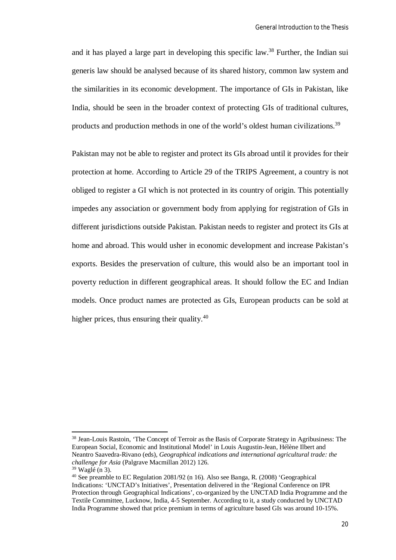and it has played a large part in developing this specific law.<sup>38</sup> Further, the Indian sui generis law should be analysed because of its shared history, common law system and the similarities in its economic development. The importance of GIs in Pakistan, like India, should be seen in the broader context of protecting GIs of traditional cultures, products and production methods in one of the world's oldest human civilizations.<sup>39</sup>

Pakistan may not be able to register and protect its GIs abroad until it provides for their protection at home. According to Article 29 of the TRIPS Agreement, a country is not obliged to register a GI which is not protected in its country of origin. This potentially impedes any association or government body from applying for registration of GIs in different jurisdictions outside Pakistan. Pakistan needs to register and protect its GIs at home and abroad. This would usher in economic development and increase Pakistan's exports. Besides the preservation of culture, this would also be an important tool in poverty reduction in different geographical areas. It should follow the EC and Indian models. Once product names are protected as GIs, European products can be sold at higher prices, thus ensuring their quality. $40$ 

<sup>38</sup> Jean-Louis Rastoin, 'The Concept of Terroir as the Basis of Corporate Strategy in Agribusiness: The European Social, Economic and Institutional Model' in Louis Augustin-Jean, Hélène Ilbert and Neantro Saavedra-Rivano (eds), *Geographical indications and international agricultural trade: the challenge for Asia* (Palgrave Macmillan 2012) 126.

<sup>39</sup> Waglé (n 3).

<sup>40</sup> See preamble to EC Regulation 2081/92 (n 16). Also see Banga, R. (2008) 'Geographical Indications: 'UNCTAD's Initiatives', Presentation delivered in the 'Regional Conference on IPR Protection through Geographical Indications', co-organized by the UNCTAD India Programme and the Textile Committee, Lucknow, India, 4-5 September. According to it, a study conducted by UNCTAD India Programme showed that price premium in terms of agriculture based GIs was around 10-15%.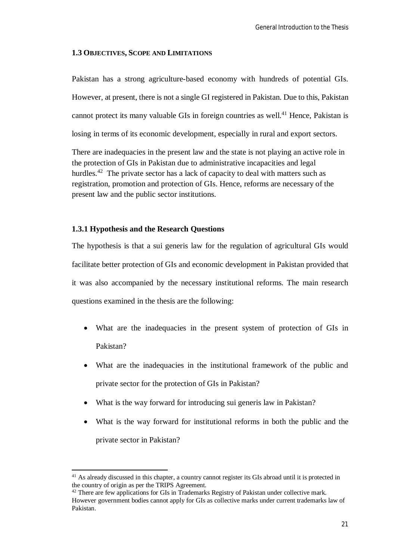#### **1.3 OBJECTIVES, SCOPE AND LIMITATIONS**

Pakistan has a strong agriculture-based economy with hundreds of potential GIs. However, at present, there is not a single GI registered in Pakistan. Due to this, Pakistan cannot protect its many valuable GIs in foreign countries as well.<sup>41</sup> Hence, Pakistan is losing in terms of its economic development, especially in rural and export sectors.

There are inadequacies in the present law and the state is not playing an active role in the protection of GIs in Pakistan due to administrative incapacities and legal hurdles.<sup>42</sup> The private sector has a lack of capacity to deal with matters such as registration, promotion and protection of GIs. Hence, reforms are necessary of the present law and the public sector institutions.

#### **1.3.1 Hypothesis and the Research Questions**

 $\overline{a}$ 

The hypothesis is that a sui generis law for the regulation of agricultural GIs would facilitate better protection of GIs and economic development in Pakistan provided that it was also accompanied by the necessary institutional reforms. The main research questions examined in the thesis are the following:

- What are the inadequacies in the present system of protection of GIs in Pakistan?
- What are the inadequacies in the institutional framework of the public and private sector for the protection of GIs in Pakistan?
- What is the way forward for introducing sui generis law in Pakistan?
- What is the way forward for institutional reforms in both the public and the private sector in Pakistan?

<sup>&</sup>lt;sup>41</sup> As already discussed in this chapter, a country cannot register its GIs abroad until it is protected in the country of origin as per the TRIPS Agreement.

<sup>&</sup>lt;sup>42</sup> There are few applications for GIs in Trademarks Registry of Pakistan under collective mark. However government bodies cannot apply for GIs as collective marks under current trademarks law of Pakistan.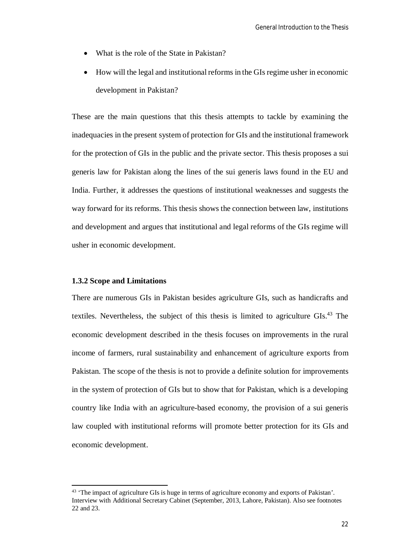- What is the role of the State in Pakistan?
- How will the legal and institutional reforms in the GIs regime usher in economic development in Pakistan?

These are the main questions that this thesis attempts to tackle by examining the inadequacies in the present system of protection for GIs and the institutional framework for the protection of GIs in the public and the private sector. This thesis proposes a sui generis law for Pakistan along the lines of the sui generis laws found in the EU and India. Further, it addresses the questions of institutional weaknesses and suggests the way forward for its reforms. This thesis shows the connection between law, institutions and development and argues that institutional and legal reforms of the GIs regime will usher in economic development.

#### **1.3.2 Scope and Limitations**

 $\overline{\phantom{a}}$ 

There are numerous GIs in Pakistan besides agriculture GIs, such as handicrafts and textiles. Nevertheless, the subject of this thesis is limited to agriculture GIs.<sup>43</sup> The economic development described in the thesis focuses on improvements in the rural income of farmers, rural sustainability and enhancement of agriculture exports from Pakistan. The scope of the thesis is not to provide a definite solution for improvements in the system of protection of GIs but to show that for Pakistan, which is a developing country like India with an agriculture-based economy, the provision of a sui generis law coupled with institutional reforms will promote better protection for its GIs and economic development.

<sup>&</sup>lt;sup>43</sup> 'The impact of agriculture GIs is huge in terms of agriculture economy and exports of Pakistan'. Interview with Additional Secretary Cabinet (September, 2013, Lahore, Pakistan). Also see footnotes 22 and 23.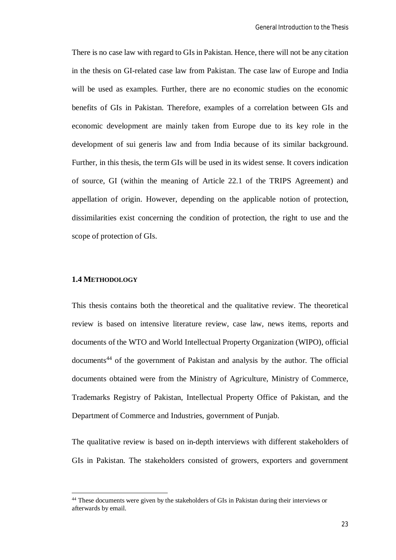There is no case law with regard to GIs in Pakistan. Hence, there will not be any citation in the thesis on GI-related case law from Pakistan. The case law of Europe and India will be used as examples. Further, there are no economic studies on the economic benefits of GIs in Pakistan. Therefore, examples of a correlation between GIs and economic development are mainly taken from Europe due to its key role in the development of sui generis law and from India because of its similar background. Further, in this thesis, the term GIs will be used in its widest sense. It covers indication of source, GI (within the meaning of Article 22.1 of the TRIPS Agreement) and appellation of origin. However, depending on the applicable notion of protection, dissimilarities exist concerning the condition of protection, the right to use and the scope of protection of GIs.

#### **1.4 METHODOLOGY**

 $\overline{a}$ 

This thesis contains both the theoretical and the qualitative review. The theoretical review is based on intensive literature review, case law, news items, reports and documents of the WTO and World Intellectual Property Organization (WIPO), official documents<sup>44</sup> of the government of Pakistan and analysis by the author. The official documents obtained were from the Ministry of Agriculture, Ministry of Commerce, Trademarks Registry of Pakistan, Intellectual Property Office of Pakistan, and the Department of Commerce and Industries, government of Punjab.

The qualitative review is based on in-depth interviews with different stakeholders of GIs in Pakistan. The stakeholders consisted of growers, exporters and government

<sup>&</sup>lt;sup>44</sup> These documents were given by the stakeholders of GIs in Pakistan during their interviews or afterwards by email.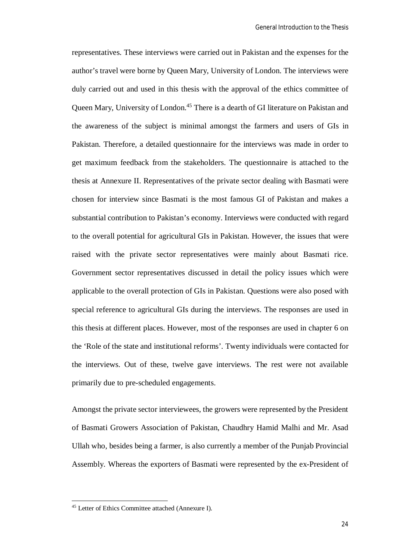representatives. These interviews were carried out in Pakistan and the expenses for the author's travel were borne by Queen Mary, University of London. The interviews were duly carried out and used in this thesis with the approval of the ethics committee of Queen Mary, University of London.<sup>45</sup> There is a dearth of GI literature on Pakistan and the awareness of the subject is minimal amongst the farmers and users of GIs in Pakistan. Therefore, a detailed questionnaire for the interviews was made in order to get maximum feedback from the stakeholders. The questionnaire is attached to the thesis at Annexure II. Representatives of the private sector dealing with Basmati were chosen for interview since Basmati is the most famous GI of Pakistan and makes a substantial contribution to Pakistan's economy. Interviews were conducted with regard to the overall potential for agricultural GIs in Pakistan. However, the issues that were raised with the private sector representatives were mainly about Basmati rice. Government sector representatives discussed in detail the policy issues which were applicable to the overall protection of GIs in Pakistan. Questions were also posed with special reference to agricultural GIs during the interviews. The responses are used in this thesis at different places. However, most of the responses are used in chapter 6 on the 'Role of the state and institutional reforms'. Twenty individuals were contacted for the interviews. Out of these, twelve gave interviews. The rest were not available primarily due to pre-scheduled engagements.

Amongst the private sector interviewees, the growers were represented by the President of Basmati Growers Association of Pakistan, Chaudhry Hamid Malhi and Mr. Asad Ullah who, besides being a farmer, is also currently a member of the Punjab Provincial Assembly. Whereas the exporters of Basmati were represented by the ex-President of

<sup>45</sup> Letter of Ethics Committee attached (Annexure I).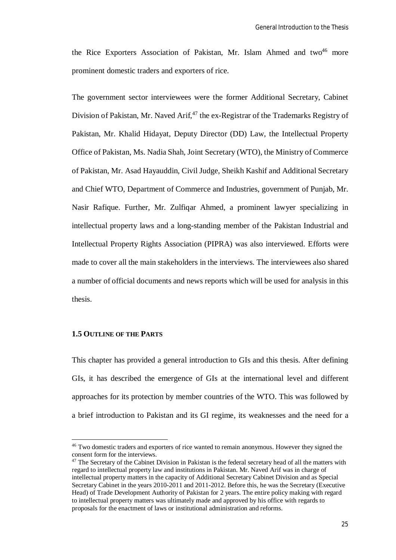the Rice Exporters Association of Pakistan, Mr. Islam Ahmed and two $46$  more prominent domestic traders and exporters of rice.

The government sector interviewees were the former Additional Secretary, Cabinet Division of Pakistan, Mr. Naved Arif, $47$  the ex-Registrar of the Trademarks Registry of Pakistan, Mr. Khalid Hidayat, Deputy Director (DD) Law, the Intellectual Property Office of Pakistan, Ms. Nadia Shah, Joint Secretary (WTO), the Ministry of Commerce of Pakistan, Mr. Asad Hayauddin, Civil Judge, Sheikh Kashif and Additional Secretary and Chief WTO, Department of Commerce and Industries, government of Punjab, Mr. Nasir Rafique. Further, Mr. Zulfiqar Ahmed, a prominent lawyer specializing in intellectual property laws and a long-standing member of the Pakistan Industrial and Intellectual Property Rights Association (PIPRA) was also interviewed. Efforts were made to cover all the main stakeholders in the interviews. The interviewees also shared a number of official documents and news reports which will be used for analysis in this thesis.

#### **1.5 OUTLINE OF THE PARTS**

 $\overline{a}$ 

This chapter has provided a general introduction to GIs and this thesis. After defining GIs, it has described the emergence of GIs at the international level and different approaches for its protection by member countries of the WTO. This was followed by a brief introduction to Pakistan and its GI regime, its weaknesses and the need for a

<sup>&</sup>lt;sup>46</sup> Two domestic traders and exporters of rice wanted to remain anonymous. However they signed the consent form for the interviews.

<sup>&</sup>lt;sup>47</sup> The Secretary of the Cabinet Division in Pakistan is the federal secretary head of all the matters with regard to intellectual property law and institutions in Pakistan. Mr. Naved Arif was in charge of intellectual property matters in the capacity of Additional Secretary Cabinet Division and as Special Secretary Cabinet in the years 2010-2011 and 2011-2012. Before this, he was the Secretary (Executive Head) of Trade Development Authority of Pakistan for 2 years. The entire policy making with regard to intellectual property matters was ultimately made and approved by his office with regards to proposals for the enactment of laws or institutional administration and reforms.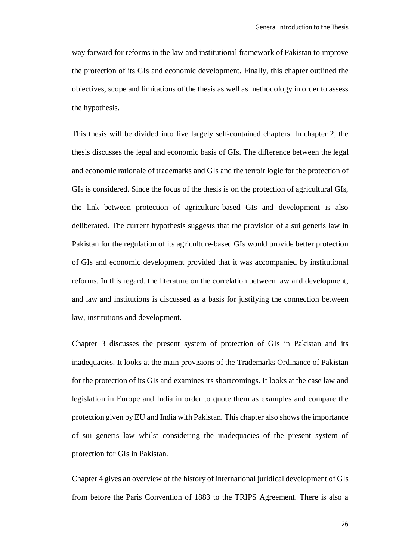way forward for reforms in the law and institutional framework of Pakistan to improve the protection of its GIs and economic development. Finally, this chapter outlined the objectives, scope and limitations of the thesis as well as methodology in order to assess the hypothesis.

This thesis will be divided into five largely self-contained chapters. In chapter 2, the thesis discusses the legal and economic basis of GIs. The difference between the legal and economic rationale of trademarks and GIs and the terroir logic for the protection of GIs is considered. Since the focus of the thesis is on the protection of agricultural GIs, the link between protection of agriculture-based GIs and development is also deliberated. The current hypothesis suggests that the provision of a sui generis law in Pakistan for the regulation of its agriculture-based GIs would provide better protection of GIs and economic development provided that it was accompanied by institutional reforms. In this regard, the literature on the correlation between law and development, and law and institutions is discussed as a basis for justifying the connection between law, institutions and development.

Chapter 3 discusses the present system of protection of GIs in Pakistan and its inadequacies. It looks at the main provisions of the Trademarks Ordinance of Pakistan for the protection of its GIs and examines its shortcomings. It looks at the case law and legislation in Europe and India in order to quote them as examples and compare the protection given by EU and India with Pakistan. This chapter also shows the importance of sui generis law whilst considering the inadequacies of the present system of protection for GIs in Pakistan.

Chapter 4 gives an overview of the history of international juridical development of GIs from before the Paris Convention of 1883 to the TRIPS Agreement. There is also a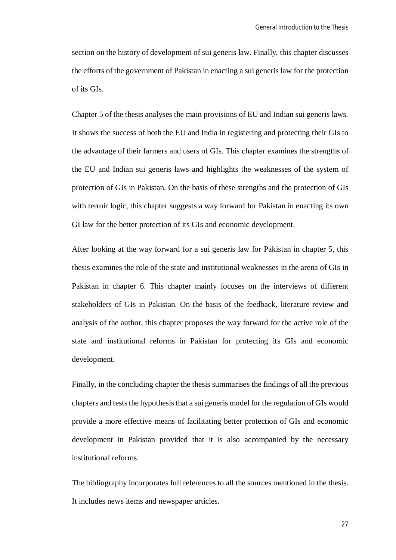section on the history of development of sui generis law. Finally, this chapter discusses the efforts of the government of Pakistan in enacting a sui generis law for the protection of its GIs.

Chapter 5 of the thesis analyses the main provisions of EU and Indian sui generis laws. It shows the success of both the EU and India in registering and protecting their GIs to the advantage of their farmers and users of GIs. This chapter examines the strengths of the EU and Indian sui generis laws and highlights the weaknesses of the system of protection of GIs in Pakistan. On the basis of these strengths and the protection of GIs with terroir logic, this chapter suggests a way forward for Pakistan in enacting its own GI law for the better protection of its GIs and economic development.

After looking at the way forward for a sui generis law for Pakistan in chapter 5, this thesis examines the role of the state and institutional weaknesses in the arena of GIs in Pakistan in chapter 6. This chapter mainly focuses on the interviews of different stakeholders of GIs in Pakistan. On the basis of the feedback, literature review and analysis of the author, this chapter proposes the way forward for the active role of the state and institutional reforms in Pakistan for protecting its GIs and economic development.

Finally, in the concluding chapter the thesis summarises the findings of all the previous chapters and tests the hypothesis that a sui generis model for the regulation of GIs would provide a more effective means of facilitating better protection of GIs and economic development in Pakistan provided that it is also accompanied by the necessary institutional reforms.

The bibliography incorporates full references to all the sources mentioned in the thesis. It includes news items and newspaper articles.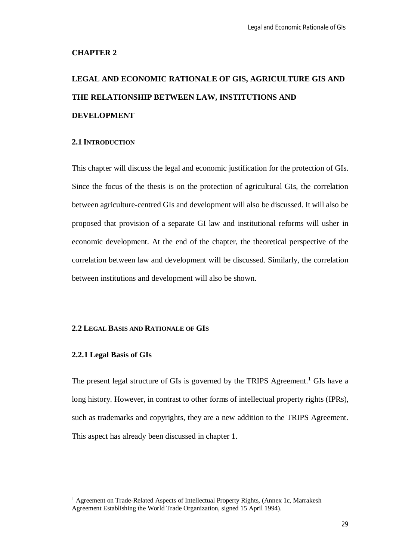#### **CHAPTER 2**

# **LEGAL AND ECONOMIC RATIONALE OF GIS, AGRICULTURE GIS AND THE RELATIONSHIP BETWEEN LAW, INSTITUTIONS AND DEVELOPMENT**

#### **2.1 INTRODUCTION**

This chapter will discuss the legal and economic justification for the protection of GIs. Since the focus of the thesis is on the protection of agricultural GIs, the correlation between agriculture-centred GIs and development will also be discussed. It will also be proposed that provision of a separate GI law and institutional reforms will usher in economic development. At the end of the chapter, the theoretical perspective of the correlation between law and development will be discussed. Similarly, the correlation between institutions and development will also be shown.

#### **2.2 LEGAL BASIS AND RATIONALE OF GIS**

#### **2.2.1 Legal Basis of GIs**

 $\overline{a}$ 

The present legal structure of GIs is governed by the TRIPS Agreement.<sup>1</sup> GIs have a long history. However, in contrast to other forms of intellectual property rights (IPRs), such as trademarks and copyrights, they are a new addition to the TRIPS Agreement. This aspect has already been discussed in chapter 1.

<sup>&</sup>lt;sup>1</sup> Agreement on Trade-Related Aspects of Intellectual Property Rights, (Annex 1c, Marrakesh Agreement Establishing the World Trade Organization, signed 15 April 1994).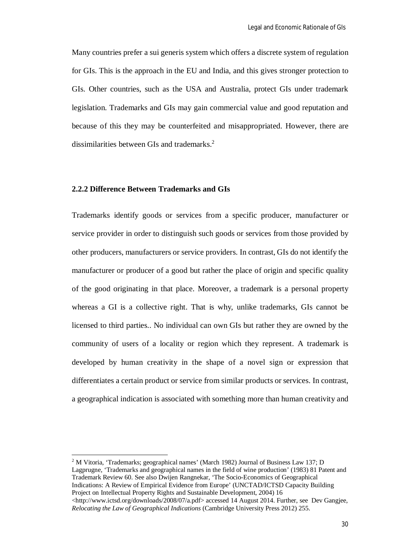Many countries prefer a sui generis system which offers a discrete system of regulation for GIs. This is the approach in the EU and India, and this gives stronger protection to GIs. Other countries, such as the USA and Australia, protect GIs under trademark legislation. Trademarks and GIs may gain commercial value and good reputation and because of this they may be counterfeited and misappropriated. However, there are dissimilarities between GIs and trademarks.<sup>2</sup>

#### **2.2.2 Difference Between Trademarks and GIs**

 $\overline{a}$ 

Trademarks identify goods or services from a specific producer, manufacturer or service provider in order to distinguish such goods or services from those provided by other producers, manufacturers or service providers. In contrast, GIs do not identify the manufacturer or producer of a good but rather the place of origin and specific quality of the good originating in that place. Moreover, a trademark is a personal property whereas a GI is a collective right. That is why, unlike trademarks, GIs cannot be licensed to third parties.. No individual can own GIs but rather they are owned by the community of users of a locality or region which they represent. A trademark is developed by human creativity in the shape of a novel sign or expression that differentiates a certain product or service from similar products or services. In contrast, a geographical indication is associated with something more than human creativity and

<sup>2</sup> M Vitoria, 'Trademarks; geographical names' (March 1982) Journal of Business Law 137; D Lagprugne, 'Trademarks and geographical names in the field of wine production' (1983) 81 Patent and Trademark Review 60. See also Dwijen Rangnekar, 'The Socio-Economics of Geographical Indications: A Review of Empirical Evidence from Europe' (UNCTAD/ICTSD Capacity Building Project on Intellectual Property Rights and Sustainable Development, 2004) 16  $\lt$ http://www.ictsd.org/downloads/2008/07/a.pdf> accessed 14 August 2014. Further, see Dev Gangjee, *Relocating the Law of Geographical Indications* (Cambridge University Press 2012) 255.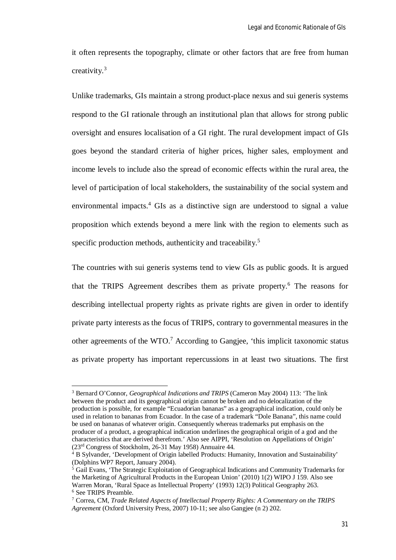it often represents the topography, climate or other factors that are free from human creativity.<sup>3</sup>

Unlike trademarks, GIs maintain a strong product-place nexus and sui generis systems respond to the GI rationale through an institutional plan that allows for strong public oversight and ensures localisation of a GI right. The rural development impact of GIs goes beyond the standard criteria of higher prices, higher sales, employment and income levels to include also the spread of economic effects within the rural area, the level of participation of local stakeholders, the sustainability of the social system and environmental impacts.<sup>4</sup> GIs as a distinctive sign are understood to signal a value proposition which extends beyond a mere link with the region to elements such as specific production methods, authenticity and traceability.<sup>5</sup>

The countries with sui generis systems tend to view GIs as public goods. It is argued that the TRIPS Agreement describes them as private property.<sup>6</sup> The reasons for describing intellectual property rights as private rights are given in order to identify private party interests as the focus of TRIPS, contrary to governmental measures in the other agreements of the  $WTO<sup>7</sup>$  According to Gangiee, 'this implicit taxonomic status as private property has important repercussions in at least two situations. The first

 $\overline{\phantom{a}}$ 

<sup>3</sup> Bernard O'Connor, *Geographical Indications and TRIPS* (Cameron May 2004) 113: 'The link between the product and its geographical origin cannot be broken and no delocalization of the production is possible, for example "Ecuadorian bananas" as a geographical indication, could only be used in relation to bananas from Ecuador. In the case of a trademark "Dole Banana", this name could be used on bananas of whatever origin. Consequently whereas trademarks put emphasis on the producer of a product, a geographical indication underlines the geographical origin of a god and the characteristics that are derived therefrom.' Also see AIPPI, 'Resolution on Appellations of Origin' (23rd Congress of Stockholm, 26-31 May 1958) Annuaire 44.

B Sylvander, 'Development of Origin labelled Products: Humanity, Innovation and Sustainability' (Dolphins WP7 Report, January 2004).

<sup>5</sup> Gail Evans, 'The Strategic Exploitation of Geographical Indications and Community Trademarks for the Marketing of Agricultural Products in the European Union' (2010) 1(2) WIPO J 159. Also see Warren Moran, 'Rural Space as Intellectual Property' (1993) 12(3) Political Geography 263. <sup>6</sup> See TRIPS Preamble.

<sup>7</sup> Correa, CM, *Trade Related Aspects of Intellectual Property Rights: A Commentary on the TRIPS Agreement* (Oxford University Press, 2007) 10-11; see also Gangjee (n 2) 202.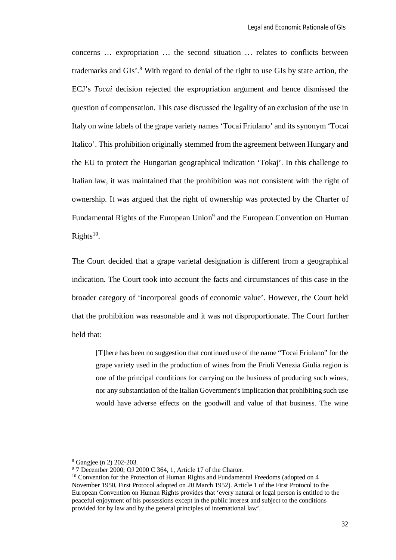concerns … expropriation … the second situation … relates to conflicts between trademarks and GIs'.<sup>8</sup> With regard to denial of the right to use GIs by state action, the ECJ's *Tocai* decision rejected the expropriation argument and hence dismissed the question of compensation. This case discussed the legality of an exclusion of the use in Italy on wine labels of the grape variety names 'Tocai Friulano' and its synonym 'Tocai Italico'. This prohibition originally stemmed from the agreement between Hungary and the EU to protect the Hungarian geographical indication 'Tokaj'. In this challenge to Italian law, it was maintained that the prohibition was not consistent with the right of ownership. It was argued that the right of ownership was protected by the Charter of Fundamental Rights of the European Union<sup>9</sup> and the European Convention on Human  $Rights<sup>10</sup>$ .

The Court decided that a grape varietal designation is different from a geographical indication. The Court took into account the facts and circumstances of this case in the broader category of 'incorporeal goods of economic value'. However, the Court held that the prohibition was reasonable and it was not disproportionate. The Court further held that:

[T]here has been no suggestion that continued use of the name "Tocai Friulano" for the grape variety used in the production of wines from the Friuli Venezia Giulia region is one of the principal conditions for carrying on the business of producing such wines, nor any substantiation of the Italian Government's implication that prohibiting such use would have adverse effects on the goodwill and value of that business. The wine

<sup>8</sup> Gangjee (n 2) 202-203.

<sup>9</sup> 7 December 2000; OJ 2000 C 364, 1, Article 17 of the Charter.

<sup>&</sup>lt;sup>10</sup> Convention for the Protection of Human Rights and Fundamental Freedoms (adopted on 4 November 1950, First Protocol adopted on 20 March 1952). Article 1 of the First Protocol to the European Convention on Human Rights provides that 'every natural or legal person is entitled to the peaceful enjoyment of his possessions except in the public interest and subject to the conditions provided for by law and by the general principles of international law'.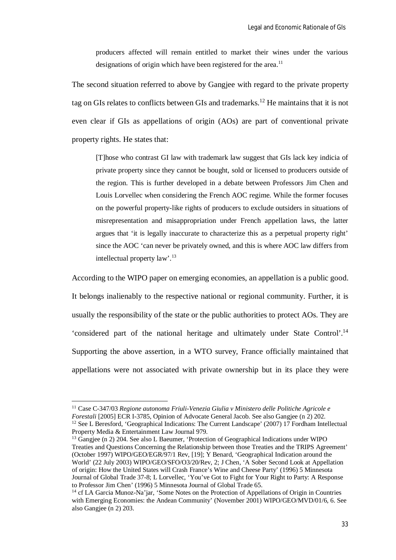producers affected will remain entitled to market their wines under the various designations of origin which have been registered for the area.<sup>11</sup>

The second situation referred to above by Gangjee with regard to the private property tag on GIs relates to conflicts between GIs and trademarks.<sup>12</sup> He maintains that it is not even clear if GIs as appellations of origin (AOs) are part of conventional private property rights. He states that:

[T]hose who contrast GI law with trademark law suggest that GIs lack key indicia of private property since they cannot be bought, sold or licensed to producers outside of the region. This is further developed in a debate between Professors Jim Chen and Louis Lorvellec when considering the French AOC regime. While the former focuses on the powerful property-like rights of producers to exclude outsiders in situations of misrepresentation and misappropriation under French appellation laws, the latter argues that 'it is legally inaccurate to characterize this as a perpetual property right' since the AOC 'can never be privately owned, and this is where AOC law differs from intellectual property law'.<sup>13</sup>

According to the WIPO paper on emerging economies, an appellation is a public good.

It belongs inalienably to the respective national or regional community. Further, it is usually the responsibility of the state or the public authorities to protect AOs. They are 'considered part of the national heritage and ultimately under State Control'.<sup>14</sup> Supporting the above assertion, in a WTO survey, France officially maintained that appellations were not associated with private ownership but in its place they were

<sup>11</sup> Case C-347/03 *Regione autonoma Friuli-Venezia Giulia v Ministero delle Politiche Agricole e Forestali* [2005] ECR I-3785, Opinion of Advocate General Jacob. See also Gangiee (n 2) 202. <sup>12</sup> See L Beresford, 'Geographical Indications: The Current Landscape' (2007) 17 Fordham Intellectual Property Media & Entertainment Law Journal 979.

<sup>&</sup>lt;sup>13</sup> Gangjee (n 2) 204. See also L Baeumer, 'Protection of Geographical Indications under WIPO Treaties and Questions Concerning the Relationship between those Treaties and the TRIPS Agreement' (October 1997) WIPO/GEO/EGR/97/1 Rev, [19]; Y Benard, 'Geographical Indication around the World' (22 July 2003) WIPO/GEO/SFO/O3/20/Rev, 2; J Chen, 'A Sober Second Look at Appellation of origin: How the United States will Crash France's Wine and Cheese Party' (1996) 5 Minnesota Journal of Global Trade 37-8; L Lorvellec, 'You've Got to Fight for Your Right to Party: A Response to Professor Jim Chen' (1996) 5 Minnesota Journal of Global Trade 65.

<sup>&</sup>lt;sup>14</sup> cf LA Garcia Munoz-Na'jar, 'Some Notes on the Protection of Appellations of Origin in Countries with Emerging Economies: the Andean Community' (November 2001) WIPO/GEO/MVD/01/6, 6. See also Gangjee (n 2) 203.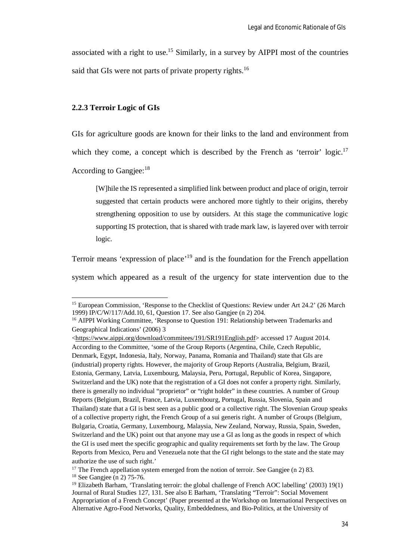associated with a right to use.<sup>15</sup> Similarly, in a survey by AIPPI most of the countries said that GIs were not parts of private property rights.<sup>16</sup>

#### **2.2.3 Terroir Logic of GIs**

GIs for agriculture goods are known for their links to the land and environment from

which they come, a concept which is described by the French as 'terroir'  $logic$ <sup>17</sup>

According to Gangiee:<sup>18</sup>

 $\overline{\phantom{a}}$ 

[W]hile the IS represented a simplified link between product and place of origin, terroir suggested that certain products were anchored more tightly to their origins, thereby strengthening opposition to use by outsiders. At this stage the communicative logic supporting IS protection, that is shared with trade mark law, is layered over with terroir logic.

Terroir means 'expression of place'<sup>19</sup> and is the foundation for the French appellation system which appeared as a result of the urgency for state intervention due to the

<sup>&</sup>lt;sup>15</sup> European Commission, 'Response to the Checklist of Questions: Review under Art 24.2' (26 March 1999) IP/C/W/117/Add.10, 61, Question 17. See also Gangjee (n 2) 204.

<sup>&</sup>lt;sup>16</sup> AIPPI Working Committee, 'Response to Question 191: Relationship between Trademarks and Geographical Indications' (2006) 3

<sup>&</sup>lt;https://www.aippi.org/download/commitees/191/SR191English.pdf> accessed 17 August 2014. According to the Committee, 'some of the Group Reports (Argentina, Chile, Czech Republic, Denmark, Egypt, Indonesia, Italy, Norway, Panama, Romania and Thailand) state that GIs are (industrial) property rights. However, the majority of Group Reports (Australia, Belgium, Brazil, Estonia, Germany, Latvia, Luxembourg, Malaysia, Peru, Portugal, Republic of Korea, Singapore, Switzerland and the UK) note that the registration of a GI does not confer a property right. Similarly, there is generally no individual "proprietor" or "right holder" in these countries. A number of Group Reports (Belgium, Brazil, France, Latvia, Luxembourg, Portugal, Russia, Slovenia, Spain and Thailand) state that a GI is best seen as a public good or a collective right. The Slovenian Group speaks of a collective property right, the French Group of a sui generis right. A number of Groups (Belgium, Bulgaria, Croatia, Germany, Luxembourg, Malaysia, New Zealand, Norway, Russia, Spain, Sweden, Switzerland and the UK) point out that anyone may use a GI as long as the goods in respect of which the GI is used meet the specific geographic and quality requirements set forth by the law. The Group Reports from Mexico, Peru and Venezuela note that the GI right belongs to the state and the state may authorize the use of such right.'

<sup>&</sup>lt;sup>17</sup> The French appellation system emerged from the notion of terroir. See Gangjee (n 2) 83.

<sup>&</sup>lt;sup>18</sup> See Gangjee (n 2) 75-76.

<sup>19</sup> Elizabeth Barham, 'Translating terroir: the global challenge of French AOC labelling' (2003) 19(1) Journal of Rural Studies 127, 131. See also E Barham, 'Translating "Terroir": Social Movement Appropriation of a French Concept' (Paper presented at the Workshop on International Perspectives on Alternative Agro-Food Networks, Quality, Embeddedness, and Bio-Politics, at the University of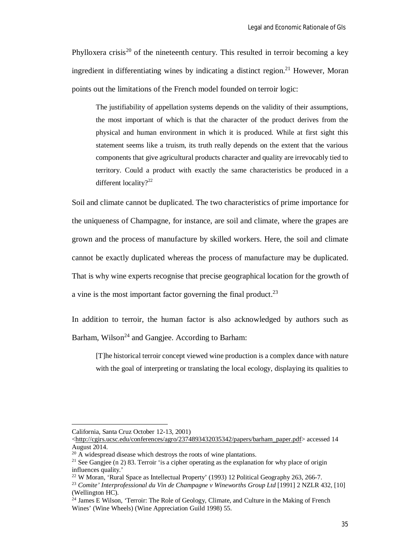Phylloxera crisis<sup>20</sup> of the nineteenth century. This resulted in terroir becoming a key ingredient in differentiating wines by indicating a distinct region.<sup>21</sup> However, Moran points out the limitations of the French model founded on terroir logic:

The justifiability of appellation systems depends on the validity of their assumptions, the most important of which is that the character of the product derives from the physical and human environment in which it is produced. While at first sight this statement seems like a truism, its truth really depends on the extent that the various components that give agricultural products character and quality are irrevocably tied to territory. Could a product with exactly the same characteristics be produced in a different locality?<sup>22</sup>

Soil and climate cannot be duplicated. The two characteristics of prime importance for the uniqueness of Champagne, for instance, are soil and climate, where the grapes are grown and the process of manufacture by skilled workers. Here, the soil and climate cannot be exactly duplicated whereas the process of manufacture may be duplicated. That is why wine experts recognise that precise geographical location for the growth of a vine is the most important factor governing the final product. $2<sup>3</sup>$ 

In addition to terroir, the human factor is also acknowledged by authors such as Barham, Wilson<sup>24</sup> and Gangjee. According to Barham:

[T]he historical terroir concept viewed wine production is a complex dance with nature with the goal of interpreting or translating the local ecology, displaying its qualities to

 $\overline{\phantom{a}}$ 

California, Santa Cruz October 12-13, 2001)

<sup>&</sup>lt;http://cgirs.ucsc.edu/conferences/agro/2374893432035342/papers/barham\_paper.pdf> accessed 14 August 2014.

 $20$  A widespread disease which destroys the roots of wine plantations.

<sup>&</sup>lt;sup>21</sup> See Gangjee (n 2) 83. Terroir 'is a cipher operating as the explanation for why place of origin influences quality.'

<sup>&</sup>lt;sup>22</sup> W Moran, 'Rural Space as Intellectual Property' (1993) 12 Political Geography 263, 266-7.

<sup>23</sup> *Comite' Interprofessional du Vin de Champagne v Wineworths Group Ltd* [1991] 2 NZLR 432, [10] (Wellington HC).

<sup>&</sup>lt;sup>24</sup> James E Wilson, 'Terroir: The Role of Geology, Climate, and Culture in the Making of French Wines' (Wine Wheels) (Wine Appreciation Guild 1998) 55.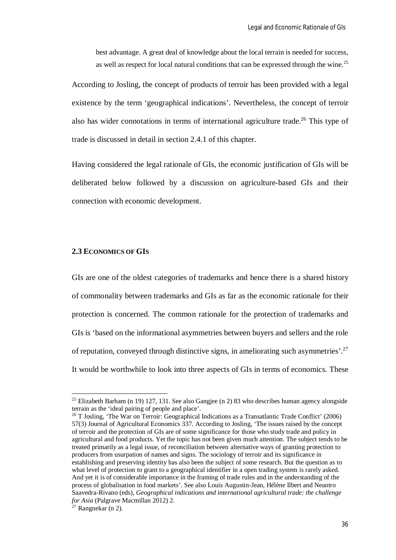best advantage. A great deal of knowledge about the local terrain is needed for success, as well as respect for local natural conditions that can be expressed through the wine.<sup>25</sup>

According to Josling, the concept of products of terroir has been provided with a legal existence by the term 'geographical indications'. Nevertheless, the concept of terroir also has wider connotations in terms of international agriculture trade.<sup>26</sup> This type of trade is discussed in detail in section 2.4.1 of this chapter.

Having considered the legal rationale of GIs, the economic justification of GIs will be deliberated below followed by a discussion on agriculture-based GIs and their connection with economic development.

#### **2.3 ECONOMICS OF GIS**

GIs are one of the oldest categories of trademarks and hence there is a shared history of commonality between trademarks and GIs as far as the economic rationale for their protection is concerned. The common rationale for the protection of trademarks and GIs is 'based on the informational asymmetries between buyers and sellers and the role of reputation, conveyed through distinctive signs, in ameliorating such asymmetries'.<sup>27</sup> It would be worthwhile to look into three aspects of GIs in terms of economics. These

 $\overline{\phantom{a}}$ 

<sup>&</sup>lt;sup>25</sup> Elizabeth Barham (n 19) 127, 131. See also Gangjee (n 2) 83 who describes human agency alongside terrain as the 'ideal pairing of people and place'.

 $^{26}$  T Josling, 'The War on Terroir: Geographical Indications as a Transatlantic Trade Conflict' (2006) 57(3) Journal of Agricultural Economics 337. According to Josling, 'The issues raised by the concept of terroir and the protection of GIs are of some significance for those who study trade and policy in agricultural and food products. Yet the topic has not been given much attention. The subject tends to be treated primarily as a legal issue, of reconciliation between alternative ways of granting protection to producers from usurpation of names and signs. The sociology of terroir and its significance in establishing and preserving identity has also been the subject of some research. But the question as to what level of protection to grant to a geographical identifier in a open trading system is rarely asked. And yet it is of considerable importance in the framing of trade rules and in the understanding of the process of globalisation in food markets'. See also Louis Augustin-Jean, Hélène Ilbert and Neantro Saavedra-Rivano (eds), *Geographical indications and international agricultural trade: the challenge for Asia* (Palgrave Macmillan 2012) 2.

 $^{27}$  Rangnekar (n 2).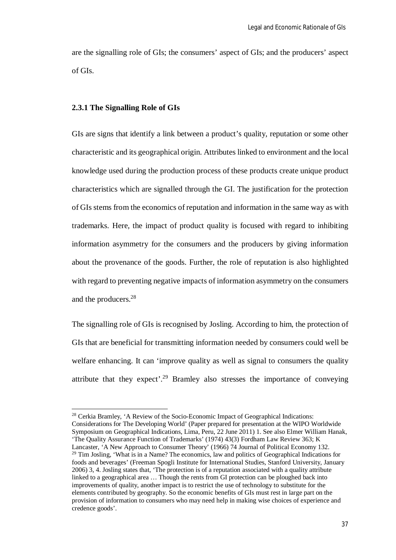are the signalling role of GIs; the consumers' aspect of GIs; and the producers' aspect of GIs.

# **2.3.1 The Signalling Role of GIs**

 $\overline{a}$ 

GIs are signs that identify a link between a product's quality, reputation or some other characteristic and its geographical origin. Attributes linked to environment and the local knowledge used during the production process of these products create unique product characteristics which are signalled through the GI. The justification for the protection of GIs stems from the economics of reputation and information in the same way as with trademarks. Here, the impact of product quality is focused with regard to inhibiting information asymmetry for the consumers and the producers by giving information about the provenance of the goods. Further, the role of reputation is also highlighted with regard to preventing negative impacts of information asymmetry on the consumers and the producers.<sup>28</sup>

The signalling role of GIs is recognised by Josling. According to him, the protection of GIs that are beneficial for transmitting information needed by consumers could well be welfare enhancing. It can 'improve quality as well as signal to consumers the quality attribute that they expect'.<sup>29</sup> Bramley also stresses the importance of conveying

<sup>&</sup>lt;sup>28</sup> Cerkia Bramley, 'A Review of the Socio-Economic Impact of Geographical Indications: Considerations for The Developing World' (Paper prepared for presentation at the WIPO Worldwide Symposium on Geographical Indications, Lima, Peru, 22 June 2011) 1. See also Elmer William Hanak, 'The Quality Assurance Function of Trademarks' (1974) 43(3) Fordham Law Review 363; K Lancaster, 'A New Approach to Consumer Theory' (1966) 74 Journal of Political Economy 132. <sup>29</sup> Tim Josling, 'What is in a Name? The economics, law and politics of Geographical Indications for foods and beverages' (Freeman Spogli Institute for International Studies, Stanford University, January 2006) 3, 4. Josling states that, 'The protection is of a reputation associated with a quality attribute linked to a geographical area … Though the rents from GI protection can be ploughed back into improvements of quality, another impact is to restrict the use of technology to substitute for the elements contributed by geography. So the economic benefits of GIs must rest in large part on the provision of information to consumers who may need help in making wise choices of experience and credence goods'.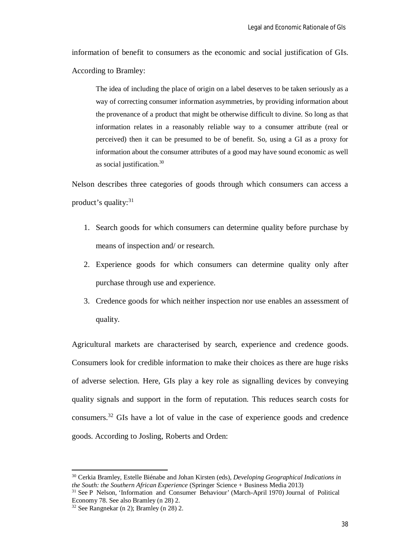information of benefit to consumers as the economic and social justification of GIs. According to Bramley:

The idea of including the place of origin on a label deserves to be taken seriously as a way of correcting consumer information asymmetries, by providing information about the provenance of a product that might be otherwise difficult to divine. So long as that information relates in a reasonably reliable way to a consumer attribute (real or perceived) then it can be presumed to be of benefit. So, using a GI as a proxy for information about the consumer attributes of a good may have sound economic as well as social justification.<sup>30</sup>

Nelson describes three categories of goods through which consumers can access a product's quality:<sup>31</sup>

- 1. Search goods for which consumers can determine quality before purchase by means of inspection and/ or research.
- 2. Experience goods for which consumers can determine quality only after purchase through use and experience.
- 3. Credence goods for which neither inspection nor use enables an assessment of quality.

Agricultural markets are characterised by search, experience and credence goods. Consumers look for credible information to make their choices as there are huge risks of adverse selection. Here, GIs play a key role as signalling devices by conveying quality signals and support in the form of reputation. This reduces search costs for consumers.<sup>32</sup> GIs have a lot of value in the case of experience goods and credence goods. According to Josling, Roberts and Orden:

<sup>30</sup> Cerkia Bramley, Estelle Biénabe and Johan Kirsten (eds), *Developing Geographical Indications in the South: the Southern African Experience* (Springer Science + Business Media 2013)

<sup>31</sup> See P Nelson, 'Information and Consumer Behaviour' (March-April 1970) Journal of Political Economy 78. See also Bramley (n 28) 2.

 $32$  See Rangnekar (n 2); Bramley (n 28) 2.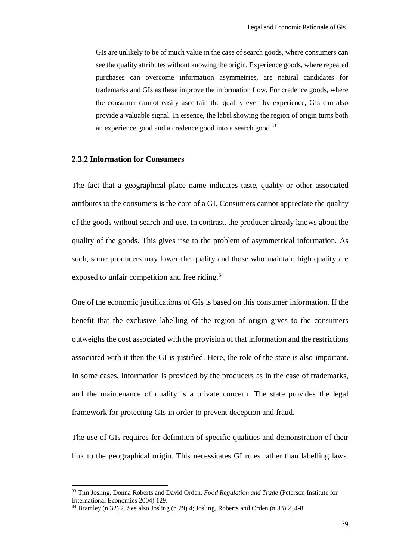GIs are unlikely to be of much value in the case of search goods, where consumers can see the quality attributes without knowing the origin. Experience goods, where repeated purchases can overcome information asymmetries, are natural candidates for trademarks and GIs as these improve the information flow. For credence goods, where the consumer cannot easily ascertain the quality even by experience, GIs can also provide a valuable signal. In essence, the label showing the region of origin turns both an experience good and a credence good into a search good.<sup>33</sup>

# **2.3.2 Information for Consumers**

 $\overline{\phantom{a}}$ 

The fact that a geographical place name indicates taste, quality or other associated attributes to the consumers is the core of a GI. Consumers cannot appreciate the quality of the goods without search and use. In contrast, the producer already knows about the quality of the goods. This gives rise to the problem of asymmetrical information. As such, some producers may lower the quality and those who maintain high quality are exposed to unfair competition and free riding.<sup>34</sup>

One of the economic justifications of GIs is based on this consumer information. If the benefit that the exclusive labelling of the region of origin gives to the consumers outweighs the cost associated with the provision of that information and the restrictions associated with it then the GI is justified. Here, the role of the state is also important. In some cases, information is provided by the producers as in the case of trademarks, and the maintenance of quality is a private concern. The state provides the legal framework for protecting GIs in order to prevent deception and fraud.

The use of GIs requires for definition of specific qualities and demonstration of their link to the geographical origin. This necessitates GI rules rather than labelling laws.

<sup>33</sup> Tim Josling, Donna Roberts and David Orden, *Food Regulation and Trade* (Peterson Institute for International Economics 2004) 129.

 $34$  Bramley (n 32) 2. See also Josling (n 29) 4; Josling, Roberts and Orden (n 33) 2, 4-8.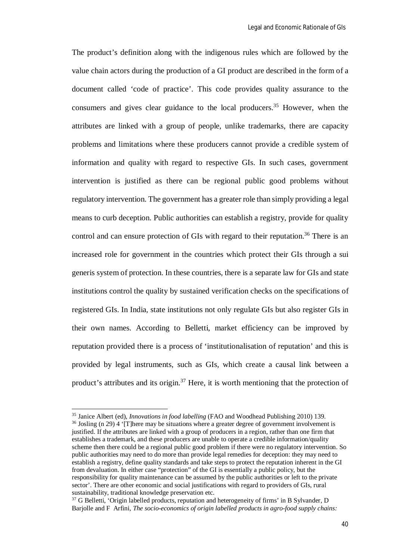The product's definition along with the indigenous rules which are followed by the value chain actors during the production of a GI product are described in the form of a document called 'code of practice'. This code provides quality assurance to the consumers and gives clear guidance to the local producers.<sup>35</sup> However, when the attributes are linked with a group of people, unlike trademarks, there are capacity problems and limitations where these producers cannot provide a credible system of information and quality with regard to respective GIs. In such cases, government intervention is justified as there can be regional public good problems without regulatory intervention. The government has a greater role than simply providing a legal means to curb deception. Public authorities can establish a registry, provide for quality control and can ensure protection of GIs with regard to their reputation.<sup>36</sup> There is an increased role for government in the countries which protect their GIs through a sui generis system of protection. In these countries, there is a separate law for GIs and state institutions control the quality by sustained verification checks on the specifications of registered GIs. In India, state institutions not only regulate GIs but also register GIs in their own names. According to Belletti, market efficiency can be improved by reputation provided there is a process of 'institutionalisation of reputation' and this is provided by legal instruments, such as GIs, which create a causal link between a product's attributes and its origin.<sup>37</sup> Here, it is worth mentioning that the protection of

<sup>35</sup> Janice Albert (ed), *Innovations in food labelling* (FAO and Woodhead Publishing 2010) 139.  $36$  Josling (n 29) 4 '[T]here may be situations where a greater degree of government involvement is justified. If the attributes are linked with a group of producers in a region, rather than one firm that establishes a trademark, and these producers are unable to operate a credible information/quality scheme then there could be a regional public good problem if there were no regulatory intervention. So public authorities may need to do more than provide legal remedies for deception: they may need to establish a registry, define quality standards and take steps to protect the reputation inherent in the GI from devaluation. In either case "protection" of the GI is essentially a public policy, but the responsibility for quality maintenance can be assumed by the public authorities or left to the private sector'. There are other economic and social justifications with regard to providers of GIs, rural sustainability, traditional knowledge preservation etc.

<sup>&</sup>lt;sup>37</sup> G Belletti, 'Origin labelled products, reputation and heterogeneity of firms' in B Sylvander, D Barjolle and F Arfini, *The socio-economics of origin labelled products in agro-food supply chains:*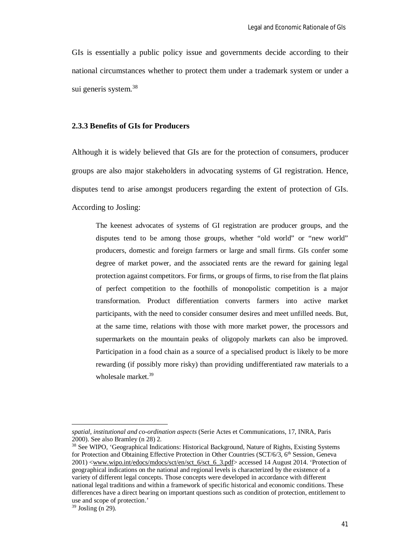GIs is essentially a public policy issue and governments decide according to their national circumstances whether to protect them under a trademark system or under a sui generis system.<sup>38</sup>

### **2.3.3 Benefits of GIs for Producers**

Although it is widely believed that GIs are for the protection of consumers, producer groups are also major stakeholders in advocating systems of GI registration. Hence, disputes tend to arise amongst producers regarding the extent of protection of GIs. According to Josling:

The keenest advocates of systems of GI registration are producer groups, and the disputes tend to be among those groups, whether "old world" or "new world" producers, domestic and foreign farmers or large and small firms. GIs confer some degree of market power, and the associated rents are the reward for gaining legal protection against competitors. For firms, or groups of firms, to rise from the flat plains of perfect competition to the foothills of monopolistic competition is a major transformation. Product differentiation converts farmers into active market participants, with the need to consider consumer desires and meet unfilled needs. But, at the same time, relations with those with more market power, the processors and supermarkets on the mountain peaks of oligopoly markets can also be improved. Participation in a food chain as a source of a specialised product is likely to be more rewarding (if possibly more risky) than providing undifferentiated raw materials to a wholesale market.<sup>39</sup>

*spatial, institutional and co-ordination aspects* (Serie Actes et Communications, 17, INRA, Paris 2000). See also Bramley (n 28) 2.

<sup>&</sup>lt;sup>38</sup> See WIPO, 'Geographical Indications: Historical Background, Nature of Rights, Existing Systems for Protection and Obtaining Effective Protection in Other Countries (SCT/6/3, 6<sup>th</sup> Session, Geneva 2001) <www.wipo.int/edocs/mdocs/sct/en/sct\_6/sct\_6\_3.pdf> accessed 14 August 2014. 'Protection of geographical indications on the national and regional levels is characterized by the existence of a variety of different legal concepts. Those concepts were developed in accordance with different national legal traditions and within a framework of specific historical and economic conditions. These differences have a direct bearing on important questions such as condition of protection, entitlement to use and scope of protection.'

 $39$  Josling (n 29).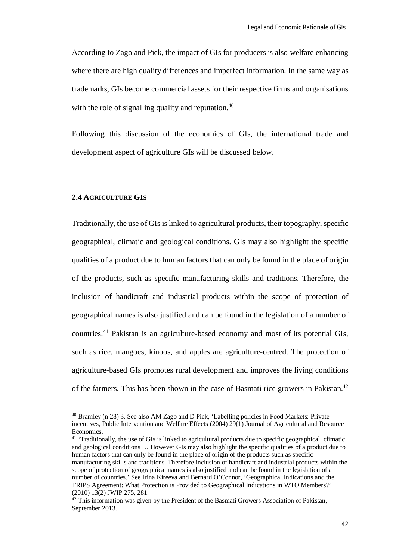According to Zago and Pick, the impact of GIs for producers is also welfare enhancing where there are high quality differences and imperfect information. In the same way as trademarks, GIs become commercial assets for their respective firms and organisations with the role of signalling quality and reputation.<sup>40</sup>

Following this discussion of the economics of GIs, the international trade and development aspect of agriculture GIs will be discussed below.

## **2.4 AGRICULTURE GIS**

 $\overline{a}$ 

Traditionally, the use of GIs is linked to agricultural products, their topography, specific geographical, climatic and geological conditions. GIs may also highlight the specific qualities of a product due to human factors that can only be found in the place of origin of the products, such as specific manufacturing skills and traditions. Therefore, the inclusion of handicraft and industrial products within the scope of protection of geographical names is also justified and can be found in the legislation of a number of countries.<sup>41</sup> Pakistan is an agriculture-based economy and most of its potential GIs, such as rice, mangoes, kinoos, and apples are agriculture-centred. The protection of agriculture-based GIs promotes rural development and improves the living conditions of the farmers. This has been shown in the case of Basmati rice growers in Pakistan.<sup>42</sup>

<sup>40</sup> Bramley (n 28) 3*.* See also AM Zago and D Pick, 'Labelling policies in Food Markets: Private incentives, Public Intervention and Welfare Effects (2004) 29(1) Journal of Agricultural and Resource Economics.

<sup>&</sup>lt;sup>41</sup> 'Traditionally, the use of GIs is linked to agricultural products due to specific geographical, climatic and geological conditions … However GIs may also highlight the specific qualities of a product due to human factors that can only be found in the place of origin of the products such as specific manufacturing skills and traditions. Therefore inclusion of handicraft and industrial products within the scope of protection of geographical names is also justified and can be found in the legislation of a number of countries.' See Irina Kireeva and Bernard O'Connor, 'Geographical Indications and the TRIPS Agreement: What Protection is Provided to Geographical Indications in WTO Members?' (2010) 13(2) JWIP 275, 281.

 $42$  This information was given by the President of the Basmati Growers Association of Pakistan, September 2013.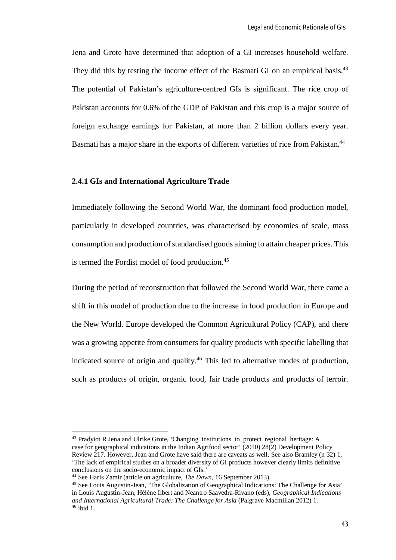Jena and Grote have determined that adoption of a GI increases household welfare. They did this by testing the income effect of the Basmati GI on an empirical basis.<sup>43</sup> The potential of Pakistan's agriculture-centred GIs is significant. The rice crop of Pakistan accounts for 0.6% of the GDP of Pakistan and this crop is a major source of foreign exchange earnings for Pakistan, at more than 2 billion dollars every year. Basmati has a major share in the exports of different varieties of rice from Pakistan.<sup>44</sup>

# **2.4.1 GIs and International Agriculture Trade**

Immediately following the Second World War, the dominant food production model, particularly in developed countries, was characterised by economies of scale, mass consumption and production of standardised goods aiming to attain cheaper prices. This is termed the Fordist model of food production.<sup>45</sup>

During the period of reconstruction that followed the Second World War, there came a shift in this model of production due to the increase in food production in Europe and the New World. Europe developed the Common Agricultural Policy (CAP), and there was a growing appetite from consumers for quality products with specific labelling that indicated source of origin and quality.<sup>46</sup> This led to alternative modes of production, such as products of origin, organic food, fair trade products and products of terroir.

<sup>&</sup>lt;sup>43</sup> Pradyiot R Jena and Ulrike Grote, 'Changing institutions to protect regional heritage: A case for geographical indications in the Indian Agrifood sector' (2010) 28(2) Development Policy Review 217. However, Jean and Grote have said there are caveats as well. See also Bramley (n 32) 1, 'The lack of empirical studies on a broader diversity of GI products however clearly limits definitive conclusions on the socio-economic impact of GIs.'

<sup>44</sup> See Haris Zamir (article on agriculture, *The Dawn*, 16 September 2013).

<sup>45</sup> See Louis Augustin-Jean, 'The Globalization of Geographical Indications: The Challenge for Asia' in Louis Augustin-Jean, Hélène Ilbert and Neantro Saavedra-Rivano (eds), *Geographical Indications and International Agricultural Trade: The Challenge for Asia* (Palgrave Macmillan 2012) 1.  $46$  ibid 1.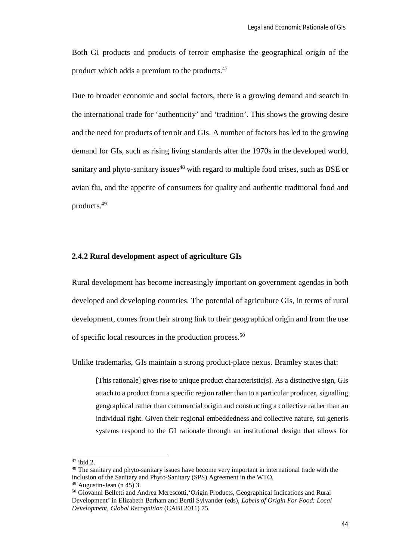Both GI products and products of terroir emphasise the geographical origin of the product which adds a premium to the products.<sup>47</sup>

Due to broader economic and social factors, there is a growing demand and search in the international trade for 'authenticity' and 'tradition'. This shows the growing desire and the need for products of terroir and GIs. A number of factors has led to the growing demand for GIs, such as rising living standards after the 1970s in the developed world, sanitary and phyto-sanitary issues<sup>48</sup> with regard to multiple food crises, such as BSE or avian flu, and the appetite of consumers for quality and authentic traditional food and products.<sup>49</sup>

# **2.4.2 Rural development aspect of agriculture GIs**

Rural development has become increasingly important on government agendas in both developed and developing countries. The potential of agriculture GIs, in terms of rural development, comes from their strong link to their geographical origin and from the use of specific local resources in the production process.<sup>50</sup>

Unlike trademarks, GIs maintain a strong product-place nexus. Bramley states that:

[This rationale] gives rise to unique product characteristic(s). As a distinctive sign, GIs attach to a product from a specific region rather than to a particular producer, signalling geographical rather than commercial origin and constructing a collective rather than an individual right. Given their regional embeddedness and collective nature, sui generis systems respond to the GI rationale through an institutional design that allows for

<sup>47</sup> ibid 2.

<sup>&</sup>lt;sup>48</sup> The sanitary and phyto-sanitary issues have become very important in international trade with the inclusion of the Sanitary and Phyto-Sanitary (SPS) Agreement in the WTO.

 $49$  Augustin-Jean (n 45) 3.

<sup>50</sup> Giovanni Belletti and Andrea Merescotti,'Origin Products, Geographical Indications and Rural Development' in Elizabeth Barham and Bertil Sylvander (eds), *Labels of Origin For Food: Local Development, Global Recognition* (CABI 2011) 75.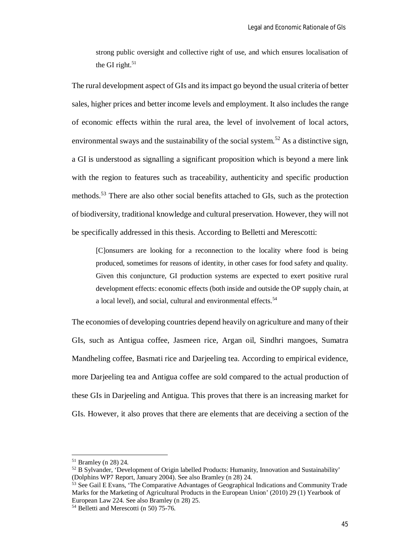strong public oversight and collective right of use, and which ensures localisation of the GI right. $51$ 

The rural development aspect of GIs and its impact go beyond the usual criteria of better sales, higher prices and better income levels and employment. It also includes the range of economic effects within the rural area, the level of involvement of local actors, environmental sways and the sustainability of the social system.<sup>52</sup> As a distinctive sign, a GI is understood as signalling a significant proposition which is beyond a mere link with the region to features such as traceability, authenticity and specific production methods.<sup>53</sup> There are also other social benefits attached to GIs, such as the protection of biodiversity, traditional knowledge and cultural preservation. However, they will not be specifically addressed in this thesis. According to Belletti and Merescotti:

[C]onsumers are looking for a reconnection to the locality where food is being produced, sometimes for reasons of identity, in other cases for food safety and quality. Given this conjuncture, GI production systems are expected to exert positive rural development effects: economic effects (both inside and outside the OP supply chain, at a local level), and social, cultural and environmental effects.<sup>54</sup>

The economies of developing countries depend heavily on agriculture and many of their GIs, such as Antigua coffee, Jasmeen rice, Argan oil, Sindhri mangoes, Sumatra Mandheling coffee, Basmati rice and Darjeeling tea. According to empirical evidence, more Darjeeling tea and Antigua coffee are sold compared to the actual production of these GIs in Darjeeling and Antigua. This proves that there is an increasing market for GIs. However, it also proves that there are elements that are deceiving a section of the

<sup>51</sup> Bramley (n 28) 24.

<sup>52</sup> B Sylvander, 'Development of Origin labelled Products: Humanity, Innovation and Sustainability' (Dolphins WP7 Report, January 2004). See also Bramley (n 28) 24.

 $53$  See Gail E Evans, 'The Comparative Advantages of Geographical Indications and Community Trade Marks for the Marketing of Agricultural Products in the European Union' (2010) 29 (1) Yearbook of European Law 224. See also Bramley (n 28) 25.

<sup>&</sup>lt;sup>54</sup> Belletti and Merescotti (n 50) 75-76.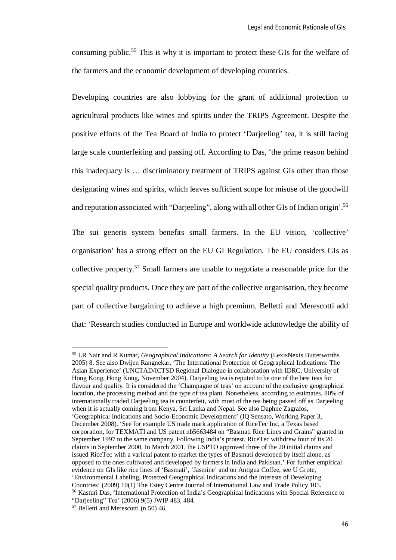consuming public.<sup>55</sup> This is why it is important to protect these GIs for the welfare of the farmers and the economic development of developing countries.

Developing countries are also lobbying for the grant of additional protection to agricultural products like wines and spirits under the TRIPS Agreement. Despite the positive efforts of the Tea Board of India to protect 'Darjeeling' tea, it is still facing large scale counterfeiting and passing off. According to Das, 'the prime reason behind this inadequacy is … discriminatory treatment of TRIPS against GIs other than those designating wines and spirits, which leaves sufficient scope for misuse of the goodwill and reputation associated with "Darjeeling", along with all other GIs of Indian origin'.<sup>56</sup>

The sui generis system benefits small farmers. In the EU vision, 'collective' organisation' has a strong effect on the EU GI Regulation. The EU considers GIs as collective property.<sup>57</sup> Small farmers are unable to negotiate a reasonable price for the special quality products. Once they are part of the collective organisation, they become part of collective bargaining to achieve a high premium. Belletti and Merescotti add that: 'Research studies conducted in Europe and worldwide acknowledge the ability of

<sup>55</sup> LR Nair and R Kumar, *Geographical Indications: A Search for Identity* (LexisNexis Butterworths 2005) 8. See also Dwijen Rangnekar, 'The International Protection of Geographical Indications: The Asian Experience' (UNCTAD/ICTSD Regional Dialogue in collaboration with IDRC, University of Hong Kong, Hong Kong, November 2004). Darjeeling tea is reputed to be one of the best teas for flavour and quality. It is considered the 'Champagne of teas' on account of the exclusive geographical location, the processing method and the type of tea plant. Nonetheless, according to estimates, 80% of internationally traded Darjeeling tea is counterfeit, with most of the tea being passed off as Darjeeling when it is actually coming from Kenya, Sri Lanka and Nepal. See also Daphne Zagrafos, 'Geographical Indications and Socio-Economic Development' (IQ Sensato, Working Paper 3, December 2008). 'See for example US trade mark application of RiceTec Inc, a Texas based corporation, for TEXMATI and US patent nb5663484 on "Basmati Rice Lines and Grains" granted in September 1997 to the same company. Following India's protest, RiceTec withdrew four of its 20 claims in September 2000. In March 2001, the USPTO approved three of the 20 initial claims and issued RiceTec with a varietal patent to market the types of Basmati developed by itself alone, as opposed to the ones cultivated and developed by farmers in India and Pakistan.' For further empirical evidence on GIs like rice lines of 'Basmati', 'Jasmine' and on Antigua Coffee, see U Grote, 'Environmental Labeling, Protected Geographical Indications and the Interests of Developing Countries' (2009) 10(1) The Estey Centre Journal of International Law and Trade Policy 105. <sup>56</sup> Kasturi Das, 'International Protection of India's Geographical Indications with Special Reference to "Darjeeling" Tea' (2006) 9(5) JWIP 483, 484.

<sup>57</sup> Belletti and Merescotti (n 50) 46.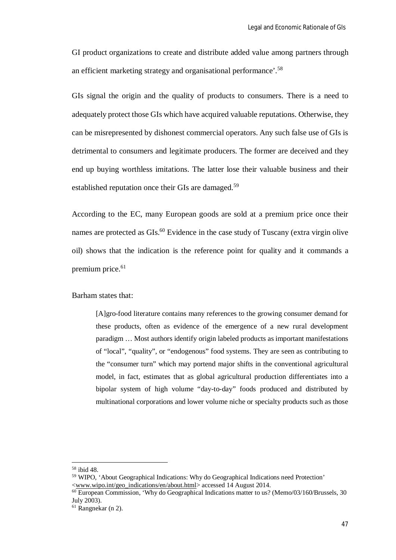GI product organizations to create and distribute added value among partners through an efficient marketing strategy and organisational performance'.<sup>58</sup>

GIs signal the origin and the quality of products to consumers. There is a need to adequately protect those GIs which have acquired valuable reputations. Otherwise, they can be misrepresented by dishonest commercial operators. Any such false use of GIs is detrimental to consumers and legitimate producers. The former are deceived and they end up buying worthless imitations. The latter lose their valuable business and their established reputation once their GIs are damaged.<sup>59</sup>

According to the EC, many European goods are sold at a premium price once their names are protected as GIs.<sup>60</sup> Evidence in the case study of Tuscany (extra virgin olive oil) shows that the indication is the reference point for quality and it commands a premium price.<sup>61</sup>

Barham states that:

[A]gro-food literature contains many references to the growing consumer demand for these products, often as evidence of the emergence of a new rural development paradigm … Most authors identify origin labeled products as important manifestations of "local", "quality", or "endogenous" food systems. They are seen as contributing to the "consumer turn" which may portend major shifts in the conventional agricultural model, in fact, estimates that as global agricultural production differentiates into a bipolar system of high volume "day-to-day" foods produced and distributed by multinational corporations and lower volume niche or specialty products such as those

<sup>58</sup> ibid 48.

<sup>59</sup> WIPO, 'About Geographical Indications: Why do Geographical Indications need Protection' <www.wipo.int/geo\_indications/en/about.html> accessed 14 August 2014.

<sup>&</sup>lt;sup>60</sup> European Commission, 'Why do Geographical Indications matter to us? (Memo/03/160/Brussels, 30 July 2003).

 $61$  Rangnekar (n 2).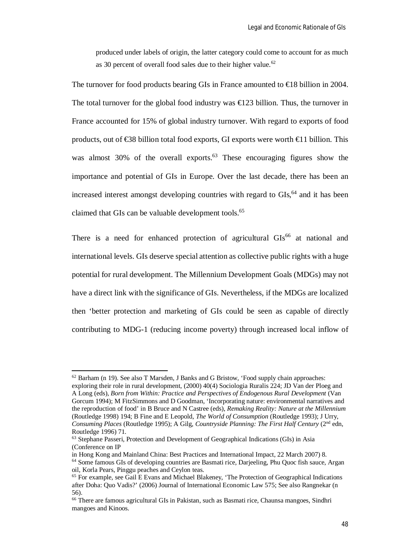produced under labels of origin, the latter category could come to account for as much as 30 percent of overall food sales due to their higher value.<sup>62</sup>

The turnover for food products bearing GIs in France amounted to  $\in$  8 billion in 2004. The total turnover for the global food industry was  $\in$  23 billion. Thus, the turnover in France accounted for 15% of global industry turnover. With regard to exports of food products, out of  $\text{\textless}\, 88$  billion total food exports, GI exports were worth  $\text{\textless}\, 11$  billion. This was almost  $30\%$  of the overall exports.<sup>63</sup> These encouraging figures show the importance and potential of GIs in Europe. Over the last decade, there has been an increased interest amongst developing countries with regard to GIs,<sup>64</sup> and it has been claimed that GIs can be valuable development tools.<sup>65</sup>

There is a need for enhanced protection of agricultural  $\text{GIs}^{66}$  at national and international levels. GIs deserve special attention as collective public rights with a huge potential for rural development. The Millennium Development Goals (MDGs) may not have a direct link with the significance of GIs. Nevertheless, if the MDGs are localized then 'better protection and marketing of GIs could be seen as capable of directly contributing to MDG-1 (reducing income poverty) through increased local inflow of

 $62$  Barham (n 19). See also T Marsden, J Banks and G Bristow, 'Food supply chain approaches: exploring their role in rural development, (2000) 40(4) Sociologia Ruralis 224; JD Van der Ploeg and A Long (eds), *Born from Within: Practice and Perspectives of Endogenous Rural Development* (Van Gorcum 1994); M FitzSimmons and D Goodman, 'Incorporating nature: environmental narratives and the reproduction of food' in B Bruce and N Castree (eds), *Remaking Reality: Nature at the Millennium* (Routledge 1998) 194; B Fine and E Leopold, *The World of Consumption* (Routledge 1993); J Urry, *Consuming Places* (Routledge 1995); A Gilg, *Countryside Planning: The First Half Century* (2nd edn, Routledge 1996) 71.

<sup>63</sup> Stephane Passeri, Protection and Development of Geographical Indications (GIs) in Asia (Conference on IP

in Hong Kong and Mainland China: Best Practices and International Impact, 22 March 2007) 8.

<sup>&</sup>lt;sup>64</sup> Some famous GIs of developing countries are Basmati rice, Darjeeling, Phu Quoc fish sauce, Argan oil, Korla Pears, Pinggu peaches and Ceylon teas.

<sup>65</sup> For example, see Gail E Evans and Michael Blakeney, 'The Protection of Geographical Indications after Doha: Quo Vadis?' (2006) Journal of International Economic Law 575; See also Rangnekar (n 56).

<sup>&</sup>lt;sup>66</sup> There are famous agricultural GIs in Pakistan, such as Basmati rice, Chaunsa mangoes, Sindhri mangoes and Kinoos.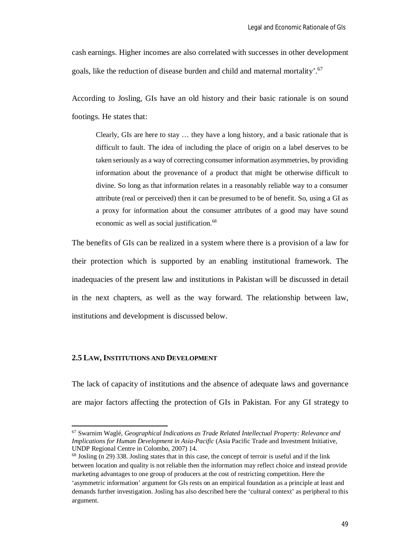cash earnings. Higher incomes are also correlated with successes in other development goals, like the reduction of disease burden and child and maternal mortality'.<sup>67</sup>

According to Josling, GIs have an old history and their basic rationale is on sound footings. He states that:

Clearly, GIs are here to stay … they have a long history, and a basic rationale that is difficult to fault. The idea of including the place of origin on a label deserves to be taken seriously as a way of correcting consumer information asymmetries, by providing information about the provenance of a product that might be otherwise difficult to divine. So long as that information relates in a reasonably reliable way to a consumer attribute (real or perceived) then it can be presumed to be of benefit. So, using a GI as a proxy for information about the consumer attributes of a good may have sound economic as well as social justification.<sup>68</sup>

The benefits of GIs can be realized in a system where there is a provision of a law for their protection which is supported by an enabling institutional framework. The inadequacies of the present law and institutions in Pakistan will be discussed in detail in the next chapters, as well as the way forward. The relationship between law, institutions and development is discussed below.

#### **2.5 LAW, INSTITUTIONS AND DEVELOPMENT**

 $\overline{\phantom{a}}$ 

The lack of capacity of institutions and the absence of adequate laws and governance are major factors affecting the protection of GIs in Pakistan. For any GI strategy to

<sup>67</sup> Swarnim Waglé, *Geographical Indications as Trade Related Intellectual Property: Relevance and Implications for Human Development in Asia-Pacific* (Asia Pacific Trade and Investment Initiative, UNDP Regional Centre in Colombo, 2007) 14.

<sup>68</sup> Josling (n 29) 338. Josling states that in this case, the concept of terroir is useful and if the link between location and quality is not reliable then the information may reflect choice and instead provide marketing advantages to one group of producers at the cost of restricting competition. Here the 'asymmetric information' argument for GIs rests on an empirical foundation as a principle at least and demands further investigation. Josling has also described here the 'cultural context' as peripheral to this argument.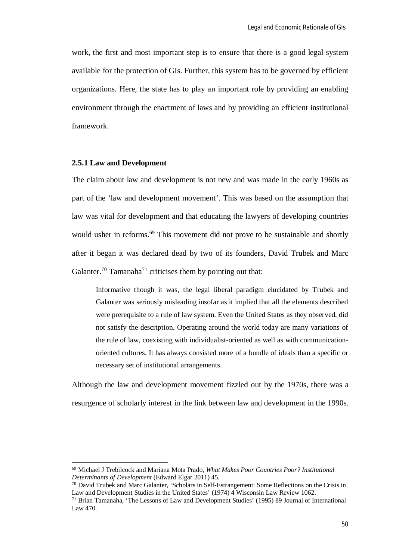work, the first and most important step is to ensure that there is a good legal system available for the protection of GIs. Further, this system has to be governed by efficient organizations. Here, the state has to play an important role by providing an enabling environment through the enactment of laws and by providing an efficient institutional framework.

### **2.5.1 Law and Development**

 $\overline{\phantom{a}}$ 

The claim about law and development is not new and was made in the early 1960s as part of the 'law and development movement'. This was based on the assumption that law was vital for development and that educating the lawyers of developing countries would usher in reforms.<sup>69</sup> This movement did not prove to be sustainable and shortly after it began it was declared dead by two of its founders, David Trubek and Marc Galanter.<sup>70</sup> Tamanaha<sup>71</sup> criticises them by pointing out that:

Informative though it was, the legal liberal paradigm elucidated by Trubek and Galanter was seriously misleading insofar as it implied that all the elements described were prerequisite to a rule of law system. Even the United States as they observed, did not satisfy the description. Operating around the world today are many variations of the rule of law, coexisting with individualist-oriented as well as with communicationoriented cultures. It has always consisted more of a bundle of ideals than a specific or necessary set of institutional arrangements.

Although the law and development movement fizzled out by the 1970s, there was a resurgence of scholarly interest in the link between law and development in the 1990s.

<sup>69</sup> Michael J Trebilcock and Mariana Mota Prado, *What Makes Poor Countries Poor? Institutional Determinants of Development* (Edward Elgar 2011) 45.

<sup>70</sup> David Trubek and Marc Galanter, 'Scholars in Self-Estrangement: Some Reflections on the Crisis in Law and Development Studies in the United States' (1974) 4 Wisconsin Law Review 1062.

<sup>71</sup> Brian Tamanaha, 'The Lessons of Law and Development Studies' (1995) 89 Journal of International Law 470.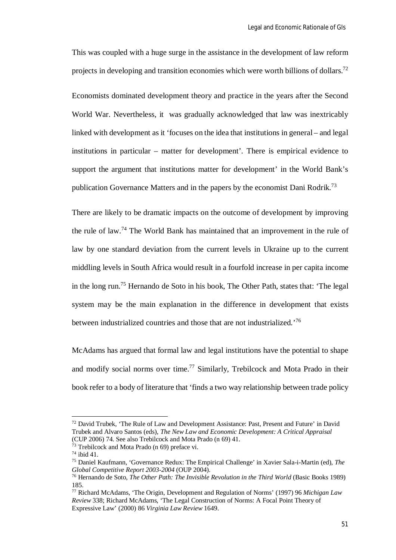This was coupled with a huge surge in the assistance in the development of law reform projects in developing and transition economies which were worth billions of dollars.<sup>72</sup>

Economists dominated development theory and practice in the years after the Second World War. Nevertheless, it was gradually acknowledged that law was inextricably linked with development as it 'focuses on the idea that institutions in general – and legal institutions in particular – matter for development'. There is empirical evidence to support the argument that institutions matter for development' in the World Bank's publication Governance Matters and in the papers by the economist Dani Rodrik.<sup>73</sup>

There are likely to be dramatic impacts on the outcome of development by improving the rule of law.<sup>74</sup> The World Bank has maintained that an improvement in the rule of law by one standard deviation from the current levels in Ukraine up to the current middling levels in South Africa would result in a fourfold increase in per capita income in the long run.<sup>75</sup> Hernando de Soto in his book, The Other Path, states that: 'The legal system may be the main explanation in the difference in development that exists between industrialized countries and those that are not industrialized.<sup>76</sup>

McAdams has argued that formal law and legal institutions have the potential to shape and modify social norms over time.<sup>77</sup> Similarly, Trebilcock and Mota Prado in their book refer to a body of literature that 'finds a two way relationship between trade policy

 $<sup>72</sup>$  David Trubek, 'The Rule of Law and Development Assistance: Past, Present and Future' in David</sup> Trubek and Alvaro Santos (eds), *The New Law and Economic Development: A Critical Appraisal* (CUP 2006) 74. See also Trebilcock and Mota Prado (n 69) 41.

<sup>73</sup> Trebilcock and Mota Prado (n 69) preface vi.

<sup>74</sup> ibid 41.

<sup>75</sup> Daniel Kaufmann, 'Governance Redux: The Empirical Challenge' in Xavier Sala-i-Martin (ed), *The Global Competitive Report 2003-2004* (OUP 2004).

<sup>76</sup> Hernando de Soto, *The Other Path: The Invisible Revolution in the Third World* (Basic Books 1989) 185.

<sup>77</sup> Richard McAdams, 'The Origin, Development and Regulation of Norms' (1997) 96 *Michigan Law Review* 338; Richard McAdams, 'The Legal Construction of Norms: A Focal Point Theory of Expressive Law' (2000) 86 *Virginia Law Review* 1649.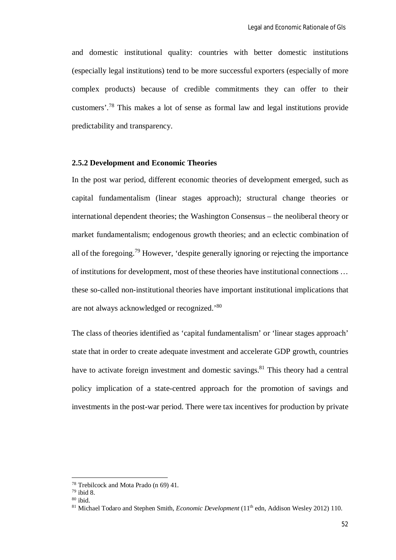and domestic institutional quality: countries with better domestic institutions (especially legal institutions) tend to be more successful exporters (especially of more complex products) because of credible commitments they can offer to their customers'.<sup>78</sup> This makes a lot of sense as formal law and legal institutions provide predictability and transparency.

### **2.5.2 Development and Economic Theories**

In the post war period, different economic theories of development emerged, such as capital fundamentalism (linear stages approach); structural change theories or international dependent theories; the Washington Consensus – the neoliberal theory or market fundamentalism; endogenous growth theories; and an eclectic combination of all of the foregoing.<sup>79</sup> However, 'despite generally ignoring or rejecting the importance of institutions for development, most of these theories have institutional connections … these so-called non-institutional theories have important institutional implications that are not always acknowledged or recognized.'<sup>80</sup>

The class of theories identified as 'capital fundamentalism' or 'linear stages approach' state that in order to create adequate investment and accelerate GDP growth, countries have to activate foreign investment and domestic savings.<sup>81</sup> This theory had a central policy implication of a state-centred approach for the promotion of savings and investments in the post-war period. There were tax incentives for production by private

<sup>78</sup> Trebilcock and Mota Prado (n 69) 41.

<sup>79</sup> ibid 8.

 $80$  ibid.

<sup>&</sup>lt;sup>81</sup> Michael Todaro and Stephen Smith, *Economic Development* (11<sup>th</sup> edn, Addison Wesley 2012) 110.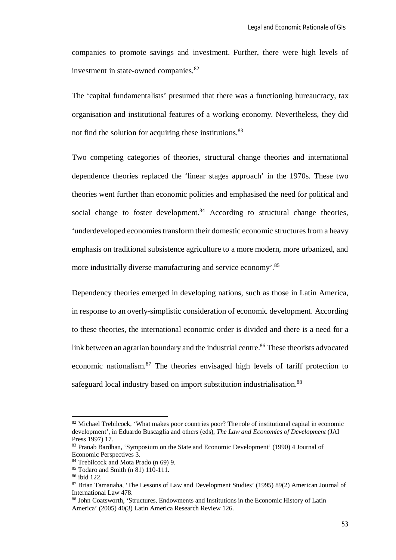companies to promote savings and investment. Further, there were high levels of investment in state-owned companies.<sup>82</sup>

The 'capital fundamentalists' presumed that there was a functioning bureaucracy, tax organisation and institutional features of a working economy. Nevertheless, they did not find the solution for acquiring these institutions.<sup>83</sup>

Two competing categories of theories, structural change theories and international dependence theories replaced the 'linear stages approach' in the 1970s. These two theories went further than economic policies and emphasised the need for political and social change to foster development.<sup>84</sup> According to structural change theories, 'underdeveloped economies transform their domestic economic structures from a heavy emphasis on traditional subsistence agriculture to a more modern, more urbanized, and more industrially diverse manufacturing and service economy'.<sup>85</sup>

Dependency theories emerged in developing nations, such as those in Latin America, in response to an overly-simplistic consideration of economic development. According to these theories, the international economic order is divided and there is a need for a link between an agrarian boundary and the industrial centre.<sup>86</sup> These theorists advocated economic nationalism.<sup>87</sup> The theories envisaged high levels of tariff protection to safeguard local industry based on import substitution industrialisation.<sup>88</sup>

<sup>&</sup>lt;sup>82</sup> Michael Trebilcock, 'What makes poor countries poor? The role of institutional capital in economic development', in Eduardo Buscaglia and others (eds), *The Law and Economics of Development* (JAI Press 1997) 17.

<sup>83</sup> Pranab Bardhan, 'Symposium on the State and Economic Development' (1990) 4 Journal of Economic Perspectives 3.

<sup>84</sup> Trebilcock and Mota Prado (n 69) 9.

<sup>85</sup> Todaro and Smith (n 81) 110-111.

<sup>86</sup> ibid 122.

<sup>&</sup>lt;sup>87</sup> Brian Tamanaha, 'The Lessons of Law and Development Studies' (1995) 89(2) American Journal of International Law 478.

<sup>88</sup> John Coatsworth, 'Structures, Endowments and Institutions in the Economic History of Latin America' (2005) 40(3) Latin America Research Review 126.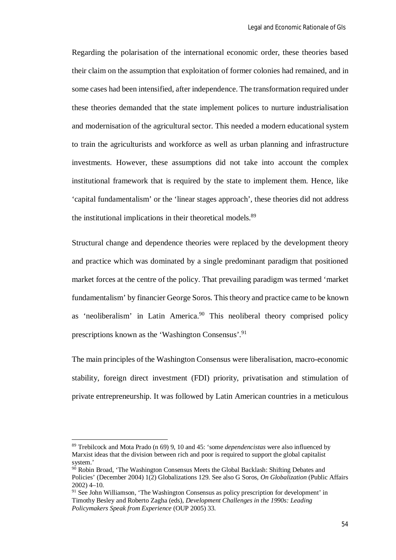Regarding the polarisation of the international economic order, these theories based their claim on the assumption that exploitation of former colonies had remained, and in some cases had been intensified, after independence. The transformation required under these theories demanded that the state implement polices to nurture industrialisation and modernisation of the agricultural sector. This needed a modern educational system to train the agriculturists and workforce as well as urban planning and infrastructure investments. However, these assumptions did not take into account the complex institutional framework that is required by the state to implement them. Hence, like 'capital fundamentalism' or the 'linear stages approach', these theories did not address the institutional implications in their theoretical models.<sup>89</sup>

Structural change and dependence theories were replaced by the development theory and practice which was dominated by a single predominant paradigm that positioned market forces at the centre of the policy. That prevailing paradigm was termed 'market fundamentalism' by financier George Soros. This theory and practice came to be known as 'neoliberalism' in Latin America.<sup>90</sup> This neoliberal theory comprised policy prescriptions known as the 'Washington Consensus'.<sup>91</sup>

The main principles of the Washington Consensus were liberalisation, macro-economic stability, foreign direct investment (FDI) priority, privatisation and stimulation of private entrepreneurship. It was followed by Latin American countries in a meticulous

<sup>89</sup> Trebilcock and Mota Prado (n 69) 9, 10 and 45: 'some *dependencistas* were also influenced by Marxist ideas that the division between rich and poor is required to support the global capitalist system.'

<sup>&</sup>lt;sup>90</sup> Robin Broad, 'The Washington Consensus Meets the Global Backlash: Shifting Debates and Policies' (December 2004) 1(2) Globalizations 129. See also G Soros, *On Globalization* (Public Affairs 2002) 4–10.

<sup>&</sup>lt;sup>91</sup> See John Williamson, 'The Washington Consensus as policy prescription for development' in Timothy Besley and Roberto Zagha (eds), *Development Challenges in the 1990s: Leading Policymakers Speak from Experience* (OUP 2005) 33.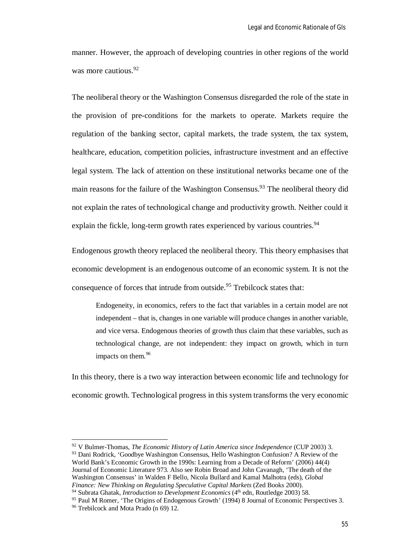manner. However, the approach of developing countries in other regions of the world was more cautious.<sup>92</sup>

The neoliberal theory or the Washington Consensus disregarded the role of the state in the provision of pre-conditions for the markets to operate. Markets require the regulation of the banking sector, capital markets, the trade system, the tax system, healthcare, education, competition policies, infrastructure investment and an effective legal system. The lack of attention on these institutional networks became one of the main reasons for the failure of the Washington Consensus.<sup>93</sup> The neoliberal theory did not explain the rates of technological change and productivity growth. Neither could it explain the fickle, long-term growth rates experienced by various countries.<sup>94</sup>

Endogenous growth theory replaced the neoliberal theory. This theory emphasises that economic development is an endogenous outcome of an economic system. It is not the consequence of forces that intrude from outside.<sup>95</sup> Trebilcock states that:

Endogeneity, in economics, refers to the fact that variables in a certain model are not independent – that is, changes in one variable will produce changes in another variable, and vice versa. Endogenous theories of growth thus claim that these variables, such as technological change, are not independent: they impact on growth, which in turn impacts on them.<sup>96</sup>

In this theory, there is a two way interaction between economic life and technology for economic growth. Technological progress in this system transforms the very economic

<sup>92</sup> V Bulmer-Thomas, *The Economic History of Latin America since Independence* (CUP 2003) 3. 93 Dani Rodrick, 'Goodbye Washington Consensus, Hello Washington Confusion? A Review of the World Bank's Economic Growth in the 1990s: Learning from a Decade of Reform' (2006) 44(4) Journal of Economic Literature 973. Also see Robin Broad and John Cavanagh, 'The death of the Washington Consensus' in Walden F Bello, Nicola Bullard and Kamal Malhotra (eds), *Global Finance: New Thinking on Regulating Speculative Capital Markets* (Zed Books 2000).

<sup>&</sup>lt;sup>94</sup> Subrata Ghatak, *Introduction to Development Economics* (4<sup>th</sup> edn, Routledge 2003) 58.

<sup>95</sup> Paul M Romer, 'The Origins of Endogenous Growth' (1994) 8 Journal of Economic Perspectives 3.

<sup>&</sup>lt;sup>96</sup> Trebilcock and Mota Prado (n 69) 12.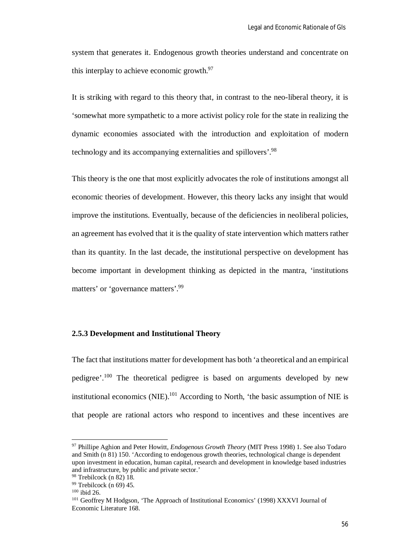system that generates it. Endogenous growth theories understand and concentrate on this interplay to achieve economic growth.<sup>97</sup>

It is striking with regard to this theory that, in contrast to the neo-liberal theory, it is 'somewhat more sympathetic to a more activist policy role for the state in realizing the dynamic economies associated with the introduction and exploitation of modern technology and its accompanying externalities and spillovers'.<sup>98</sup>

This theory is the one that most explicitly advocates the role of institutions amongst all economic theories of development. However, this theory lacks any insight that would improve the institutions. Eventually, because of the deficiencies in neoliberal policies, an agreement has evolved that it is the quality of state intervention which matters rather than its quantity. In the last decade, the institutional perspective on development has become important in development thinking as depicted in the mantra, 'institutions matters' or 'governance matters'.<sup>99</sup>

# **2.5.3 Development and Institutional Theory**

The fact that institutions matter for development has both 'a theoretical and an empirical pedigree'.<sup>100</sup> The theoretical pedigree is based on arguments developed by new institutional economics (NIE).<sup>101</sup> According to North, 'the basic assumption of NIE is that people are rational actors who respond to incentives and these incentives are

<sup>97</sup> Phillipe Aghion and Peter Howitt, *Endogenous Growth Theory* (MIT Press 1998) 1. See also Todaro and Smith (n 81) 150. 'According to endogenous growth theories, technological change is dependent upon investment in education, human capital, research and development in knowledge based industries and infrastructure, by public and private sector.'

<sup>98</sup> Trebilcock (n 82) 18.

 $99$  Trebilcock (n 69) 45.

<sup>100</sup> ibid 26.

<sup>101</sup> Geoffrey M Hodgson, 'The Approach of Institutional Economics' (1998) XXXVI Journal of Economic Literature 168.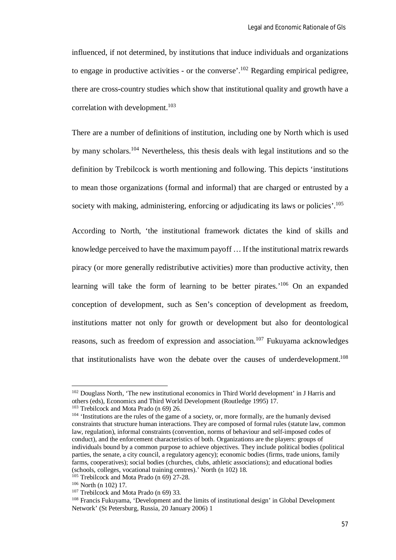influenced, if not determined, by institutions that induce individuals and organizations to engage in productive activities - or the converse'.<sup>102</sup> Regarding empirical pedigree, there are cross-country studies which show that institutional quality and growth have a correlation with development.<sup>103</sup>

There are a number of definitions of institution, including one by North which is used by many scholars.<sup>104</sup> Nevertheless, this thesis deals with legal institutions and so the definition by Trebilcock is worth mentioning and following. This depicts 'institutions to mean those organizations (formal and informal) that are charged or entrusted by a society with making, administering, enforcing or adjudicating its laws or policies'.<sup>105</sup>

According to North, 'the institutional framework dictates the kind of skills and knowledge perceived to have the maximum payoff … If the institutional matrix rewards piracy (or more generally redistributive activities) more than productive activity, then learning will take the form of learning to be better pirates.<sup>'106</sup> On an expanded conception of development, such as Sen's conception of development as freedom, institutions matter not only for growth or development but also for deontological reasons, such as freedom of expression and association.<sup>107</sup> Fukuyama acknowledges that institutionalists have won the debate over the causes of underdevelopment.<sup>108</sup>

<sup>&</sup>lt;sup>102</sup> Douglass North, 'The new institutional economics in Third World development' in J Harris and others (eds), Economics and Third World Development (Routledge 1995) 17.

<sup>103</sup> Trebilcock and Mota Prado (n 69) 26.

<sup>&</sup>lt;sup>104</sup> 'Institutions are the rules of the game of a society, or, more formally, are the humanly devised constraints that structure human interactions. They are composed of formal rules (statute law, common law, regulation), informal constraints (convention, norms of behaviour and self-imposed codes of conduct), and the enforcement characteristics of both. Organizations are the players: groups of individuals bound by a common purpose to achieve objectives. They include political bodies (political parties, the senate, a city council, a regulatory agency); economic bodies (firms, trade unions, family farms, cooperatives); social bodies (churches, clubs, athletic associations); and educational bodies (schools, colleges, vocational training centres).' North (n 102) 18.

<sup>&</sup>lt;sup>105</sup> Trebilcock and Mota Prado (n 69) 27-28.

<sup>106</sup> North (n 102) 17.

<sup>&</sup>lt;sup>107</sup> Trebilcock and Mota Prado (n 69) 33.

<sup>108</sup> Francis Fukuyama, 'Development and the limits of institutional design' in Global Development Network' (St Petersburg, Russia, 20 January 2006) 1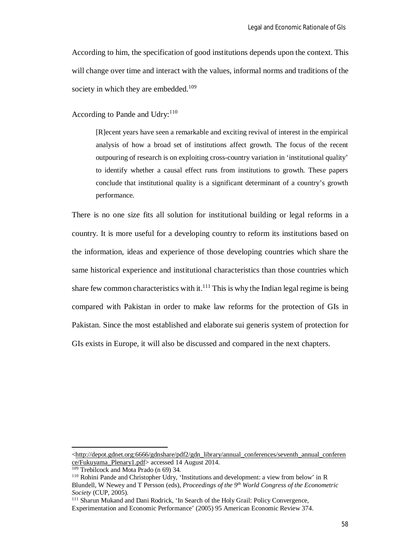According to him, the specification of good institutions depends upon the context. This will change over time and interact with the values, informal norms and traditions of the society in which they are embedded.<sup>109</sup>

According to Pande and Udry: $110$ 

[R]ecent years have seen a remarkable and exciting revival of interest in the empirical analysis of how a broad set of institutions affect growth. The focus of the recent outpouring of research is on exploiting cross-country variation in 'institutional quality' to identify whether a causal effect runs from institutions to growth. These papers conclude that institutional quality is a significant determinant of a country's growth performance.

There is no one size fits all solution for institutional building or legal reforms in a country. It is more useful for a developing country to reform its institutions based on the information, ideas and experience of those developing countries which share the same historical experience and institutional characteristics than those countries which share few common characteristics with it.<sup>111</sup> This is why the Indian legal regime is being compared with Pakistan in order to make law reforms for the protection of GIs in Pakistan. Since the most established and elaborate sui generis system of protection for GIs exists in Europe, it will also be discussed and compared in the next chapters.

<sup>&</sup>lt;http://depot.gdnet.org:6666/gdnshare/pdf2/gdn\_library/annual\_conferences/seventh\_annual\_conferen ce/Fukuyama\_Plenary1.pdf> accessed 14 August 2014.

<sup>109</sup> Trebilcock and Mota Prado (n 69) 34.

<sup>110</sup> Rohini Pande and Christopher Udry, 'Institutions and development: a view from below' in R Blundell, W Newey and T Persson (eds), *Proceedings of the 9th World Congress of the Econometric Society* (CUP, 2005).

<sup>&</sup>lt;sup>111</sup> Sharun Mukand and Dani Rodrick, 'In Search of the Holy Grail: Policy Convergence, Experimentation and Economic Performance' (2005) 95 American Economic Review 374.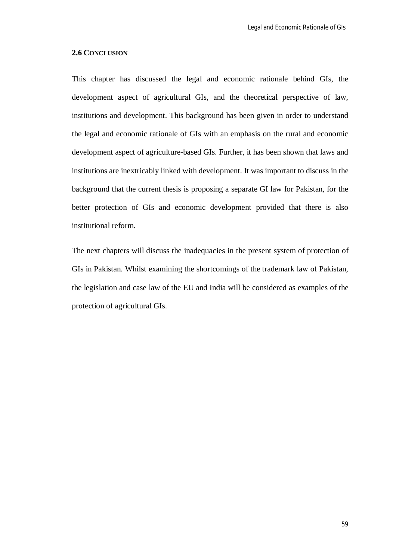# **2.6 CONCLUSION**

This chapter has discussed the legal and economic rationale behind GIs, the development aspect of agricultural GIs, and the theoretical perspective of law, institutions and development. This background has been given in order to understand the legal and economic rationale of GIs with an emphasis on the rural and economic development aspect of agriculture-based GIs. Further, it has been shown that laws and institutions are inextricably linked with development. It was important to discuss in the background that the current thesis is proposing a separate GI law for Pakistan, for the better protection of GIs and economic development provided that there is also institutional reform.

The next chapters will discuss the inadequacies in the present system of protection of GIs in Pakistan. Whilst examining the shortcomings of the trademark law of Pakistan, the legislation and case law of the EU and India will be considered as examples of the protection of agricultural GIs.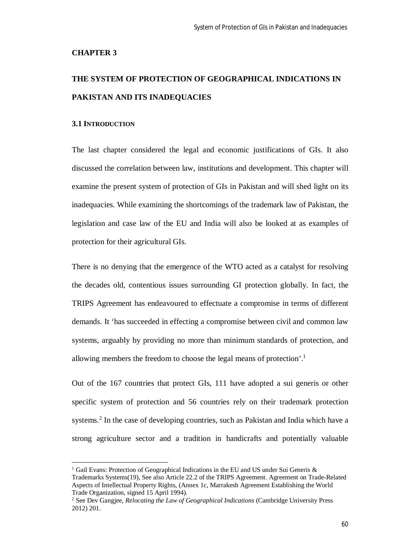#### **CHAPTER 3**

# **THE SYSTEM OF PROTECTION OF GEOGRAPHICAL INDICATIONS IN PAKISTAN AND ITS INADEQUACIES**

### **3.1 INTRODUCTION**

 $\overline{\phantom{a}}$ 

The last chapter considered the legal and economic justifications of GIs. It also discussed the correlation between law, institutions and development. This chapter will examine the present system of protection of GIs in Pakistan and will shed light on its inadequacies. While examining the shortcomings of the trademark law of Pakistan, the legislation and case law of the EU and India will also be looked at as examples of protection for their agricultural GIs.

There is no denying that the emergence of the WTO acted as a catalyst for resolving the decades old, contentious issues surrounding GI protection globally. In fact, the TRIPS Agreement has endeavoured to effectuate a compromise in terms of different demands. It 'has succeeded in effecting a compromise between civil and common law systems, arguably by providing no more than minimum standards of protection, and allowing members the freedom to choose the legal means of protection'.<sup>1</sup>

Out of the 167 countries that protect GIs, 111 have adopted a sui generis or other specific system of protection and 56 countries rely on their trademark protection systems.<sup>2</sup> In the case of developing countries, such as Pakistan and India which have a strong agriculture sector and a tradition in handicrafts and potentially valuable

Gail Evans: Protection of Geographical Indications in the EU and US under Sui Generis & Trademarks Systems(19), See also Article 22.2 of the TRIPS Agreement. Agreement on Trade-Related Aspects of Intellectual Property Rights, (Annex 1c, Marrakesh Agreement Establishing the World Trade Organization, signed 15 April 1994).

<sup>2</sup> See Dev Gangjee, *Relocating the Law of Geographical Indications* (Cambridge University Press 2012) 201.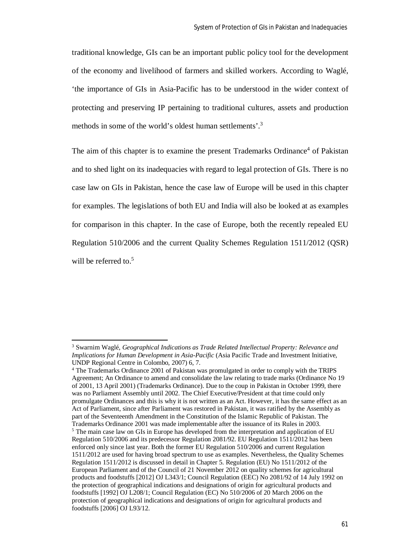traditional knowledge, GIs can be an important public policy tool for the development of the economy and livelihood of farmers and skilled workers. According to Waglé, 'the importance of GIs in Asia-Pacific has to be understood in the wider context of protecting and preserving IP pertaining to traditional cultures, assets and production methods in some of the world's oldest human settlements'.<sup>3</sup>

The aim of this chapter is to examine the present Trademarks Ordinance<sup>4</sup> of Pakistan and to shed light on its inadequacies with regard to legal protection of GIs. There is no case law on GIs in Pakistan, hence the case law of Europe will be used in this chapter for examples. The legislations of both EU and India will also be looked at as examples for comparison in this chapter. In the case of Europe, both the recently repealed EU Regulation 510/2006 and the current Quality Schemes Regulation 1511/2012 (QSR) will be referred to.<sup>5</sup>

<sup>3</sup> Swarnim Waglé, *Geographical Indications as Trade Related Intellectual Property: Relevance and Implications for Human Development in Asia-Pacific* (Asia Pacific Trade and Investment Initiative, UNDP Regional Centre in Colombo, 2007) 6, 7.

<sup>4</sup> The Trademarks Ordinance 2001 of Pakistan was promulgated in order to comply with the TRIPS Agreement; An Ordinance to amend and consolidate the law relating to trade marks (Ordinance No 19 of 2001, 13 April 2001) (Trademarks Ordinance). Due to the coup in Pakistan in October 1999, there was no Parliament Assembly until 2002. The Chief Executive/President at that time could only promulgate Ordinances and this is why it is not written as an Act. However, it has the same effect as an Act of Parliament, since after Parliament was restored in Pakistan, it was ratified by the Assembly as part of the Seventeenth Amendment in the Constitution of the Islamic Republic of Pakistan. The Trademarks Ordinance 2001 was made implementable after the issuance of its Rules in 2003.

<sup>&</sup>lt;sup>5</sup> The main case law on GIs in Europe has developed from the interpretation and application of EU Regulation 510/2006 and its predecessor Regulation 2081/92. EU Regulation 1511/2012 has been enforced only since last year. Both the former EU Regulation 510/2006 and current Regulation 1511/2012 are used for having broad spectrum to use as examples. Nevertheless, the Quality Schemes Regulation 1511/2012 is discussed in detail in Chapter 5. Regulation (EU) No 1511/2012 of the European Parliament and of the Council of 21 November 2012 on quality schemes for agricultural products and foodstuffs [2012] OJ L343/1; Council Regulation (EEC) No 2081/92 of 14 July 1992 on the protection of geographical indications and designations of origin for agricultural products and foodstuffs [1992] OJ L208/1; Council Regulation (EC) No 510/2006 of 20 March 2006 on the protection of geographical indications and designations of origin for agricultural products and foodstuffs [2006] OJ L93/12.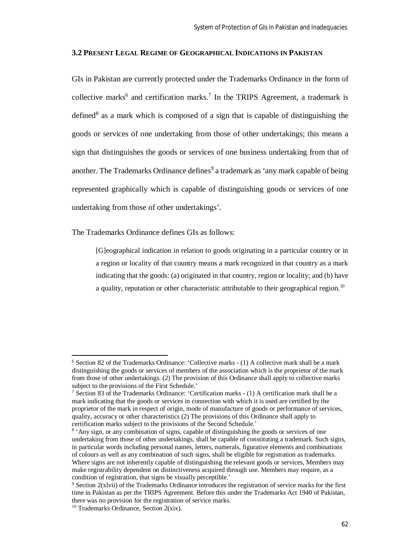# **3.2 PRESENT LEGAL REGIME OF GEOGRAPHICAL INDICATIONS IN PAKISTAN**

GIs in Pakistan are currently protected under the Trademarks Ordinance in the form of collective marks<sup>6</sup> and certification marks.<sup>7</sup> In the TRIPS Agreement, a trademark is defined<sup>8</sup> as a mark which is composed of a sign that is capable of distinguishing the goods or services of one undertaking from those of other undertakings; this means a sign that distinguishes the goods or services of one business undertaking from that of another. The Trademarks Ordinance defines<sup>9</sup> a trademark as 'any mark capable of being represented graphically which is capable of distinguishing goods or services of one undertaking from those of other undertakings'.

The Trademarks Ordinance defines GIs as follows:

[G]eographical indication in relation to goods originating in a particular country or in a region or locality of that country means a mark recognized in that country as a mark indicating that the goods: (a) originated in that country, region or locality; and (b) have a quality, reputation or other characteristic attributable to their geographical region.<sup>10</sup>

<sup>6</sup> Section 82 of the Trademarks Ordinance: 'Collective marks - (1) A collective mark shall be a mark distinguishing the goods or services of members of the association which is the proprietor of the mark from those of other undertakings. (2) The provision of this Ordinance shall apply to collective marks subject to the provisions of the First Schedule.'

<sup>7</sup> Section 83 of the Trademarks Ordinance: 'Certification marks - (1) A certification mark shall be a mark indicating that the goods or services in connection with which it is used are certified by the proprietor of the mark in respect of origin, mode of manufacture of goods or performance of services, quality, accuracy or other characteristics (2) The provisions of this Ordinance shall apply to certification marks subject to the provisions of the Second Schedule.'

<sup>&</sup>lt;sup>8</sup> 'Any sign, or any combination of signs, capable of distinguishing the goods or services of one undertaking from those of other undertakings, shall be capable of constituting a trademark. Such signs, in particular words including personal names, letters, numerals, figurative elements and combinations of colours as well as any combination of such signs, shall be eligible for registration as trademarks. Where signs are not inherently capable of distinguishing the relevant goods or services, Members may make registrability dependent on distinctiveness acquired through use. Members may require, as a condition of registration, that signs be visually perceptible.'

<sup>9</sup> Section 2(xlvii) of the Trademarks Ordinance introduces the registration of service marks for the first time in Pakistan as per the TRIPS Agreement. Before this under the Trademarks Act 1940 of Pakistan, there was no provision for the registration of service marks.

<sup>&</sup>lt;sup>10</sup> Trademarks Ordinance, Section  $2(xix)$ .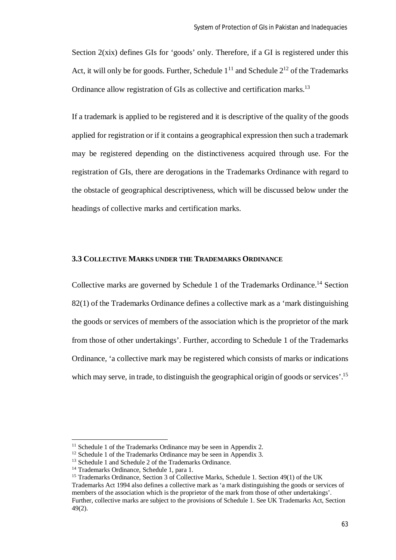Section 2(xix) defines GIs for 'goods' only. Therefore, if a GI is registered under this Act, it will only be for goods. Further, Schedule  $1^{11}$  and Schedule  $2^{12}$  of the Trademarks Ordinance allow registration of GIs as collective and certification marks.<sup>13</sup>

If a trademark is applied to be registered and it is descriptive of the quality of the goods applied for registration or if it contains a geographical expression then such a trademark may be registered depending on the distinctiveness acquired through use. For the registration of GIs, there are derogations in the Trademarks Ordinance with regard to the obstacle of geographical descriptiveness, which will be discussed below under the headings of collective marks and certification marks.

# **3.3 COLLECTIVE MARKS UNDER THE TRADEMARKS ORDINANCE**

Collective marks are governed by Schedule 1 of the Trademarks Ordinance.<sup>14</sup> Section 82(1) of the Trademarks Ordinance defines a collective mark as a 'mark distinguishing the goods or services of members of the association which is the proprietor of the mark from those of other undertakings'. Further, according to Schedule 1 of the Trademarks Ordinance, 'a collective mark may be registered which consists of marks or indications which may serve, in trade, to distinguish the geographical origin of goods or services'.<sup>15</sup>

<sup>&</sup>lt;sup>11</sup> Schedule 1 of the Trademarks Ordinance may be seen in Appendix 2.

<sup>&</sup>lt;sup>12</sup> Schedule 1 of the Trademarks Ordinance may be seen in Appendix 3.

<sup>13</sup> Schedule 1 and Schedule 2 of the Trademarks Ordinance.

<sup>14</sup> Trademarks Ordinance, Schedule 1, para 1.

<sup>&</sup>lt;sup>15</sup> Trademarks Ordinance, Section 3 of Collective Marks, Schedule 1. Section 49(1) of the UK Trademarks Act 1994 also defines a collective mark as 'a mark distinguishing the goods or services of members of the association which is the proprietor of the mark from those of other undertakings'. Further, collective marks are subject to the provisions of Schedule 1. See UK Trademarks Act, Section 49(2).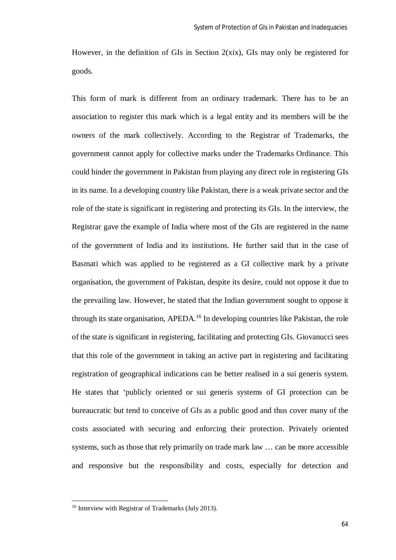However, in the definition of GIs in Section 2(xix), GIs may only be registered for goods.

This form of mark is different from an ordinary trademark. There has to be an association to register this mark which is a legal entity and its members will be the owners of the mark collectively. According to the Registrar of Trademarks, the government cannot apply for collective marks under the Trademarks Ordinance. This could hinder the government in Pakistan from playing any direct role in registering GIs in its name. In a developing country like Pakistan, there is a weak private sector and the role of the state is significant in registering and protecting its GIs. In the interview, the Registrar gave the example of India where most of the GIs are registered in the name of the government of India and its institutions. He further said that in the case of Basmati which was applied to be registered as a GI collective mark by a private organisation, the government of Pakistan, despite its desire, could not oppose it due to the prevailing law. However, he stated that the Indian government sought to oppose it through its state organisation, APEDA.<sup>16</sup> In developing countries like Pakistan, the role of the state is significant in registering, facilitating and protecting GIs. Giovanucci sees that this role of the government in taking an active part in registering and facilitating registration of geographical indications can be better realised in a sui generis system. He states that 'publicly oriented or sui generis systems of GI protection can be bureaucratic but tend to conceive of GIs as a public good and thus cover many of the costs associated with securing and enforcing their protection. Privately oriented systems, such as those that rely primarily on trade mark law … can be more accessible and responsive but the responsibility and costs, especially for detection and

<sup>16</sup> Interview with Registrar of Trademarks (July 2013).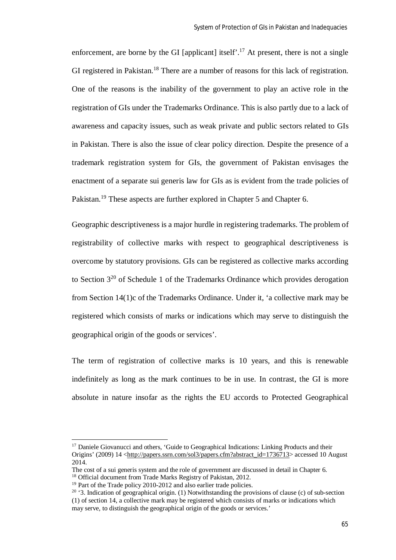enforcement, are borne by the GI [applicant] itself'.<sup>17</sup> At present, there is not a single GI registered in Pakistan.<sup>18</sup> There are a number of reasons for this lack of registration. One of the reasons is the inability of the government to play an active role in the registration of GIs under the Trademarks Ordinance. This is also partly due to a lack of awareness and capacity issues, such as weak private and public sectors related to GIs in Pakistan. There is also the issue of clear policy direction. Despite the presence of a trademark registration system for GIs, the government of Pakistan envisages the enactment of a separate sui generis law for GIs as is evident from the trade policies of Pakistan.<sup>19</sup> These aspects are further explored in Chapter 5 and Chapter 6.

Geographic descriptiveness is a major hurdle in registering trademarks. The problem of registrability of collective marks with respect to geographical descriptiveness is overcome by statutory provisions. GIs can be registered as collective marks according to Section 3<sup>20</sup> of Schedule 1 of the Trademarks Ordinance which provides derogation from Section 14(1)c of the Trademarks Ordinance. Under it, 'a collective mark may be registered which consists of marks or indications which may serve to distinguish the geographical origin of the goods or services'.

The term of registration of collective marks is 10 years, and this is renewable indefinitely as long as the mark continues to be in use. In contrast, the GI is more absolute in nature insofar as the rights the EU accords to Protected Geographical

<sup>&</sup>lt;sup>17</sup> Daniele Giovanucci and others, 'Guide to Geographical Indications: Linking Products and their Origins' (2009) 14 <http://papers.ssrn.com/sol3/papers.cfm?abstract\_id=1736713> accessed 10 August 2014.

The cost of a sui generis system and the role of government are discussed in detail in Chapter 6. <sup>18</sup> Official document from Trade Marks Registry of Pakistan, 2012.

<sup>&</sup>lt;sup>19</sup> Part of the Trade policy 2010-2012 and also earlier trade policies.

<sup>&</sup>lt;sup>20</sup> '3. Indication of geographical origin. (1) Notwithstanding the provisions of clause (c) of sub-section (1) of section 14, a collective mark may be registered which consists of marks or indications which may serve, to distinguish the geographical origin of the goods or services.'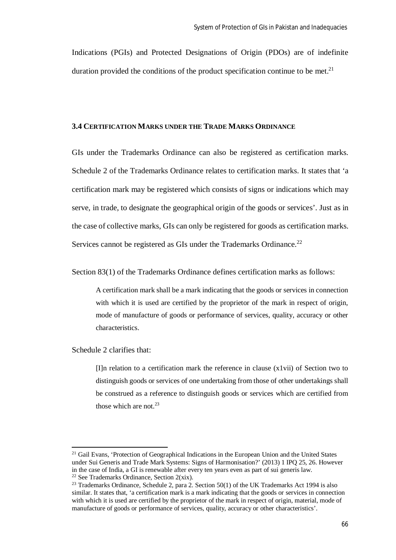Indications (PGIs) and Protected Designations of Origin (PDOs) are of indefinite duration provided the conditions of the product specification continue to be met.<sup>21</sup>

#### **3.4 CERTIFICATION MARKS UNDER THE TRADE MARKS ORDINANCE**

GIs under the Trademarks Ordinance can also be registered as certification marks. Schedule 2 of the Trademarks Ordinance relates to certification marks. It states that 'a certification mark may be registered which consists of signs or indications which may serve, in trade, to designate the geographical origin of the goods or services'. Just as in the case of collective marks, GIs can only be registered for goods as certification marks. Services cannot be registered as GIs under the Trademarks Ordinance.<sup>22</sup>

Section 83(1) of the Trademarks Ordinance defines certification marks as follows:

A certification mark shall be a mark indicating that the goods or services in connection with which it is used are certified by the proprietor of the mark in respect of origin, mode of manufacture of goods or performance of services, quality, accuracy or other characteristics.

Schedule 2 clarifies that:

 $\overline{\phantom{a}}$ 

[I]n relation to a certification mark the reference in clause (x1vii) of Section two to distinguish goods or services of one undertaking from those of other undertakings shall be construed as a reference to distinguish goods or services which are certified from those which are not  $23$ 

<sup>&</sup>lt;sup>21</sup> Gail Evans, 'Protection of Geographical Indications in the European Union and the United States under Sui Generis and Trade Mark Systems: Signs of Harmonisation?' (2013) 1 IPQ 25, 26. However in the case of India, a GI is renewable after every ten years even as part of sui generis law. <sup>22</sup> See Trademarks Ordinance, Section  $2(xix)$ .

<sup>&</sup>lt;sup>23</sup> Trademarks Ordinance, Schedule 2, para 2, Section 50(1) of the UK Trademarks Act 1994 is also similar. It states that, 'a certification mark is a mark indicating that the goods or services in connection with which it is used are certified by the proprietor of the mark in respect of origin, material, mode of manufacture of goods or performance of services, quality, accuracy or other characteristics'.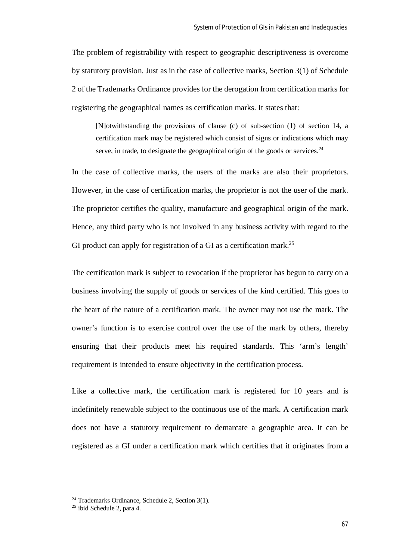The problem of registrability with respect to geographic descriptiveness is overcome by statutory provision. Just as in the case of collective marks, Section 3(1) of Schedule 2 of the Trademarks Ordinance provides for the derogation from certification marks for registering the geographical names as certification marks. It states that:

[N]otwithstanding the provisions of clause (c) of sub-section (1) of section 14, a certification mark may be registered which consist of signs or indications which may serve, in trade, to designate the geographical origin of the goods or services.<sup>24</sup>

In the case of collective marks, the users of the marks are also their proprietors. However, in the case of certification marks, the proprietor is not the user of the mark. The proprietor certifies the quality, manufacture and geographical origin of the mark. Hence, any third party who is not involved in any business activity with regard to the GI product can apply for registration of a GI as a certification mark.<sup>25</sup>

The certification mark is subject to revocation if the proprietor has begun to carry on a business involving the supply of goods or services of the kind certified. This goes to the heart of the nature of a certification mark. The owner may not use the mark. The owner's function is to exercise control over the use of the mark by others, thereby ensuring that their products meet his required standards. This 'arm's length' requirement is intended to ensure objectivity in the certification process.

Like a collective mark, the certification mark is registered for 10 years and is indefinitely renewable subject to the continuous use of the mark. A certification mark does not have a statutory requirement to demarcate a geographic area. It can be registered as a GI under a certification mark which certifies that it originates from a

<sup>24</sup> Trademarks Ordinance, Schedule 2, Section 3(1).

<sup>25</sup> ibid Schedule 2, para 4.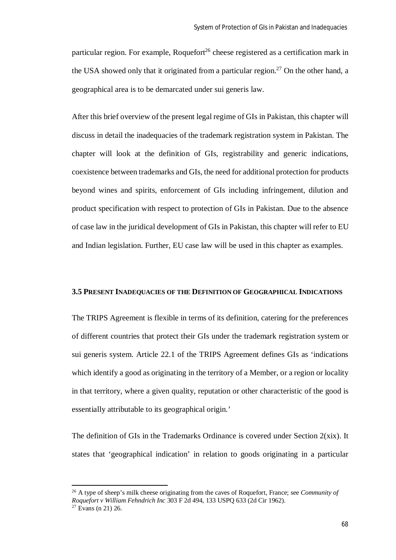particular region. For example, Roquefort<sup>26</sup> cheese registered as a certification mark in the USA showed only that it originated from a particular region.<sup>27</sup> On the other hand, a geographical area is to be demarcated under sui generis law.

After this brief overview of the present legal regime of GIs in Pakistan, this chapter will discuss in detail the inadequacies of the trademark registration system in Pakistan. The chapter will look at the definition of GIs, registrability and generic indications, coexistence between trademarks and GIs, the need for additional protection for products beyond wines and spirits, enforcement of GIs including infringement, dilution and product specification with respect to protection of GIs in Pakistan. Due to the absence of case law in the juridical development of GIs in Pakistan, this chapter will refer to EU and Indian legislation. Further, EU case law will be used in this chapter as examples.

# **3.5 PRESENT INADEQUACIES OF THE DEFINITION OF GEOGRAPHICAL INDICATIONS**

The TRIPS Agreement is flexible in terms of its definition, catering for the preferences of different countries that protect their GIs under the trademark registration system or sui generis system. Article 22.1 of the TRIPS Agreement defines GIs as 'indications which identify a good as originating in the territory of a Member, or a region or locality in that territory, where a given quality, reputation or other characteristic of the good is essentially attributable to its geographical origin.'

The definition of GIs in the Trademarks Ordinance is covered under Section 2(xix). It states that 'geographical indication' in relation to goods originating in a particular

<sup>26</sup> A type of sheep's milk cheese originating from the caves of Roquefort, France; see *Community of Roquefort v William Fehndrich Inc* 303 F 2d 494, 133 USPQ 633 (2d Cir 1962).

 $27$  Evans (n 21) 26.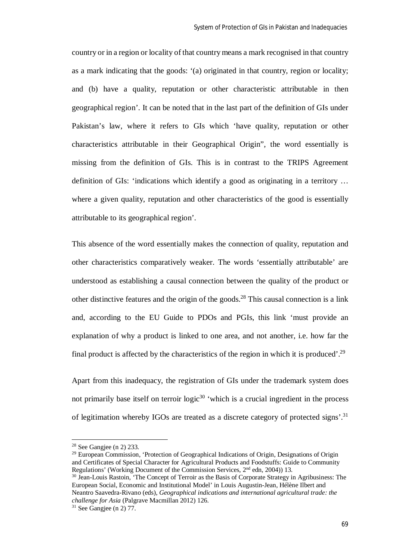country or in a region or locality of that country means a mark recognised in that country as a mark indicating that the goods: '(a) originated in that country, region or locality; and (b) have a quality, reputation or other characteristic attributable in then geographical region'. It can be noted that in the last part of the definition of GIs under Pakistan's law, where it refers to GIs which 'have quality, reputation or other characteristics attributable in their Geographical Origin", the word essentially is missing from the definition of GIs. This is in contrast to the TRIPS Agreement definition of GIs: 'indications which identify a good as originating in a territory … where a given quality, reputation and other characteristics of the good is essentially attributable to its geographical region'.

This absence of the word essentially makes the connection of quality, reputation and other characteristics comparatively weaker. The words 'essentially attributable' are understood as establishing a causal connection between the quality of the product or other distinctive features and the origin of the goods.<sup>28</sup> This causal connection is a link and, according to the EU Guide to PDOs and PGIs, this link 'must provide an explanation of why a product is linked to one area, and not another, i.e. how far the final product is affected by the characteristics of the region in which it is produced'.<sup>29</sup>

Apart from this inadequacy, the registration of GIs under the trademark system does not primarily base itself on terroir  $logic^{30}$  'which is a crucial ingredient in the process of legitimation whereby IGOs are treated as a discrete category of protected signs'.<sup>31</sup>

 $28$  See Gangjee (n 2) 233.

<sup>&</sup>lt;sup>29</sup> European Commission, 'Protection of Geographical Indications of Origin, Designations of Origin and Certificates of Special Character for Agricultural Products and Foodstuffs: Guide to Community Regulations' (Working Document of the Commission Services, 2nd edn, 2004)) 13.

<sup>&</sup>lt;sup>30</sup> Jean-Louis Rastoin, 'The Concept of Terroir as the Basis of Corporate Strategy in Agribusiness: The European Social, Economic and Institutional Model' in Louis Augustin-Jean, Hélène Ilbert and Neantro Saavedra-Rivano (eds), *Geographical indications and international agricultural trade: the challenge for Asia* (Palgrave Macmillan 2012) 126.

 $31$  See Gangiee (n 2) 77.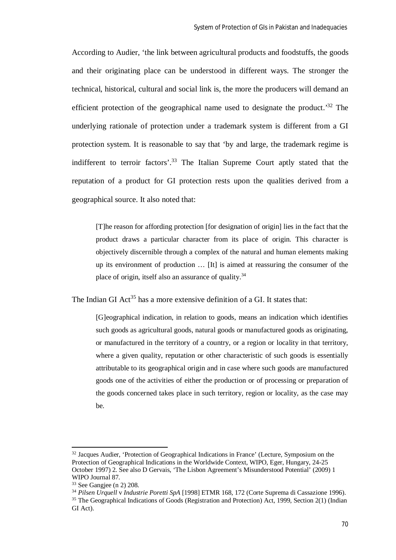According to Audier, 'the link between agricultural products and foodstuffs, the goods and their originating place can be understood in different ways. The stronger the technical, historical, cultural and social link is, the more the producers will demand an efficient protection of the geographical name used to designate the product.<sup>32</sup> The underlying rationale of protection under a trademark system is different from a GI protection system. It is reasonable to say that 'by and large, the trademark regime is indifferent to terroir factors'.<sup>33</sup> The Italian Supreme Court aptly stated that the reputation of a product for GI protection rests upon the qualities derived from a geographical source. It also noted that:

[T]he reason for affording protection [for designation of origin] lies in the fact that the product draws a particular character from its place of origin. This character is objectively discernible through a complex of the natural and human elements making up its environment of production … [It] is aimed at reassuring the consumer of the place of origin, itself also an assurance of quality.<sup>34</sup>

The Indian GI Act<sup>35</sup> has a more extensive definition of a GI. It states that:

[G]eographical indication, in relation to goods, means an indication which identifies such goods as agricultural goods, natural goods or manufactured goods as originating, or manufactured in the territory of a country, or a region or locality in that territory, where a given quality, reputation or other characteristic of such goods is essentially attributable to its geographical origin and in case where such goods are manufactured goods one of the activities of either the production or of processing or preparation of the goods concerned takes place in such territory, region or locality, as the case may be.

<sup>&</sup>lt;sup>32</sup> Jacques Audier, 'Protection of Geographical Indications in France' (Lecture, Symposium on the Protection of Geographical Indications in the Worldwide Context, WIPO, Eger, Hungary, 24-25 October 1997) 2. See also D Gervais, 'The Lisbon Agreement's Misunderstood Potential' (2009) 1 WIPO Journal 87.

 $33$  See Gangiee (n 2) 208.

<sup>34</sup> *Pilsen Urquell* v *Industrie Poretti SpA* [1998] ETMR 168, 172 (Corte Suprema di Cassazione 1996). <sup>35</sup> The Geographical Indications of Goods (Registration and Protection) Act, 1999, Section 2(1) (Indian

GI Act).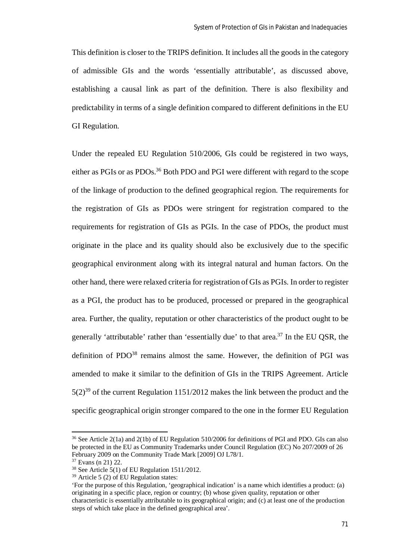This definition is closer to the TRIPS definition. It includes all the goods in the category of admissible GIs and the words 'essentially attributable', as discussed above, establishing a causal link as part of the definition. There is also flexibility and predictability in terms of a single definition compared to different definitions in the EU GI Regulation.

Under the repealed EU Regulation 510/2006, GIs could be registered in two ways, either as PGIs or as PDOs.<sup>36</sup> Both PDO and PGI were different with regard to the scope of the linkage of production to the defined geographical region. The requirements for the registration of GIs as PDOs were stringent for registration compared to the requirements for registration of GIs as PGIs. In the case of PDOs, the product must originate in the place and its quality should also be exclusively due to the specific geographical environment along with its integral natural and human factors. On the other hand, there were relaxed criteria for registration of GIs as PGIs. In order to register as a PGI, the product has to be produced, processed or prepared in the geographical area. Further, the quality, reputation or other characteristics of the product ought to be generally 'attributable' rather than 'essentially due' to that area.<sup>37</sup> In the EU QSR, the definition of  $PDO<sup>38</sup>$  remains almost the same. However, the definition of PGI was amended to make it similar to the definition of GIs in the TRIPS Agreement. Article  $5(2)^{39}$  of the current Regulation 1151/2012 makes the link between the product and the specific geographical origin stronger compared to the one in the former EU Regulation

<sup>36</sup> See Article 2(1a) and 2(1b) of EU Regulation 510/2006 for definitions of PGI and PDO. GIs can also be protected in the EU as Community Trademarks under Council Regulation (EC) No 207/2009 of 26 February 2009 on the Community Trade Mark [2009] OJ L78/1.

<sup>37</sup> Evans (n 21) 22.

<sup>38</sup> See Article 5(1) of EU Regulation 1511/2012.

<sup>39</sup> Article 5 (2) of EU Regulation states:

<sup>&#</sup>x27;For the purpose of this Regulation, 'geographical indication' is a name which identifies a product: (a) originating in a specific place, region or country; (b) whose given quality, reputation or other characteristic is essentially attributable to its geographical origin; and (c) at least one of the production steps of which take place in the defined geographical area'.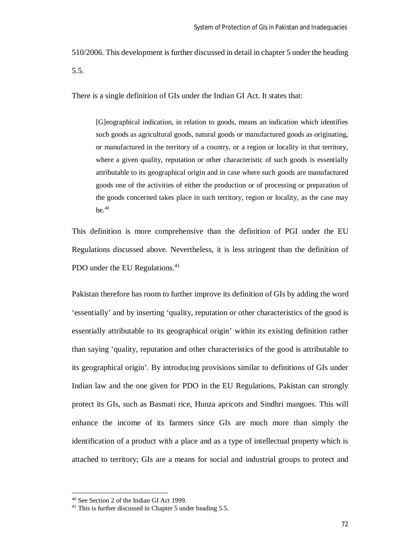510/2006. This development is further discussed in detail in chapter 5 under the heading 5.5.

There is a single definition of GIs under the Indian GI Act. It states that:

[G]eographical indication, in relation to goods, means an indication which identifies such goods as agricultural goods, natural goods or manufactured goods as originating, or manufactured in the territory of a country, or a region or locality in that territory, where a given quality, reputation or other characteristic of such goods is essentially attributable to its geographical origin and in case where such goods are manufactured goods one of the activities of either the production or of processing or preparation of the goods concerned takes place in such territory, region or locality, as the case may  $be.40$ 

This definition is more comprehensive than the definition of PGI under the EU Regulations discussed above. Nevertheless, it is less stringent than the definition of PDO under the EU Regulations.<sup>41</sup>

Pakistan therefore has room to further improve its definition of GIs by adding the word 'essentially' and by inserting 'quality, reputation or other characteristics of the good is essentially attributable to its geographical origin' within its existing definition rather than saying 'quality, reputation and other characteristics of the good is attributable to its geographical origin'. By introducing provisions similar to definitions of GIs under Indian law and the one given for PDO in the EU Regulations, Pakistan can strongly protect its GIs, such as Basmati rice, Hunza apricots and Sindhri mangoes. This will enhance the income of its farmers since GIs are much more than simply the identification of a product with a place and as a type of intellectual property which is attached to territory; GIs are a means for social and industrial groups to protect and

<sup>40</sup> See Section 2 of the Indian GI Act 1999.

<sup>&</sup>lt;sup>41</sup> This is further discussed in Chapter 5 under heading 5.5.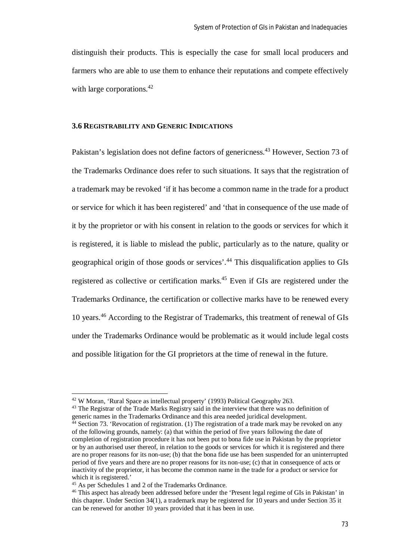distinguish their products. This is especially the case for small local producers and farmers who are able to use them to enhance their reputations and compete effectively with large corporations.<sup>42</sup>

## **3.6 REGISTRABILITY AND GENERIC INDICATIONS**

Pakistan's legislation does not define factors of genericness.<sup>43</sup> However, Section 73 of the Trademarks Ordinance does refer to such situations. It says that the registration of a trademark may be revoked 'if it has become a common name in the trade for a product or service for which it has been registered' and 'that in consequence of the use made of it by the proprietor or with his consent in relation to the goods or services for which it is registered, it is liable to mislead the public, particularly as to the nature, quality or geographical origin of those goods or services'. <sup>44</sup> This disqualification applies to GIs registered as collective or certification marks.<sup>45</sup> Even if GIs are registered under the Trademarks Ordinance, the certification or collective marks have to be renewed every 10 years.<sup>46</sup> According to the Registrar of Trademarks, this treatment of renewal of GIs under the Trademarks Ordinance would be problematic as it would include legal costs and possible litigation for the GI proprietors at the time of renewal in the future.

<sup>43</sup> The Registrar of the Trade Marks Registry said in the interview that there was no definition of generic names in the Trademarks Ordinance and this area needed juridical development.

<sup>42</sup> W Moran, 'Rural Space as intellectual property' (1993) Political Geography 263.

<sup>44</sup> Section 73. 'Revocation of registration. (1) The registration of a trade mark may be revoked on any of the following grounds, namely: (a) that within the period of five years following the date of completion of registration procedure it has not been put to bona fide use in Pakistan by the proprietor or by an authorised user thereof, in relation to the goods or services for which it is registered and there are no proper reasons for its non-use; (b) that the bona fide use has been suspended for an uninterrupted period of five years and there are no proper reasons for its non-use; (c) that in consequence of acts or inactivity of the proprietor, it has become the common name in the trade for a product or service for which it is registered.'

<sup>45</sup> As per Schedules 1 and 2 of the Trademarks Ordinance.

<sup>46</sup> This aspect has already been addressed before under the 'Present legal regime of GIs in Pakistan' in this chapter. Under Section 34(1), a trademark may be registered for 10 years and under Section 35 it can be renewed for another 10 years provided that it has been in use.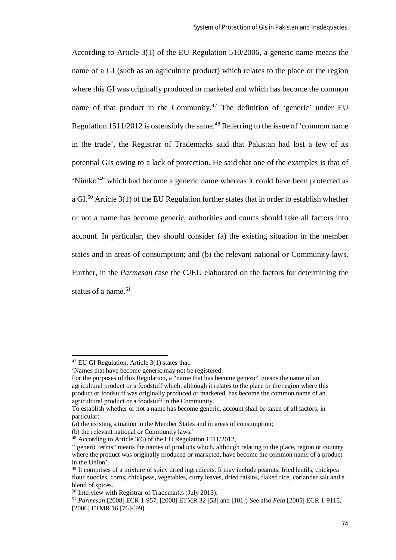According to Article 3(1) of the EU Regulation 510/2006, a generic name means the name of a GI (such as an agriculture product) which relates to the place or the region where this GI was originally produced or marketed and which has become the common name of that product in the Community.<sup>47</sup> The definition of 'generic' under EU Regulation  $1511/2012$  is ostensibly the same.<sup>48</sup> Referring to the issue of 'common name in the trade', the Registrar of Trademarks said that Pakistan had lost a few of its potential GIs owing to a lack of protection. He said that one of the examples is that of 'Nimko'<sup>49</sup> which had become a generic name whereas it could have been protected as a GI.<sup>50</sup> Article 3(1) of the EU Regulation further states that in order to establish whether or not a name has become generic, authorities and courts should take all factors into account. In particular, they should consider (a) the existing situation in the member states and in areas of consumption; and (b) the relevant national or Community laws. Further, in the *Parmesan* case the CJEU elaborated on the factors for determining the status of a name.<sup>51</sup>

<sup>47</sup> EU GI Regulation, Article 3(1) states that:

<sup>&#</sup>x27;Names that have become generic may not be registered.

For the purposes of this Regulation, a "name that has become generic" means the name of an agricultural product or a foodstuff which, although it relates to the place or the region where this product or foodstuff was originally produced or marketed, has become the common name of an agricultural product or a foodstuff in the Community.

To establish whether or not a name has become generic, account shall be taken of all factors, in particular:

<sup>(</sup>a) the existing situation in the Member States and in areas of consumption;

<sup>(</sup>b) the relevant national or Community laws.'

<sup>48</sup> According to Article 3(6) of the EU Regulation 1511/2012,

<sup>&#</sup>x27;"generic terms" means the names of products which, although relating to the place, region or country where the product was originally produced or marketed, have become the common name of a product in the Union'.

<sup>&</sup>lt;sup>49</sup> It comprises of a mixture of spicy dried ingredients. It may include peanuts, fried lentils, chickpea flour noodles, corns, chickpeas, vegetables, curry leaves, dried raisins, flaked rice, coriander salt and a blend of spices.

<sup>50</sup> Interview with Registrar of Trademarks (July 2013).

<sup>51</sup> *Parmesan* [2008] ECR 1-957, [2008] ETMR 32 [53] and [101]; See also *Feta* [2005] ECR 1-9115, [2006] ETMR 16 [76]-[99].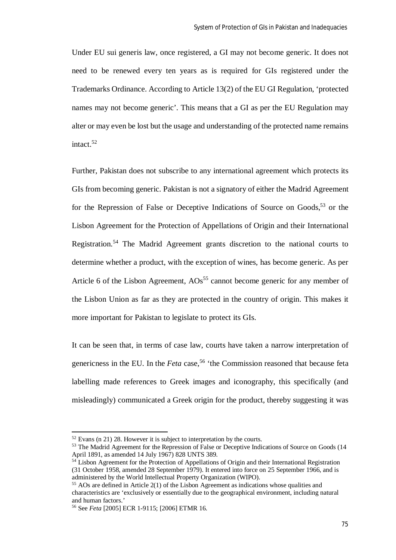Under EU sui generis law, once registered, a GI may not become generic. It does not need to be renewed every ten years as is required for GIs registered under the Trademarks Ordinance. According to Article 13(2) of the EU GI Regulation, 'protected names may not become generic'. This means that a GI as per the EU Regulation may alter or may even be lost but the usage and understanding of the protected name remains intact.<sup>52</sup>

Further, Pakistan does not subscribe to any international agreement which protects its GIs from becoming generic. Pakistan is not a signatory of either the Madrid Agreement for the Repression of False or Deceptive Indications of Source on Goods,  $53$  or the Lisbon Agreement for the Protection of Appellations of Origin and their International Registration.<sup>54</sup> The Madrid Agreement grants discretion to the national courts to determine whether a product, with the exception of wines, has become generic. As per Article 6 of the Lisbon Agreement,  $AOS<sup>55</sup>$  cannot become generic for any member of the Lisbon Union as far as they are protected in the country of origin. This makes it more important for Pakistan to legislate to protect its GIs.

It can be seen that, in terms of case law, courts have taken a narrow interpretation of genericness in the EU. In the *Feta* case,<sup>56</sup> 'the Commission reasoned that because feta labelling made references to Greek images and iconography, this specifically (and misleadingly) communicated a Greek origin for the product, thereby suggesting it was

 $52$  Evans (n 21) 28. However it is subject to interpretation by the courts.

<sup>&</sup>lt;sup>53</sup> The Madrid Agreement for the Repression of False or Deceptive Indications of Source on Goods (14 April 1891, as amended 14 July 1967) 828 UNTS 389.

<sup>&</sup>lt;sup>54</sup> Lisbon Agreement for the Protection of Appellations of Origin and their International Registration (31 October 1958, amended 28 September 1979). It entered into force on 25 September 1966, and is administered by the World Intellectual Property Organization (WIPO).

<sup>55</sup> AOs are defined in Article 2(1) of the Lisbon Agreement as indications whose qualities and characteristics are 'exclusively or essentially due to the geographical environment, including natural and human factors.'

<sup>56</sup> See *Feta* [2005] ECR 1-9115; [2006] ETMR 16.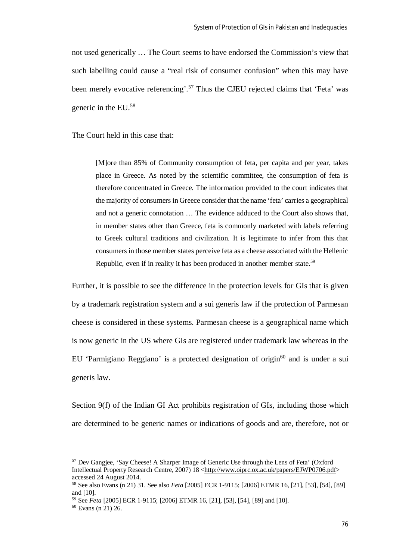not used generically … The Court seems to have endorsed the Commission's view that such labelling could cause a "real risk of consumer confusion" when this may have been merely evocative referencing'.<sup>57</sup> Thus the CJEU rejected claims that 'Feta' was generic in the EU.<sup>58</sup>

The Court held in this case that:

[M]ore than 85% of Community consumption of feta, per capita and per year, takes place in Greece. As noted by the scientific committee, the consumption of feta is therefore concentrated in Greece. The information provided to the court indicates that the majority of consumers in Greece consider that the name 'feta' carries a geographical and not a generic connotation … The evidence adduced to the Court also shows that, in member states other than Greece, feta is commonly marketed with labels referring to Greek cultural traditions and civilization. It is legitimate to infer from this that consumers in those member states perceive feta as a cheese associated with the Hellenic Republic, even if in reality it has been produced in another member state.<sup>59</sup>

Further, it is possible to see the difference in the protection levels for GIs that is given by a trademark registration system and a sui generis law if the protection of Parmesan cheese is considered in these systems. Parmesan cheese is a geographical name which is now generic in the US where GIs are registered under trademark law whereas in the EU 'Parmigiano Reggiano' is a protected designation of origin<sup>60</sup> and is under a sui generis law.

Section 9(f) of the Indian GI Act prohibits registration of GIs, including those which are determined to be generic names or indications of goods and are, therefore, not or

<sup>57</sup> Dev Gangjee, 'Say Cheese! A Sharper Image of Generic Use through the Lens of Feta' (Oxford Intellectual Property Research Centre, 2007) 18 <http://www.oiprc.ox.ac.uk/papers/EJWP0706.pdf> accessed 24 August 2014.

<sup>58</sup> See also Evans (n 21) 31. See also *Feta* [2005] ECR 1-9115; [2006] ETMR 16, [21], [53], [54], [89] and [10].

<sup>59</sup> See *Feta* [2005] ECR 1-9115; [2006] ETMR 16, [21], [53], [54], [89] and [10].

<sup>60</sup> Evans (n 21) 26.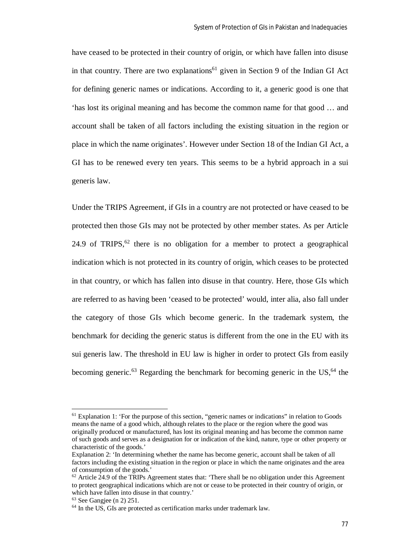have ceased to be protected in their country of origin, or which have fallen into disuse in that country. There are two explanations<sup>61</sup> given in Section 9 of the Indian GI Act for defining generic names or indications. According to it, a generic good is one that 'has lost its original meaning and has become the common name for that good … and account shall be taken of all factors including the existing situation in the region or place in which the name originates'. However under Section 18 of the Indian GI Act, a GI has to be renewed every ten years. This seems to be a hybrid approach in a sui generis law.

Under the TRIPS Agreement, if GIs in a country are not protected or have ceased to be protected then those GIs may not be protected by other member states. As per Article 24.9 of TRIPS,  $62$  there is no obligation for a member to protect a geographical indication which is not protected in its country of origin, which ceases to be protected in that country, or which has fallen into disuse in that country. Here, those GIs which are referred to as having been 'ceased to be protected' would, inter alia, also fall under the category of those GIs which become generic. In the trademark system, the benchmark for deciding the generic status is different from the one in the EU with its sui generis law. The threshold in EU law is higher in order to protect GIs from easily becoming generic.<sup>63</sup> Regarding the benchmark for becoming generic in the US,<sup>64</sup> the

 $<sup>61</sup>$  Explanation 1: 'For the purpose of this section, "generic names or indications" in relation to Goods</sup> means the name of a good which, although relates to the place or the region where the good was originally produced or manufactured, has lost its original meaning and has become the common name of such goods and serves as a designation for or indication of the kind, nature, type or other property or characteristic of the goods.'

Explanation 2: 'In determining whether the name has become generic, account shall be taken of all factors including the existing situation in the region or place in which the name originates and the area of consumption of the goods.'

 $62$  Article 24.9 of the TRIPs Agreement states that: 'There shall be no obligation under this Agreement to protect geographical indications which are not or cease to be protected in their country of origin, or which have fallen into disuse in that country.'

 $63$  See Gangiee (n 2) 251.

<sup>&</sup>lt;sup>64</sup> In the US, GIs are protected as certification marks under trademark law.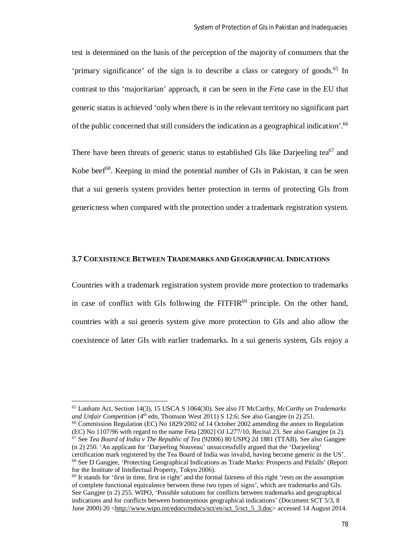test is determined on the basis of the perception of the majority of consumers that the 'primary significance' of the sign is to describe a class or category of goods.<sup>65</sup> In contrast to this 'majoritarian' approach, it can be seen in the *Feta* case in the EU that generic status is achieved 'only when there is in the relevant territory no significant part of the public concerned that still considers the indication as a geographical indication'.<sup>66</sup>

There have been threats of generic status to established GIs like Darjeeling tea $^{67}$  and Kobe beef<sup>68</sup>. Keeping in mind the potential number of GIs in Pakistan, it can be seen that a sui generis system provides better protection in terms of protecting GIs from genericness when compared with the protection under a trademark registration system.

# **3.7 COEXISTENCE BETWEEN TRADEMARKS AND GEOGRAPHICAL INDICATIONS**

Countries with a trademark registration system provide more protection to trademarks in case of conflict with GIs following the  $FITFIR<sup>69</sup>$  principle. On the other hand, countries with a sui generis system give more protection to GIs and also allow the coexistence of later GIs with earlier trademarks. In a sui generis system, GIs enjoy a

 $\overline{a}$ 

<sup>66</sup> Commission Regulation (EC) No 1829/2002 of 14 October 2002 amending the annex to Regulation (EC) No 1107/96 with regard to the name Feta [2002] OJ L277/10, Recital 23. See also Gangjee (n 2). <sup>67</sup> See *Tea Board of India v The Republic of Tea* (92006) 80 USPQ 2d 1881 (TTAB). See also Gangjee (n 2) 250. 'An applicant for 'Darjeeling Nouveau' unsuccessfully argued that the 'Darjeeling' certification mark registered by the Tea Board of India was invalid, having become generic in the US'. <sup>68</sup> See D Gangjee, 'Protecting Geographical Indications as Trade Marks: Prospects and Pitfalls' (Report for the Institute of Intellectual Property, Tokyo 2006).

<sup>65</sup> Lanham Act, Section 14(3), 15 USCA S 1064(30). See also JT McCarthy, *McCarthy on Trademarks and Unfair Competition* (4<sup>th</sup> edn, Thomson West 2011) S 12:6; See also Gangiee (n 2) 251.

<sup>&</sup>lt;sup>69</sup> It stands for 'first in time, first in right' and the formal fairness of this right 'rests on the assumption of complete functional equivalence between these two types of signs', which are trademarks and GIs. See Gangiee (n 2) 255. WIPO, 'Possible solutions for conflicts between trademarks and geographical indications and for conflicts between homonymous geographical indications' (Document SCT 5/3, 8 June 2000) 20 <http://www.wipo.int/edocs/mdocs/sct/en/sct\_5/sct\_5\_3.doc> accessed 14 August 2014.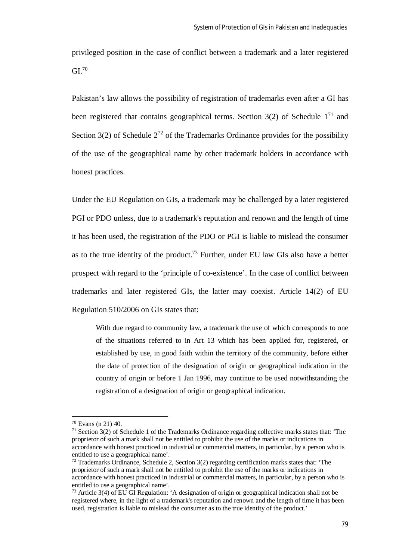privileged position in the case of conflict between a trademark and a later registered  $GL^{70}$ 

Pakistan's law allows the possibility of registration of trademarks even after a GI has been registered that contains geographical terms. Section  $3(2)$  of Schedule  $1<sup>71</sup>$  and Section  $3(2)$  of Schedule  $2^{72}$  of the Trademarks Ordinance provides for the possibility of the use of the geographical name by other trademark holders in accordance with honest practices.

Under the EU Regulation on GIs, a trademark may be challenged by a later registered PGI or PDO unless, due to a trademark's reputation and renown and the length of time it has been used, the registration of the PDO or PGI is liable to mislead the consumer as to the true identity of the product.<sup>73</sup> Further, under EU law GIs also have a better prospect with regard to the 'principle of co-existence'. In the case of conflict between trademarks and later registered GIs, the latter may coexist. Article 14(2) of EU Regulation 510/2006 on GIs states that:

With due regard to community law, a trademark the use of which corresponds to one of the situations referred to in Art 13 which has been applied for, registered, or established by use, in good faith within the territory of the community, before either the date of protection of the designation of origin or geographical indication in the country of origin or before 1 Jan 1996, may continue to be used notwithstanding the registration of a designation of origin or geographical indication.

<sup>70</sup> Evans (n 21) 40.

 $71$  Section 3(2) of Schedule 1 of the Trademarks Ordinance regarding collective marks states that: 'The proprietor of such a mark shall not be entitled to prohibit the use of the marks or indications in accordance with honest practiced in industrial or commercial matters, in particular, by a person who is entitled to use a geographical name'.

<sup>72</sup> Trademarks Ordinance, Schedule 2, Section 3(2) regarding certification marks states that: 'The proprietor of such a mark shall not be entitled to prohibit the use of the marks or indications in accordance with honest practiced in industrial or commercial matters, in particular, by a person who is entitled to use a geographical name'.

<sup>73</sup> Article 3(4) of EU GI Regulation: 'A designation of origin or geographical indication shall not be registered where, in the light of a trademark's reputation and renown and the length of time it has been used, registration is liable to mislead the consumer as to the true identity of the product.'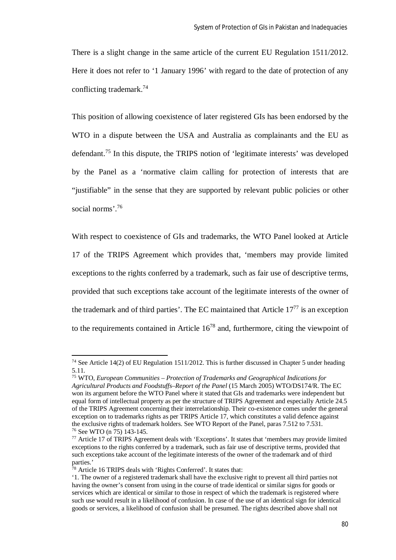There is a slight change in the same article of the current EU Regulation 1511/2012. Here it does not refer to '1 January 1996' with regard to the date of protection of any conflicting trademark.<sup>74</sup>

This position of allowing coexistence of later registered GIs has been endorsed by the WTO in a dispute between the USA and Australia as complainants and the EU as defendant.<sup>75</sup> In this dispute, the TRIPS notion of 'legitimate interests' was developed by the Panel as a 'normative claim calling for protection of interests that are "justifiable" in the sense that they are supported by relevant public policies or other social norms<sup>'76</sup>

With respect to coexistence of GIs and trademarks, the WTO Panel looked at Article 17 of the TRIPS Agreement which provides that, 'members may provide limited exceptions to the rights conferred by a trademark, such as fair use of descriptive terms, provided that such exceptions take account of the legitimate interests of the owner of the trademark and of third parties'. The EC maintained that Article 17<sup>77</sup> is an exception to the requirements contained in Article  $16^{78}$  and, furthermore, citing the viewpoint of

 $74$  See Article 14(2) of EU Regulation 1511/2012. This is further discussed in Chapter 5 under heading 5.11.

<sup>75</sup> WTO, *European Communities – Protection of Trademarks and Geographical Indications for Agricultural Products and Foodstuffs–Report of the Panel* (15 March 2005) WTO/DS174/R. The EC won its argument before the WTO Panel where it stated that GIs and trademarks were independent but equal form of intellectual property as per the structure of TRIPS Agreement and especially Article 24.5 of the TRIPS Agreement concerning their interrelationship. Their co-existence comes under the general exception on to trademarks rights as per TRIPS Article 17, which constitutes a valid defence against the exclusive rights of trademark holders. See WTO Report of the Panel, paras 7.512 to 7.531. <sup>76</sup> See WTO (n 75) 143-145.

<sup>77</sup> Article 17 of TRIPS Agreement deals with 'Exceptions'. It states that 'members may provide limited exceptions to the rights conferred by a trademark, such as fair use of descriptive terms, provided that such exceptions take account of the legitimate interests of the owner of the trademark and of third parties.'

 $78$  Article 16 TRIPS deals with 'Rights Conferred'. It states that:

<sup>&#</sup>x27;1. The owner of a registered trademark shall have the exclusive right to prevent all third parties not having the owner's consent from using in the course of trade identical or similar signs for goods or services which are identical or similar to those in respect of which the trademark is registered where such use would result in a likelihood of confusion. In case of the use of an identical sign for identical goods or services, a likelihood of confusion shall be presumed. The rights described above shall not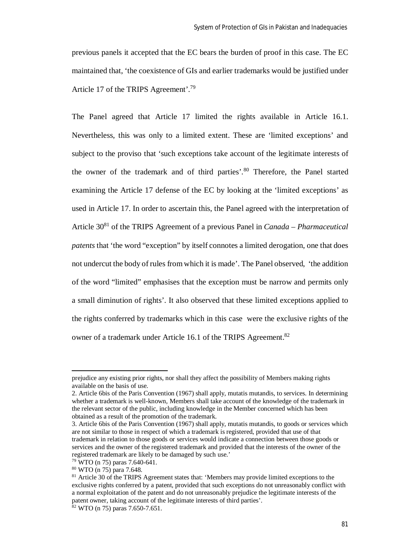previous panels it accepted that the EC bears the burden of proof in this case. The EC maintained that, 'the coexistence of GIs and earlier trademarks would be justified under Article 17 of the TRIPS Agreement'.<sup>79</sup>

The Panel agreed that Article 17 limited the rights available in Article 16.1. Nevertheless, this was only to a limited extent. These are 'limited exceptions' and subject to the proviso that 'such exceptions take account of the legitimate interests of the owner of the trademark and of third parties'. <sup>80</sup> Therefore, the Panel started examining the Article 17 defense of the EC by looking at the 'limited exceptions' as used in Article 17. In order to ascertain this, the Panel agreed with the interpretation of Article 30<sup>81</sup> of the TRIPS Agreement of a previous Panel in *Canada – Pharmaceutical patents* that 'the word "exception" by itself connotes a limited derogation, one that does not undercut the body of rules from which it is made'. The Panel observed, 'the addition of the word "limited" emphasises that the exception must be narrow and permits only a small diminution of rights'. It also observed that these limited exceptions applied to the rights conferred by trademarks which in this case were the exclusive rights of the owner of a trademark under Article 16.1 of the TRIPS Agreement.<sup>82</sup>

prejudice any existing prior rights, nor shall they affect the possibility of Members making rights available on the basis of use.

<sup>2.</sup> Article 6bis of the Paris Convention (1967) shall apply, mutatis mutandis, to services. In determining whether a trademark is well-known, Members shall take account of the knowledge of the trademark in the relevant sector of the public, including knowledge in the Member concerned which has been obtained as a result of the promotion of the trademark.

<sup>3.</sup> Article 6bis of the Paris Convention (1967) shall apply, mutatis mutandis, to goods or services which are not similar to those in respect of which a trademark is registered, provided that use of that trademark in relation to those goods or services would indicate a connection between those goods or services and the owner of the registered trademark and provided that the interests of the owner of the registered trademark are likely to be damaged by such use.'

<sup>79</sup> WTO (n 75) paras 7.640-641.

<sup>80</sup> WTO (n 75) para 7.648.

<sup>&</sup>lt;sup>81</sup> Article 30 of the TRIPS Agreement states that: 'Members may provide limited exceptions to the exclusive rights conferred by a patent, provided that such exceptions do not unreasonably conflict with a normal exploitation of the patent and do not unreasonably prejudice the legitimate interests of the patent owner, taking account of the legitimate interests of third parties'.

 $82$  WTO (n 75) paras 7.650-7.651.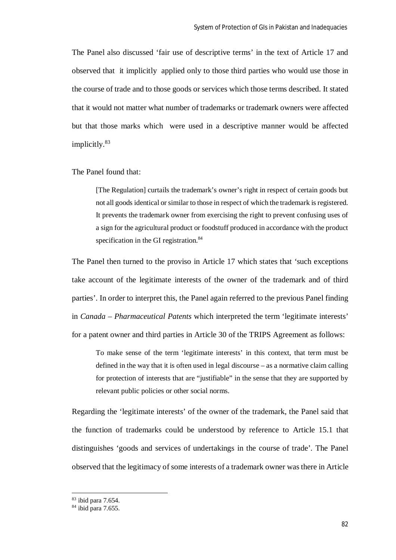The Panel also discussed 'fair use of descriptive terms' in the text of Article 17 and observed that it implicitly applied only to those third parties who would use those in the course of trade and to those goods or services which those terms described. It stated that it would not matter what number of trademarks or trademark owners were affected but that those marks which were used in a descriptive manner would be affected implicitly.<sup>83</sup>

#### The Panel found that:

[The Regulation] curtails the trademark's owner's right in respect of certain goods but not all goods identical or similar to those in respect of which the trademark is registered. It prevents the trademark owner from exercising the right to prevent confusing uses of a sign for the agricultural product or foodstuff produced in accordance with the product specification in the GI registration.<sup>84</sup>

The Panel then turned to the proviso in Article 17 which states that 'such exceptions take account of the legitimate interests of the owner of the trademark and of third parties'. In order to interpret this, the Panel again referred to the previous Panel finding in *Canada – Pharmaceutical Patents* which interpreted the term 'legitimate interests' for a patent owner and third parties in Article 30 of the TRIPS Agreement as follows:

To make sense of the term 'legitimate interests' in this context, that term must be defined in the way that it is often used in legal discourse – as a normative claim calling for protection of interests that are "justifiable" in the sense that they are supported by relevant public policies or other social norms.

Regarding the 'legitimate interests' of the owner of the trademark, the Panel said that the function of trademarks could be understood by reference to Article 15.1 that distinguishes 'goods and services of undertakings in the course of trade'. The Panel observed that the legitimacy of some interests of a trademark owner was there in Article

<sup>83</sup> ibid para 7.654.

 $84$  ibid para 7.655.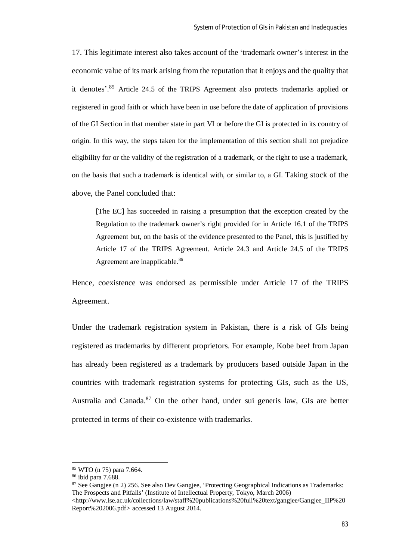17. This legitimate interest also takes account of the 'trademark owner's interest in the economic value of its mark arising from the reputation that it enjoys and the quality that it denotes'.<sup>85</sup> Article 24.5 of the TRIPS Agreement also protects trademarks applied or registered in good faith or which have been in use before the date of application of provisions of the GI Section in that member state in part VI or before the GI is protected in its country of origin. In this way, the steps taken for the implementation of this section shall not prejudice eligibility for or the validity of the registration of a trademark, or the right to use a trademark, on the basis that such a trademark is identical with, or similar to, a GI. Taking stock of the above, the Panel concluded that:

[The EC] has succeeded in raising a presumption that the exception created by the Regulation to the trademark owner's right provided for in Article 16.1 of the TRIPS Agreement but, on the basis of the evidence presented to the Panel, this is justified by Article 17 of the TRIPS Agreement. Article 24.3 and Article 24.5 of the TRIPS Agreement are inapplicable.<sup>86</sup>

Hence, coexistence was endorsed as permissible under Article 17 of the TRIPS Agreement.

Under the trademark registration system in Pakistan, there is a risk of GIs being registered as trademarks by different proprietors. For example, Kobe beef from Japan has already been registered as a trademark by producers based outside Japan in the countries with trademark registration systems for protecting GIs, such as the US, Australia and Canada. $87$  On the other hand, under sui generis law, GIs are better protected in terms of their co-existence with trademarks.

 $\overline{\phantom{a}}$ 

<sup>87</sup> See Gangjee (n 2) 256. See also Dev Gangjee, 'Protecting Geographical Indications as Trademarks: The Prospects and Pitfalls' (Institute of Intellectual Property, Tokyo, March 2006) <http://www.lse.ac.uk/collections/law/staff%20publications%20full%20text/gangjee/Gangjee\_IIP%20

<sup>85</sup> WTO (n 75) para 7.664.

<sup>86</sup> ibid para 7.688.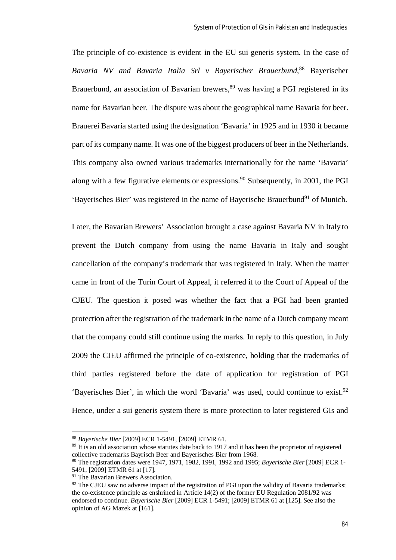The principle of co-existence is evident in the EU sui generis system. In the case of *Bavaria NV and Bavaria Italia Srl v Bayerischer Brauerbund*, <sup>88</sup> Bayerischer Brauerbund, an association of Bavarian brewers,<sup>89</sup> was having a PGI registered in its name for Bavarian beer. The dispute was about the geographical name Bavaria for beer. Brauerei Bavaria started using the designation 'Bavaria' in 1925 and in 1930 it became part of its company name. It was one of the biggest producers of beer in the Netherlands. This company also owned various trademarks internationally for the name 'Bavaria' along with a few figurative elements or expressions.<sup>90</sup> Subsequently, in 2001, the PGI 'Bayerisches Bier' was registered in the name of Baverische Brauerbund<sup>91</sup> of Munich.

Later, the Bavarian Brewers' Association brought a case against Bavaria NV in Italy to prevent the Dutch company from using the name Bavaria in Italy and sought cancellation of the company's trademark that was registered in Italy. When the matter came in front of the Turin Court of Appeal, it referred it to the Court of Appeal of the CJEU. The question it posed was whether the fact that a PGI had been granted protection after the registration of the trademark in the name of a Dutch company meant that the company could still continue using the marks. In reply to this question, in July 2009 the CJEU affirmed the principle of co-existence, holding that the trademarks of third parties registered before the date of application for registration of PGI 'Bayerisches Bier', in which the word 'Bavaria' was used, could continue to exist.<sup>92</sup> Hence, under a sui generis system there is more protection to later registered GIs and

<sup>88</sup> *Bayerische Bier* [2009] ECR 1-5491, [2009] ETMR 61.

<sup>&</sup>lt;sup>89</sup> It is an old association whose statutes date back to 1917 and it has been the proprietor of registered collective trademarks Bayrisch Beer and Bayerisches Bier from 1968.

<sup>90</sup> The registration dates were 1947, 1971, 1982, 1991, 1992 and 1995; *Bayerische Bier* [2009] ECR 1- 5491, [2009] ETMR 61 at [17].

<sup>&</sup>lt;sup>91</sup> The Bavarian Brewers Association.

 $92$  The CJEU saw no adverse impact of the registration of PGI upon the validity of Bavaria trademarks; the co-existence principle as enshrined in Article 14(2) of the former EU Regulation 2081/92 was endorsed to continue. *Bayerische Bier* [2009] ECR 1-5491; [2009] ETMR 61 at [125]. See also the opinion of AG Mazek at [161].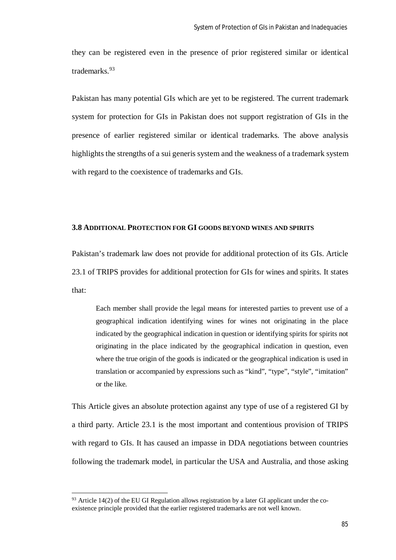they can be registered even in the presence of prior registered similar or identical trademarks.<sup>93</sup>

Pakistan has many potential GIs which are yet to be registered. The current trademark system for protection for GIs in Pakistan does not support registration of GIs in the presence of earlier registered similar or identical trademarks. The above analysis highlights the strengths of a sui generis system and the weakness of a trademark system with regard to the coexistence of trademarks and GIs.

## **3.8 ADDITIONAL PROTECTION FOR GI GOODS BEYOND WINES AND SPIRITS**

Pakistan's trademark law does not provide for additional protection of its GIs. Article 23.1 of TRIPS provides for additional protection for GIs for wines and spirits. It states that:

Each member shall provide the legal means for interested parties to prevent use of a geographical indication identifying wines for wines not originating in the place indicated by the geographical indication in question or identifying spirits for spirits not originating in the place indicated by the geographical indication in question, even where the true origin of the goods is indicated or the geographical indication is used in translation or accompanied by expressions such as "kind", "type", "style", "imitation" or the like.

This Article gives an absolute protection against any type of use of a registered GI by a third party. Article 23.1 is the most important and contentious provision of TRIPS with regard to GIs. It has caused an impasse in DDA negotiations between countries following the trademark model, in particular the USA and Australia, and those asking

 $93$  Article 14(2) of the EU GI Regulation allows registration by a later GI applicant under the coexistence principle provided that the earlier registered trademarks are not well known.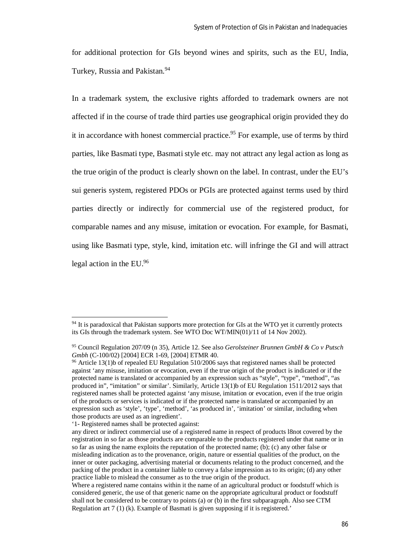for additional protection for GIs beyond wines and spirits, such as the EU, India, Turkey, Russia and Pakistan.<sup>94</sup>

In a trademark system, the exclusive rights afforded to trademark owners are not affected if in the course of trade third parties use geographical origin provided they do it in accordance with honest commercial practice.<sup>95</sup> For example, use of terms by third parties, like Basmati type, Basmati style etc. may not attract any legal action as long as the true origin of the product is clearly shown on the label. In contrast, under the EU's sui generis system, registered PDOs or PGIs are protected against terms used by third parties directly or indirectly for commercial use of the registered product, for comparable names and any misuse, imitation or evocation. For example, for Basmati, using like Basmati type, style, kind, imitation etc. will infringe the GI and will attract legal action in the EU.<sup>96</sup>

<sup>&</sup>lt;sup>94</sup> It is paradoxical that Pakistan supports more protection for GIs at the WTO yet it currently protects its GIs through the trademark system. See WTO Doc WT/MIN(01)/11 of 14 Nov 2002).

<sup>95</sup> Council Regulation 207/09 (n 35), Article 12. See also *Gerolsteiner Brunnen GmbH & Co v Putsch Gmbh* (C-100/02) [2004] ECR 1-69, [2004] ETMR 40.

<sup>&</sup>lt;sup>96</sup> Article 13(1)b of repealed EU Regulation 510/2006 says that registered names shall be protected against 'any misuse, imitation or evocation, even if the true origin of the product is indicated or if the protected name is translated or accompanied by an expression such as "style", "type", "method", "as produced in", "imitation" or similar'. Similarly, Article 13(1)b of EU Regulation 1511/2012 says that registered names shall be protected against 'any misuse, imitation or evocation, even if the true origin of the products or services is indicated or if the protected name is translated or accompanied by an expression such as 'style', 'type', 'method', 'as produced in', 'imitation' or similar, including when those products are used as an ingredient'.

<sup>&#</sup>x27;1- Registered names shall be protected against:

any direct or indirect commercial use of a registered name in respect of products l8not covered by the registration in so far as those products are comparable to the products registered under that name or in so far as using the name exploits the reputation of the protected name; (b); (c) any other false or misleading indication as to the provenance, origin, nature or essential qualities of the product, on the inner or outer packaging, advertising material or documents relating to the product concerned, and the packing of the product in a container liable to convey a false impression as to its origin; (d) any other practice liable to mislead the consumer as to the true origin of the product.

Where a registered name contains within it the name of an agricultural product or foodstuff which is considered generic, the use of that generic name on the appropriate agricultural product or foodstuff shall not be considered to be contrary to points (a) or (b) in the first subparagraph. Also see CTM Regulation art 7 (1) (k). Example of Basmati is given supposing if it is registered.'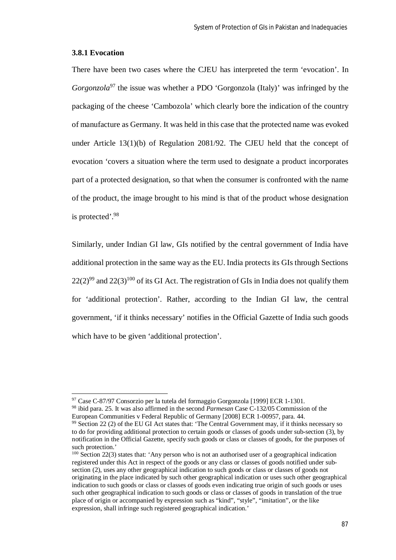#### **3.8.1 Evocation**

 $\overline{\phantom{a}}$ 

There have been two cases where the CJEU has interpreted the term 'evocation'. In *Gorgonzola*<sup>97</sup> the issue was whether a PDO 'Gorgonzola (Italy)' was infringed by the packaging of the cheese 'Cambozola' which clearly bore the indication of the country of manufacture as Germany. It was held in this case that the protected name was evoked under Article 13(1)(b) of Regulation 2081/92. The CJEU held that the concept of evocation 'covers a situation where the term used to designate a product incorporates part of a protected designation, so that when the consumer is confronted with the name of the product, the image brought to his mind is that of the product whose designation is protected'.<sup>98</sup>

Similarly, under Indian GI law, GIs notified by the central government of India have additional protection in the same way as the EU. India protects its GIs through Sections  $22(2)^{99}$  and  $22(3)^{100}$  of its GI Act. The registration of GIs in India does not qualify them for 'additional protection'. Rather, according to the Indian GI law, the central government, 'if it thinks necessary' notifies in the Official Gazette of India such goods which have to be given 'additional protection'.

<sup>97</sup> Case C-87/97 Consorzio per la tutela del formaggio Gorgonzola [1999] ECR 1-1301.

<sup>98</sup> ibid para. 25. It was also affirmed in the second *Parmesan* Case C-132/05 Commission of the European Communities v Federal Republic of Germany [2008] ECR 1-00957, para. 44.

<sup>99</sup> Section 22 (2) of the EU GI Act states that: 'The Central Government may, if it thinks necessary so to do for providing additional protection to certain goods or classes of goods under sub-section (3), by notification in the Official Gazette, specify such goods or class or classes of goods, for the purposes of such protection.'

<sup>&</sup>lt;sup>100</sup> Section 22(3) states that: 'Any person who is not an authorised user of a geographical indication registered under this Act in respect of the goods or any class or classes of goods notified under subsection (2), uses any other geographical indication to such goods or class or classes of goods not originating in the place indicated by such other geographical indication or uses such other geographical indication to such goods or class or classes of goods even indicating true origin of such goods or uses such other geographical indication to such goods or class or classes of goods in translation of the true place of origin or accompanied by expression such as "kind", "style", "imitation", or the like expression, shall infringe such registered geographical indication.'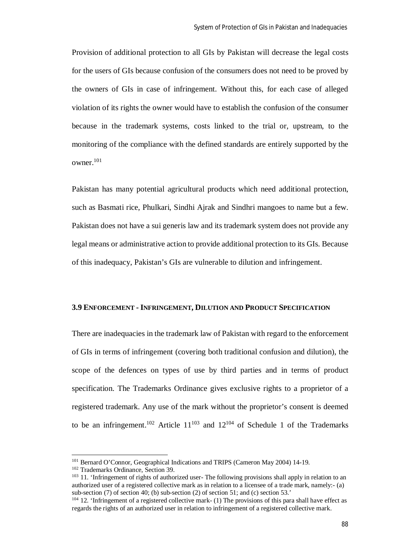Provision of additional protection to all GIs by Pakistan will decrease the legal costs for the users of GIs because confusion of the consumers does not need to be proved by the owners of GIs in case of infringement. Without this, for each case of alleged violation of its rights the owner would have to establish the confusion of the consumer because in the trademark systems, costs linked to the trial or, upstream, to the monitoring of the compliance with the defined standards are entirely supported by the owner.<sup>101</sup>

Pakistan has many potential agricultural products which need additional protection, such as Basmati rice, Phulkari, Sindhi Ajrak and Sindhri mangoes to name but a few. Pakistan does not have a sui generis law and its trademark system does not provide any legal means or administrative action to provide additional protection to its GIs. Because of this inadequacy, Pakistan's GIs are vulnerable to dilution and infringement.

#### **3.9 ENFORCEMENT - INFRINGEMENT, DILUTION AND PRODUCT SPECIFICATION**

There are inadequacies in the trademark law of Pakistan with regard to the enforcement of GIs in terms of infringement (covering both traditional confusion and dilution), the scope of the defences on types of use by third parties and in terms of product specification. The Trademarks Ordinance gives exclusive rights to a proprietor of a registered trademark. Any use of the mark without the proprietor's consent is deemed to be an infringement.<sup>102</sup> Article  $11^{103}$  and  $12^{104}$  of Schedule 1 of the Trademarks

<sup>101</sup> Bernard O'Connor, Geographical Indications and TRIPS (Cameron May 2004) 14-19.

<sup>102</sup> Trademarks Ordinance, Section 39.

<sup>&</sup>lt;sup>103</sup> 11. 'Infringement of rights of authorized user- The following provisions shall apply in relation to an authorized user of a registered collective mark as in relation to a licensee of a trade mark, namely:- (a) sub-section (7) of section 40; (b) sub-section (2) of section 51; and (c) section 53.'

 $104$  12. 'Infringement of a registered collective mark- (1) The provisions of this para shall have effect as regards the rights of an authorized user in relation to infringement of a registered collective mark.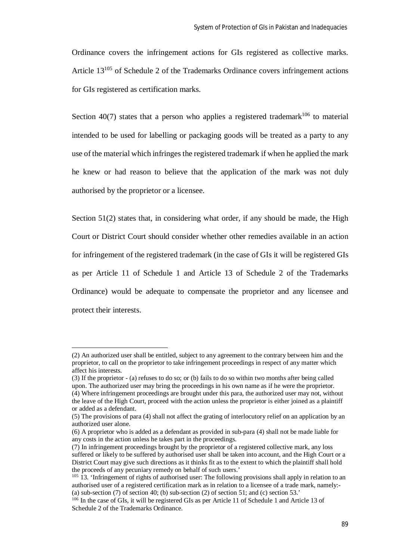Ordinance covers the infringement actions for GIs registered as collective marks. Article 13<sup>105</sup> of Schedule 2 of the Trademarks Ordinance covers infringement actions for GIs registered as certification marks.

Section 40(7) states that a person who applies a registered trademark<sup>106</sup> to material intended to be used for labelling or packaging goods will be treated as a party to any use of the material which infringes the registered trademark if when he applied the mark he knew or had reason to believe that the application of the mark was not duly authorised by the proprietor or a licensee.

Section  $51(2)$  states that, in considering what order, if any should be made, the High Court or District Court should consider whether other remedies available in an action for infringement of the registered trademark (in the case of GIs it will be registered GIs as per Article 11 of Schedule 1 and Article 13 of Schedule 2 of the Trademarks Ordinance) would be adequate to compensate the proprietor and any licensee and protect their interests.

<sup>(2)</sup> An authorized user shall be entitled, subject to any agreement to the contrary between him and the proprietor, to call on the proprietor to take infringement proceedings in respect of any matter which affect his interests.

<sup>(3)</sup> If the proprietor - (a) refuses to do so; or (b) fails to do so within two months after being called upon. The authorized user may bring the proceedings in his own name as if he were the proprietor. (4) Where infringement proceedings are brought under this para, the authorized user may not, without the leave of the High Court, proceed with the action unless the proprietor is either joined as a plaintiff or added as a defendant.

<sup>(5)</sup> The provisions of para (4) shall not affect the grating of interlocutory relief on an application by an authorized user alone.

<sup>(6)</sup> A proprietor who is added as a defendant as provided in sub-para (4) shall not be made liable for any costs in the action unless he takes part in the proceedings.

<sup>(7)</sup> In infringement proceedings brought by the proprietor of a registered collective mark, any loss suffered or likely to be suffered by authorised user shall be taken into account, and the High Court or a District Court may give such directions as it thinks fit as to the extent to which the plaintiff shall hold the proceeds of any pecuniary remedy on behalf of such users.'

 $105$  13. 'Infringement of rights of authorised user: The following provisions shall apply in relation to an authorised user of a registered certification mark as in relation to a licensee of a trade mark, namely:- (a) sub-section  $(7)$  of section  $40$ ; (b) sub-section  $(2)$  of section  $51$ ; and (c) section  $53$ .

<sup>&</sup>lt;sup>106</sup> In the case of GIs, it will be registered GIs as per Article 11 of Schedule 1 and Article 13 of Schedule 2 of the Trademarks Ordinance.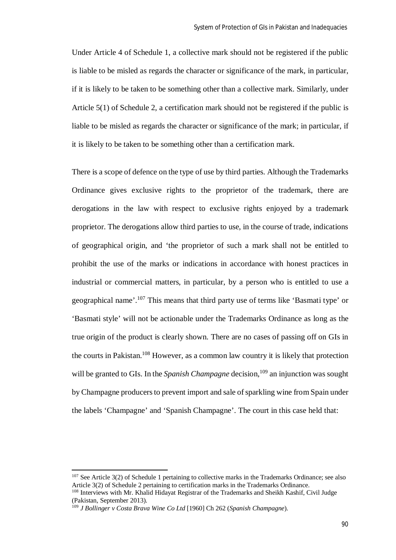Under Article 4 of Schedule 1, a collective mark should not be registered if the public is liable to be misled as regards the character or significance of the mark, in particular, if it is likely to be taken to be something other than a collective mark. Similarly, under Article 5(1) of Schedule 2, a certification mark should not be registered if the public is liable to be misled as regards the character or significance of the mark; in particular, if it is likely to be taken to be something other than a certification mark.

There is a scope of defence on the type of use by third parties. Although the Trademarks Ordinance gives exclusive rights to the proprietor of the trademark, there are derogations in the law with respect to exclusive rights enjoyed by a trademark proprietor. The derogations allow third parties to use, in the course of trade, indications of geographical origin, and 'the proprietor of such a mark shall not be entitled to prohibit the use of the marks or indications in accordance with honest practices in industrial or commercial matters, in particular, by a person who is entitled to use a geographical name'.<sup>107</sup> This means that third party use of terms like 'Basmati type' or 'Basmati style' will not be actionable under the Trademarks Ordinance as long as the true origin of the product is clearly shown. There are no cases of passing off on GIs in the courts in Pakistan.<sup>108</sup> However, as a common law country it is likely that protection will be granted to GIs. In the *Spanish Champagne* decision,<sup>109</sup> an injunction was sought by Champagne producers to prevent import and sale of sparkling wine from Spain under the labels 'Champagne' and 'Spanish Champagne'. The court in this case held that:

 $107$  See Article 3(2) of Schedule 1 pertaining to collective marks in the Trademarks Ordinance; see also Article 3(2) of Schedule 2 pertaining to certification marks in the Trademarks Ordinance.

<sup>&</sup>lt;sup>108</sup> Interviews with Mr. Khalid Hidayat Registrar of the Trademarks and Sheikh Kashif, Civil Judge (Pakistan, September 2013).

<sup>109</sup> *J Bollinger v Costa Brava Wine Co Ltd* [1960] Ch 262 (*Spanish Champagne*).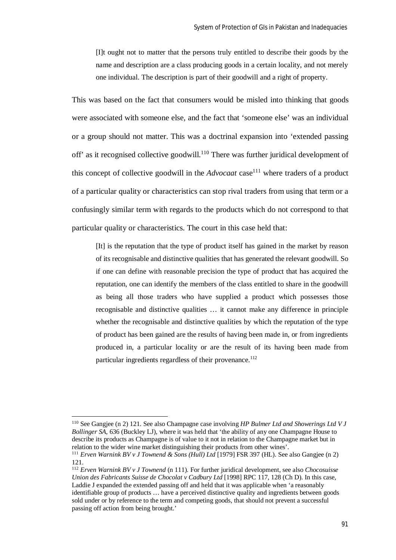[I]t ought not to matter that the persons truly entitled to describe their goods by the name and description are a class producing goods in a certain locality, and not merely one individual. The description is part of their goodwill and a right of property.

This was based on the fact that consumers would be misled into thinking that goods were associated with someone else, and the fact that 'someone else' was an individual or a group should not matter. This was a doctrinal expansion into 'extended passing off' as it recognised collective goodwill.<sup>110</sup> There was further juridical development of this concept of collective goodwill in the  $Advocaat$  case<sup>111</sup> where traders of a product of a particular quality or characteristics can stop rival traders from using that term or a confusingly similar term with regards to the products which do not correspond to that particular quality or characteristics. The court in this case held that:

[It] is the reputation that the type of product itself has gained in the market by reason of its recognisable and distinctive qualities that has generated the relevant goodwill. So if one can define with reasonable precision the type of product that has acquired the reputation, one can identify the members of the class entitled to share in the goodwill as being all those traders who have supplied a product which possesses those recognisable and distinctive qualities … it cannot make any difference in principle whether the recognisable and distinctive qualities by which the reputation of the type of product has been gained are the results of having been made in, or from ingredients produced in, a particular locality or are the result of its having been made from particular ingredients regardless of their provenance.<sup>112</sup>

<sup>110</sup> See Gangjee (n 2) 121. See also Champagne case involving *HP Bulmer Ltd and Showerings Ltd V J Bollinger SA*, 636 (Buckley LJ), where it was held that 'the ability of any one Champagne House to describe its products as Champagne is of value to it not in relation to the Champagne market but in relation to the wider wine market distinguishing their products from other wines'.

<sup>111</sup> *Erven Warnink BV v J Townend & Sons (Hull) Ltd* [1979] FSR 397 (HL). See also Gangjee (n 2) 121.

<sup>112</sup> *Erven Warnink BV v J Townend* (n 111). For further juridical development, see also *Chocosuisse Union des Fabricants Suisse de Chocolat v Cadbury Ltd* [1998] RPC 117, 128 (Ch D). In this case, Laddie J expanded the extended passing off and held that it was applicable when 'a reasonably identifiable group of products … have a perceived distinctive quality and ingredients between goods sold under or by reference to the term and competing goods, that should not prevent a successful passing off action from being brought.'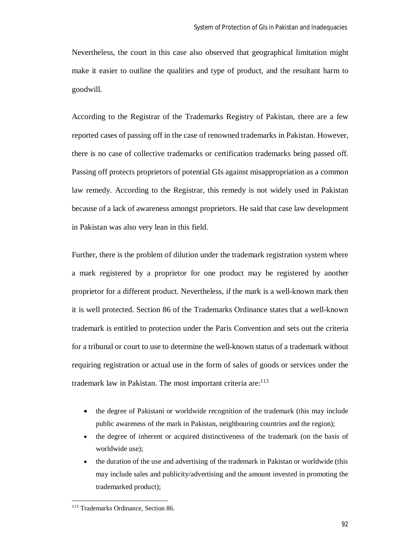Nevertheless, the court in this case also observed that geographical limitation might make it easier to outline the qualities and type of product, and the resultant harm to goodwill.

According to the Registrar of the Trademarks Registry of Pakistan, there are a few reported cases of passing off in the case of renowned trademarks in Pakistan. However, there is no case of collective trademarks or certification trademarks being passed off. Passing off protects proprietors of potential GIs against misappropriation as a common law remedy. According to the Registrar, this remedy is not widely used in Pakistan because of a lack of awareness amongst proprietors. He said that case law development in Pakistan was also very lean in this field.

Further, there is the problem of dilution under the trademark registration system where a mark registered by a proprietor for one product may be registered by another proprietor for a different product. Nevertheless, if the mark is a well-known mark then it is well protected. Section 86 of the Trademarks Ordinance states that a well-known trademark is entitled to protection under the Paris Convention and sets out the criteria for a tribunal or court to use to determine the well-known status of a trademark without requiring registration or actual use in the form of sales of goods or services under the trademark law in Pakistan. The most important criteria are: $113$ 

- the degree of Pakistani or worldwide recognition of the trademark (this may include public awareness of the mark in Pakistan, neighbouring countries and the region);
- the degree of inherent or acquired distinctiveness of the trademark (on the basis of worldwide use);
- the duration of the use and advertising of the trademark in Pakistan or worldwide (this may include sales and publicity/advertising and the amount invested in promoting the trademarked product);

<sup>113</sup> Trademarks Ordinance, Section 86.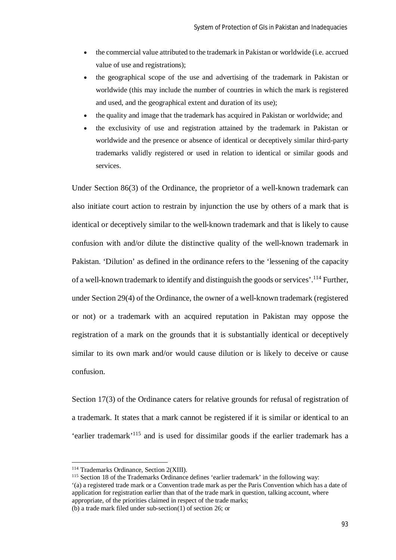- the commercial value attributed to the trademark in Pakistan or worldwide (i.e. accrued value of use and registrations);
- the geographical scope of the use and advertising of the trademark in Pakistan or worldwide (this may include the number of countries in which the mark is registered and used, and the geographical extent and duration of its use);
- the quality and image that the trademark has acquired in Pakistan or worldwide; and
- the exclusivity of use and registration attained by the trademark in Pakistan or worldwide and the presence or absence of identical or deceptively similar third-party trademarks validly registered or used in relation to identical or similar goods and services.

Under Section 86(3) of the Ordinance, the proprietor of a well-known trademark can also initiate court action to restrain by injunction the use by others of a mark that is identical or deceptively similar to the well-known trademark and that is likely to cause confusion with and/or dilute the distinctive quality of the well-known trademark in Pakistan. 'Dilution' as defined in the ordinance refers to the 'lessening of the capacity of a well-known trademark to identify and distinguish the goods or services'.<sup>114</sup> Further, under Section 29(4) of the Ordinance, the owner of a well-known trademark (registered or not) or a trademark with an acquired reputation in Pakistan may oppose the registration of a mark on the grounds that it is substantially identical or deceptively similar to its own mark and/or would cause dilution or is likely to deceive or cause confusion.

Section 17(3) of the Ordinance caters for relative grounds for refusal of registration of a trademark. It states that a mark cannot be registered if it is similar or identical to an 'earlier trademark'<sup>115</sup> and is used for dissimilar goods if the earlier trademark has a

<sup>114</sup> Trademarks Ordinance, Section 2(XIII).

<sup>115</sup> Section 18 of the Trademarks Ordinance defines 'earlier trademark' in the following way:

<sup>&#</sup>x27;(a) a registered trade mark or a Convention trade mark as per the Paris Convention which has a date of application for registration earlier than that of the trade mark in question, talking account, where appropriate, of the priorities claimed in respect of the trade marks;

<sup>(</sup>b) a trade mark filed under sub-section(1) of section 26; or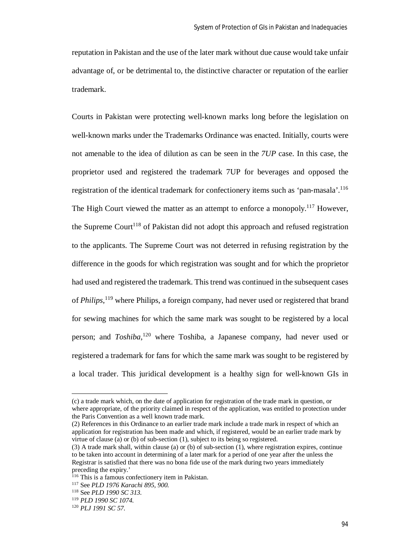reputation in Pakistan and the use of the later mark without due cause would take unfair advantage of, or be detrimental to, the distinctive character or reputation of the earlier trademark.

Courts in Pakistan were protecting well-known marks long before the legislation on well-known marks under the Trademarks Ordinance was enacted. Initially, courts were not amenable to the idea of dilution as can be seen in the *7UP* case. In this case, the proprietor used and registered the trademark 7UP for beverages and opposed the registration of the identical trademark for confectionery items such as 'pan-masala'.<sup>116</sup> The High Court viewed the matter as an attempt to enforce a monopoly.<sup>117</sup> However, the Supreme Court<sup>118</sup> of Pakistan did not adopt this approach and refused registration to the applicants. The Supreme Court was not deterred in refusing registration by the difference in the goods for which registration was sought and for which the proprietor had used and registered the trademark. This trend was continued in the subsequent cases of *Philips*, <sup>119</sup> where Philips, a foreign company, had never used or registered that brand for sewing machines for which the same mark was sought to be registered by a local person; and *Toshiba*, <sup>120</sup> where Toshiba, a Japanese company, had never used or registered a trademark for fans for which the same mark was sought to be registered by a local trader. This juridical development is a healthy sign for well-known GIs in

<sup>(</sup>c) a trade mark which, on the date of application for registration of the trade mark in question, or where appropriate, of the priority claimed in respect of the application, was entitled to protection under the Paris Convention as a well known trade mark.

<sup>(2)</sup> References in this Ordinance to an earlier trade mark include a trade mark in respect of which an application for registration has been made and which, if registered, would be an earlier trade mark by virtue of clause (a) or (b) of sub-section (1), subject to its being so registered.

<sup>(3)</sup> A trade mark shall, within clause (a) or (b) of sub-section (1), where registration expires, continue to be taken into account in determining of a later mark for a period of one year after the unless the Registrar is satisfied that there was no bona fide use of the mark during two years immediately preceding the expiry.'

<sup>&</sup>lt;sup>116</sup> This is a famous confectionery item in Pakistan.

<sup>117</sup> See *PLD 1976 Karachi 895, 900.*

<sup>118</sup> See *PLD 1990 SC 313.*

<sup>119</sup> *PLD 1990 SC 1074.*

<sup>120</sup> *PLJ 1991 SC 57.*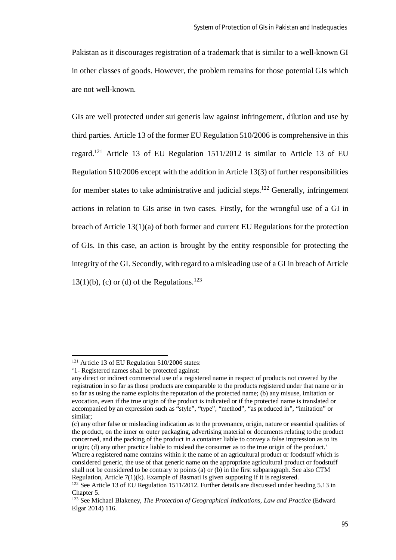Pakistan as it discourages registration of a trademark that is similar to a well-known GI in other classes of goods. However, the problem remains for those potential GIs which are not well-known.

GIs are well protected under sui generis law against infringement, dilution and use by third parties. Article 13 of the former EU Regulation 510/2006 is comprehensive in this regard.<sup>121</sup> Article 13 of EU Regulation 1511/2012 is similar to Article 13 of EU Regulation 510/2006 except with the addition in Article 13(3) of further responsibilities for member states to take administrative and judicial steps.<sup>122</sup> Generally, infringement actions in relation to GIs arise in two cases. Firstly, for the wrongful use of a GI in breach of Article 13(1)(a) of both former and current EU Regulations for the protection of GIs. In this case, an action is brought by the entity responsible for protecting the integrity of the GI. Secondly, with regard to a misleading use of a GI in breach of Article  $13(1)(b)$ , (c) or (d) of the Regulations.<sup>123</sup>

 $121$  Article 13 of EU Regulation 510/2006 states:

<sup>&#</sup>x27;1- Registered names shall be protected against:

any direct or indirect commercial use of a registered name in respect of products not covered by the registration in so far as those products are comparable to the products registered under that name or in so far as using the name exploits the reputation of the protected name; (b) any misuse, imitation or evocation, even if the true origin of the product is indicated or if the protected name is translated or accompanied by an expression such as "style", "type", "method", "as produced in", "imitation" or similar;

<sup>(</sup>c) any other false or misleading indication as to the provenance, origin, nature or essential qualities of the product, on the inner or outer packaging, advertising material or documents relating to the product concerned, and the packing of the product in a container liable to convey a false impression as to its origin; (d) any other practice liable to mislead the consumer as to the true origin of the product.' Where a registered name contains within it the name of an agricultural product or foodstuff which is considered generic, the use of that generic name on the appropriate agricultural product or foodstuff shall not be considered to be contrary to points (a) or (b) in the first subparagraph. See also CTM Regulation, Article 7(1)(k). Example of Basmati is given supposing if it is registered.

 $122$  See Article 13 of EU Regulation 1511/2012. Further details are discussed under heading 5.13 in Chapter 5.

<sup>123</sup> See Michael Blakeney, *The Protection of Geographical Indications, Law and Practice* (Edward Elgar 2014) 116.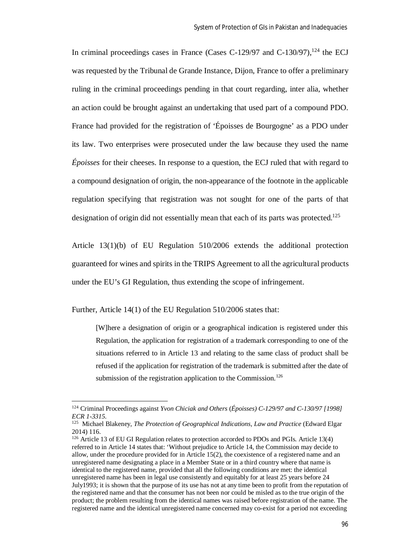In criminal proceedings cases in France (Cases C-129/97 and C-130/97), $^{124}$  the ECJ was requested by the Tribunal de Grande Instance, Dijon, France to offer a preliminary ruling in the criminal proceedings pending in that court regarding, inter alia, whether an action could be brought against an undertaking that used part of a compound PDO. France had provided for the registration of 'Époisses de Bourgogne' as a PDO under its law. Two enterprises were prosecuted under the law because they used the name *Époisses* for their cheeses. In response to a question, the ECJ ruled that with regard to a compound designation of origin, the non-appearance of the footnote in the applicable regulation specifying that registration was not sought for one of the parts of that designation of origin did not essentially mean that each of its parts was protected.<sup>125</sup>

Article 13(1)(b) of EU Regulation 510/2006 extends the additional protection guaranteed for wines and spirits in the TRIPS Agreement to all the agricultural products under the EU's GI Regulation, thus extending the scope of infringement.

Further, Article 14(1) of the EU Regulation 510/2006 states that:

 $\overline{a}$ 

[W]here a designation of origin or a geographical indication is registered under this Regulation, the application for registration of a trademark corresponding to one of the situations referred to in Article 13 and relating to the same class of product shall be refused if the application for registration of the trademark is submitted after the date of submission of the registration application to the Commission.<sup>126</sup>

<sup>124</sup> Criminal Proceedings against *Yvon Chiciak and Others* (*Époisses) C-129/97 and C-130/97 [1998] ECR 1-3315.*

<sup>&</sup>lt;sup>125</sup> Michael Blakeney, *The Protection of Geographical Indications, Law and Practice* (Edward Elgar 2014) 116.

<sup>126</sup> Article 13 of EU GI Regulation relates to protection accorded to PDOs and PGIs. Article 13(4) referred to in Article 14 states that: 'Without prejudice to Article 14, the Commission may decide to allow, under the procedure provided for in Article 15(2), the coexistence of a registered name and an unregistered name designating a place in a Member State or in a third country where that name is identical to the registered name, provided that all the following conditions are met: the identical unregistered name has been in legal use consistently and equitably for at least 25 years before 24 July1993; it is shown that the purpose of its use has not at any time been to profit from the reputation of the registered name and that the consumer has not been nor could be misled as to the true origin of the product; the problem resulting from the identical names was raised before registration of the name. The registered name and the identical unregistered name concerned may co-exist for a period not exceeding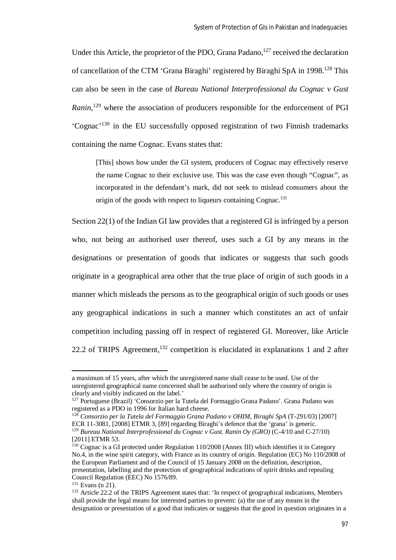Under this Article, the proprietor of the PDO, Grana Padano, $127$  received the declaration of cancellation of the CTM 'Grana Biraghi' registered by Biraghi SpA in 1998.<sup>128</sup> This can also be seen in the case of *Bureau National Interprofessional du Cognac v Gust*  Ranin,<sup>129</sup> where the association of producers responsible for the enforcement of PGI 'Cognac'<sup>130</sup> in the EU successfully opposed registration of two Finnish trademarks containing the name Cognac. Evans states that:

[This] shows how under the GI system, producers of Cognac may effectively reserve the name Cognac to their exclusive use. This was the case even though "Cognac", as incorporated in the defendant's mark, did not seek to mislead consumers about the origin of the goods with respect to liqueurs containing Cognac.<sup>131</sup>

Section 22(1) of the Indian GI law provides that a registered GI is infringed by a person who, not being an authorised user thereof, uses such a GI by any means in the designations or presentation of goods that indicates or suggests that such goods originate in a geographical area other that the true place of origin of such goods in a manner which misleads the persons as to the geographical origin of such goods or uses any geographical indications in such a manner which constitutes an act of unfair competition including passing off in respect of registered GI. Moreover, like Article 22.2 of TRIPS Agreement,  $132$  competition is elucidated in explanations 1 and 2 after

a maximum of 15 years, after which the unregistered name shall cease to be used. Use of the unregistered geographical name concerned shall be authorised only where the country of origin is clearly and visibly indicated on the label.'

<sup>127</sup> Portuguese (Brazil) 'Consorzio per la Tutela del Formaggio Grana Padano'. Grana Padano was registered as a PDO in 1996 for Italian hard cheese.

<sup>128</sup> *Consorzio per la Tutela del Formaggio Grana Padano v OHIM, Biraghi SpA* (T-291/03) [2007] ECR 11-3081, [2008] ETMR 3, [89] regarding Biraghi's defence that the 'grana' is generic. <sup>129</sup> *Bureau National Interprofessional du Cognac v Gust. Ranin Oy (GRO)* (C-4/10 and C-27/10)

<sup>[2011]</sup> ETMR 53.

<sup>&</sup>lt;sup>130</sup> Cognac is a GI protected under Regulation 110/2008 (Annex III) which identifies it in Category No.4, in the wine spirit category, with France as its country of origin. Regulation (EC) No 110/2008 of the European Parliament and of the Council of 15 January 2008 on the definition, description, presentation, labelling and the protection of geographical indications of spirit drinks and repealing Council Regulation (EEC) No 1576/89.

<sup>131</sup> Evans (n 21).

<sup>&</sup>lt;sup>132</sup> Article 22.2 of the TRIPS Agreement states that: 'In respect of geographical indications, Members shall provide the legal means for interested parties to prevent: (a) the use of any means in the designation or presentation of a good that indicates or suggests that the good in question originates in a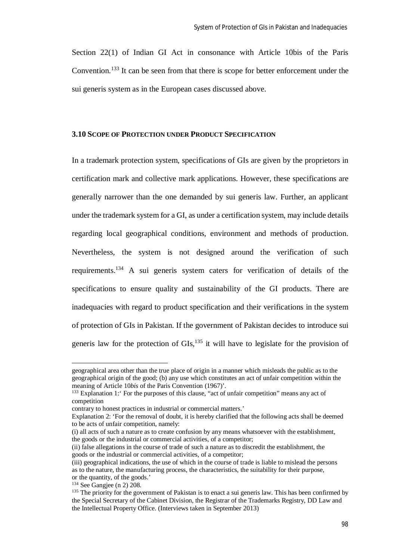Section 22(1) of Indian GI Act in consonance with Article 10bis of the Paris Convention.<sup>133</sup> It can be seen from that there is scope for better enforcement under the sui generis system as in the European cases discussed above.

#### **3.10 SCOPE OF PROTECTION UNDER PRODUCT SPECIFICATION**

In a trademark protection system, specifications of GIs are given by the proprietors in certification mark and collective mark applications. However, these specifications are generally narrower than the one demanded by sui generis law. Further, an applicant under the trademark system for a GI, as under a certification system, may include details regarding local geographical conditions, environment and methods of production. Nevertheless, the system is not designed around the verification of such requirements.<sup>134</sup> A sui generis system caters for verification of details of the specifications to ensure quality and sustainability of the GI products. There are inadequacies with regard to product specification and their verifications in the system of protection of GIs in Pakistan. If the government of Pakistan decides to introduce sui generis law for the protection of  $\text{GIs},^{135}$  it will have to legislate for the provision of

geographical area other than the true place of origin in a manner which misleads the public as to the geographical origin of the good; (b) any use which constitutes an act of unfair competition within the meaning of Article 10*bis* of the Paris Convention (1967)'.

<sup>&</sup>lt;sup>133</sup> Explanation 1: For the purposes of this clause, "act of unfair competition" means any act of competition

contrary to honest practices in industrial or commercial matters.'

Explanation 2: 'For the removal of doubt, it is hereby clarified that the following acts shall be deemed to be acts of unfair competition, namely:

<sup>(</sup>i) all acts of such a nature as to create confusion by any means whatsoever with the establishment, the goods or the industrial or commercial activities, of a competitor;

<sup>(</sup>ii) false allegations in the course of trade of such a nature as to discredit the establishment, the goods or the industrial or commercial activities, of a competitor;

<sup>(</sup>iii) geographical indications, the use of which in the course of trade is liable to mislead the persons as to the nature, the manufacturing process, the characteristics, the suitability for their purpose, or the quantity, of the goods.'

 $134$  See Gangjee (n 2) 208.

 $135$  The priority for the government of Pakistan is to enact a sui generis law. This has been confirmed by the Special Secretary of the Cabinet Division, the Registrar of the Trademarks Registry, DD Law and the Intellectual Property Office. (Interviews taken in September 2013)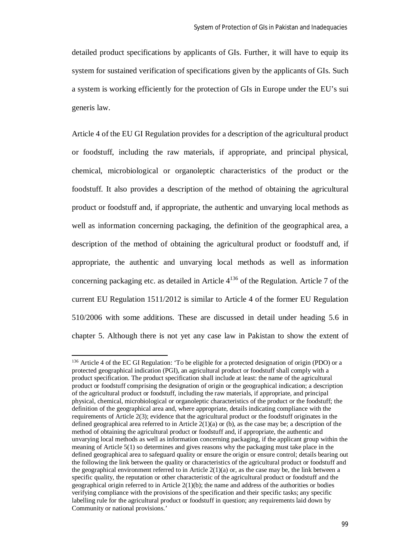detailed product specifications by applicants of GIs. Further, it will have to equip its system for sustained verification of specifications given by the applicants of GIs. Such a system is working efficiently for the protection of GIs in Europe under the EU's sui generis law.

Article 4 of the EU GI Regulation provides for a description of the agricultural product or foodstuff, including the raw materials, if appropriate, and principal physical, chemical, microbiological or organoleptic characteristics of the product or the foodstuff. It also provides a description of the method of obtaining the agricultural product or foodstuff and, if appropriate, the authentic and unvarying local methods as well as information concerning packaging, the definition of the geographical area, a description of the method of obtaining the agricultural product or foodstuff and, if appropriate, the authentic and unvarying local methods as well as information concerning packaging etc. as detailed in Article  $4^{136}$  of the Regulation. Article 7 of the current EU Regulation 1511/2012 is similar to Article 4 of the former EU Regulation 510/2006 with some additions. These are discussed in detail under heading 5.6 in chapter 5. Although there is not yet any case law in Pakistan to show the extent of

<sup>&</sup>lt;sup>136</sup> Article 4 of the EC GI Regulation: 'To be eligible for a protected designation of origin (PDO) or a protected geographical indication (PGI), an agricultural product or foodstuff shall comply with a product specification. The product specification shall include at least: the name of the agricultural product or foodstuff comprising the designation of origin or the geographical indication; a description of the agricultural product or foodstuff, including the raw materials, if appropriate, and principal physical, chemical, microbiological or organoleptic characteristics of the product or the foodstuff; the definition of the geographical area and, where appropriate, details indicating compliance with the requirements of Article 2(3); evidence that the agricultural product or the foodstuff originates in the defined geographical area referred to in Article  $2(1)(a)$  or (b), as the case may be; a description of the method of obtaining the agricultural product or foodstuff and, if appropriate, the authentic and unvarying local methods as well as information concerning packaging, if the applicant group within the meaning of Article 5(1) so determines and gives reasons why the packaging must take place in the defined geographical area to safeguard quality or ensure the origin or ensure control; details bearing out the following the link between the quality or characteristics of the agricultural product or foodstuff and the geographical environment referred to in Article  $2(1)(a)$  or, as the case may be, the link between a specific quality, the reputation or other characteristic of the agricultural product or foodstuff and the geographical origin referred to in Article 2(1)(b); the name and address of the authorities or bodies verifying compliance with the provisions of the specification and their specific tasks; any specific labelling rule for the agricultural product or foodstuff in question; any requirements laid down by Community or national provisions.'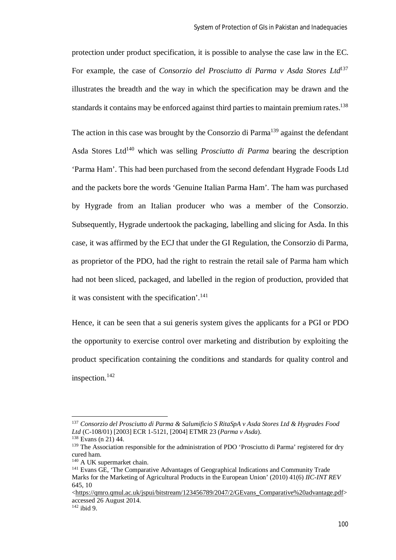protection under product specification, it is possible to analyse the case law in the EC. For example, the case of *Consorzio del Prosciutto di Parma v Asda Stores Ltd*<sup>137</sup> illustrates the breadth and the way in which the specification may be drawn and the standards it contains may be enforced against third parties to maintain premium rates.<sup>138</sup>

The action in this case was brought by the Consorzio di Parma<sup>139</sup> against the defendant Asda Stores Ltd<sup>140</sup> which was selling *Prosciutto di Parma* bearing the description 'Parma Ham'. This had been purchased from the second defendant Hygrade Foods Ltd and the packets bore the words 'Genuine Italian Parma Ham'. The ham was purchased by Hygrade from an Italian producer who was a member of the Consorzio. Subsequently, Hygrade undertook the packaging, labelling and slicing for Asda. In this case, it was affirmed by the ECJ that under the GI Regulation, the Consorzio di Parma, as proprietor of the PDO, had the right to restrain the retail sale of Parma ham which had not been sliced, packaged, and labelled in the region of production, provided that it was consistent with the specification'.<sup>141</sup>

Hence, it can be seen that a sui generis system gives the applicants for a PGI or PDO the opportunity to exercise control over marketing and distribution by exploiting the product specification containing the conditions and standards for quality control and inspection.<sup>142</sup>

 $\overline{\phantom{a}}$ 

 $142$  ibid 9.

<sup>137</sup> *Consorzio del Prosciutto di Parma & Salumificio S RitaSpA v Asda Stores Ltd & Hygrades Food Ltd* (C-108/01) [2003] ECR 1-5121, [2004] ETMR 23 (*Parma v Asda*).

<sup>138</sup> Evans (n 21) 44.

<sup>&</sup>lt;sup>139</sup> The Association responsible for the administration of PDO 'Prosciutto di Parma' registered for dry cured ham.

<sup>140</sup> A UK supermarket chain.

<sup>141</sup> Evans GE, 'The Comparative Advantages of Geographical Indications and Community Trade Marks for the Marketing of Agricultural Products in the European Union' (2010) 41(6) *IIC-INT REV*  645, 10

<sup>&</sup>lt;https://qmro.qmul.ac.uk/jspui/bitstream/123456789/2047/2/GEvans\_Comparative%20advantage.pdf> accessed 26 August 2014.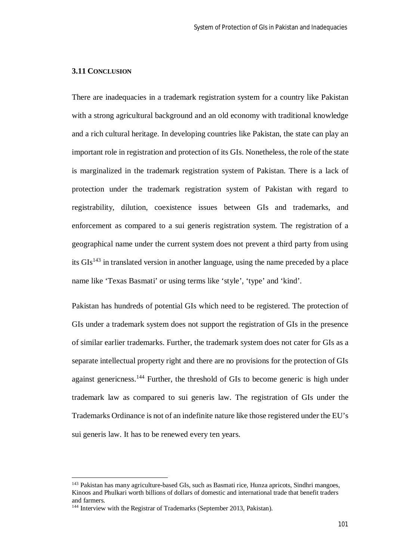## **3.11 CONCLUSION**

There are inadequacies in a trademark registration system for a country like Pakistan with a strong agricultural background and an old economy with traditional knowledge and a rich cultural heritage. In developing countries like Pakistan, the state can play an important role in registration and protection of its GIs. Nonetheless, the role of the state is marginalized in the trademark registration system of Pakistan. There is a lack of protection under the trademark registration system of Pakistan with regard to registrability, dilution, coexistence issues between GIs and trademarks, and enforcement as compared to a sui generis registration system. The registration of a geographical name under the current system does not prevent a third party from using its  $GIs<sup>143</sup>$  in translated version in another language, using the name preceded by a place name like 'Texas Basmati' or using terms like 'style', 'type' and 'kind'.

Pakistan has hundreds of potential GIs which need to be registered. The protection of GIs under a trademark system does not support the registration of GIs in the presence of similar earlier trademarks. Further, the trademark system does not cater for GIs as a separate intellectual property right and there are no provisions for the protection of GIs against genericness.<sup>144</sup> Further, the threshold of GIs to become generic is high under trademark law as compared to sui generis law. The registration of GIs under the Trademarks Ordinance is not of an indefinite nature like those registered under the EU's sui generis law. It has to be renewed every ten years.

<sup>143</sup> Pakistan has many agriculture-based GIs, such as Basmati rice, Hunza apricots, Sindhri mangoes, Kinoos and Phulkari worth billions of dollars of domestic and international trade that benefit traders and farmers.

<sup>&</sup>lt;sup>144</sup> Interview with the Registrar of Trademarks (September 2013, Pakistan).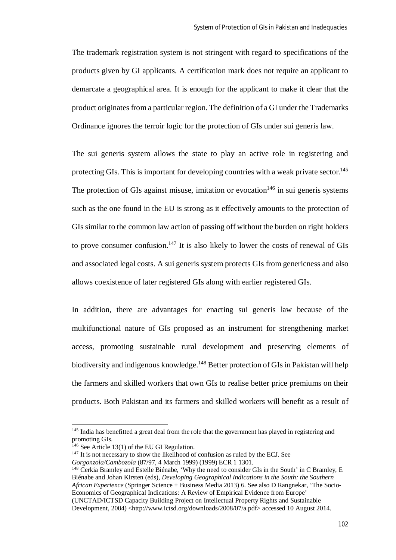The trademark registration system is not stringent with regard to specifications of the products given by GI applicants. A certification mark does not require an applicant to demarcate a geographical area. It is enough for the applicant to make it clear that the product originates from a particular region. The definition of a GI under the Trademarks Ordinance ignores the terroir logic for the protection of GIs under sui generis law.

The sui generis system allows the state to play an active role in registering and protecting GIs. This is important for developing countries with a weak private sector.<sup>145</sup> The protection of GIs against misuse, imitation or evocation<sup>146</sup> in sui generis systems such as the one found in the EU is strong as it effectively amounts to the protection of GIs similar to the common law action of passing off without the burden on right holders to prove consumer confusion.<sup>147</sup> It is also likely to lower the costs of renewal of GIs and associated legal costs. A sui generis system protects GIs from genericness and also allows coexistence of later registered GIs along with earlier registered GIs.

In addition, there are advantages for enacting sui generis law because of the multifunctional nature of GIs proposed as an instrument for strengthening market access, promoting sustainable rural development and preserving elements of biodiversity and indigenous knowledge.<sup>148</sup> Better protection of GIs in Pakistan will help the farmers and skilled workers that own GIs to realise better price premiums on their products. Both Pakistan and its farmers and skilled workers will benefit as a result of

<sup>&</sup>lt;sup>145</sup> India has benefitted a great deal from the role that the government has played in registering and promoting GIs.

<sup>&</sup>lt;sup>146</sup> See Article 13(1) of the EU GI Regulation.

<sup>&</sup>lt;sup>147</sup> It is not necessary to show the likelihood of confusion as ruled by the ECJ. See

*Gorgonzola/Cambozola* (87/97, 4 March 1999) (1999) ECR 1 1301.

<sup>&</sup>lt;sup>148</sup> Cerkia Bramley and Estelle Biénabe, 'Why the need to consider GIs in the South' in C Bramley, E Biénabe and Johan Kirsten (eds), *Developing Geographical Indications in the South: the Southern African Experience* (Springer Science + Business Media 2013) 6. See also D Rangnekar, 'The Socio-Economics of Geographical Indications: A Review of Empirical Evidence from Europe' (UNCTAD/ICTSD Capacity Building Project on Intellectual Property Rights and Sustainable

Development, 2004) <http://www.ictsd.org/downloads/2008/07/a.pdf> accessed 10 August 2014.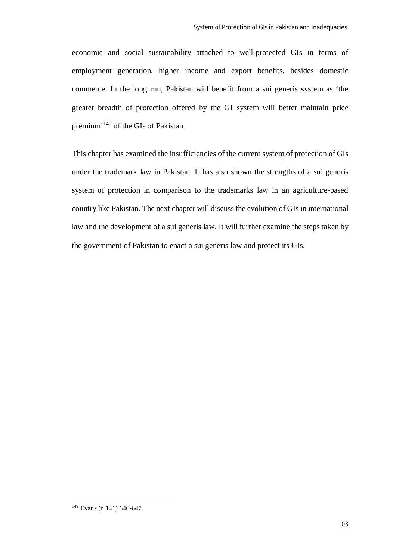economic and social sustainability attached to well-protected GIs in terms of employment generation, higher income and export benefits, besides domestic commerce. In the long run, Pakistan will benefit from a sui generis system as 'the greater breadth of protection offered by the GI system will better maintain price premium'<sup>149</sup> of the GIs of Pakistan.

This chapter has examined the insufficiencies of the current system of protection of GIs under the trademark law in Pakistan. It has also shown the strengths of a sui generis system of protection in comparison to the trademarks law in an agriculture-based country like Pakistan. The next chapter will discuss the evolution of GIs in international law and the development of a sui generis law. It will further examine the steps taken by the government of Pakistan to enact a sui generis law and protect its GIs.

 $149$  Evans (n 141) 646-647.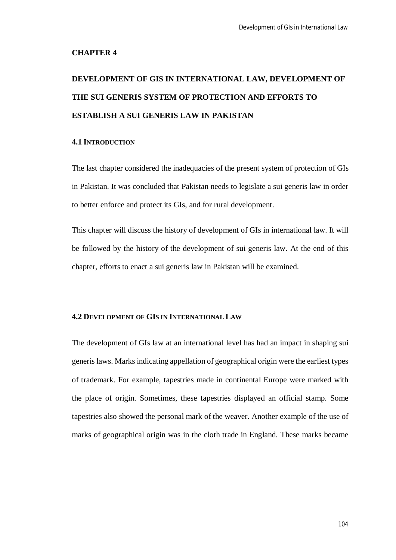### **CHAPTER 4**

# **DEVELOPMENT OF GIS IN INTERNATIONAL LAW, DEVELOPMENT OF THE SUI GENERIS SYSTEM OF PROTECTION AND EFFORTS TO ESTABLISH A SUI GENERIS LAW IN PAKISTAN**

# **4.1 INTRODUCTION**

The last chapter considered the inadequacies of the present system of protection of GIs in Pakistan. It was concluded that Pakistan needs to legislate a sui generis law in order to better enforce and protect its GIs, and for rural development.

This chapter will discuss the history of development of GIs in international law. It will be followed by the history of the development of sui generis law. At the end of this chapter, efforts to enact a sui generis law in Pakistan will be examined.

## **4.2 DEVELOPMENT OF GIS IN INTERNATIONAL LAW**

The development of GIs law at an international level has had an impact in shaping sui generis laws. Marks indicating appellation of geographical origin were the earliest types of trademark. For example, tapestries made in continental Europe were marked with the place of origin. Sometimes, these tapestries displayed an official stamp. Some tapestries also showed the personal mark of the weaver. Another example of the use of marks of geographical origin was in the cloth trade in England. These marks became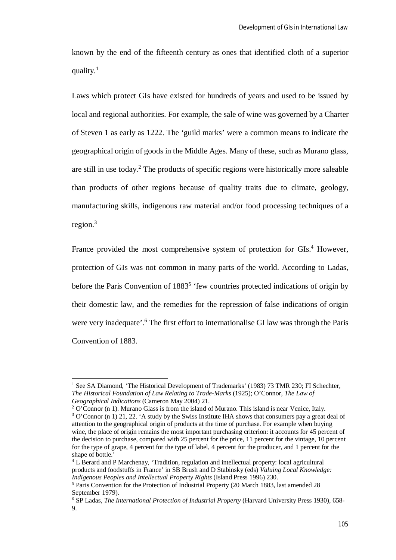known by the end of the fifteenth century as ones that identified cloth of a superior quality. $1$ 

Laws which protect GIs have existed for hundreds of years and used to be issued by local and regional authorities. For example, the sale of wine was governed by a Charter of Steven 1 as early as 1222. The 'guild marks' were a common means to indicate the geographical origin of goods in the Middle Ages. Many of these, such as Murano glass, are still in use today.<sup>2</sup> The products of specific regions were historically more saleable than products of other regions because of quality traits due to climate, geology, manufacturing skills, indigenous raw material and/or food processing techniques of a region.<sup>3</sup>

France provided the most comprehensive system of protection for GIs.<sup>4</sup> However, protection of GIs was not common in many parts of the world. According to Ladas, before the Paris Convention of 1883<sup>5</sup> 'few countries protected indications of origin by their domestic law, and the remedies for the repression of false indications of origin were very inadequate'.<sup>6</sup> The first effort to internationalise GI law was through the Paris Convention of 1883.

<sup>1</sup> See SA Diamond, 'The Historical Development of Trademarks' (1983) 73 TMR 230; FI Schechter*, The Historical Foundation of Law Relating to Trade-Marks* (1925); O'Connor, *The Law of Geographical Indications* (Cameron May 2004) 21.

 $2$  O'Connor (n 1). Murano Glass is from the island of Murano. This island is near Venice, Italy. <sup>3</sup> O'Connor (n 1) 21, 22. 'A study by the Swiss Institute IHA shows that consumers pay a great deal of attention to the geographical origin of products at the time of purchase. For example when buying wine, the place of origin remains the most important purchasing criterion: it accounts for 45 percent of the decision to purchase, compared with 25 percent for the price, 11 percent for the vintage, 10 percent for the type of grape, 4 percent for the type of label, 4 percent for the producer, and 1 percent for the shape of bottle.'

<sup>4</sup> L Berard and P Marchenay, 'Tradition, regulation and intellectual property: local agricultural products and foodstuffs in France' in SB Brush and D Stabinsky (eds) *Valuing Local Knowledge: Indigenous Peoples and Intellectual Property Rights* (Island Press 1996) 230.

<sup>5</sup> Paris Convention for the Protection of Industrial Property (20 March 1883, last amended 28 September 1979).

<sup>6</sup> SP Ladas, *The International Protection of Industrial Property* (Harvard University Press 1930), 658- 9.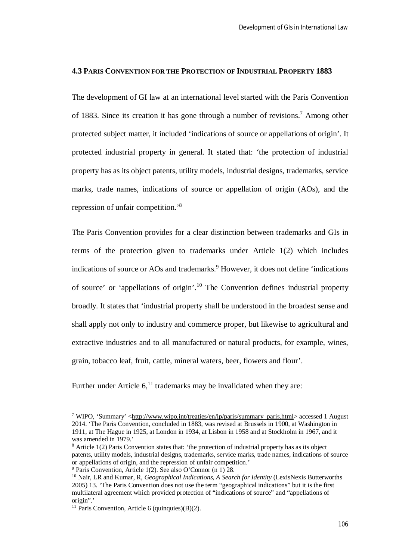#### **4.3 PARIS CONVENTION FOR THE PROTECTION OF INDUSTRIAL PROPERTY 1883**

The development of GI law at an international level started with the Paris Convention of 1883. Since its creation it has gone through a number of revisions.<sup>7</sup> Among other protected subject matter, it included 'indications of source or appellations of origin'. It protected industrial property in general. It stated that: 'the protection of industrial property has as its object patents, utility models, industrial designs, trademarks, service marks, trade names, indications of source or appellation of origin (AOs), and the repression of unfair competition.'<sup>8</sup>

The Paris Convention provides for a clear distinction between trademarks and GIs in terms of the protection given to trademarks under Article 1(2) which includes indications of source or AOs and trademarks.<sup>9</sup> However, it does not define 'indications of source' or 'appellations of origin'.<sup>10</sup> The Convention defines industrial property broadly. It states that 'industrial property shall be understood in the broadest sense and shall apply not only to industry and commerce proper, but likewise to agricultural and extractive industries and to all manufactured or natural products, for example, wines, grain, tobacco leaf, fruit, cattle, mineral waters, beer, flowers and flour'.

Further under Article  $6<sup>11</sup>$  trademarks may be invalidated when they are:

<sup>7</sup> WIPO, 'Summary' <http://www.wipo.int/treaties/en/ip/paris/summary\_paris.html> accessed 1 August 2014. 'The Paris Convention, concluded in 1883, was revised at Brussels in 1900, at Washington in 1911, at The Hague in 1925, at London in 1934, at Lisbon in 1958 and at Stockholm in 1967, and it was amended in 1979.'

<sup>8</sup> Article 1(2) Paris Convention states that: 'the protection of industrial property has as its object patents, utility models, industrial designs, trademarks, service marks, trade names, indications of source or appellations of origin, and the repression of unfair competition.'

<sup>9</sup> Paris Convention, Article 1(2). See also O'Connor (n 1) 28.

<sup>10</sup> Nair, LR and Kumar, R, *Geographical Indications, A Search for Identity* (LexisNexis Butterworths 2005) 13. 'The Paris Convention does not use the term "geographical indications" but it is the first multilateral agreement which provided protection of "indications of source" and "appellations of origin".'

<sup>&</sup>lt;sup>11</sup> Paris Convention, Article 6 (quinquies)(B)(2).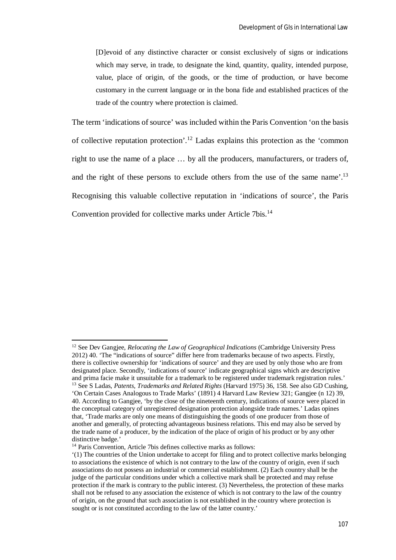[D]evoid of any distinctive character or consist exclusively of signs or indications which may serve, in trade, to designate the kind, quantity, quality, intended purpose, value, place of origin, of the goods, or the time of production, or have become customary in the current language or in the bona fide and established practices of the trade of the country where protection is claimed.

The term 'indications of source' was included within the Paris Convention 'on the basis of collective reputation protection'.<sup>12</sup> Ladas explains this protection as the 'common right to use the name of a place … by all the producers, manufacturers, or traders of, and the right of these persons to exclude others from the use of the same name'.<sup>13</sup> Recognising this valuable collective reputation in 'indications of source', the Paris Convention provided for collective marks under Article 7bis.<sup>14</sup>

<sup>&</sup>lt;sup>12</sup> See Dev Gangiee, *Relocating the Law of Geographical Indications* (Cambridge University Press 2012) 40. 'The "indications of source" differ here from trademarks because of two aspects. Firstly, there is collective ownership for 'indications of source' and they are used by only those who are from designated place. Secondly, 'indications of source' indicate geographical signs which are descriptive and prima facie make it unsuitable for a trademark to be registered under trademark registration rules.' <sup>13</sup> See S Ladas, *Patents, Trademarks and Related Rights* (Harvard 1975) 36, 158. See also GD Cushing, 'On Certain Cases Analogous to Trade Marks' (1891) 4 Harvard Law Review 321; Gangjee (n 12) 39, 40. According to Gangjee, 'by the close of the nineteenth century, indications of source were placed in the conceptual category of unregistered designation protection alongside trade names.' Ladas opines that, 'Trade marks are only one means of distinguishing the goods of one producer from those of another and generally, of protecting advantageous business relations. This end may also be served by the trade name of a producer, by the indication of the place of origin of his product or by any other distinctive badge.'

<sup>&</sup>lt;sup>14</sup> Paris Convention, Article 7bis defines collective marks as follows:

<sup>&#</sup>x27;(1) The countries of the Union undertake to accept for filing and to protect collective marks belonging to associations the existence of which is not contrary to the law of the country of origin, even if such associations do not possess an industrial or commercial establishment. (2) Each country shall be the judge of the particular conditions under which a collective mark shall be protected and may refuse protection if the mark is contrary to the public interest. (3) Nevertheless, the protection of these marks shall not be refused to any association the existence of which is not contrary to the law of the country of origin, on the ground that such association is not established in the country where protection is sought or is not constituted according to the law of the latter country.'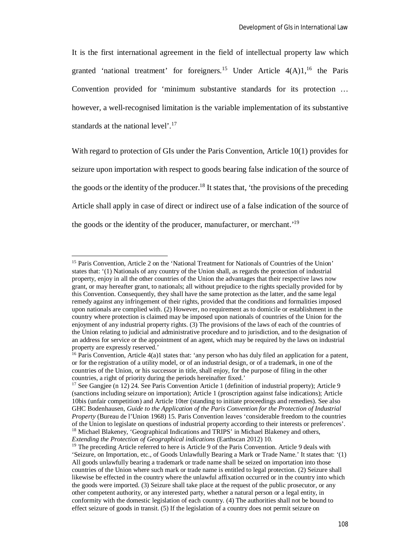It is the first international agreement in the field of intellectual property law which granted 'national treatment' for foreigners.<sup>15</sup> Under Article  $4(A)1$ ,<sup>16</sup> the Paris Convention provided for 'minimum substantive standards for its protection … however, a well-recognised limitation is the variable implementation of its substantive standards at the national level'.<sup>17</sup>

With regard to protection of GIs under the Paris Convention, Article 10(1) provides for seizure upon importation with respect to goods bearing false indication of the source of the goods or the identity of the producer.<sup>18</sup> It states that, 'the provisions of the preceding Article shall apply in case of direct or indirect use of a false indication of the source of the goods or the identity of the producer, manufacturer, or merchant.'<sup>19</sup>

<sup>&</sup>lt;sup>15</sup> Paris Convention, Article 2 on the 'National Treatment for Nationals of Countries of the Union' states that: '(1) Nationals of any country of the Union shall, as regards the protection of industrial property, enjoy in all the other countries of the Union the advantages that their respective laws now grant, or may hereafter grant, to nationals; all without prejudice to the rights specially provided for by this Convention. Consequently, they shall have the same protection as the latter, and the same legal remedy against any infringement of their rights, provided that the conditions and formalities imposed upon nationals are complied with. (2) However, no requirement as to domicile or establishment in the country where protection is claimed may be imposed upon nationals of countries of the Union for the enjoyment of any industrial property rights. (3) The provisions of the laws of each of the countries of the Union relating to judicial and administrative procedure and to jurisdiction, and to the designation of an address for service or the appointment of an agent, which may be required by the laws on industrial property are expressly reserved.'

<sup>&</sup>lt;sup>16</sup> Paris Convention, Article  $4(a)1$  states that: 'any person who has duly filed an application for a patent, or for the registration of a utility model, or of an industrial design, or of a trademark, in one of the countries of the Union, or his successor in title, shall enjoy, for the purpose of filing in the other countries, a right of priority during the periods hereinafter fixed.'

<sup>&</sup>lt;sup>17</sup> See Gangjee (n 12) 24. See Paris Convention Article 1 (definition of industrial property); Article 9 (sanctions including seizure on importation); Article 1 (proscription against false indications); Article 10bis (unfair competition) and Article 10ter (standing to initiate proceedings and remedies). See also GHC Bodenhausen, *Guide to the Application of the Paris Convention for the Protection of Industrial Property* (Bureau de l'Union 1968) 15. Paris Convention leaves 'considerable freedom to the countries of the Union to legislate on questions of industrial property according to their interests or preferences'. <sup>18</sup> Michael Blakeney, 'Geographical Indications and TRIPS' in Michael Blakeney and others, *Extending the Protection of Geographical indications* (Earthscan 2012) 10.

<sup>&</sup>lt;sup>19</sup> The preceding Article referred to here is Article 9 of the Paris Convention. Article 9 deals with 'Seizure, on Importation, etc., of Goods Unlawfully Bearing a Mark or Trade Name.' It states that: '(1) All goods unlawfully bearing a trademark or trade name shall be seized on importation into those countries of the Union where such mark or trade name is entitled to legal protection. (2) Seizure shall likewise be effected in the country where the unlawful affixation occurred or in the country into which the goods were imported. (3) Seizure shall take place at the request of the public prosecutor, or any other competent authority, or any interested party, whether a natural person or a legal entity, in conformity with the domestic legislation of each country. (4) The authorities shall not be bound to effect seizure of goods in transit. (5) If the legislation of a country does not permit seizure on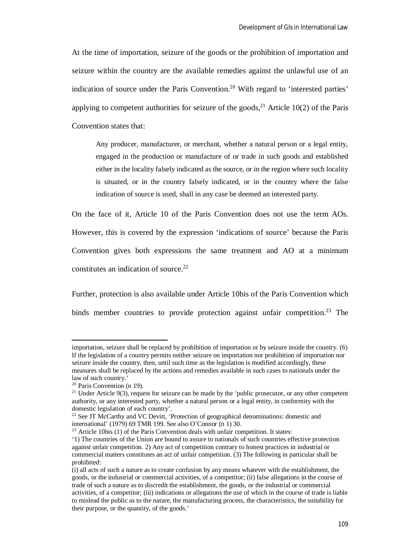At the time of importation, seizure of the goods or the prohibition of importation and seizure within the country are the available remedies against the unlawful use of an indication of source under the Paris Convention.<sup>20</sup> With regard to 'interested parties' applying to competent authorities for seizure of the goods,<sup>21</sup> Article 10(2) of the Paris Convention states that:

Any producer, manufacturer, or merchant, whether a natural person or a legal entity, engaged in the production or manufacture of or trade in such goods and established either in the locality falsely indicated as the source, or in the region where such locality is situated, or in the country falsely indicated, or in the country where the false indication of source is used, shall in any case be deemed an interested party.

On the face of it, Article 10 of the Paris Convention does not use the term AOs. However, this is covered by the expression 'indications of source' because the Paris Convention gives both expressions the same treatment and AO at a minimum constitutes an indication of source. $22$ 

Further, protection is also available under Article 10bis of the Paris Convention which binds member countries to provide protection against unfair competition.<sup>23</sup> The

 $\overline{a}$ 

 $23$  Article 10bis (1) of the Paris Convention deals with unfair competition. It states:

importation, seizure shall be replaced by prohibition of importation or by seizure inside the country. (6) If the legislation of a country permits neither seizure on importation nor prohibition of importation nor seizure inside the country, then, until such time as the legislation is modified accordingly, these measures shall be replaced by the actions and remedies available in such cases to nationals under the law of such country.'

<sup>20</sup> Paris Convention (n 19).

 $21$  Under Article 9(3), request for seizure can be made by the 'public prosecutor, or any other competent authority, or any interested party, whether a natural person or a legal entity, in conformity with the domestic legislation of each country'.

<sup>&</sup>lt;sup>22</sup> See JT McCarthy and VC Devitt. 'Protection of geographical denominations: domestic and international' (1979) 69 TMR 199. See also O'Connor (n 1) 30.

<sup>&#</sup>x27;1) The countries of the Union are bound to assure to nationals of such countries effective protection against unfair competition. 2) Any act of competition contrary to honest practices in industrial or commercial matters constitutes an act of unfair competition. (3) The following in particular shall be prohibited:

<sup>(</sup>i) all acts of such a nature as to create confusion by any means whatever with the establishment, the goods, or the industrial or commercial activities, of a competitor; (ii) false allegations in the course of trade of such a nature as to discredit the establishment, the goods, or the industrial or commercial activities, of a competitor; (iii) indications or allegations the use of which in the course of trade is liable to mislead the public as to the nature, the manufacturing process, the characteristics, the suitability for their purpose, or the quantity, of the goods.'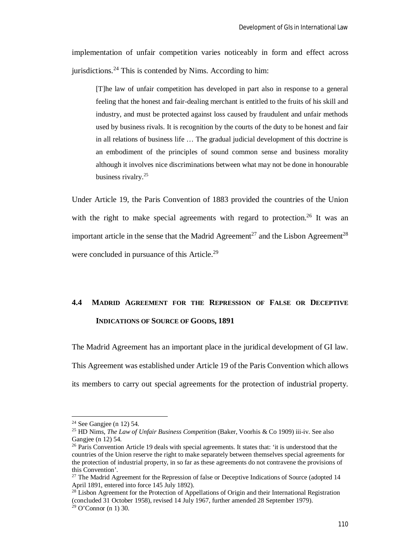implementation of unfair competition varies noticeably in form and effect across jurisdictions.<sup>24</sup> This is contended by Nims. According to him:

[T]he law of unfair competition has developed in part also in response to a general feeling that the honest and fair-dealing merchant is entitled to the fruits of his skill and industry, and must be protected against loss caused by fraudulent and unfair methods used by business rivals. It is recognition by the courts of the duty to be honest and fair in all relations of business life … The gradual judicial development of this doctrine is an embodiment of the principles of sound common sense and business morality although it involves nice discriminations between what may not be done in honourable business rivalry.<sup>25</sup>

Under Article 19, the Paris Convention of 1883 provided the countries of the Union with the right to make special agreements with regard to protection.<sup>26</sup> It was an important article in the sense that the Madrid Agreement<sup>27</sup> and the Lisbon Agreement<sup>28</sup> were concluded in pursuance of this Article.<sup>29</sup>

# **4.4 MADRID AGREEMENT FOR THE REPRESSION OF FALSE OR DECEPTIVE INDICATIONS OF SOURCE OF GOODS, 1891**

The Madrid Agreement has an important place in the juridical development of GI law. This Agreement was established under Article 19 of the Paris Convention which allows its members to carry out special agreements for the protection of industrial property.

<sup>&</sup>lt;sup>24</sup> See Gangjee (n 12) 54.

<sup>25</sup> HD Nims, *The Law of Unfair Business Competition* (Baker, Voorhis & Co 1909) iii-iv. See also Gangjee (n 12) 54.

<sup>&</sup>lt;sup>26</sup> Paris Convention Article 19 deals with special agreements. It states that: 'it is understood that the countries of the Union reserve the right to make separately between themselves special agreements for the protection of industrial property, in so far as these agreements do not contravene the provisions of this Convention'.

<sup>&</sup>lt;sup>27</sup> The Madrid Agreement for the Repression of false or Deceptive Indications of Source (adopted 14 April 1891, entered into force 145 July 1892).

 $^{28}$  Lisbon Agreement for the Protection of Appellations of Origin and their International Registration (concluded 31 October 1958), revised 14 July 1967, further amended 28 September 1979).

 $29$  O'Connor (n 1) 30.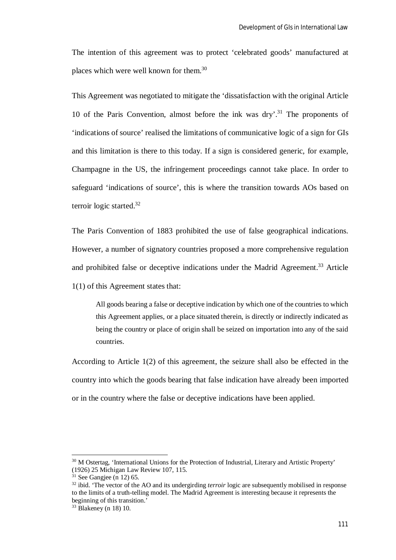The intention of this agreement was to protect 'celebrated goods' manufactured at places which were well known for them.<sup>30</sup>

This Agreement was negotiated to mitigate the 'dissatisfaction with the original Article 10 of the Paris Convention, almost before the ink was  $\text{div}^3$ . The proponents of 'indications of source' realised the limitations of communicative logic of a sign for GIs and this limitation is there to this today. If a sign is considered generic, for example, Champagne in the US, the infringement proceedings cannot take place. In order to safeguard 'indications of source', this is where the transition towards AOs based on terroir logic started.<sup>32</sup>

The Paris Convention of 1883 prohibited the use of false geographical indications. However, a number of signatory countries proposed a more comprehensive regulation and prohibited false or deceptive indications under the Madrid Agreement.<sup>33</sup> Article 1(1) of this Agreement states that:

All goods bearing a false or deceptive indication by which one of the countries to which this Agreement applies, or a place situated therein, is directly or indirectly indicated as being the country or place of origin shall be seized on importation into any of the said countries.

According to Article 1(2) of this agreement, the seizure shall also be effected in the country into which the goods bearing that false indication have already been imported or in the country where the false or deceptive indications have been applied.

<sup>&</sup>lt;sup>30</sup> M Ostertag, 'International Unions for the Protection of Industrial, Literary and Artistic Property' (1926) 25 Michigan Law Review 107, 115.

 $31$  See Gangjee (n 12) 65.

<sup>&</sup>lt;sup>32</sup> ibid. 'The vector of the AO and its undergirding *terroir* logic are subsequently mobilised in response to the limits of a truth-telling model. The Madrid Agreement is interesting because it represents the beginning of this transition.'

<sup>33</sup> Blakeney (n 18) 10.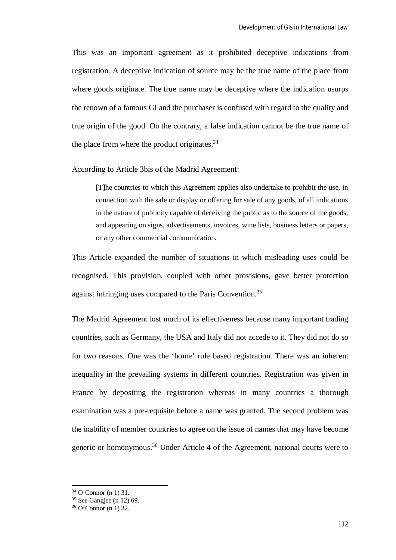This was an important agreement as it prohibited deceptive indications from registration. A deceptive indication of source may be the true name of the place from where goods originate. The true name may be deceptive where the indication usurps the renown of a famous GI and the purchaser is confused with regard to the quality and true origin of the good. On the contrary, a false indication cannot be the true name of the place from where the product originates. $34$ 

According to Article 3bis of the Madrid Agreement:

[T]he countries to which this Agreement applies also undertake to prohibit the use, in connection with the sale or display or offering for sale of any goods, of all indications in the nature of publicity capable of deceiving the public as to the source of the goods, and appearing on signs, advertisements, invoices, wine lists, business letters or papers, or any other commercial communication.

This Article expanded the number of situations in which misleading uses could be recognised. This provision, coupled with other provisions, gave better protection against infringing uses compared to the Paris Convention.<sup>35</sup>

The Madrid Agreement lost much of its effectiveness because many important trading countries, such as Germany, the USA and Italy did not accede to it. They did not do so for two reasons. One was the 'home' rule based registration. There was an inherent inequality in the prevailing systems in different countries. Registration was given in France by depositing the registration whereas in many countries a thorough examination was a pre-requisite before a name was granted. The second problem was the inability of member countries to agree on the issue of names that may have become generic or homonymous.<sup>36</sup> Under Article 4 of the Agreement, national courts were to

<sup>34</sup> O'Connor (n 1) 31.

<sup>35</sup> See Gangjee (n 12) 69.

 $36$  O'Connor (n 1) 32.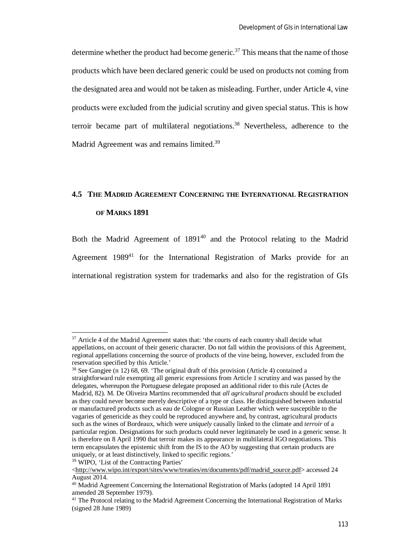determine whether the product had become generic.<sup>37</sup> This means that the name of those products which have been declared generic could be used on products not coming from the designated area and would not be taken as misleading. Further, under Article 4, vine products were excluded from the judicial scrutiny and given special status. This is how terroir became part of multilateral negotiations.<sup>38</sup> Nevertheless, adherence to the Madrid Agreement was and remains limited.<sup>39</sup>

# **4.5 THE MADRID AGREEMENT CONCERNING THE INTERNATIONAL REGISTRATION OF MARKS 1891**

Both the Madrid Agreement of 1891<sup>40</sup> and the Protocol relating to the Madrid Agreement  $1989<sup>41</sup>$  for the International Registration of Marks provide for an international registration system for trademarks and also for the registration of GIs

<sup>39</sup> WIPO, 'List of the Contracting Parties'

<sup>&</sup>lt;sup>37</sup> Article 4 of the Madrid Agreement states that: 'the courts of each country shall decide what appellations, on account of their generic character. Do not fall within the provisions of this Agreement, regional appellations concerning the source of products of the vine being, however, excluded from the reservation specified by this Article.'

<sup>38</sup> See Gangjee (n 12) 68, 69. 'The original draft of this provision (Article 4) contained a straightforward rule exempting all generic expressions from Article 1 scrutiny and was passed by the delegates, whereupon the Portuguese delegate proposed an additional rider to this rule (Actes de Madrid, 82). M. De Oliveira Martins recommended that *all agricultural products* should be excluded as they could never become merely descriptive of a type or class. He distinguished between industrial or manufactured products such as eau de Cologne or Russian Leather which were susceptible to the vagaries of genericide as they could be reproduced anywhere and, by contrast, agricultural products such as the wines of Bordeaux, which were *uniquely* causally linked to the climate and *terroir* of a particular region. Designations for such products could never legitimately be used in a generic sense. It is therefore on 8 April 1990 that terroir makes its appearance in multilateral IGO negotiations. This term encapsulates the epistemic shift from the IS to the AO by suggesting that certain products are uniquely, or at least distinctively, linked to specific regions.'

<sup>&</sup>lt;http://www.wipo.int/export/sites/www/treaties/en/documents/pdf/madrid\_source.pdf> accessed 24 August 2014.

<sup>&</sup>lt;sup>40</sup> Madrid Agreement Concerning the International Registration of Marks (adopted 14 April 1891 amended 28 September 1979).

<sup>&</sup>lt;sup>41</sup> The Protocol relating to the Madrid Agreement Concerning the International Registration of Marks (signed 28 June 1989)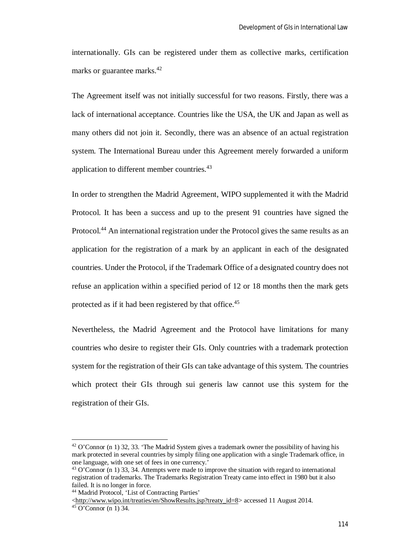internationally. GIs can be registered under them as collective marks, certification marks or guarantee marks.<sup>42</sup>

The Agreement itself was not initially successful for two reasons. Firstly, there was a lack of international acceptance. Countries like the USA, the UK and Japan as well as many others did not join it. Secondly, there was an absence of an actual registration system. The International Bureau under this Agreement merely forwarded a uniform application to different member countries.<sup>43</sup>

In order to strengthen the Madrid Agreement, WIPO supplemented it with the Madrid Protocol. It has been a success and up to the present 91 countries have signed the Protocol.<sup>44</sup> An international registration under the Protocol gives the same results as an application for the registration of a mark by an applicant in each of the designated countries. Under the Protocol, if the Trademark Office of a designated country does not refuse an application within a specified period of 12 or 18 months then the mark gets protected as if it had been registered by that office.<sup>45</sup>

Nevertheless, the Madrid Agreement and the Protocol have limitations for many countries who desire to register their GIs. Only countries with a trademark protection system for the registration of their GIs can take advantage of this system. The countries which protect their GIs through sui generis law cannot use this system for the registration of their GIs.

 $42$  O'Connor (n 1) 32, 33. 'The Madrid System gives a trademark owner the possibility of having his mark protected in several countries by simply filing one application with a single Trademark office, in one language, with one set of fees in one currency.'

<sup>43</sup> O'Connor (n 1) 33, 34. Attempts were made to improve the situation with regard to international registration of trademarks. The Trademarks Registration Treaty came into effect in 1980 but it also failed. It is no longer in force.

<sup>44</sup> Madrid Protocol, 'List of Contracting Parties'

<sup>&</sup>lt;http://www.wipo.int/treaties/en/ShowResults.jsp?treaty\_id=8> accessed 11 August 2014.

 $45$  O'Connor (n 1) 34.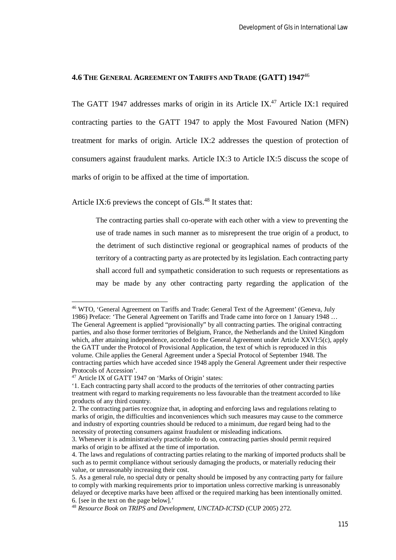#### **4.6 THE GENERAL AGREEMENT ON TARIFFS AND TRADE (GATT) 1947**<sup>46</sup>

The GATT 1947 addresses marks of origin in its Article IX.<sup>47</sup> Article IX:1 required contracting parties to the GATT 1947 to apply the Most Favoured Nation (MFN) treatment for marks of origin. Article IX:2 addresses the question of protection of consumers against fraudulent marks. Article IX:3 to Article IX:5 discuss the scope of marks of origin to be affixed at the time of importation.

Article IX:6 previews the concept of  $\text{GIs.}^{48}$  It states that:

The contracting parties shall co-operate with each other with a view to preventing the use of trade names in such manner as to misrepresent the true origin of a product, to the detriment of such distinctive regional or geographical names of products of the territory of a contracting party as are protected by its legislation. Each contracting party shall accord full and sympathetic consideration to such requests or representations as may be made by any other contracting party regarding the application of the

<sup>46</sup> WTO, 'General Agreement on Tariffs and Trade: General Text of the Agreement' (Geneva, July 1986) Preface: 'The General Agreement on Tariffs and Trade came into force on 1 January 1948 … The General Agreement is applied "provisionally" by all contracting parties. The original contracting parties, and also those former territories of Belgium, France, the Netherlands and the United Kingdom which, after attaining independence, acceded to the General Agreement under Article XXVI:5(c), apply the GATT under the Protocol of Provisional Application, the text of which is reproduced in this volume. Chile applies the General Agreement under a Special Protocol of September 1948. The contracting parties which have acceded since 1948 apply the General Agreement under their respective Protocols of Accession'.

<sup>47</sup> Article IX of GATT 1947 on 'Marks of Origin' states:

<sup>&#</sup>x27;1. Each contracting party shall accord to the products of the territories of other contracting parties treatment with regard to marking requirements no less favourable than the treatment accorded to like products of any third country.

<sup>2.</sup> The contracting parties recognize that, in adopting and enforcing laws and regulations relating to marks of origin, the difficulties and inconveniences which such measures may cause to the commerce and industry of exporting countries should be reduced to a minimum, due regard being had to the necessity of protecting consumers against fraudulent or misleading indications.

<sup>3.</sup> Whenever it is administratively practicable to do so, contracting parties should permit required marks of origin to be affixed at the time of importation.

<sup>4.</sup> The laws and regulations of contracting parties relating to the marking of imported products shall be such as to permit compliance without seriously damaging the products, or materially reducing their value, or unreasonably increasing their cost.

<sup>5.</sup> As a general rule, no special duty or penalty should be imposed by any contracting party for failure to comply with marking requirements prior to importation unless corrective marking is unreasonably delayed or deceptive marks have been affixed or the required marking has been intentionally omitted. 6. [see in the text on the page below].'

<sup>48</sup> *Resource Book on TRIPS and Development, UNCTAD-ICTSD* (CUP 2005) 272.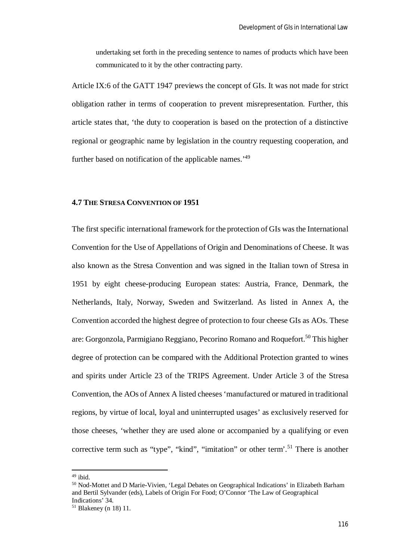undertaking set forth in the preceding sentence to names of products which have been communicated to it by the other contracting party.

Article IX:6 of the GATT 1947 previews the concept of GIs. It was not made for strict obligation rather in terms of cooperation to prevent misrepresentation. Further, this article states that, 'the duty to cooperation is based on the protection of a distinctive regional or geographic name by legislation in the country requesting cooperation, and further based on notification of the applicable names.'<sup>49</sup>

## **4.7 THE STRESA CONVENTION OF 1951**

The first specific international framework for the protection of GIs was the International Convention for the Use of Appellations of Origin and Denominations of Cheese. It was also known as the Stresa Convention and was signed in the Italian town of Stresa in 1951 by eight cheese-producing European states: Austria, France, Denmark, the Netherlands, Italy, Norway, Sweden and Switzerland. As listed in Annex A, the Convention accorded the highest degree of protection to four cheese GIs as AOs. These are: Gorgonzola, Parmigiano Reggiano, Pecorino Romano and Roquefort.<sup>50</sup> This higher degree of protection can be compared with the Additional Protection granted to wines and spirits under Article 23 of the TRIPS Agreement. Under Article 3 of the Stresa Convention, the AOs of Annex A listed cheeses 'manufactured or matured in traditional regions, by virtue of local, loyal and uninterrupted usages' as exclusively reserved for those cheeses, 'whether they are used alone or accompanied by a qualifying or even corrective term such as "type", "kind", "imitation" or other term'.<sup>51</sup> There is another

 $49$  ibid.

<sup>50</sup> Nod-Mottet and D Marie-Vivien, 'Legal Debates on Geographical Indications' in Elizabeth Barham and Bertil Sylvander (eds), Labels of Origin For Food; O'Connor 'The Law of Geographical Indications' 34.

 $51$  Blakeney (n 18) 11.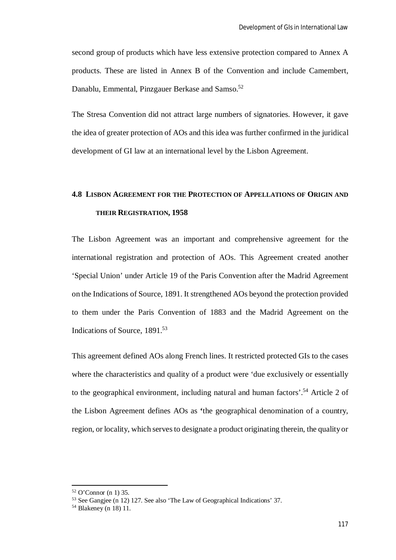second group of products which have less extensive protection compared to Annex A products. These are listed in Annex B of the Convention and include Camembert, Danablu, Emmental, Pinzgauer Berkase and Samso.<sup>52</sup>

The Stresa Convention did not attract large numbers of signatories. However, it gave the idea of greater protection of AOs and this idea was further confirmed in the juridical development of GI law at an international level by the Lisbon Agreement.

# **4.8 LISBON AGREEMENT FOR THE PROTECTION OF APPELLATIONS OF ORIGIN AND THEIR REGISTRATION, 1958**

The Lisbon Agreement was an important and comprehensive agreement for the international registration and protection of AOs. This Agreement created another 'Special Union' under Article 19 of the Paris Convention after the Madrid Agreement on the Indications of Source, 1891. It strengthened AOs beyond the protection provided to them under the Paris Convention of 1883 and the Madrid Agreement on the Indications of Source, 1891.<sup>53</sup>

This agreement defined AOs along French lines. It restricted protected GIs to the cases where the characteristics and quality of a product were 'due exclusively or essentially to the geographical environment, including natural and human factors'.<sup>54</sup> Article 2 of the Lisbon Agreement defines AOs as **'**the geographical denomination of a country, region, or locality, which serves to designate a product originating therein, the qualityor

<sup>52</sup> O'Connor (n 1) 35.

<sup>53</sup> See Gangjee (n 12) 127. See also 'The Law of Geographical Indications' 37.

<sup>54</sup> Blakeney (n 18) 11.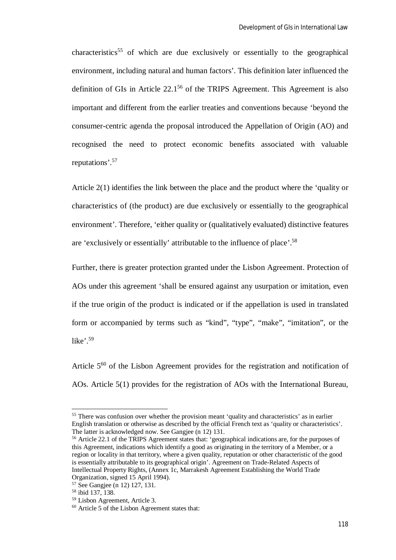$characteristics<sup>55</sup>$  of which are due exclusively or essentially to the geographical environment, including natural and human factors'. This definition later influenced the definition of GIs in Article 22.1<sup>56</sup> of the TRIPS Agreement. This Agreement is also important and different from the earlier treaties and conventions because 'beyond the consumer-centric agenda the proposal introduced the Appellation of Origin (AO) and recognised the need to protect economic benefits associated with valuable reputations'.<sup>57</sup>

Article 2(1) identifies the link between the place and the product where the 'quality or characteristics of (the product) are due exclusively or essentially to the geographical environment'. Therefore, 'either quality or (qualitatively evaluated) distinctive features are 'exclusively or essentially' attributable to the influence of place'.<sup>58</sup>

Further, there is greater protection granted under the Lisbon Agreement. Protection of AOs under this agreement 'shall be ensured against any usurpation or imitation, even if the true origin of the product is indicated or if the appellation is used in translated form or accompanied by terms such as "kind", "type", "make", "imitation", or the like'. $59$ 

Article 5<sup>60</sup> of the Lisbon Agreement provides for the registration and notification of AOs. Article 5(1) provides for the registration of AOs with the International Bureau,

<sup>&</sup>lt;sup>55</sup> There was confusion over whether the provision meant 'quality and characteristics' as in earlier English translation or otherwise as described by the official French text as 'quality or characteristics'. The latter is acknowledged now. See Gangjee (n 12) 131.

<sup>56</sup> Article 22.1 of the TRIPS Agreement states that: 'geographical indications are, for the purposes of this Agreement, indications which identify a good as originating in the territory of a Member, or a region or locality in that territory, where a given quality, reputation or other characteristic of the good is essentially attributable to its geographical origin'. Agreement on Trade-Related Aspects of Intellectual Property Rights, (Annex 1c, Marrakesh Agreement Establishing the World Trade Organization, signed 15 April 1994).

<sup>57</sup> See Gangjee (n 12) 127, 131.

<sup>58</sup> ibid 137, 138.

<sup>59</sup> Lisbon Agreement, Article 3.

 $60$  Article 5 of the Lisbon Agreement states that: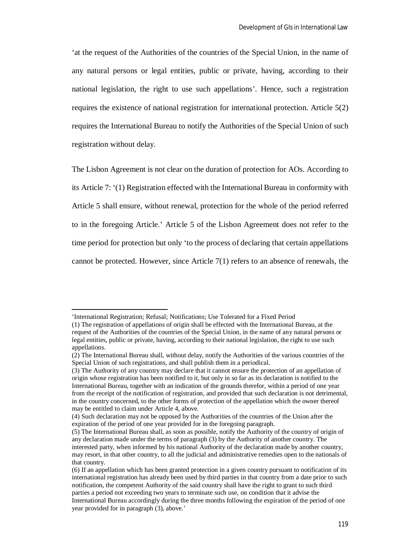'at the request of the Authorities of the countries of the Special Union, in the name of any natural persons or legal entities, public or private, having, according to their national legislation, the right to use such appellations'. Hence, such a registration requires the existence of national registration for international protection. Article 5(2) requires the International Bureau to notify the Authorities of the Special Union of such registration without delay.

The Lisbon Agreement is not clear on the duration of protection for AOs. According to its Article 7: '(1) Registration effected with the International Bureau in conformity with Article 5 shall ensure, without renewal, protection for the whole of the period referred to in the foregoing Article.' Article 5 of the Lisbon Agreement does not refer to the time period for protection but only 'to the process of declaring that certain appellations cannot be protected. However, since Article 7(1) refers to an absence of renewals, the

<sup>&#</sup>x27;International Registration; Refusal; Notifications; Use Tolerated for a Fixed Period

<sup>(1)</sup> The registration of appellations of origin shall be effected with the International Bureau, at the request of the Authorities of the countries of the Special Union, in the name of any natural persons or legal entities, public or private, having, according to their national legislation, the right to use such appellations.

<sup>(2)</sup> The International Bureau shall, without delay, notify the Authorities of the various countries of the Special Union of such registrations, and shall publish them in a periodical.

<sup>(3)</sup> The Authority of any country may declare that it cannot ensure the protection of an appellation of origin whose registration has been notified to it, but only in so far as its declaration is notified to the International Bureau, together with an indication of the grounds therefor, within a period of one year from the receipt of the notification of registration, and provided that such declaration is not detrimental, in the country concerned, to the other forms of protection of the appellation which the owner thereof may be entitled to claim under Article 4, above.

<sup>(4)</sup> Such declaration may not be opposed by the Authorities of the countries of the Union after the expiration of the period of one year provided for in the foregoing paragraph.

<sup>(5)</sup> The International Bureau shall, as soon as possible, notify the Authority of the country of origin of any declaration made under the terms of paragraph (3) by the Authority of another country. The interested party, when informed by his national Authority of the declaration made by another country, may resort, in that other country, to all the judicial and administrative remedies open to the nationals of that country.

<sup>(6)</sup> If an appellation which has been granted protection in a given country pursuant to notification of its international registration has already been used by third parties in that country from a date prior to such notification, the competent Authority of the said country shall have the right to grant to such third parties a period not exceeding two years to terminate such use, on condition that it advise the International Bureau accordingly during the three months following the expiration of the period of one year provided for in paragraph (3), above.'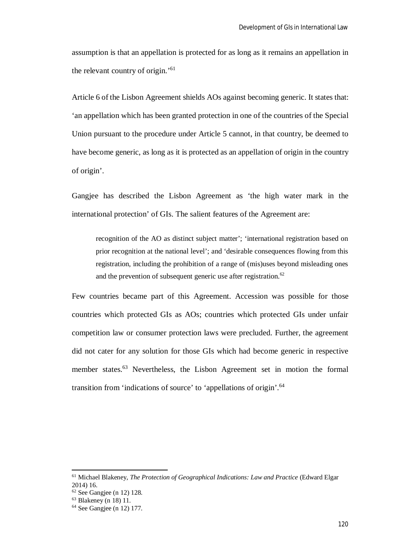assumption is that an appellation is protected for as long as it remains an appellation in the relevant country of origin.'<sup>61</sup>

Article 6 of the Lisbon Agreement shields AOs against becoming generic. It states that: 'an appellation which has been granted protection in one of the countries of the Special Union pursuant to the procedure under Article 5 cannot, in that country, be deemed to have become generic, as long as it is protected as an appellation of origin in the country of origin'.

Gangjee has described the Lisbon Agreement as 'the high water mark in the international protection' of GIs. The salient features of the Agreement are:

recognition of the AO as distinct subject matter'; 'international registration based on prior recognition at the national level'; and 'desirable consequences flowing from this registration, including the prohibition of a range of (mis)uses beyond misleading ones and the prevention of subsequent generic use after registration. $62$ 

Few countries became part of this Agreement. Accession was possible for those countries which protected GIs as AOs; countries which protected GIs under unfair competition law or consumer protection laws were precluded. Further, the agreement did not cater for any solution for those GIs which had become generic in respective member states.<sup>63</sup> Nevertheless, the Lisbon Agreement set in motion the formal transition from 'indications of source' to 'appellations of origin'.<sup>64</sup>

<sup>61</sup> Michael Blakeney, *The Protection of Geographical Indications: Law and Practice* (Edward Elgar 2014) 16.

 $62$  See Gangiee (n 12) 128.

 $63$  Blakeney (n 18) 11.

<sup>&</sup>lt;sup>64</sup> See Gangiee (n 12) 177.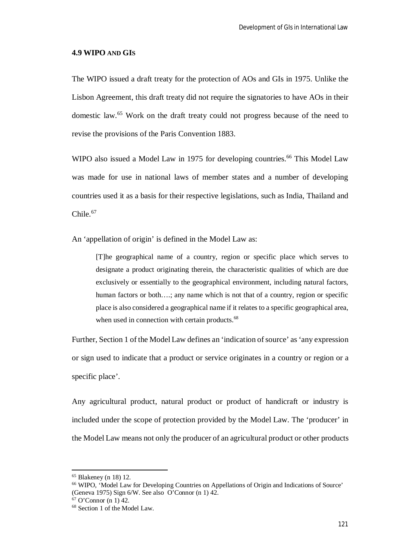#### **4.9 WIPO AND GIS**

The WIPO issued a draft treaty for the protection of AOs and GIs in 1975. Unlike the Lisbon Agreement, this draft treaty did not require the signatories to have AOs in their domestic law.<sup>65</sup> Work on the draft treaty could not progress because of the need to revise the provisions of the Paris Convention 1883.

WIPO also issued a Model Law in 1975 for developing countries.<sup>66</sup> This Model Law was made for use in national laws of member states and a number of developing countries used it as a basis for their respective legislations, such as India, Thailand and Chile.<sup>67</sup>

An 'appellation of origin' is defined in the Model Law as:

[T]he geographical name of a country, region or specific place which serves to designate a product originating therein, the characteristic qualities of which are due exclusively or essentially to the geographical environment, including natural factors, human factors or both….; any name which is not that of a country, region or specific place is also considered a geographical name if it relates to a specific geographical area, when used in connection with certain products.<sup>68</sup>

Further, Section 1 of the Model Law defines an 'indication of source' as 'any expression or sign used to indicate that a product or service originates in a country or region or a specific place'.

Any agricultural product, natural product or product of handicraft or industry is included under the scope of protection provided by the Model Law. The 'producer' in the Model Law means not only the producer of an agricultural product or other products

<sup>65</sup> Blakeney (n 18) 12.

<sup>66</sup> WIPO, 'Model Law for Developing Countries on Appellations of Origin and Indications of Source' (Geneva 1975) Sign 6/W. See also O'Connor (n 1) 42.

 $67$  O'Connor (n 1) 42.

<sup>68</sup> Section 1 of the Model Law.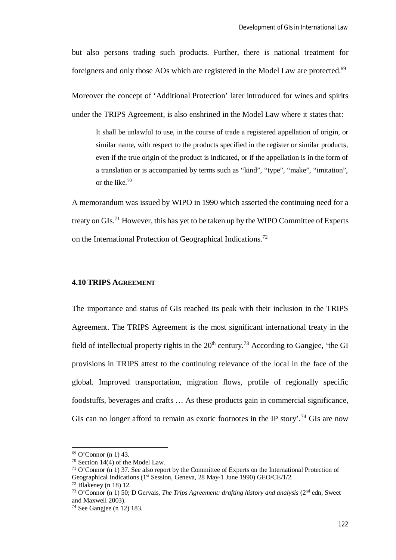but also persons trading such products. Further, there is national treatment for foreigners and only those AOs which are registered in the Model Law are protected.<sup>69</sup>

Moreover the concept of 'Additional Protection' later introduced for wines and spirits under the TRIPS Agreement, is also enshrined in the Model Law where it states that:

It shall be unlawful to use, in the course of trade a registered appellation of origin, or similar name, with respect to the products specified in the register or similar products, even if the true origin of the product is indicated, or if the appellation is in the form of a translation or is accompanied by terms such as "kind", "type", "make", "imitation", or the like.<sup>70</sup>

A memorandum was issued by WIPO in 1990 which asserted the continuing need for a treaty on GIs.<sup>71</sup> However, this has yet to be taken up by the WIPO Committee of Experts on the International Protection of Geographical Indications.<sup>72</sup>

## **4.10 TRIPS AGREEMENT**

The importance and status of GIs reached its peak with their inclusion in the TRIPS Agreement. The TRIPS Agreement is the most significant international treaty in the field of intellectual property rights in the  $20<sup>th</sup>$  century.<sup>73</sup> According to Gangiee, 'the GI provisions in TRIPS attest to the continuing relevance of the local in the face of the global. Improved transportation, migration flows, profile of regionally specific foodstuffs, beverages and crafts … As these products gain in commercial significance, GIs can no longer afford to remain as exotic footnotes in the IP story'.<sup>74</sup> GIs are now

<sup>69</sup> O'Connor (n 1) 43.

<sup>70</sup> Section 14(4) of the Model Law.

<sup>71</sup> O'Connor (n 1) 37. See also report by the Committee of Experts on the International Protection of Geographical Indications (1<sup>st</sup> Session, Geneva, 28 May-1 June 1990) GEO/CE/1/2.

 $72$  Blakeney (n 18) 12.

<sup>73</sup> O'Connor (n 1) 50; D Gervais, *The Trips Agreement: drafting history and analysis* (2nd edn, Sweet and Maxwell 2003).

<sup>74</sup> See Gangjee (n 12) 183.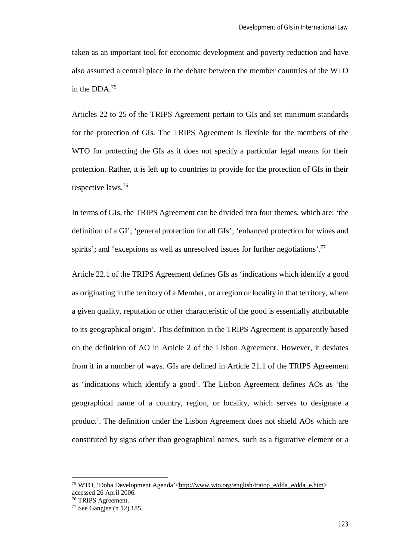taken as an important tool for economic development and poverty reduction and have also assumed a central place in the debate between the member countries of the WTO in the DDA.<sup>75</sup>

Articles 22 to 25 of the TRIPS Agreement pertain to GIs and set minimum standards for the protection of GIs. The TRIPS Agreement is flexible for the members of the WTO for protecting the GIs as it does not specify a particular legal means for their protection. Rather, it is left up to countries to provide for the protection of GIs in their respective laws.<sup>76</sup>

In terms of GIs, the TRIPS Agreement can be divided into four themes, which are: 'the definition of a GI'; 'general protection for all GIs'; 'enhanced protection for wines and spirits'; and 'exceptions as well as unresolved issues for further negotiations'.<sup>77</sup>

Article 22.1 of the TRIPS Agreement defines GIs as 'indications which identify a good as originating in the territory of a Member, or a region or locality in that territory, where a given quality, reputation or other characteristic of the good is essentially attributable to its geographical origin'. This definition in the TRIPS Agreement is apparently based on the definition of AO in Article 2 of the Lisbon Agreement. However, it deviates from it in a number of ways. GIs are defined in Article 21.1 of the TRIPS Agreement as 'indications which identify a good'. The Lisbon Agreement defines AOs as 'the geographical name of a country, region, or locality, which serves to designate a product'. The definition under the Lisbon Agreement does not shield AOs which are constituted by signs other than geographical names, such as a figurative element or a

<sup>&</sup>lt;sup>75</sup> WTO, 'Doha Development Agenda'<http://www.wto.org/english/tratop\_e/dda\_e/dda\_e.htm> accessed 26 April 2006.

<sup>76</sup> TRIPS Agreement.

 $77$  See Gangiee (n 12) 185.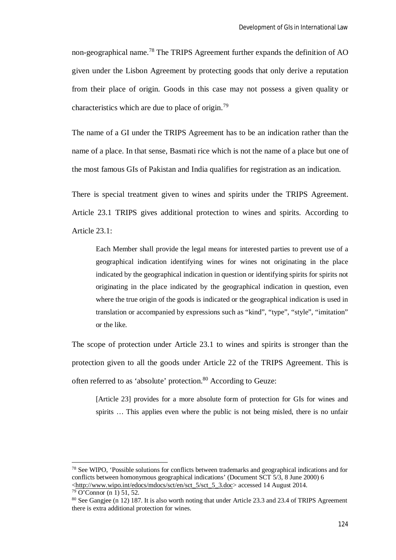non-geographical name.<sup>78</sup> The TRIPS Agreement further expands the definition of AO given under the Lisbon Agreement by protecting goods that only derive a reputation from their place of origin. Goods in this case may not possess a given quality or characteristics which are due to place of origin.<sup>79</sup>

The name of a GI under the TRIPS Agreement has to be an indication rather than the name of a place. In that sense, Basmati rice which is not the name of a place but one of the most famous GIs of Pakistan and India qualifies for registration as an indication.

There is special treatment given to wines and spirits under the TRIPS Agreement. Article 23.1 TRIPS gives additional protection to wines and spirits. According to Article 23.1:

Each Member shall provide the legal means for interested parties to prevent use of a geographical indication identifying wines for wines not originating in the place indicated by the geographical indication in question or identifying spirits for spirits not originating in the place indicated by the geographical indication in question, even where the true origin of the goods is indicated or the geographical indication is used in translation or accompanied by expressions such as "kind", "type", "style", "imitation" or the like.

The scope of protection under Article 23.1 to wines and spirits is stronger than the protection given to all the goods under Article 22 of the TRIPS Agreement. This is often referred to as 'absolute' protection.<sup>80</sup> According to Geuze:

[Article 23] provides for a more absolute form of protection for GIs for wines and spirits … This applies even where the public is not being misled, there is no unfair

<sup>78</sup> See WIPO, 'Possible solutions for conflicts between trademarks and geographical indications and for conflicts between homonymous geographical indications' (Document SCT 5/3, 8 June 2000) 6 <http://www.wipo.int/edocs/mdocs/sct/en/sct\_5/sct\_5\_3.doc> accessed 14 August 2014.

 $79$  O'Connor (n 1) 51, 52.

<sup>&</sup>lt;sup>80</sup> See Gangjee (n 12) 187. It is also worth noting that under Article 23.3 and 23.4 of TRIPS Agreement there is extra additional protection for wines.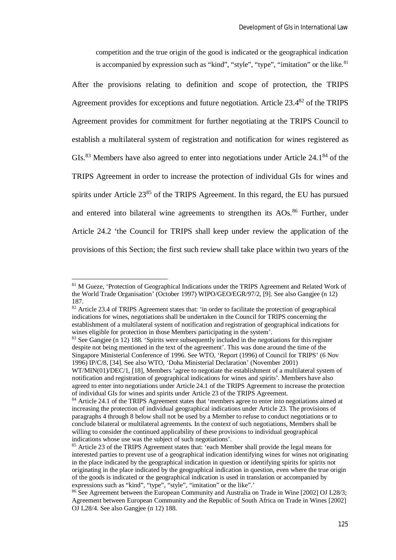competition and the true origin of the good is indicated or the geographical indication is accompanied by expression such as "kind", "style", "type", "imitation" or the like. $81$ 

After the provisions relating to definition and scope of protection, the TRIPS Agreement provides for exceptions and future negotiation. Article 23.4<sup>82</sup> of the TRIPS Agreement provides for commitment for further negotiating at the TRIPS Council to establish a multilateral system of registration and notification for wines registered as GIs.<sup>83</sup> Members have also agreed to enter into negotiations under Article  $24.1^{84}$  of the TRIPS Agreement in order to increase the protection of individual GIs for wines and spirits under Article  $23^{85}$  of the TRIPS Agreement. In this regard, the EU has pursued and entered into bilateral wine agreements to strengthen its AOs.<sup>86</sup> Further, under Article 24.2 'the Council for TRIPS shall keep under review the application of the provisions of this Section; the first such review shall take place within two years of the

 $\overline{a}$ 

<sup>83</sup> See Gangjee (n 12) 188. 'Spirits were subsequently included in the negotiations for this register despite not being mentioned in the text of the agreement'. This was done around the time of the Singapore Ministerial Conference of 1996. See WTO, 'Report (1996) of Council for TRIPS' (6 Nov 1996) IP/C/8, [34]. See also WTO, 'Doha Ministerial Declaration' (November 2001)

<sup>&</sup>lt;sup>81</sup> M Gueze, 'Protection of Geographical Indications under the TRIPS Agreement and Related Work of the World Trade Organisation' (October 1997) WIPO/GEO/EGR/97/2, [9]. See also Gangjee (n 12) 187.

<sup>82</sup> Article 23.4 of TRIPS Agreement states that: 'in order to facilitate the protection of geographical indications for wines, negotiations shall be undertaken in the Council for TRIPS concerning the establishment of a multilateral system of notification and registration of geographical indications for wines eligible for protection in those Members participating in the system'.

WT/MIN(01)/DEC/1, [18], Members 'agree to negotiate the establishment of a multilateral system of notification and registration of geographical indications for wines and spirits'. Members have also agreed to enter into negotiations under Article 24.1 of the TRIPS Agreement to increase the protection of individual GIs for wines and spirits under Article 23 of the TRIPS Agreement.

<sup>84</sup> Article 24.1 of the TRIPS Agreement states that 'members agree to enter into negotiations aimed at increasing the protection of individual geographical indications under Article 23. The provisions of paragraphs 4 through 8 below shall not be used by a Member to refuse to conduct negotiations or to conclude bilateral or multilateral agreements. In the context of such negotiations, Members shall be willing to consider the continued applicability of these provisions to individual geographical indications whose use was the subject of such negotiations'.

<sup>&</sup>lt;sup>85</sup> Article 23 of the TRIPS Agreement states that: 'each Member shall provide the legal means for interested parties to prevent use of a geographical indication identifying wines for wines not originating in the place indicated by the geographical indication in question or identifying spirits for spirits not originating in the place indicated by the geographical indication in question, even where the true origin of the goods is indicated or the geographical indication is used in translation or accompanied by expressions such as "kind", "type", "style", "imitation" or the like".'

<sup>86</sup> See Agreement between the European Community and Australia on Trade in Wine [2002] OJ L28/3; Agreement between European Community and the Republic of South Africa on Trade in Wines [2002] OJ L28/4. See also Gangjee (n 12) 188.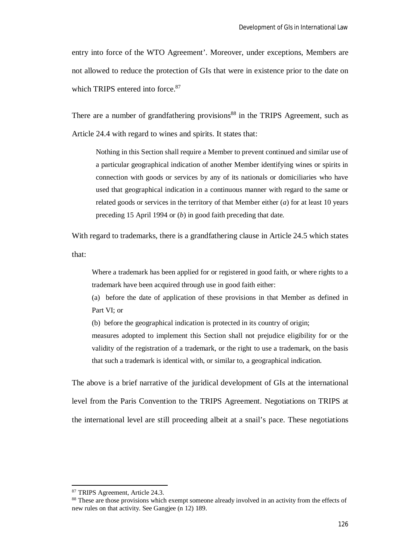entry into force of the WTO Agreement'. Moreover, under exceptions, Members are not allowed to reduce the protection of GIs that were in existence prior to the date on which TRIPS entered into force.<sup>87</sup>

There are a number of grandfathering provisions<sup>88</sup> in the TRIPS Agreement, such as Article 24.4 with regard to wines and spirits. It states that:

Nothing in this Section shall require a Member to prevent continued and similar use of a particular geographical indication of another Member identifying wines or spirits in connection with goods or services by any of its nationals or domiciliaries who have used that geographical indication in a continuous manner with regard to the same or related goods or services in the territory of that Member either (*a*) for at least 10 years preceding 15 April 1994 or (*b*) in good faith preceding that date.

With regard to trademarks, there is a grandfathering clause in Article 24.5 which states that:

Where a trademark has been applied for or registered in good faith, or where rights to a trademark have been acquired through use in good faith either:

(a) before the date of application of these provisions in that Member as defined in Part VI; or

(b) before the geographical indication is protected in its country of origin;

measures adopted to implement this Section shall not prejudice eligibility for or the validity of the registration of a trademark, or the right to use a trademark, on the basis that such a trademark is identical with, or similar to, a geographical indication.

The above is a brief narrative of the juridical development of GIs at the international level from the Paris Convention to the TRIPS Agreement. Negotiations on TRIPS at the international level are still proceeding albeit at a snail's pace. These negotiations

<sup>87</sup> TRIPS Agreement, Article 24.3.

<sup>&</sup>lt;sup>88</sup> These are those provisions which exempt someone already involved in an activity from the effects of new rules on that activity. See Gangiee (n 12) 189.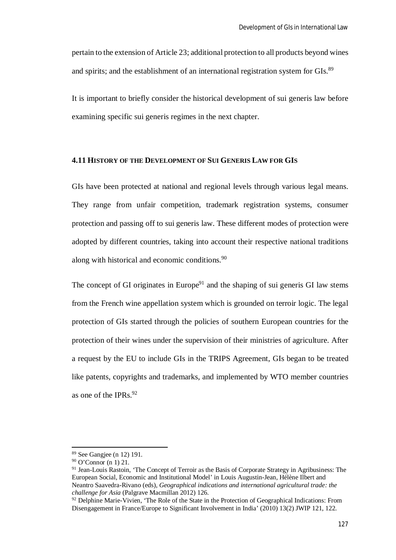pertain to the extension of Article 23; additional protection to all products beyond wines and spirits; and the establishment of an international registration system for GIs.<sup>89</sup>

It is important to briefly consider the historical development of sui generis law before examining specific sui generis regimes in the next chapter.

#### **4.11 HISTORY OF THE DEVELOPMENT OF SUI GENERIS LAW FOR GIS**

GIs have been protected at national and regional levels through various legal means. They range from unfair competition, trademark registration systems, consumer protection and passing off to sui generis law. These different modes of protection were adopted by different countries, taking into account their respective national traditions along with historical and economic conditions.<sup>90</sup>

The concept of GI originates in Europe<sup>91</sup> and the shaping of sui generis GI law stems from the French wine appellation system which is grounded on terroir logic. The legal protection of GIs started through the policies of southern European countries for the protection of their wines under the supervision of their ministries of agriculture. After a request by the EU to include GIs in the TRIPS Agreement, GIs began to be treated like patents, copyrights and trademarks, and implemented by WTO member countries as one of the IPRs. $92$ 

<sup>89</sup> See Gangjee (n 12) 191.

<sup>90</sup> O'Connor (n 1) 21.

<sup>91</sup> Jean-Louis Rastoin, 'The Concept of Terroir as the Basis of Corporate Strategy in Agribusiness: The European Social, Economic and Institutional Model' in Louis Augustin-Jean, Hélène Ilbert and Neantro Saavedra-Rivano (eds), *Geographical indications and international agricultural trade: the challenge for Asia* (Palgrave Macmillan 2012) 126.

<sup>&</sup>lt;sup>92</sup> Delphine Marie-Vivien, 'The Role of the State in the Protection of Geographical Indications: From Disengagement in France/Europe to Significant Involvement in India' (2010) 13(2) JWIP 121, 122.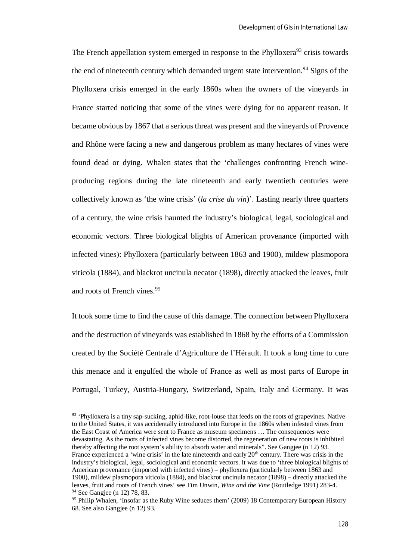The French appellation system emerged in response to the Phylloxera<sup>93</sup> crisis towards the end of nineteenth century which demanded urgent state intervention.<sup>94</sup> Signs of the Phylloxera crisis emerged in the early 1860s when the owners of the vineyards in France started noticing that some of the vines were dying for no apparent reason. It became obvious by 1867 that a serious threat was present and the vineyards of Provence and Rhône were facing a new and dangerous problem as many hectares of vines were found dead or dying. Whalen states that the 'challenges confronting French wineproducing regions during the late nineteenth and early twentieth centuries were collectively known as 'the wine crisis' (*la crise du vin*)'. Lasting nearly three quarters of a century, the wine crisis haunted the industry's biological, legal, sociological and economic vectors. Three biological blights of American provenance (imported with infected vines): Phylloxera (particularly between 1863 and 1900), mildew plasmopora viticola (1884), and blackrot uncinula necator (1898), directly attacked the leaves, fruit and roots of French vines.<sup>95</sup>

It took some time to find the cause of this damage. The connection between Phylloxera and the destruction of vineyards was established in 1868 by the efforts of a Commission created by the Société Centrale d'Agriculture de l'Hérault. It took a long time to cure this menace and it engulfed the whole of France as well as most parts of Europe in Portugal, Turkey, Austria-Hungary, Switzerland, Spain, Italy and Germany. It was

<sup>&</sup>lt;sup>93</sup> 'Phylloxera is a tiny sap-sucking, aphid-like, root-louse that feeds on the roots of grapevines. Native to the United States, it was accidentally introduced into Europe in the 1860s when infested vines from the East Coast of America were sent to France as museum specimens … The consequences were devastating. As the roots of infected vines become distorted, the regeneration of new roots is inhibited thereby affecting the root system's ability to absorb water and minerals". See Gangjee (n 12) 93. France experienced a 'wine crisis' in the late nineteenth and early 20<sup>th</sup> century. There was crisis in the industry's biological, legal, sociological and economic vectors. It was due to 'three biological blights of American provenance (imported with infected vines) – phylloxera (particularly between 1863 and 1900), mildew plasmopora viticola (1884), and blackrot uncinula necator (1898) – directly attacked the leaves, fruit and roots of French vines' see Tim Unwin, *Wine and the Vine* (Routledge 1991) 283-4. <sup>94</sup> See Gangjee (n 12) 78, 83.

<sup>&</sup>lt;sup>95</sup> Philip Whalen, 'Insofar as the Ruby Wine seduces them' (2009) 18 Contemporary European History 68. See also Gangjee (n 12) 93.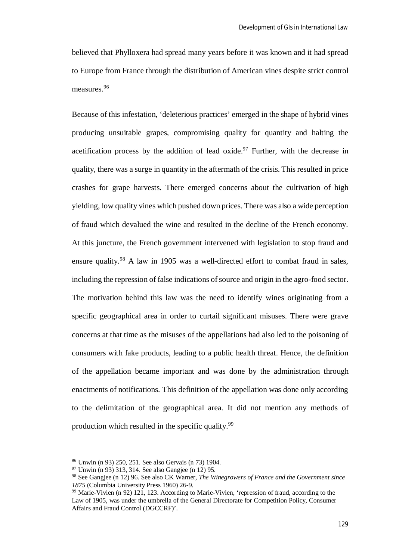believed that Phylloxera had spread many years before it was known and it had spread to Europe from France through the distribution of American vines despite strict control measures.<sup>96</sup>

Because of this infestation, 'deleterious practices' emerged in the shape of hybrid vines producing unsuitable grapes, compromising quality for quantity and halting the acetification process by the addition of lead oxide.<sup>97</sup> Further, with the decrease in quality, there was a surge in quantity in the aftermath of the crisis. This resulted in price crashes for grape harvests. There emerged concerns about the cultivation of high yielding, low quality vines which pushed down prices. There was also a wide perception of fraud which devalued the wine and resulted in the decline of the French economy. At this juncture, the French government intervened with legislation to stop fraud and ensure quality.<sup>98</sup> A law in 1905 was a well-directed effort to combat fraud in sales, including the repression of false indications of source and origin in the agro-food sector. The motivation behind this law was the need to identify wines originating from a specific geographical area in order to curtail significant misuses. There were grave concerns at that time as the misuses of the appellations had also led to the poisoning of consumers with fake products, leading to a public health threat. Hence, the definition of the appellation became important and was done by the administration through enactments of notifications. This definition of the appellation was done only according to the delimitation of the geographical area. It did not mention any methods of production which resulted in the specific quality.<sup>99</sup>

<sup>96</sup> Unwin (n 93) 250, 251. See also Gervais (n 73) 1904.

<sup>97</sup> Unwin (n 93) 313, 314. See also Gangjee (n 12) 95.

<sup>98</sup> See Gangjee (n 12) 96. See also CK Warner, *The Winegrowers of France and the Government since 1875* (Columbia University Press 1960) 26-9.

<sup>99</sup> Marie-Vivien (n 92) 121, 123. According to Marie-Vivien, 'repression of fraud, according to the Law of 1905, was under the umbrella of the General Directorate for Competition Policy, Consumer Affairs and Fraud Control (DGCCRF)'.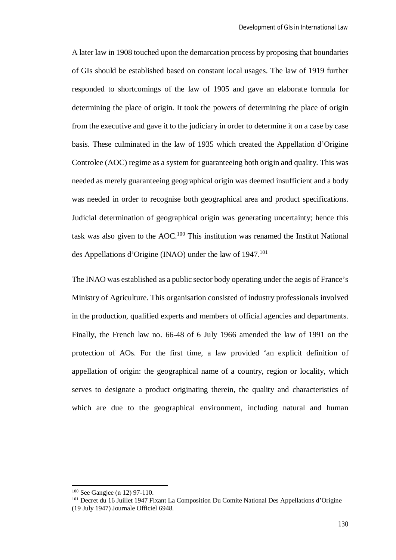A later law in 1908 touched upon the demarcation process by proposing that boundaries of GIs should be established based on constant local usages. The law of 1919 further responded to shortcomings of the law of 1905 and gave an elaborate formula for determining the place of origin. It took the powers of determining the place of origin from the executive and gave it to the judiciary in order to determine it on a case by case basis. These culminated in the law of 1935 which created the Appellation d'Origine Controlee (AOC) regime as a system for guaranteeing both origin and quality. This was needed as merely guaranteeing geographical origin was deemed insufficient and a body was needed in order to recognise both geographical area and product specifications. Judicial determination of geographical origin was generating uncertainty; hence this task was also given to the  $AOC<sup>100</sup>$  This institution was renamed the Institut National des Appellations d'Origine (INAO) under the law of 1947.<sup>101</sup>

The INAO was established as a public sector body operating under the aegis of France's Ministry of Agriculture. This organisation consisted of industry professionals involved in the production, qualified experts and members of official agencies and departments. Finally, the French law no. 66-48 of 6 July 1966 amended the law of 1991 on the protection of AOs. For the first time, a law provided 'an explicit definition of appellation of origin: the geographical name of a country, region or locality, which serves to designate a product originating therein, the quality and characteristics of which are due to the geographical environment, including natural and human

<sup>100</sup> See Gangjee (n 12) 97-110.

<sup>&</sup>lt;sup>101</sup> Decret du 16 Juillet 1947 Fixant La Composition Du Comite National Des Appellations d'Origine (19 July 1947) Journale Officiel 6948*.*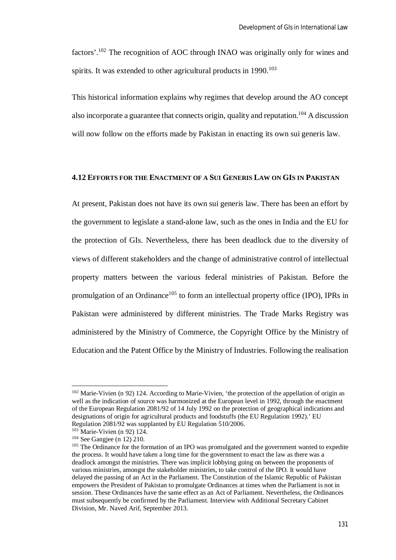factors'.<sup>102</sup> The recognition of AOC through INAO was originally only for wines and spirits. It was extended to other agricultural products in  $1990$ <sup>103</sup>

This historical information explains why regimes that develop around the AO concept also incorporate a guarantee that connects origin, quality and reputation.<sup>104</sup> A discussion will now follow on the efforts made by Pakistan in enacting its own sui generis law.

#### **4.12 EFFORTS FOR THE ENACTMENT OF A SUI GENERIS LAW ON GIS IN PAKISTAN**

At present, Pakistan does not have its own sui generis law. There has been an effort by the government to legislate a stand-alone law, such as the ones in India and the EU for the protection of GIs. Nevertheless, there has been deadlock due to the diversity of views of different stakeholders and the change of administrative control of intellectual property matters between the various federal ministries of Pakistan. Before the promulgation of an Ordinance<sup>105</sup> to form an intellectual property office (IPO), IPRs in Pakistan were administered by different ministries. The Trade Marks Registry was administered by the Ministry of Commerce, the Copyright Office by the Ministry of Education and the Patent Office by the Ministry of Industries. Following the realisation

<sup>&</sup>lt;sup>102</sup> Marie-Vivien (n 92) 124. According to Marie-Vivien, 'the protection of the appellation of origin as well as the indication of source was harmonized at the European level in 1992, through the enactment of the European Regulation 2081/92 of 14 July 1992 on the protection of geographical indications and designations of origin for agricultural products and foodstuffs (the EU Regulation 1992).' EU Regulation 2081/92 was supplanted by EU Regulation 510/2006.

<sup>103</sup> Marie-Vivien (n 92) 124.

<sup>104</sup> See Gangjee (n 12) 210.

<sup>&</sup>lt;sup>105</sup> The Ordinance for the formation of an IPO was promulgated and the government wanted to expedite the process. It would have taken a long time for the government to enact the law as there was a deadlock amongst the ministries. There was implicit lobbying going on between the proponents of various ministries, amongst the stakeholder ministries, to take control of the IPO. It would have delayed the passing of an Act in the Parliament. The Constitution of the Islamic Republic of Pakistan empowers the President of Pakistan to promulgate Ordinances at times when the Parliament is not in session. These Ordinances have the same effect as an Act of Parliament. Nevertheless, the Ordinances must subsequently be confirmed by the Parliament. Interview with Additional Secretary Cabinet Division, Mr. Naved Arif, September 2013.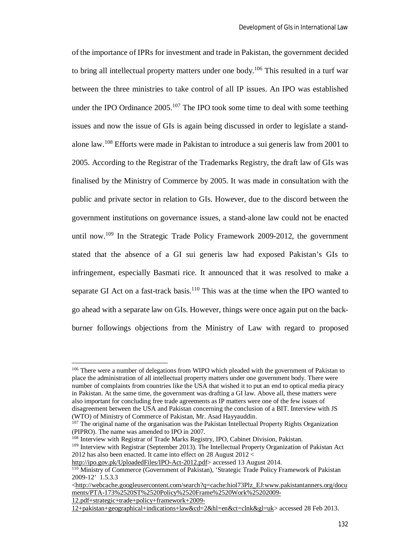of the importance of IPRs for investment and trade in Pakistan, the government decided to bring all intellectual property matters under one body.<sup>106</sup> This resulted in a turf war between the three ministries to take control of all IP issues. An IPO was established under the IPO Ordinance  $2005$ <sup>107</sup>. The IPO took some time to deal with some teething issues and now the issue of GIs is again being discussed in order to legislate a standalone law.<sup>108</sup> Efforts were made in Pakistan to introduce a sui generis law from 2001 to 2005. According to the Registrar of the Trademarks Registry, the draft law of GIs was finalised by the Ministry of Commerce by 2005. It was made in consultation with the public and private sector in relation to GIs. However, due to the discord between the government institutions on governance issues, a stand-alone law could not be enacted until now.<sup>109</sup> In the Strategic Trade Policy Framework 2009-2012, the government stated that the absence of a GI sui generis law had exposed Pakistan's GIs to infringement, especially Basmati rice. It announced that it was resolved to make a separate GI Act on a fast-track basis. $110$  This was at the time when the IPO wanted to go ahead with a separate law on GIs. However, things were once again put on the backburner followings objections from the Ministry of Law with regard to proposed

<sup>&</sup>lt;sup>106</sup> There were a number of delegations from WIPO which pleaded with the government of Pakistan to place the administration of all intellectual property matters under one government body. There were number of complaints from countries like the USA that wished it to put an end to optical media piracy in Pakistan. At the same time, the government was drafting a GI law. Above all, these matters were also important for concluding free trade agreements as IP matters were one of the few issues of disagreement between the USA and Pakistan concerning the conclusion of a BIT. Interview with JS (WTO) of Ministry of Commerce of Pakistan, Mr. Asad Hayyauddin.

<sup>&</sup>lt;sup>107</sup> The original name of the organisation was the Pakistan Intellectual Property Rights Organization (PIPRO). The name was amended to IPO in 2007.

<sup>108</sup> Interview with Registrar of Trade Marks Registry, IPO, Cabinet Division, Pakistan.

<sup>&</sup>lt;sup>109</sup> Interview with Registrar (September 2013). The Intellectual Property Organization of Pakistan Act 2012 has also been enacted. It came into effect on 28 August 2012 <

http://ipo.gov.pk/UploadedFiles/IPO-Act-2012.pdf> accessed 13 August 2014.

<sup>110</sup> Ministry of Commerce (Government of Pakistan), 'Strategic Trade Policy Framework of Pakistan 2009-12' 1.5.3.3

<sup>&</sup>lt;http://webcache.googleusercontent.com/search?q=cache:hiol73Plz\_EJ:www.pakistantanners.org/docu ments/PTA-173%2520ST%2520Policy%2520Frame%2520Work%25202009-

<sup>12.</sup>pdf+strategic+trade+policy+framework+2009-

<sup>12+</sup>pakistan+geographical+indications+law&cd=2&hl=en&ct=clnk&gl=uk> accessed 28 Feb 2013.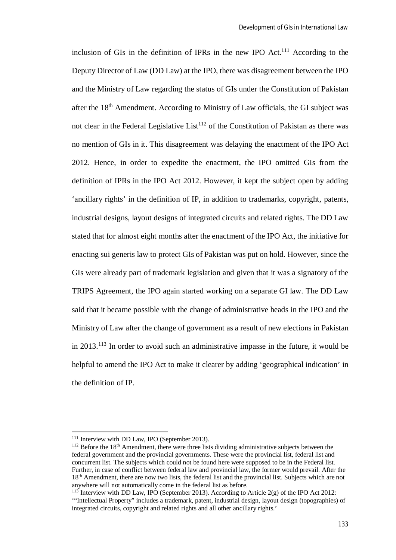inclusion of GIs in the definition of IPRs in the new IPO Act.<sup>111</sup> According to the Deputy Director of Law (DD Law) at the IPO, there was disagreement between the IPO and the Ministry of Law regarding the status of GIs under the Constitution of Pakistan after the 18th Amendment. According to Ministry of Law officials, the GI subject was not clear in the Federal Legislative List<sup>112</sup> of the Constitution of Pakistan as there was no mention of GIs in it. This disagreement was delaying the enactment of the IPO Act 2012. Hence, in order to expedite the enactment, the IPO omitted GIs from the definition of IPRs in the IPO Act 2012. However, it kept the subject open by adding 'ancillary rights' in the definition of IP, in addition to trademarks, copyright, patents, industrial designs, layout designs of integrated circuits and related rights. The DD Law stated that for almost eight months after the enactment of the IPO Act, the initiative for enacting sui generis law to protect GIs of Pakistan was put on hold. However, since the GIs were already part of trademark legislation and given that it was a signatory of the TRIPS Agreement, the IPO again started working on a separate GI law. The DD Law said that it became possible with the change of administrative heads in the IPO and the Ministry of Law after the change of government as a result of new elections in Pakistan in 2013.<sup>113</sup> In order to avoid such an administrative impasse in the future, it would be helpful to amend the IPO Act to make it clearer by adding 'geographical indication' in the definition of IP.

<sup>&</sup>lt;sup>111</sup> Interview with DD Law, IPO (September 2013).

 $112$  Before the 18<sup>th</sup> Amendment, there were three lists dividing administrative subjects between the federal government and the provincial governments. These were the provincial list, federal list and concurrent list. The subjects which could not be found here were supposed to be in the Federal list. Further, in case of conflict between federal law and provincial law, the former would prevail. After the 18th Amendment, there are now two lists, the federal list and the provincial list. Subjects which are not anywhere will not automatically come in the federal list as before.

 $113$  Interview with DD Law, IPO (September 2013). According to Article 2(g) of the IPO Act 2012: '"Intellectual Property" includes a trademark, patent, industrial design, layout design (topographies) of integrated circuits, copyright and related rights and all other ancillary rights.'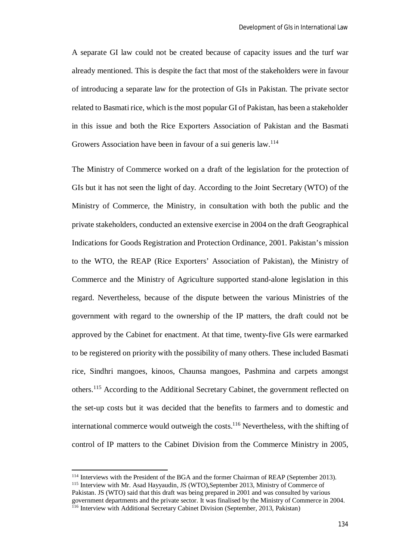A separate GI law could not be created because of capacity issues and the turf war already mentioned. This is despite the fact that most of the stakeholders were in favour of introducing a separate law for the protection of GIs in Pakistan. The private sector related to Basmati rice, which is the most popular GI of Pakistan, has been a stakeholder in this issue and both the Rice Exporters Association of Pakistan and the Basmati Growers Association have been in favour of a sui generis law.<sup>114</sup>

The Ministry of Commerce worked on a draft of the legislation for the protection of GIs but it has not seen the light of day. According to the Joint Secretary (WTO) of the Ministry of Commerce, the Ministry, in consultation with both the public and the private stakeholders, conducted an extensive exercise in 2004 on the draft Geographical Indications for Goods Registration and Protection Ordinance, 2001. Pakistan's mission to the WTO, the REAP (Rice Exporters' Association of Pakistan), the Ministry of Commerce and the Ministry of Agriculture supported stand-alone legislation in this regard. Nevertheless, because of the dispute between the various Ministries of the government with regard to the ownership of the IP matters, the draft could not be approved by the Cabinet for enactment. At that time, twenty-five GIs were earmarked to be registered on priority with the possibility of many others. These included Basmati rice, Sindhri mangoes, kinoos, Chaunsa mangoes, Pashmina and carpets amongst others.<sup>115</sup> According to the Additional Secretary Cabinet, the government reflected on the set-up costs but it was decided that the benefits to farmers and to domestic and international commerce would outweigh the costs.<sup>116</sup> Nevertheless, with the shifting of control of IP matters to the Cabinet Division from the Commerce Ministry in 2005,

<sup>&</sup>lt;sup>114</sup> Interviews with the President of the BGA and the former Chairman of REAP (September 2013).

<sup>&</sup>lt;sup>115</sup> Interview with Mr. Asad Hayyaudin, JS (WTO), September 2013, Ministry of Commerce of Pakistan. JS (WTO) said that this draft was being prepared in 2001 and was consulted by various government departments and the private sector. It was finalised by the Ministry of Commerce in 2004.

<sup>&</sup>lt;sup>116</sup> Interview with Additional Secretary Cabinet Division (September, 2013, Pakistan)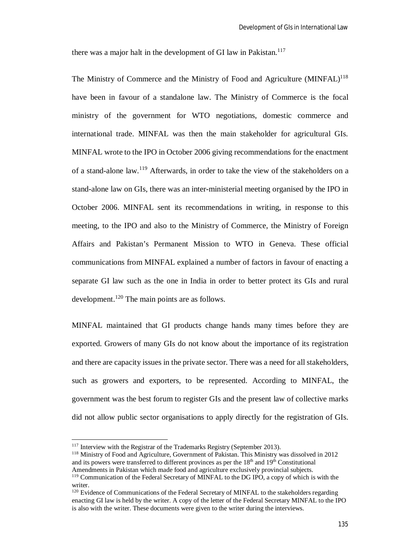there was a major halt in the development of GI law in Pakistan.<sup>117</sup>

The Ministry of Commerce and the Ministry of Food and Agriculture  $(MINFAL)^{118}$ have been in favour of a standalone law. The Ministry of Commerce is the focal ministry of the government for WTO negotiations, domestic commerce and international trade. MINFAL was then the main stakeholder for agricultural GIs. MINFAL wrote to the IPO in October 2006 giving recommendations for the enactment of a stand-alone law.<sup>119</sup> Afterwards, in order to take the view of the stakeholders on a stand-alone law on GIs, there was an inter-ministerial meeting organised by the IPO in October 2006. MINFAL sent its recommendations in writing, in response to this meeting, to the IPO and also to the Ministry of Commerce, the Ministry of Foreign Affairs and Pakistan's Permanent Mission to WTO in Geneva. These official communications from MINFAL explained a number of factors in favour of enacting a separate GI law such as the one in India in order to better protect its GIs and rural development.<sup>120</sup> The main points are as follows.

MINFAL maintained that GI products change hands many times before they are exported. Growers of many GIs do not know about the importance of its registration and there are capacity issues in the private sector. There was a need for all stakeholders, such as growers and exporters, to be represented. According to MINFAL, the government was the best forum to register GIs and the present law of collective marks did not allow public sector organisations to apply directly for the registration of GIs.

<sup>&</sup>lt;sup>117</sup> Interview with the Registrar of the Trademarks Registry (September 2013).

<sup>118</sup> Ministry of Food and Agriculture, Government of Pakistan. This Ministry was dissolved in 2012 and its powers were transferred to different provinces as per the 18<sup>th</sup> and 19<sup>th</sup> Constitutional Amendments in Pakistan which made food and agriculture exclusively provincial subjects.

<sup>&</sup>lt;sup>119</sup> Communication of the Federal Secretary of MINFAL to the DG IPO, a copy of which is with the writer.

<sup>&</sup>lt;sup>120</sup> Evidence of Communications of the Federal Secretary of MINFAL to the stakeholders regarding enacting GI law is held by the writer. A copy of the letter of the Federal Secretary MINFAL to the IPO is also with the writer. These documents were given to the writer during the interviews.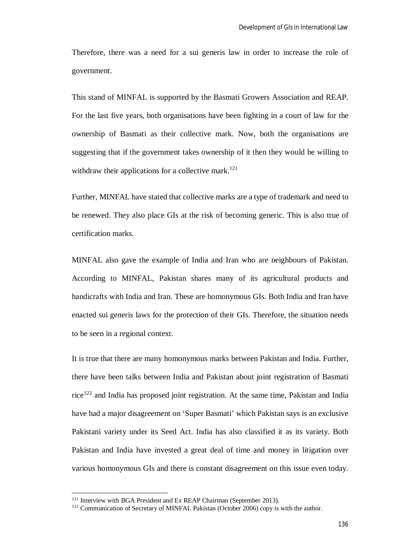Therefore, there was a need for a sui generis law in order to increase the role of government.

This stand of MINFAL is supported by the Basmati Growers Association and REAP. For the last five years, both organisations have been fighting in a court of law for the ownership of Basmati as their collective mark. Now, both the organisations are suggesting that if the government takes ownership of it then they would be willing to withdraw their applications for a collective mark.<sup>121</sup>

Further, MINFAL have stated that collective marks are a type of trademark and need to be renewed. They also place GIs at the risk of becoming generic. This is also true of certification marks.

MINFAL also gave the example of India and Iran who are neighbours of Pakistan. According to MINFAL, Pakistan shares many of its agricultural products and handicrafts with India and Iran. These are homonymous GIs. Both India and Iran have enacted sui generis laws for the protection of their GIs. Therefore, the situation needs to be seen in a regional context.

It is true that there are many homonymous marks between Pakistan and India. Further, there have been talks between India and Pakistan about joint registration of Basmati  $\text{rice}^{122}$  and India has proposed joint registration. At the same time, Pakistan and India have had a major disagreement on 'Super Basmati' which Pakistan says is an exclusive Pakistani variety under its Seed Act. India has also classified it as its variety. Both Pakistan and India have invested a great deal of time and money in litigation over various homonymous GIs and there is constant disagreement on this issue even today.

<sup>&</sup>lt;sup>121</sup> Interview with BGA President and Ex REAP Chairman (September 2013).

<sup>&</sup>lt;sup>122</sup> Communication of Secretary of MINFAL Pakistan (October 2006) copy is with the author.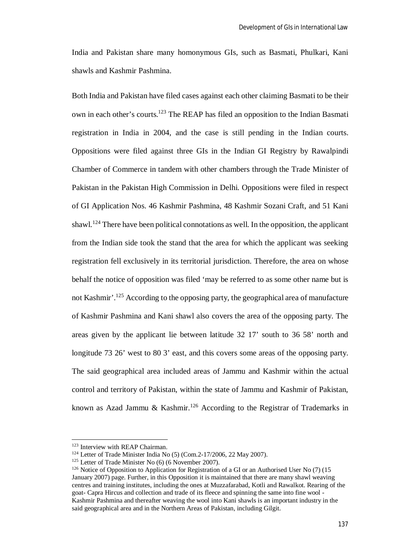India and Pakistan share many homonymous GIs, such as Basmati, Phulkari, Kani shawls and Kashmir Pashmina.

Both India and Pakistan have filed cases against each other claiming Basmati to be their own in each other's courts.<sup>123</sup> The REAP has filed an opposition to the Indian Basmati registration in India in 2004, and the case is still pending in the Indian courts. Oppositions were filed against three GIs in the Indian GI Registry by Rawalpindi Chamber of Commerce in tandem with other chambers through the Trade Minister of Pakistan in the Pakistan High Commission in Delhi. Oppositions were filed in respect of GI Application Nos. 46 Kashmir Pashmina, 48 Kashmir Sozani Craft, and 51 Kani shawl.<sup>124</sup> There have been political connotations as well. In the opposition, the applicant from the Indian side took the stand that the area for which the applicant was seeking registration fell exclusively in its territorial jurisdiction. Therefore, the area on whose behalf the notice of opposition was filed 'may be referred to as some other name but is not Kashmir'.<sup>125</sup> According to the opposing party, the geographical area of manufacture of Kashmir Pashmina and Kani shawl also covers the area of the opposing party. The areas given by the applicant lie between latitude 32 17' south to 36 58' north and longitude 73 26' west to 80 3' east, and this covers some areas of the opposing party. The said geographical area included areas of Jammu and Kashmir within the actual control and territory of Pakistan, within the state of Jammu and Kashmir of Pakistan, known as Azad Jammu & Kashmir.<sup>126</sup> According to the Registrar of Trademarks in

<sup>&</sup>lt;sup>123</sup> Interview with REAP Chairman.

<sup>124</sup> Letter of Trade Minister India No (5) (Com.2-17/2006, 22 May 2007).

<sup>&</sup>lt;sup>125</sup> Letter of Trade Minister No (6) (6 November 2007).

<sup>126</sup> Notice of Opposition to Application for Registration of a GI or an Authorised User No (7) (15 January 2007) page. Further, in this Opposition it is maintained that there are many shawl weaving centres and training institutes, including the ones at Muzzafarabad, Kotli and Rawalkot. Rearing of the goat- Capra Hircus and collection and trade of its fleece and spinning the same into fine wool - Kashmir Pashmina and thereafter weaving the wool into Kani shawls is an important industry in the said geographical area and in the Northern Areas of Pakistan, including Gilgit.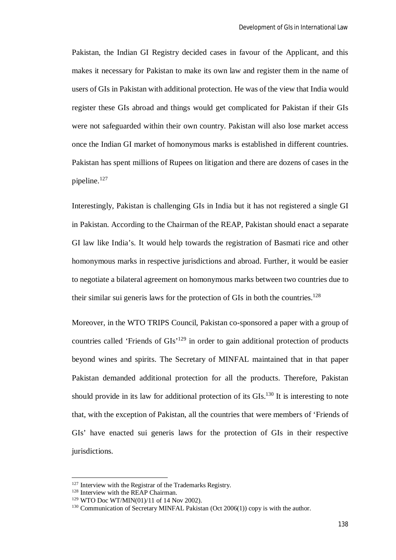Pakistan, the Indian GI Registry decided cases in favour of the Applicant, and this makes it necessary for Pakistan to make its own law and register them in the name of users of GIs in Pakistan with additional protection. He was of the view that India would register these GIs abroad and things would get complicated for Pakistan if their GIs were not safeguarded within their own country. Pakistan will also lose market access once the Indian GI market of homonymous marks is established in different countries. Pakistan has spent millions of Rupees on litigation and there are dozens of cases in the pipeline.<sup>127</sup>

Interestingly, Pakistan is challenging GIs in India but it has not registered a single GI in Pakistan. According to the Chairman of the REAP, Pakistan should enact a separate GI law like India's. It would help towards the registration of Basmati rice and other homonymous marks in respective jurisdictions and abroad. Further, it would be easier to negotiate a bilateral agreement on homonymous marks between two countries due to their similar sui generis laws for the protection of GIs in both the countries.<sup>128</sup>

Moreover, in the WTO TRIPS Council, Pakistan co-sponsored a paper with a group of countries called 'Friends of GIs'<sup>129</sup> in order to gain additional protection of products beyond wines and spirits. The Secretary of MINFAL maintained that in that paper Pakistan demanded additional protection for all the products. Therefore, Pakistan should provide in its law for additional protection of its  $GIs.<sup>130</sup>$  It is interesting to note that, with the exception of Pakistan, all the countries that were members of 'Friends of GIs' have enacted sui generis laws for the protection of GIs in their respective jurisdictions.

<sup>&</sup>lt;sup>127</sup> Interview with the Registrar of the Trademarks Registry.

<sup>&</sup>lt;sup>128</sup> Interview with the REAP Chairman.

<sup>129</sup> WTO Doc WT/MIN(01)/11 of 14 Nov 2002).

<sup>&</sup>lt;sup>130</sup> Communication of Secretary MINFAL Pakistan (Oct 2006(1)) copy is with the author.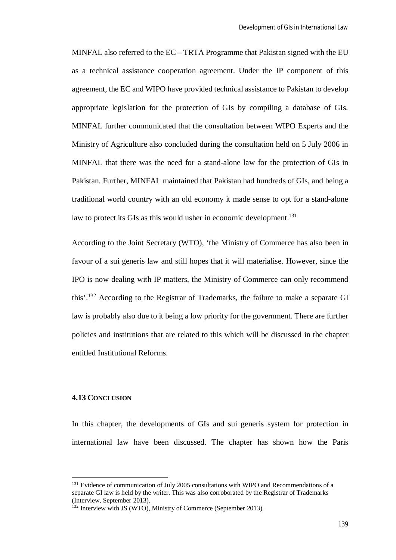MINFAL also referred to the EC – TRTA Programme that Pakistan signed with the EU as a technical assistance cooperation agreement. Under the IP component of this agreement, the EC and WIPO have provided technical assistance to Pakistan to develop appropriate legislation for the protection of GIs by compiling a database of GIs. MINFAL further communicated that the consultation between WIPO Experts and the Ministry of Agriculture also concluded during the consultation held on 5 July 2006 in MINFAL that there was the need for a stand-alone law for the protection of GIs in Pakistan. Further, MINFAL maintained that Pakistan had hundreds of GIs, and being a traditional world country with an old economy it made sense to opt for a stand-alone law to protect its GIs as this would usher in economic development.<sup>131</sup>

According to the Joint Secretary (WTO), 'the Ministry of Commerce has also been in favour of a sui generis law and still hopes that it will materialise. However, since the IPO is now dealing with IP matters, the Ministry of Commerce can only recommend this'.<sup>132</sup> According to the Registrar of Trademarks, the failure to make a separate GI law is probably also due to it being a low priority for the government. There are further policies and institutions that are related to this which will be discussed in the chapter entitled Institutional Reforms.

### **4.13 CONCLUSION**

 $\overline{a}$ 

In this chapter, the developments of GIs and sui generis system for protection in international law have been discussed. The chapter has shown how the Paris

<sup>&</sup>lt;sup>131</sup> Evidence of communication of July 2005 consultations with WIPO and Recommendations of a separate GI law is held by the writer. This was also corroborated by the Registrar of Trademarks (Interview, September 2013).

<sup>&</sup>lt;sup>132</sup> Interview with JS (WTO), Ministry of Commerce (September 2013).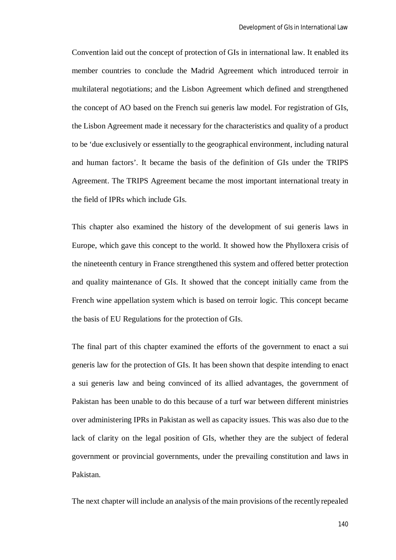Convention laid out the concept of protection of GIs in international law. It enabled its member countries to conclude the Madrid Agreement which introduced terroir in multilateral negotiations; and the Lisbon Agreement which defined and strengthened the concept of AO based on the French sui generis law model. For registration of GIs, the Lisbon Agreement made it necessary for the characteristics and quality of a product to be 'due exclusively or essentially to the geographical environment, including natural and human factors'. It became the basis of the definition of GIs under the TRIPS Agreement. The TRIPS Agreement became the most important international treaty in the field of IPRs which include GIs.

This chapter also examined the history of the development of sui generis laws in Europe, which gave this concept to the world. It showed how the Phylloxera crisis of the nineteenth century in France strengthened this system and offered better protection and quality maintenance of GIs. It showed that the concept initially came from the French wine appellation system which is based on terroir logic. This concept became the basis of EU Regulations for the protection of GIs.

The final part of this chapter examined the efforts of the government to enact a sui generis law for the protection of GIs. It has been shown that despite intending to enact a sui generis law and being convinced of its allied advantages, the government of Pakistan has been unable to do this because of a turf war between different ministries over administering IPRs in Pakistan as well as capacity issues. This was also due to the lack of clarity on the legal position of GIs, whether they are the subject of federal government or provincial governments, under the prevailing constitution and laws in Pakistan.

The next chapter will include an analysis of the main provisions of the recently repealed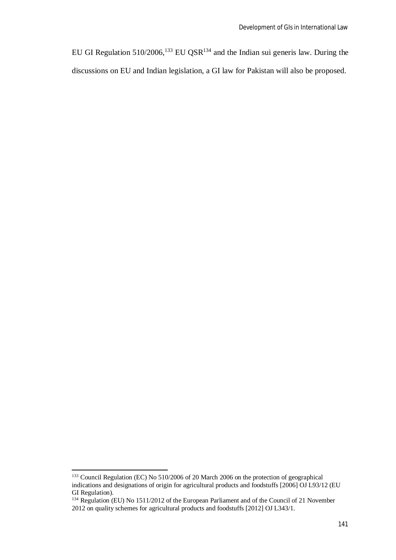EU GI Regulation  $510/2006$ ,  $^{133}$  EU QSR $^{134}$  and the Indian sui generis law. During the discussions on EU and Indian legislation, a GI law for Pakistan will also be proposed.

<sup>&</sup>lt;sup>133</sup> Council Regulation (EC) No 510/2006 of 20 March 2006 on the protection of geographical indications and designations of origin for agricultural products and foodstuffs [2006] OJ L93/12 (EU GI Regulation).

<sup>&</sup>lt;sup>134</sup> Regulation (EU) No 1511/2012 of the European Parliament and of the Council of 21 November 2012 on quality schemes for agricultural products and foodstuffs [2012] OJ L343/1.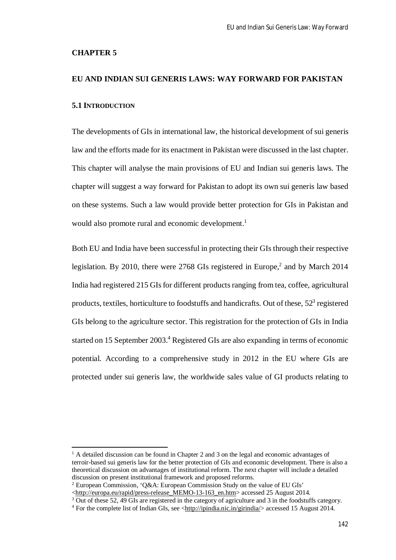#### **CHAPTER 5**

 $\overline{\phantom{a}}$ 

# **EU AND INDIAN SUI GENERIS LAWS: WAY FORWARD FOR PAKISTAN 5.1 INTRODUCTION**

The developments of GIs in international law, the historical development of sui generis law and the efforts made for its enactment in Pakistan were discussed in the last chapter. This chapter will analyse the main provisions of EU and Indian sui generis laws. The chapter will suggest a way forward for Pakistan to adopt its own sui generis law based on these systems. Such a law would provide better protection for GIs in Pakistan and would also promote rural and economic development.<sup>1</sup>

Both EU and India have been successful in protecting their GIs through their respective legislation. By 2010, there were 2768 GIs registered in Europe,<sup>2</sup> and by March 2014 India had registered 215 GIs for different products ranging from tea, coffee, agricultural products, textiles, horticulture to foodstuffs and handicrafts. Out of these,  $52<sup>3</sup>$  registered GIs belong to the agriculture sector. This registration for the protection of GIs in India started on 15 September 2003.<sup>4</sup> Registered GIs are also expanding in terms of economic potential. According to a comprehensive study in 2012 in the EU where GIs are protected under sui generis law, the worldwide sales value of GI products relating to

 $2$  European Commission, 'O&A: European Commission Study on the value of EU GIs'

<http://europa.eu/rapid/press-release\_MEMO-13-163\_en.htm> accessed 25 August 2014.

<sup>3</sup> Out of these 52, 49 GIs are registered in the category of agriculture and 3 in the foodstuffs category.

 $<sup>1</sup>$  A detailed discussion can be found in Chapter 2 and 3 on the legal and economic advantages of</sup> terroir-based sui generis law for the better protection of GIs and economic development. There is also a theoretical discussion on advantages of institutional reform. The next chapter will include a detailed discussion on present institutional framework and proposed reforms.

 $4$  For the complete list of Indian GIs, see  $\langle$ http://ipindia.nic.in/girindia/ $>$  accessed 15 August 2014.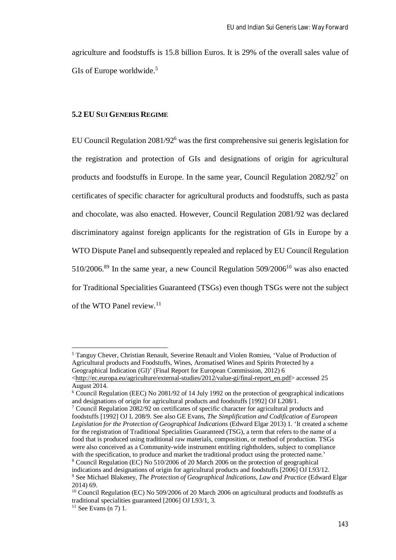agriculture and foodstuffs is 15.8 billion Euros. It is 29% of the overall sales value of GIs of Europe worldwide.<sup>5</sup>

## **5.2 EU SUI GENERIS REGIME**

EU Council Regulation 2081/92<sup>6</sup> was the first comprehensive sui generis legislation for the registration and protection of GIs and designations of origin for agricultural products and foodstuffs in Europe. In the same year, Council Regulation 2082/92<sup>7</sup> on certificates of specific character for agricultural products and foodstuffs, such as pasta and chocolate, was also enacted. However, Council Regulation 2081/92 was declared discriminatory against foreign applicants for the registration of GIs in Europe by a WTO Dispute Panel and subsequently repealed and replaced by EU Council Regulation  $510/2006$ .<sup>89</sup> In the same year, a new Council Regulation  $509/2006$ <sup>10</sup> was also enacted for Traditional Specialities Guaranteed (TSGs) even though TSGs were not the subject of the WTO Panel review.<sup>11</sup>

<sup>5</sup> Tanguy Chever, Christian Renault, Severine Renault and Violen Romieu, 'Value of Production of Agricultural products and Foodstuffs, Wines, Aromatised Wines and Spirits Protected by a Geographical Indication (GI)' (Final Report for European Commission, 2012) 6 <http://ec.europa.eu/agriculture/external-studies/2012/value-gi/final-report\_en.pdf> accessed 25

August 2014.

<sup>6</sup> Council Regulation (EEC) No 2081/92 of 14 July 1992 on the protection of geographical indications and designations of origin for agricultural products and foodstuffs [1992] OJ L208/1.

<sup>&</sup>lt;sup>7</sup> Council Regulation 2082/92 on certificates of specific character for agricultural products and foodstuffs [1992] OJ L 208/9. See also GE Evans, *The Simplification and Codification of European Legislation for the Protection of Geographical Indications* (Edward Elgar 2013) 1. 'It created a scheme for the registration of Traditional Specialities Guaranteed (TSG), a term that refers to the name of a food that is produced using traditional raw materials, composition, or method of production. TSGs were also conceived as a Community-wide instrument entitling rightholders, subject to compliance with the specification, to produce and market the traditional product using the protected name.' <sup>8</sup> Council Regulation (EC) No 510/2006 of 20 March 2006 on the protection of geographical indications and designations of origin for agricultural products and foodstuffs [2006] OJ L93/12. <sup>9</sup> See Michael Blakeney, *The Protection of Geographical Indications, Law and Practice* (Edward Elgar 2014) 69.

<sup>&</sup>lt;sup>10</sup> Council Regulation (EC) No 509/2006 of 20 March 2006 on agricultural products and foodstuffs as traditional specialities guaranteed [2006] OJ L93/1, 3.

 $11$  See Evans (n 7) 1.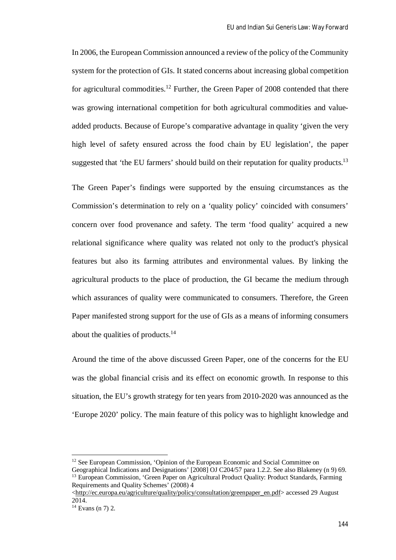In 2006, the European Commission announced a review of the policy of the Community system for the protection of GIs. It stated concerns about increasing global competition for agricultural commodities.<sup>12</sup> Further, the Green Paper of 2008 contended that there was growing international competition for both agricultural commodities and valueadded products. Because of Europe's comparative advantage in quality 'given the very high level of safety ensured across the food chain by EU legislation', the paper suggested that 'the EU farmers' should build on their reputation for quality products.<sup>13</sup>

The Green Paper's findings were supported by the ensuing circumstances as the Commission's determination to rely on a 'quality policy' coincided with consumers' concern over food provenance and safety. The term 'food quality' acquired a new relational significance where quality was related not only to the product's physical features but also its farming attributes and environmental values. By linking the agricultural products to the place of production, the GI became the medium through which assurances of quality were communicated to consumers. Therefore, the Green Paper manifested strong support for the use of GIs as a means of informing consumers about the qualities of products.<sup>14</sup>

Around the time of the above discussed Green Paper, one of the concerns for the EU was the global financial crisis and its effect on economic growth. In response to this situation, the EU's growth strategy for ten years from 2010-2020 was announced as the 'Europe 2020' policy. The main feature of this policy was to highlight knowledge and

<sup>&</sup>lt;sup>12</sup> See European Commission, 'Opinion of the European Economic and Social Committee on

Geographical Indications and Designations' [2008] OJ C204/57 para 1.2.2. See also Blakeney (n 9) 69. <sup>13</sup> European Commission, 'Green Paper on Agricultural Product Quality: Product Standards, Farming Requirements and Quality Schemes' (2008) 4

<sup>&</sup>lt;http://ec.europa.eu/agriculture/quality/policy/consultation/greenpaper\_en.pdf> accessed 29 August 2014.

 $14$  Evans (n 7) 2.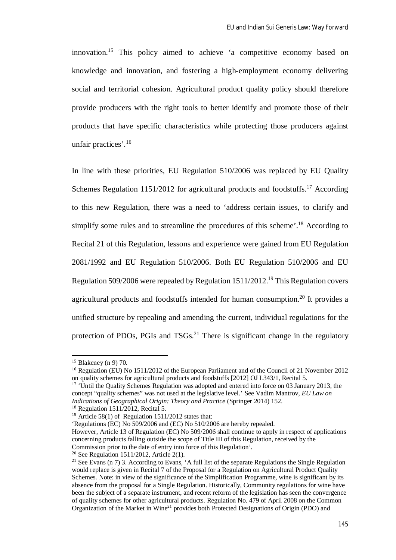innovation.<sup>15</sup> This policy aimed to achieve 'a competitive economy based on knowledge and innovation, and fostering a high-employment economy delivering social and territorial cohesion. Agricultural product quality policy should therefore provide producers with the right tools to better identify and promote those of their products that have specific characteristics while protecting those producers against unfair practices'.<sup>16</sup>

In line with these priorities, EU Regulation 510/2006 was replaced by EU Quality Schemes Regulation 1151/2012 for agricultural products and foodstuffs.<sup>17</sup> According to this new Regulation, there was a need to 'address certain issues, to clarify and simplify some rules and to streamline the procedures of this scheme'.<sup>18</sup> According to Recital 21 of this Regulation, lessons and experience were gained from EU Regulation 2081/1992 and EU Regulation 510/2006. Both EU Regulation 510/2006 and EU Regulation 509/2006 were repealed by Regulation 1511/2012.<sup>19</sup> This Regulation covers agricultural products and foodstuffs intended for human consumption.<sup>20</sup> It provides a unified structure by repealing and amending the current, individual regulations for the protection of PDOs, PGIs and  $TSGs$ <sup>21</sup> There is significant change in the regulatory

<sup>15</sup> Blakeney (n 9) 70.

<sup>&</sup>lt;sup>16</sup> Regulation (EU) No 1511/2012 of the European Parliament and of the Council of 21 November 2012 on quality schemes for agricultural products and foodstuffs [2012] OJ L343/1, Recital 5.

<sup>&</sup>lt;sup>17</sup> 'Until the Quality Schemes Regulation was adopted and entered into force on 03 January 2013, the concept "quality schemes" was not used at the legislative level.' See Vadim Mantrov, *EU Law on Indications of Geographical Origin: Theory and Practice* (Springer 2014) 152.

<sup>18</sup> Regulation 1511/2012, Recital 5.

<sup>&</sup>lt;sup>19</sup> Article 58(1) of Regulation 1511/2012 states that:

<sup>&#</sup>x27;Regulations (EC) No 509/2006 and (EC) No 510/2006 are hereby repealed.

However, Article 13 of Regulation (EC) No 509/2006 shall continue to apply in respect of applications concerning products falling outside the scope of Title III of this Regulation, received by the Commission prior to the date of entry into force of this Regulation'.

<sup>20</sup> See Regulation 1511/2012, Article 2(1).

<sup>&</sup>lt;sup>21</sup> See Evans (n 7) 3. According to Evans, 'A full list of the separate Regulations the Single Regulation would replace is given in Recital 7 of the Proposal for a Regulation on Agricultural Product Quality Schemes. Note: in view of the significance of the Simplification Programme, wine is significant by its absence from the proposal for a Single Regulation. Historically, Community regulations for wine have been the subject of a separate instrument, and recent reform of the legislation has seen the convergence of quality schemes for other agricultural products. Regulation No. 479 of April 2008 on the Common Organization of the Market in Wine<sup>21</sup> provides both Protected Designations of Origin (PDO) and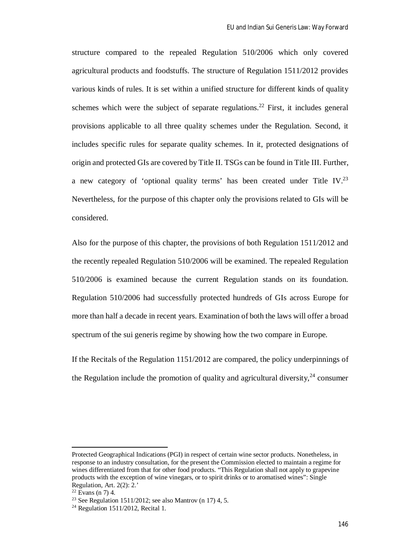structure compared to the repealed Regulation 510/2006 which only covered agricultural products and foodstuffs. The structure of Regulation 1511/2012 provides various kinds of rules. It is set within a unified structure for different kinds of quality schemes which were the subject of separate regulations.<sup>22</sup> First, it includes general provisions applicable to all three quality schemes under the Regulation. Second, it includes specific rules for separate quality schemes. In it, protected designations of origin and protected GIs are covered by Title II. TSGs can be found in Title III. Further, a new category of 'optional quality terms' has been created under Title IV.<sup>23</sup> Nevertheless, for the purpose of this chapter only the provisions related to GIs will be considered.

Also for the purpose of this chapter, the provisions of both Regulation 1511/2012 and the recently repealed Regulation 510/2006 will be examined. The repealed Regulation 510/2006 is examined because the current Regulation stands on its foundation. Regulation 510/2006 had successfully protected hundreds of GIs across Europe for more than half a decade in recent years. Examination of both the laws will offer a broad spectrum of the sui generis regime by showing how the two compare in Europe.

If the Recitals of the Regulation 1151/2012 are compared, the policy underpinnings of the Regulation include the promotion of quality and agricultural diversity,  $24$  consumer

Protected Geographical Indications (PGI) in respect of certain wine sector products. Nonetheless, in response to an industry consultation, for the present the Commission elected to maintain a regime for wines differentiated from that for other food products. "This Regulation shall not apply to grapevine products with the exception of wine vinegars, or to spirit drinks or to aromatised wines": Single Regulation, Art. 2(2): 2.'

 $22$  Evans (n 7) 4.

<sup>&</sup>lt;sup>23</sup> See Regulation 1511/2012; see also Mantrov (n 17) 4, 5.

 $24$  Regulation 1511/2012, Recital 1.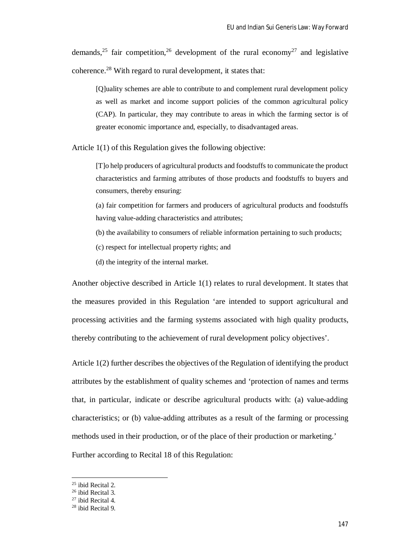demands,<sup>25</sup> fair competition,<sup>26</sup> development of the rural economy<sup>27</sup> and legislative coherence.<sup>28</sup> With regard to rural development, it states that:

[Q]uality schemes are able to contribute to and complement rural development policy as well as market and income support policies of the common agricultural policy (CAP). In particular, they may contribute to areas in which the farming sector is of greater economic importance and, especially, to disadvantaged areas.

Article 1(1) of this Regulation gives the following objective:

[T]o help producers of agricultural products and foodstuffs to communicate the product characteristics and farming attributes of those products and foodstuffs to buyers and consumers, thereby ensuring:

(a) fair competition for farmers and producers of agricultural products and foodstuffs having value-adding characteristics and attributes;

(b) the availability to consumers of reliable information pertaining to such products;

(c) respect for intellectual property rights; and

(d) the integrity of the internal market.

Another objective described in Article 1(1) relates to rural development. It states that the measures provided in this Regulation 'are intended to support agricultural and processing activities and the farming systems associated with high quality products, thereby contributing to the achievement of rural development policy objectives'.

Article 1(2) further describes the objectives of the Regulation of identifying the product attributes by the establishment of quality schemes and 'protection of names and terms that, in particular, indicate or describe agricultural products with: (a) value-adding characteristics; or (b) value-adding attributes as a result of the farming or processing methods used in their production, or of the place of their production or marketing.' Further according to Recital 18 of this Regulation:

<sup>25</sup> ibid Recital 2.

<sup>26</sup> ibid Recital 3.

 $27$  ibid Recital 4.

<sup>28</sup> ibid Recital 9.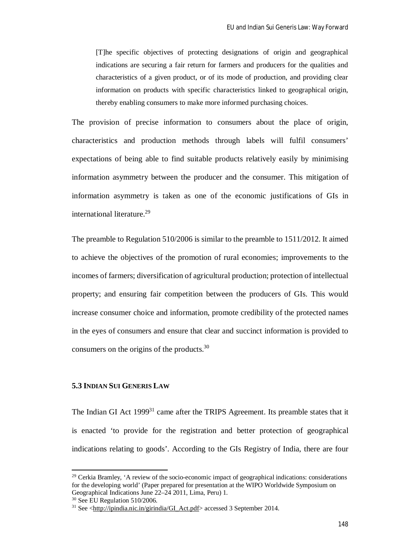[T]he specific objectives of protecting designations of origin and geographical indications are securing a fair return for farmers and producers for the qualities and characteristics of a given product, or of its mode of production, and providing clear information on products with specific characteristics linked to geographical origin, thereby enabling consumers to make more informed purchasing choices.

The provision of precise information to consumers about the place of origin, characteristics and production methods through labels will fulfil consumers' expectations of being able to find suitable products relatively easily by minimising information asymmetry between the producer and the consumer. This mitigation of information asymmetry is taken as one of the economic justifications of GIs in international literature.<sup>29</sup>

The preamble to Regulation 510/2006 is similar to the preamble to 1511/2012. It aimed to achieve the objectives of the promotion of rural economies; improvements to the incomes of farmers; diversification of agricultural production; protection of intellectual property; and ensuring fair competition between the producers of GIs. This would increase consumer choice and information, promote credibility of the protected names in the eyes of consumers and ensure that clear and succinct information is provided to consumers on the origins of the products.<sup>30</sup>

## **5.3 INDIAN SUI GENERIS LAW**

The Indian GI Act 1999<sup>31</sup> came after the TRIPS Agreement. Its preamble states that it is enacted 'to provide for the registration and better protection of geographical indications relating to goods'. According to the GIs Registry of India, there are four

 $29$  Cerkia Bramley, 'A review of the socio-economic impact of geographical indications: considerations for the developing world' (Paper prepared for presentation at the WIPO Worldwide Symposium on Geographical Indications June 22–24 2011, Lima, Peru) 1.

<sup>30</sup> See EU Regulation 510/2006.

<sup>&</sup>lt;sup>31</sup> See <http://ipindia.nic.in/girindia/GI\_Act.pdf> accessed 3 September 2014.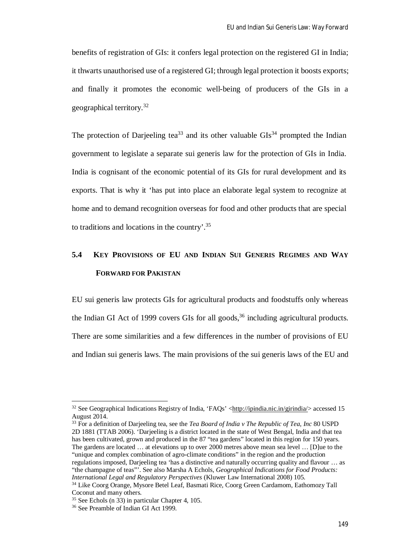benefits of registration of GIs: it confers legal protection on the registered GI in India; it thwarts unauthorised use of a registered GI; through legal protection it boosts exports; and finally it promotes the economic well-being of producers of the GIs in a geographical territory.<sup>32</sup>

The protection of Darjeeling tea<sup>33</sup> and its other valuable  $\text{GIs}^{34}$  prompted the Indian government to legislate a separate sui generis law for the protection of GIs in India. India is cognisant of the economic potential of its GIs for rural development and its exports. That is why it 'has put into place an elaborate legal system to recognize at home and to demand recognition overseas for food and other products that are special to traditions and locations in the country'.<sup>35</sup>

# **5.4 KEY PROVISIONS OF EU AND INDIAN SUI GENERIS REGIMES AND WAY FORWARD FOR PAKISTAN**

EU sui generis law protects GIs for agricultural products and foodstuffs only whereas the Indian GI Act of 1999 covers GIs for all goods,  $36$  including agricultural products. There are some similarities and a few differences in the number of provisions of EU and Indian sui generis laws. The main provisions of the sui generis laws of the EU and

<sup>33</sup> For a definition of Darjeeling tea, see the *Tea Board of India v The Republic of Tea, Inc* 80 USPD 2D 1881 (TTAB 2006). 'Darjeeling is a district located in the state of West Bengal, India and that tea has been cultivated, grown and produced in the 87 "tea gardens" located in this region for 150 years. The gardens are located … at elevations up to over 2000 metres above mean sea level … [D]ue to the "unique and complex combination of agro-climate conditions" in the region and the production regulations imposed, Darjeeling tea 'has a distinctive and naturally occurring quality and flavour … as "the champagne of teas"'. See also Marsha A Echols, *Geographical Indications for Food Products: International Legal and Regulatory Perspectives* (Kluwer Law International 2008) 105. <sup>34</sup> Like Coorg Orange, Mysore Betel Leaf, Basmati Rice, Coorg Green Cardamom, Eathomozy Tall

 $32$  See Geographical Indications Registry of India, 'FAQs' <http://ipindia.nic.in/girindia/> accessed 15 August 2014.

Coconut and many others.

<sup>35</sup> See Echols (n 33) in particular Chapter 4, 105.

<sup>36</sup> See Preamble of Indian GI Act 1999.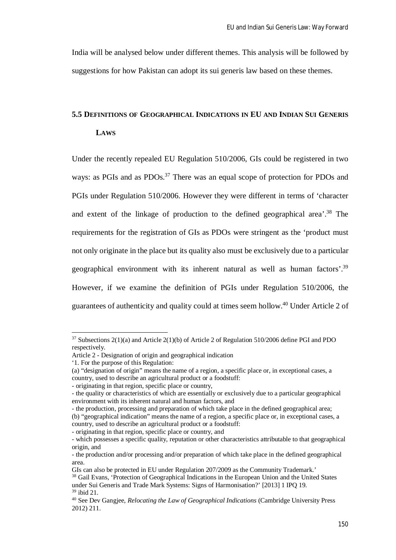India will be analysed below under different themes. This analysis will be followed by suggestions for how Pakistan can adopt its sui generis law based on these themes.

# **5.5 DEFINITIONS OF GEOGRAPHICAL INDICATIONS IN EU AND INDIAN SUI GENERIS LAWS**

Under the recently repealed EU Regulation 510/2006, GIs could be registered in two ways: as PGIs and as PDOs.<sup>37</sup> There was an equal scope of protection for PDOs and PGIs under Regulation 510/2006. However they were different in terms of 'character and extent of the linkage of production to the defined geographical area'.<sup>38</sup> The requirements for the registration of GIs as PDOs were stringent as the 'product must not only originate in the place but its quality also must be exclusively due to a particular geographical environment with its inherent natural as well as human factors'.<sup>39</sup> However, if we examine the definition of PGIs under Regulation 510/2006, the guarantees of authenticity and quality could at times seem hollow.<sup>40</sup> Under Article 2 of

 $37$  Subsections 2(1)(a) and Article 2(1)(b) of Article 2 of Regulation 510/2006 define PGI and PDO respectively.

Article 2 - Designation of origin and geographical indication

<sup>&#</sup>x27;1. For the purpose of this Regulation:

<sup>(</sup>a) "designation of origin" means the name of a region, a specific place or, in exceptional cases, a country, used to describe an agricultural product or a foodstuff:

<sup>-</sup> originating in that region, specific place or country,

<sup>-</sup> the quality or characteristics of which are essentially or exclusively due to a particular geographical environment with its inherent natural and human factors, and

<sup>-</sup> the production, processing and preparation of which take place in the defined geographical area; (b) "geographical indication" means the name of a region, a specific place or, in exceptional cases, a country, used to describe an agricultural product or a foodstuff:

<sup>-</sup> originating in that region, specific place or country, and

<sup>-</sup> which possesses a specific quality, reputation or other characteristics attributable to that geographical origin, and

<sup>-</sup> the production and/or processing and/or preparation of which take place in the defined geographical area.

GIs can also be protected in EU under Regulation 207/2009 as the Community Trademark.'

<sup>&</sup>lt;sup>38</sup> Gail Evans, 'Protection of Geographical Indications in the European Union and the United States under Sui Generis and Trade Mark Systems: Signs of Harmonisation?' [2013] 1 IPQ 19. <sup>39</sup> ibid 21.

<sup>40</sup> See Dev Gangjee, *Relocating the Law of Geographical Indications* (Cambridge University Press 2012) 211.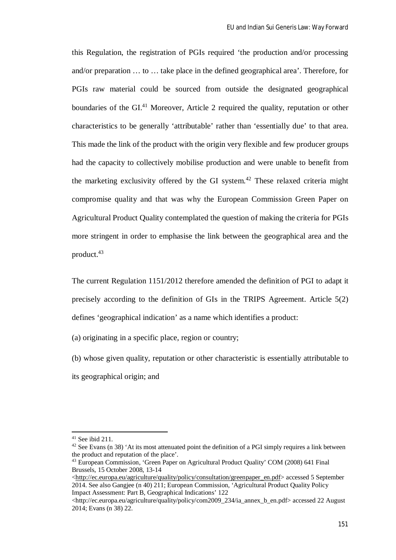this Regulation, the registration of PGIs required 'the production and/or processing and/or preparation … to … take place in the defined geographical area'. Therefore, for PGIs raw material could be sourced from outside the designated geographical boundaries of the GI.<sup>41</sup> Moreover, Article 2 required the quality, reputation or other characteristics to be generally 'attributable' rather than 'essentially due' to that area. This made the link of the product with the origin very flexible and few producer groups had the capacity to collectively mobilise production and were unable to benefit from the marketing exclusivity offered by the GI system.<sup>42</sup> These relaxed criteria might compromise quality and that was why the European Commission Green Paper on Agricultural Product Quality contemplated the question of making the criteria for PGIs more stringent in order to emphasise the link between the geographical area and the product.<sup>43</sup>

The current Regulation 1151/2012 therefore amended the definition of PGI to adapt it precisely according to the definition of GIs in the TRIPS Agreement. Article 5(2) defines 'geographical indication' as a name which identifies a product:

(a) originating in a specific place, region or country;

(b) whose given quality, reputation or other characteristic is essentially attributable to its geographical origin; and

 $41$  See ibid 211.

 $42$  See Evans (n 38) 'At its most attenuated point the definition of a PGI simply requires a link between the product and reputation of the place'.

<sup>43</sup> European Commission, 'Green Paper on Agricultural Product Quality' COM (2008) 641 Final Brussels, 15 October 2008, 13-14

<sup>&</sup>lt;http://ec.europa.eu/agriculture/quality/policy/consultation/greenpaper\_en.pdf> accessed 5 September 2014. See also Gangjee (n 40) 211; European Commission, 'Agricultural Product Quality Policy Impact Assessment: Part B, Geographical Indications' 122

<sup>&</sup>lt;http://ec.europa.eu/agriculture/quality/policy/com2009\_234/ia\_annex\_b\_en.pdf> accessed 22 August 2014; Evans (n 38) 22.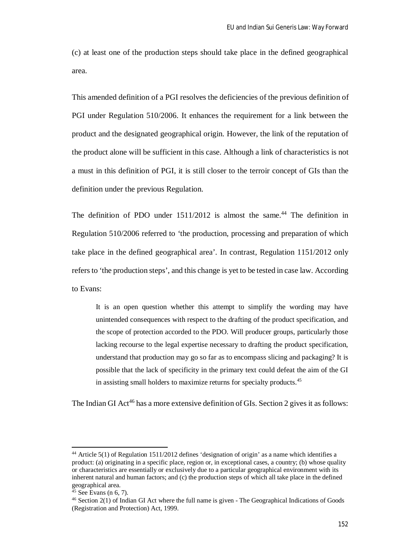(c) at least one of the production steps should take place in the defined geographical area.

This amended definition of a PGI resolves the deficiencies of the previous definition of PGI under Regulation 510/2006. It enhances the requirement for a link between the product and the designated geographical origin. However, the link of the reputation of the product alone will be sufficient in this case. Although a link of characteristics is not a must in this definition of PGI, it is still closer to the terroir concept of GIs than the definition under the previous Regulation.

The definition of PDO under  $1511/2012$  is almost the same.<sup>44</sup> The definition in Regulation 510/2006 referred to 'the production, processing and preparation of which take place in the defined geographical area'. In contrast, Regulation 1151/2012 only refers to 'the production steps', and this change is yet to be tested in case law. According to Evans:

It is an open question whether this attempt to simplify the wording may have unintended consequences with respect to the drafting of the product specification, and the scope of protection accorded to the PDO. Will producer groups, particularly those lacking recourse to the legal expertise necessary to drafting the product specification, understand that production may go so far as to encompass slicing and packaging? It is possible that the lack of specificity in the primary text could defeat the aim of the GI in assisting small holders to maximize returns for specialty products.<sup>45</sup>

The Indian GI Act<sup>46</sup> has a more extensive definition of GIs. Section 2 gives it as follows:

<sup>44</sup> Article 5(1) of Regulation 1511/2012 defines 'designation of origin' as a name which identifies a product: (a) originating in a specific place, region or, in exceptional cases, a country; (b) whose quality or characteristics are essentially or exclusively due to a particular geographical environment with its inherent natural and human factors; and (c) the production steps of which all take place in the defined geographical area.

 $45$  See Evans (n 6, 7).

<sup>46</sup> Section 2(1) of Indian GI Act where the full name is given - The Geographical Indications of Goods (Registration and Protection) Act, 1999.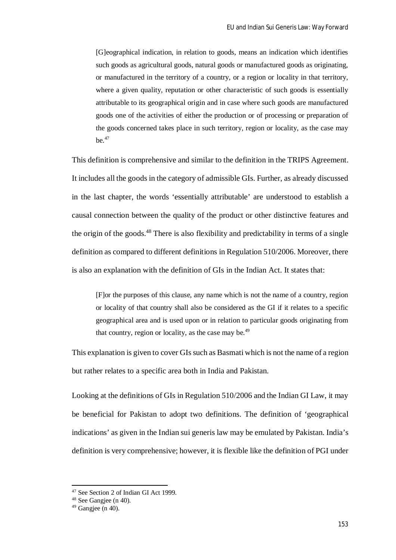[G]eographical indication, in relation to goods, means an indication which identifies such goods as agricultural goods, natural goods or manufactured goods as originating, or manufactured in the territory of a country, or a region or locality in that territory, where a given quality, reputation or other characteristic of such goods is essentially attributable to its geographical origin and in case where such goods are manufactured goods one of the activities of either the production or of processing or preparation of the goods concerned takes place in such territory, region or locality, as the case may be. $47$ 

This definition is comprehensive and similar to the definition in the TRIPS Agreement. It includes all the goods in the category of admissible GIs. Further, as already discussed in the last chapter, the words 'essentially attributable' are understood to establish a causal connection between the quality of the product or other distinctive features and the origin of the goods.<sup>48</sup> There is also flexibility and predictability in terms of a single definition as compared to different definitions in Regulation 510/2006. Moreover, there is also an explanation with the definition of GIs in the Indian Act. It states that:

[F]or the purposes of this clause, any name which is not the name of a country, region or locality of that country shall also be considered as the GI if it relates to a specific geographical area and is used upon or in relation to particular goods originating from that country, region or locality, as the case may be.<sup>49</sup>

This explanation is given to cover GIs such as Basmati which is not the name of a region but rather relates to a specific area both in India and Pakistan.

Looking at the definitions of GIs in Regulation 510/2006 and the Indian GI Law, it may be beneficial for Pakistan to adopt two definitions. The definition of 'geographical indications' as given in the Indian sui generis law may be emulated by Pakistan. India's definition is very comprehensive; however, it is flexible like the definition of PGI under

<sup>47</sup> See Section 2 of Indian GI Act 1999.

 $48$  See Gangiee (n 40).

 $49$  Gangiee (n 40).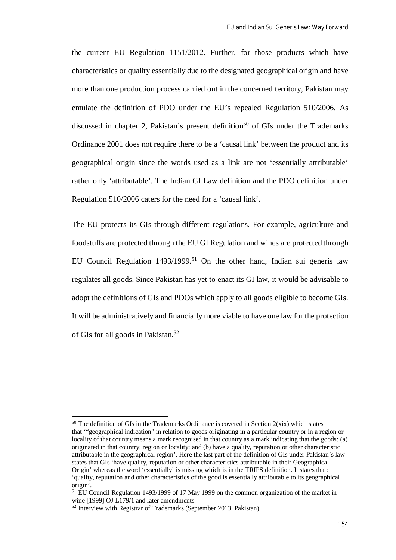the current EU Regulation 1151/2012. Further, for those products which have characteristics or quality essentially due to the designated geographical origin and have more than one production process carried out in the concerned territory, Pakistan may emulate the definition of PDO under the EU's repealed Regulation 510/2006. As discussed in chapter 2, Pakistan's present definition<sup>50</sup> of GIs under the Trademarks Ordinance 2001 does not require there to be a 'causal link' between the product and its geographical origin since the words used as a link are not 'essentially attributable' rather only 'attributable'. The Indian GI Law definition and the PDO definition under Regulation 510/2006 caters for the need for a 'causal link'.

The EU protects its GIs through different regulations. For example, agriculture and foodstuffs are protected through the EU GI Regulation and wines are protected through EU Council Regulation  $1493/1999$ <sup>51</sup> On the other hand, Indian sui generis law regulates all goods. Since Pakistan has yet to enact its GI law, it would be advisable to adopt the definitions of GIs and PDOs which apply to all goods eligible to become GIs. It will be administratively and financially more viable to have one law for the protection of GIs for all goods in Pakistan.<sup>52</sup>

 $50$  The definition of GIs in the Trademarks Ordinance is covered in Section 2(xix) which states that '"geographical indication" in relation to goods originating in a particular country or in a region or locality of that country means a mark recognised in that country as a mark indicating that the goods: (a) originated in that country, region or locality; and (b) have a quality, reputation or other characteristic attributable in the geographical region'. Here the last part of the definition of GIs under Pakistan's law states that GIs 'have quality, reputation or other characteristics attributable in their Geographical Origin' whereas the word 'essentially' is missing which is in the TRIPS definition. It states that: 'quality, reputation and other characteristics of the good is essentially attributable to its geographical origin'.

<sup>51</sup> EU Council Regulation 1493/1999 of 17 May 1999 on the common organization of the market in wine [1999] OJ L179/1 and later amendments.

<sup>52</sup> Interview with Registrar of Trademarks (September 2013, Pakistan).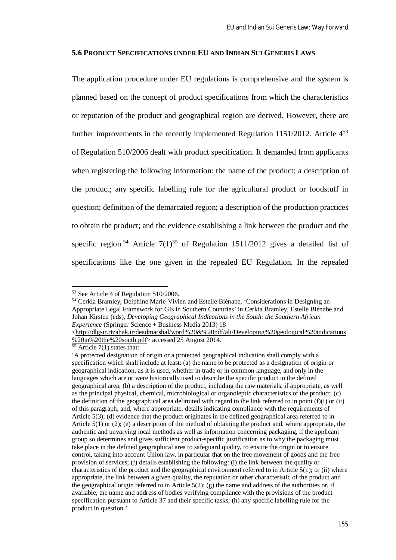### **5.6 PRODUCT SPECIFICATIONS UNDER EU AND INDIAN SUI GENERIS LAWS**

The application procedure under EU regulations is comprehensive and the system is planned based on the concept of product specifications from which the characteristics or reputation of the product and geographical region are derived. However, there are further improvements in the recently implemented Regulation 1151/2012. Article  $4^{53}$ of Regulation 510/2006 dealt with product specification. It demanded from applicants when registering the following information: the name of the product; a description of the product; any specific labelling rule for the agricultural product or foodstuff in question; definition of the demarcated region; a description of the production practices to obtain the product; and the evidence establishing a link between the product and the specific region.<sup>54</sup> Article  $7(1)^{55}$  of Regulation 1511/2012 gives a detailed list of specifications like the one given in the repealed EU Regulation. In the repealed

<sup>53</sup> See Article 4 of Regulation 510/2006.

<sup>54</sup> Cerkia Bramley, Delphine Marie-Vivien and Estelle Biénabe, 'Considerations in Designing an Appropriate Legal Framework for GIs in Southern Countries' in Cerkia Bramley, Estelle Biénabe and Johan Kirsten (eds), *Developing Geographical Indications in the South: the Southern African Experience* (Springer Science + Business Media 2013) 18

<sup>&</sup>lt;http://dlgsir.rtzahak.ir/deadmarshal/word%20&%20pdf/ali/Developing%20geological%20indications %20in%20the%20south.pdf> accessed 25 August 2014.

 $55$  Article 7(1) states that:

<sup>&#</sup>x27;A protected designation of origin or a protected geographical indication shall comply with a specification which shall include at least: (a) the name to be protected as a designation of origin or geographical indication, as it is used, whether in trade or in common language, and only in the languages which are or were historically used to describe the specific product in the defined geographical area; (b) a description of the product, including the raw materials, if appropriate, as well as the principal physical, chemical, microbiological or organoleptic characteristics of the product; (c) the definition of the geographical area delimited with regard to the link referred to in point  $(f)(i)$  or  $(ii)$ of this paragraph, and, where appropriate, details indicating compliance with the requirements of Article 5(3); (d) evidence that the product originates in the defined geographical area referred to in Article 5(1) or (2); (e) a description of the method of obtaining the product and, where appropriate, the authentic and unvarying local methods as well as information concerning packaging, if the applicant group so determines and gives sufficient product-specific justification as to why the packaging must take place in the defined geographical area to safeguard quality, to ensure the origin or to ensure control, taking into account Union law, in particular that on the free movement of goods and the free provision of services; (f) details establishing the following: (i) the link between the quality or characteristics of the product and the geographical environment referred to in Article 5(1); or (ii) where appropriate, the link between a given quality, the reputation or other characteristic of the product and the geographical origin referred to in Article  $5(2)$ ; (g) the name and address of the authorities or, if available, the name and address of bodies verifying compliance with the provisions of the product specification pursuant to Article 37 and their specific tasks; (h) any specific labelling rule for the product in question.'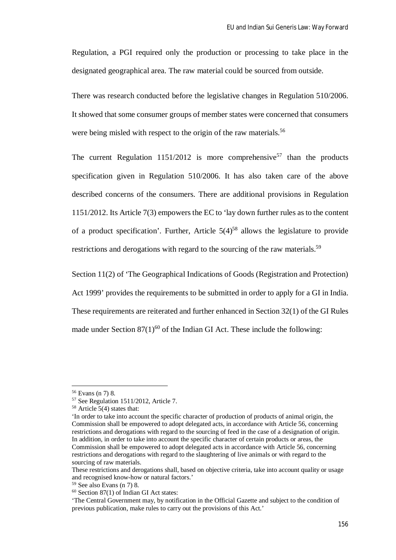Regulation, a PGI required only the production or processing to take place in the designated geographical area. The raw material could be sourced from outside.

There was research conducted before the legislative changes in Regulation 510/2006. It showed that some consumer groups of member states were concerned that consumers were being misled with respect to the origin of the raw materials.<sup>56</sup>

The current Regulation  $1151/2012$  is more comprehensive<sup>57</sup> than the products specification given in Regulation 510/2006. It has also taken care of the above described concerns of the consumers. There are additional provisions in Regulation 1151/2012. Its Article 7(3) empowers the EC to 'lay down further rules as to the content of a product specification'. Further, Article  $5(4)^{58}$  allows the legislature to provide restrictions and derogations with regard to the sourcing of the raw materials.<sup>59</sup>

Section 11(2) of 'The Geographical Indications of Goods (Registration and Protection) Act 1999' provides the requirements to be submitted in order to apply for a GI in India. These requirements are reiterated and further enhanced in Section 32(1) of the GI Rules made under Section  $87(1)^{60}$  of the Indian GI Act. These include the following:

<sup>56</sup> Evans (n 7) 8.

<sup>57</sup> See Regulation 1511/2012, Article 7.

<sup>58</sup> Article 5(4) states that:

<sup>&#</sup>x27;In order to take into account the specific character of production of products of animal origin, the Commission shall be empowered to adopt delegated acts, in accordance with Article 56, concerning restrictions and derogations with regard to the sourcing of feed in the case of a designation of origin. In addition, in order to take into account the specific character of certain products or areas, the Commission shall be empowered to adopt delegated acts in accordance with Article 56, concerning restrictions and derogations with regard to the slaughtering of live animals or with regard to the sourcing of raw materials.

These restrictions and derogations shall, based on objective criteria, take into account quality or usage and recognised know-how or natural factors.'

 $59$  See also Evans (n 7) 8.

 $60$  Section 87(1) of Indian GI Act states:

<sup>&#</sup>x27;The Central Government may, by notification in the Official Gazette and subject to the condition of previous publication, make rules to carry out the provisions of this Act.'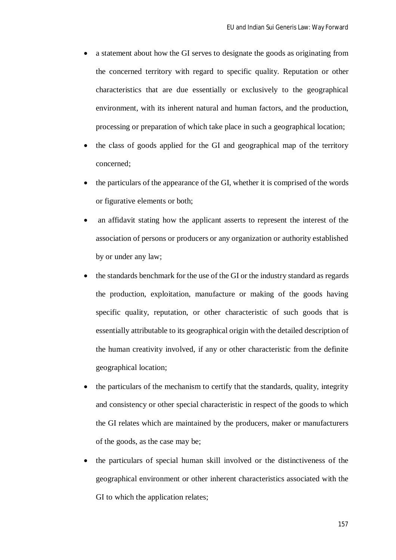- a statement about how the GI serves to designate the goods as originating from the concerned territory with regard to specific quality. Reputation or other characteristics that are due essentially or exclusively to the geographical environment, with its inherent natural and human factors, and the production, processing or preparation of which take place in such a geographical location;
- the class of goods applied for the GI and geographical map of the territory concerned;
- the particulars of the appearance of the GI, whether it is comprised of the words or figurative elements or both;
- an affidavit stating how the applicant asserts to represent the interest of the association of persons or producers or any organization or authority established by or under any law;
- the standards benchmark for the use of the GI or the industry standard as regards the production, exploitation, manufacture or making of the goods having specific quality, reputation, or other characteristic of such goods that is essentially attributable to its geographical origin with the detailed description of the human creativity involved, if any or other characteristic from the definite geographical location;
- the particulars of the mechanism to certify that the standards, quality, integrity and consistency or other special characteristic in respect of the goods to which the GI relates which are maintained by the producers, maker or manufacturers of the goods, as the case may be;
- the particulars of special human skill involved or the distinctiveness of the geographical environment or other inherent characteristics associated with the GI to which the application relates;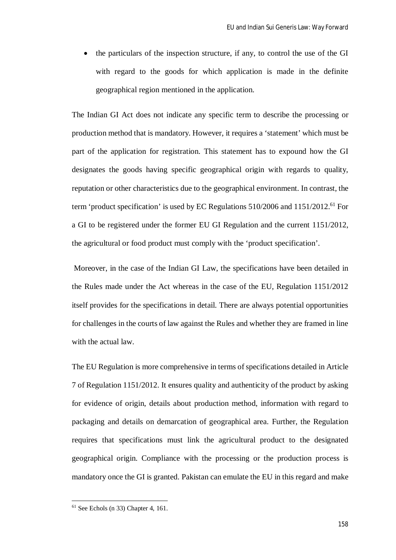the particulars of the inspection structure, if any, to control the use of the GI with regard to the goods for which application is made in the definite geographical region mentioned in the application.

The Indian GI Act does not indicate any specific term to describe the processing or production method that is mandatory. However, it requires a 'statement' which must be part of the application for registration. This statement has to expound how the GI designates the goods having specific geographical origin with regards to quality, reputation or other characteristics due to the geographical environment. In contrast, the term 'product specification' is used by EC Regulations  $510/2006$  and  $1151/2012$ .<sup>61</sup> For a GI to be registered under the former EU GI Regulation and the current 1151/2012, the agricultural or food product must comply with the 'product specification'.

Moreover, in the case of the Indian GI Law, the specifications have been detailed in the Rules made under the Act whereas in the case of the EU, Regulation 1151/2012 itself provides for the specifications in detail. There are always potential opportunities for challenges in the courts of law against the Rules and whether they are framed in line with the actual law.

The EU Regulation is more comprehensive in terms of specifications detailed in Article 7 of Regulation 1151/2012. It ensures quality and authenticity of the product by asking for evidence of origin, details about production method, information with regard to packaging and details on demarcation of geographical area. Further, the Regulation requires that specifications must link the agricultural product to the designated geographical origin. Compliance with the processing or the production process is mandatory once the GI is granted. Pakistan can emulate the EU in this regard and make

 $61$  See Echols (n 33) Chapter 4, 161.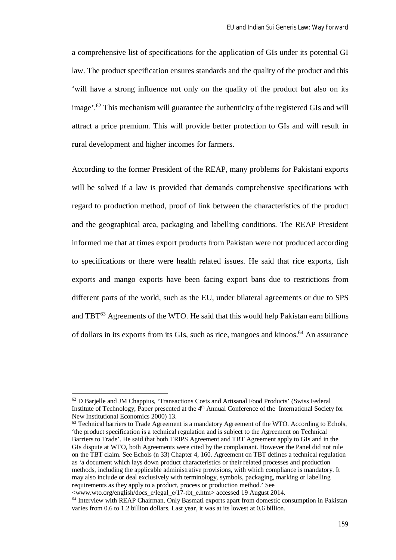a comprehensive list of specifications for the application of GIs under its potential GI law. The product specification ensures standards and the quality of the product and this 'will have a strong influence not only on the quality of the product but also on its image'.<sup>62</sup> This mechanism will guarantee the authenticity of the registered GIs and will attract a price premium. This will provide better protection to GIs and will result in rural development and higher incomes for farmers.

According to the former President of the REAP, many problems for Pakistani exports will be solved if a law is provided that demands comprehensive specifications with regard to production method, proof of link between the characteristics of the product and the geographical area, packaging and labelling conditions. The REAP President informed me that at times export products from Pakistan were not produced according to specifications or there were health related issues. He said that rice exports, fish exports and mango exports have been facing export bans due to restrictions from different parts of the world, such as the EU, under bilateral agreements or due to SPS and TBT<sup>63</sup> Agreements of the WTO. He said that this would help Pakistan earn billions of dollars in its exports from its GIs, such as rice, mangoes and kinoos.<sup>64</sup> An assurance

<sup>62</sup> D Barjelle and JM Chappius, 'Transactions Costs and Artisanal Food Products' (Swiss Federal Institute of Technology, Paper presented at the 4<sup>th</sup> Annual Conference of the International Society for New Institutional Economics 2000) 13.

<sup>&</sup>lt;sup>63</sup> Technical barriers to Trade Agreement is a mandatory Agreement of the WTO. According to Echols, 'the product specification is a technical regulation and is subject to the Agreement on Technical Barriers to Trade'. He said that both TRIPS Agreement and TBT Agreement apply to GIs and in the GIs dispute at WTO, both Agreements were cited by the complainant. However the Panel did not rule on the TBT claim. See Echols (n 33) Chapter 4, 160. Agreement on TBT defines a technical regulation as 'a document which lays down product characteristics or their related processes and production methods, including the applicable administrative provisions, with which compliance is mandatory. It may also include or deal exclusively with terminology, symbols, packaging, marking or labelling requirements as they apply to a product, process or production method.' See

<sup>&</sup>lt;www.wto.org/english/docs\_e/legal\_e/17-tbt\_e.htm> accessed 19 August 2014.

<sup>&</sup>lt;sup>64</sup> Interview with REAP Chairman. Only Basmati exports apart from domestic consumption in Pakistan varies from 0.6 to 1.2 billion dollars. Last year, it was at its lowest at 0.6 billion.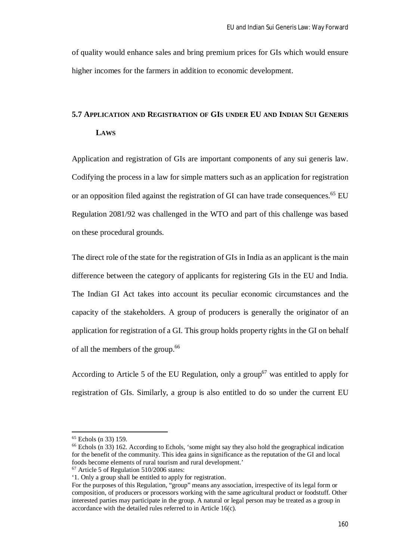of quality would enhance sales and bring premium prices for GIs which would ensure higher incomes for the farmers in addition to economic development.

# **5.7 APPLICATION AND REGISTRATION OF GIS UNDER EU AND INDIAN SUI GENERIS LAWS**

Application and registration of GIs are important components of any sui generis law. Codifying the process in a law for simple matters such as an application for registration or an opposition filed against the registration of GI can have trade consequences.<sup>65</sup> EU Regulation 2081/92 was challenged in the WTO and part of this challenge was based on these procedural grounds.

The direct role of the state for the registration of GIs in India as an applicant is the main difference between the category of applicants for registering GIs in the EU and India. The Indian GI Act takes into account its peculiar economic circumstances and the capacity of the stakeholders. A group of producers is generally the originator of an application for registration of a GI. This group holds property rights in the GI on behalf of all the members of the group.<sup>66</sup>

According to Article 5 of the EU Regulation, only a group<sup>67</sup> was entitled to apply for registration of GIs. Similarly, a group is also entitled to do so under the current EU

<sup>65</sup> Echols (n 33) 159.

<sup>&</sup>lt;sup>66</sup> Echols (n 33) 162. According to Echols, 'some might say they also hold the geographical indication for the benefit of the community. This idea gains in significance as the reputation of the GI and local foods become elements of rural tourism and rural development.'

<sup>67</sup> Article 5 of Regulation 510/2006 states:

<sup>&#</sup>x27;1. Only a group shall be entitled to apply for registration.

For the purposes of this Regulation, "group" means any association, irrespective of its legal form or composition, of producers or processors working with the same agricultural product or foodstuff. Other interested parties may participate in the group. A natural or legal person may be treated as a group in accordance with the detailed rules referred to in Article 16(c).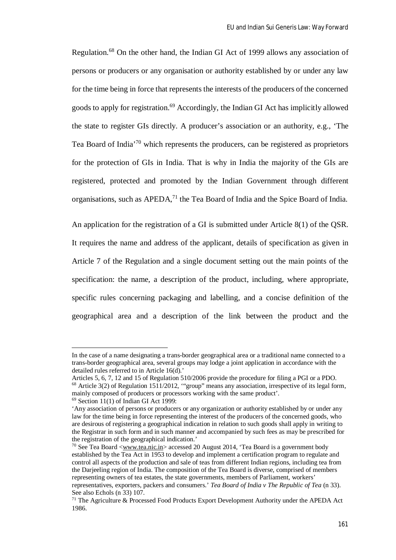Regulation.<sup>68</sup> On the other hand, the Indian GI Act of 1999 allows any association of persons or producers or any organisation or authority established by or under any law for the time being in force that represents the interests of the producers of the concerned goods to apply for registration.<sup>69</sup> Accordingly, the Indian GI Act has implicitly allowed the state to register GIs directly. A producer's association or an authority, e.g., 'The Tea Board of India'<sup>70</sup> which represents the producers, can be registered as proprietors for the protection of GIs in India. That is why in India the majority of the GIs are registered, protected and promoted by the Indian Government through different organisations, such as APEDA,<sup>71</sup> the Tea Board of India and the Spice Board of India.

An application for the registration of a GI is submitted under Article 8(1) of the QSR. It requires the name and address of the applicant, details of specification as given in Article 7 of the Regulation and a single document setting out the main points of the specification: the name, a description of the product, including, where appropriate, specific rules concerning packaging and labelling, and a concise definition of the geographical area and a description of the link between the product and the

In the case of a name designating a trans-border geographical area or a traditional name connected to a trans-border geographical area, several groups may lodge a joint application in accordance with the detailed rules referred to in Article 16(d).'

Articles 5, 6, 7, 12 and 15 of Regulation 510/2006 provide the procedure for filing a PGI or a PDO. <sup>68</sup> Article 3(2) of Regulation 1511/2012, "'group" means any association, irrespective of its legal form, mainly composed of producers or processors working with the same product'.

 $69$  Section 11(1) of Indian GI Act 1999:

<sup>&#</sup>x27;Any association of persons or producers or any organization or authority established by or under any law for the time being in force representing the interest of the producers of the concerned goods, who are desirous of registering a geographical indication in relation to such goods shall apply in writing to the Registrar in such form and in such manner and accompanied by such fees as may be prescribed for the registration of the geographical indication.'

<sup>70</sup> See Tea Board <www.tea.nic.in> accessed 20 August 2014, 'Tea Board is a government body established by the Tea Act in 1953 to develop and implement a certification program to regulate and control all aspects of the production and sale of teas from different Indian regions, including tea from the Darjeeling region of India. The composition of the Tea Board is diverse, comprised of members representing owners of tea estates, the state governments, members of Parliament, workers' representatives, exporters, packers and consumers.' *Tea Board of India v The Republic of Tea* (n 33). See also Echols (n 33) 107.

<sup>&</sup>lt;sup>71</sup> The Agriculture  $\&$  Processed Food Products Export Development Authority under the APEDA Act 1986.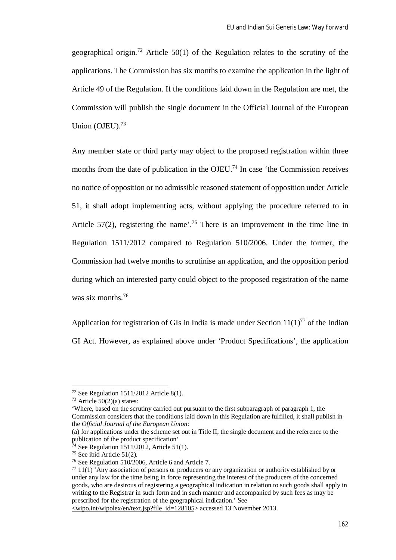geographical origin.<sup>72</sup> Article 50(1) of the Regulation relates to the scrutiny of the applications. The Commission has six months to examine the application in the light of Article 49 of the Regulation. If the conditions laid down in the Regulation are met, the Commission will publish the single document in the Official Journal of the European Union  $(OJEU)$ .<sup>73</sup>

Any member state or third party may object to the proposed registration within three months from the date of publication in the OJEU.<sup>74</sup> In case 'the Commission receives no notice of opposition or no admissible reasoned statement of opposition under Article 51, it shall adopt implementing acts, without applying the procedure referred to in Article 57(2), registering the name<sup> $.75$ </sup> There is an improvement in the time line in Regulation 1511/2012 compared to Regulation 510/2006. Under the former, the Commission had twelve months to scrutinise an application, and the opposition period during which an interested party could object to the proposed registration of the name was six months.<sup>76</sup>

Application for registration of GIs in India is made under Section  $11(1)^{77}$  of the Indian GI Act. However, as explained above under 'Product Specifications', the application

 $\overline{\phantom{a}}$ 

'Where, based on the scrutiny carried out pursuant to the first subparagraph of paragraph 1, the Commission considers that the conditions laid down in this Regulation are fulfilled, it shall publish in the *Official Journal of the European Union*:

 $72$  See Regulation 1511/2012 Article 8(1).

 $73$  Article 50(2)(a) states:

<sup>(</sup>a) for applications under the scheme set out in Title II, the single document and the reference to the publication of the product specification'

 $74$  See Regulation 1511/2012, Article 51(1).

<sup>75</sup> See ibid Article 51(2).

<sup>76</sup> See Regulation 510/2006, Article 6 and Article 7.

 $77$  11(1) 'Any association of persons or producers or any organization or authority established by or under any law for the time being in force representing the interest of the producers of the concerned goods, who are desirous of registering a geographical indication in relation to such goods shall apply in writing to the Registrar in such form and in such manner and accompanied by such fees as may be prescribed for the registration of the geographical indication.' See

 $\sim$ wipo.int/wipolex/en/text.jsp?file\_id=128105> accessed 13 November 2013.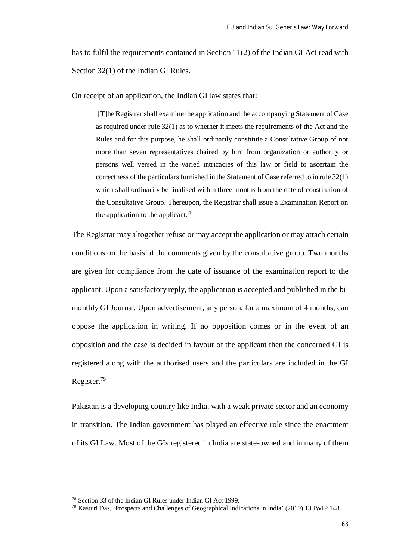has to fulfil the requirements contained in Section 11(2) of the Indian GI Act read with Section 32(1) of the Indian GI Rules.

On receipt of an application, the Indian GI law states that:

[T]he Registrar shall examine the application and the accompanying Statement of Case as required under rule 32(1) as to whether it meets the requirements of the Act and the Rules and for this purpose, he shall ordinarily constitute a Consultative Group of not more than seven representatives chaired by him from organization or authority or persons well versed in the varied intricacies of this law or field to ascertain the correctness of the particulars furnished in the Statement of Case referred to in rule 32(1) which shall ordinarily be finalised within three months from the date of constitution of the Consultative Group. Thereupon, the Registrar shall issue a Examination Report on the application to the applicant.<sup>78</sup>

The Registrar may altogether refuse or may accept the application or may attach certain conditions on the basis of the comments given by the consultative group. Two months are given for compliance from the date of issuance of the examination report to the applicant. Upon a satisfactory reply, the application is accepted and published in the bimonthly GI Journal. Upon advertisement, any person, for a maximum of 4 months, can oppose the application in writing. If no opposition comes or in the event of an opposition and the case is decided in favour of the applicant then the concerned GI is registered along with the authorised users and the particulars are included in the GI Register.<sup>79</sup>

Pakistan is a developing country like India, with a weak private sector and an economy in transition. The Indian government has played an effective role since the enactment of its GI Law. Most of the GIs registered in India are state-owned and in many of them

<sup>78</sup> Section 33 of the Indian GI Rules under Indian GI Act 1999.

<sup>79</sup> Kasturi Das, 'Prospects and Challenges of Geographical Indications in India' (2010) 13 JWIP 148.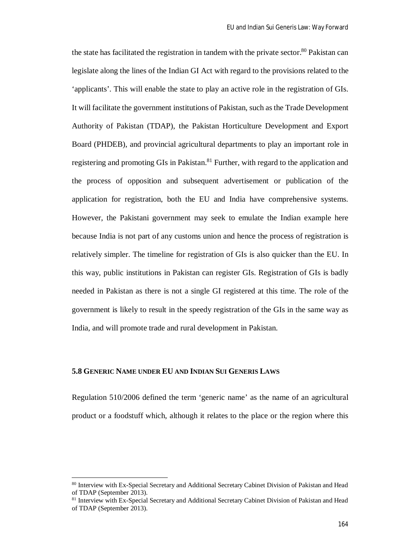the state has facilitated the registration in tandem with the private sector.<sup>80</sup> Pakistan can legislate along the lines of the Indian GI Act with regard to the provisions related to the 'applicants'. This will enable the state to play an active role in the registration of GIs. It will facilitate the government institutions of Pakistan, such as the Trade Development Authority of Pakistan (TDAP), the Pakistan Horticulture Development and Export Board (PHDEB), and provincial agricultural departments to play an important role in registering and promoting GIs in Pakistan.<sup>81</sup> Further, with regard to the application and the process of opposition and subsequent advertisement or publication of the application for registration, both the EU and India have comprehensive systems. However, the Pakistani government may seek to emulate the Indian example here because India is not part of any customs union and hence the process of registration is relatively simpler. The timeline for registration of GIs is also quicker than the EU. In this way, public institutions in Pakistan can register GIs. Registration of GIs is badly needed in Pakistan as there is not a single GI registered at this time. The role of the government is likely to result in the speedy registration of the GIs in the same way as India, and will promote trade and rural development in Pakistan.

## **5.8 GENERIC NAME UNDER EU AND INDIAN SUI GENERIS LAWS**

 $\overline{a}$ 

Regulation 510/2006 defined the term 'generic name' as the name of an agricultural product or a foodstuff which, although it relates to the place or the region where this

<sup>&</sup>lt;sup>80</sup> Interview with Ex-Special Secretary and Additional Secretary Cabinet Division of Pakistan and Head of TDAP (September 2013).

<sup>81</sup> Interview with Ex-Special Secretary and Additional Secretary Cabinet Division of Pakistan and Head of TDAP (September 2013).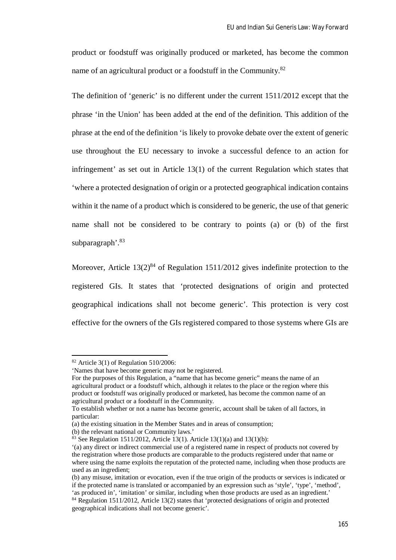product or foodstuff was originally produced or marketed, has become the common name of an agricultural product or a foodstuff in the Community.<sup>82</sup>

The definition of 'generic' is no different under the current 1511/2012 except that the phrase 'in the Union' has been added at the end of the definition. This addition of the phrase at the end of the definition 'is likely to provoke debate over the extent of generic use throughout the EU necessary to invoke a successful defence to an action for infringement' as set out in Article 13(1) of the current Regulation which states that 'where a protected designation of origin or a protected geographical indication contains within it the name of a product which is considered to be generic, the use of that generic name shall not be considered to be contrary to points (a) or (b) of the first subparagraph<sup>'.83</sup>

Moreover, Article  $13(2)^{84}$  of Regulation 1511/2012 gives indefinite protection to the registered GIs. It states that 'protected designations of origin and protected geographical indications shall not become generic'. This protection is very cost effective for the owners of the GIs registered compared to those systems where GIs are

 $82$  Article 3(1) of Regulation 510/2006:

<sup>&#</sup>x27;Names that have become generic may not be registered.

For the purposes of this Regulation, a "name that has become generic" means the name of an agricultural product or a foodstuff which, although it relates to the place or the region where this product or foodstuff was originally produced or marketed, has become the common name of an agricultural product or a foodstuff in the Community.

To establish whether or not a name has become generic, account shall be taken of all factors, in particular:

<sup>(</sup>a) the existing situation in the Member States and in areas of consumption;

<sup>(</sup>b) the relevant national or Community laws.'

<sup>&</sup>lt;sup>83</sup> See Regulation 1511/2012, Article 13(1). Article 13(1)(a) and 13(1)(b):

<sup>&#</sup>x27;(a) any direct or indirect commercial use of a registered name in respect of products not covered by the registration where those products are comparable to the products registered under that name or where using the name exploits the reputation of the protected name, including when those products are used as an ingredient;

<sup>(</sup>b) any misuse, imitation or evocation, even if the true origin of the products or services is indicated or if the protected name is translated or accompanied by an expression such as 'style', 'type', 'method', 'as produced in', 'imitation' or similar, including when those products are used as an ingredient.'

<sup>84</sup> Regulation 1511/2012, Article 13(2) states that 'protected designations of origin and protected geographical indications shall not become generic'.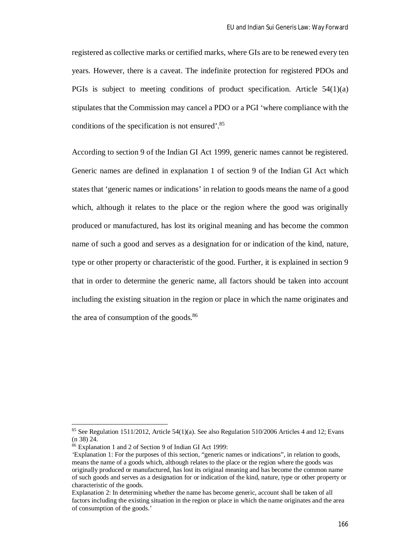registered as collective marks or certified marks, where GIs are to be renewed every ten years. However, there is a caveat. The indefinite protection for registered PDOs and PGIs is subject to meeting conditions of product specification. Article  $54(1)(a)$ stipulates that the Commission may cancel a PDO or a PGI 'where compliance with the conditions of the specification is not ensured'.<sup>85</sup>

According to section 9 of the Indian GI Act 1999, generic names cannot be registered. Generic names are defined in explanation 1 of section 9 of the Indian GI Act which states that 'generic names or indications' in relation to goods means the name of a good which, although it relates to the place or the region where the good was originally produced or manufactured, has lost its original meaning and has become the common name of such a good and serves as a designation for or indication of the kind, nature, type or other property or characteristic of the good. Further, it is explained in section 9 that in order to determine the generic name, all factors should be taken into account including the existing situation in the region or place in which the name originates and the area of consumption of the goods. $86$ 

<sup>&</sup>lt;sup>85</sup> See Regulation 1511/2012, Article 54(1)(a). See also Regulation 510/2006 Articles 4 and 12; Evans (n 38) 24.

<sup>86</sup> Explanation 1 and 2 of Section 9 of Indian GI Act 1999:

*<sup>&#</sup>x27;*Explanation 1: For the purposes of this section, "generic names or indications", in relation to goods, means the name of a goods which, although relates to the place or the region where the goods was originally produced or manufactured, has lost its original meaning and has become the common name of such goods and serves as a designation for or indication of the kind, nature, type or other property or characteristic of the goods.

Explanation 2: In determining whether the name has become generic, account shall be taken of all factors including the existing situation in the region or place in which the name originates and the area of consumption of the goods.'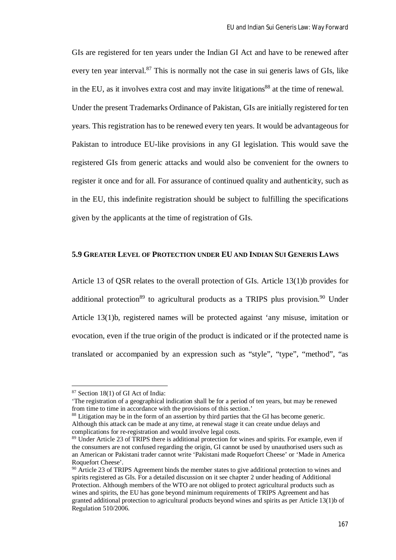GIs are registered for ten years under the Indian GI Act and have to be renewed after every ten year interval.<sup>87</sup> This is normally not the case in sui generis laws of GIs, like in the EU, as it involves extra cost and may invite litigations<sup>88</sup> at the time of renewal. Under the present Trademarks Ordinance of Pakistan, GIs are initially registered for ten years. This registration has to be renewed every ten years. It would be advantageous for Pakistan to introduce EU-like provisions in any GI legislation. This would save the registered GIs from generic attacks and would also be convenient for the owners to register it once and for all. For assurance of continued quality and authenticity, such as in the EU, this indefinite registration should be subject to fulfilling the specifications given by the applicants at the time of registration of GIs.

# **5.9 GREATER LEVEL OF PROTECTION UNDER EU AND INDIAN SUI GENERIS LAWS**

Article 13 of QSR relates to the overall protection of GIs. Article 13(1)b provides for additional protection<sup>89</sup> to agricultural products as a TRIPS plus provision.<sup>90</sup> Under Article 13(1)b, registered names will be protected against 'any misuse, imitation or evocation, even if the true origin of the product is indicated or if the protected name is translated or accompanied by an expression such as "style", "type", "method", "as

<sup>87</sup> Section 18(1) of GI Act of India:

<sup>&#</sup>x27;The registration of a geographical indication shall be for a period of ten years, but may be renewed from time to time in accordance with the provisions of this section.'

<sup>88</sup> Litigation may be in the form of an assertion by third parties that the GI has become generic. Although this attack can be made at any time, at renewal stage it can create undue delays and complications for re-registration and would involve legal costs.

<sup>89</sup> Under Article 23 of TRIPS there is additional protection for wines and spirits. For example, even if the consumers are not confused regarding the origin, GI cannot be used by unauthorised users such as an American or Pakistani trader cannot write 'Pakistani made Roquefort Cheese' or 'Made in America Roquefort Cheese'.

<sup>&</sup>lt;sup>90</sup> Article 23 of TRIPS Agreement binds the member states to give additional protection to wines and spirits registered as GIs. For a detailed discussion on it see chapter 2 under heading of Additional Protection. Although members of the WTO are not obliged to protect agricultural products such as wines and spirits, the EU has gone beyond minimum requirements of TRIPS Agreement and has granted additional protection to agricultural products beyond wines and spirits as per Article 13(1)b of Regulation 510/2006.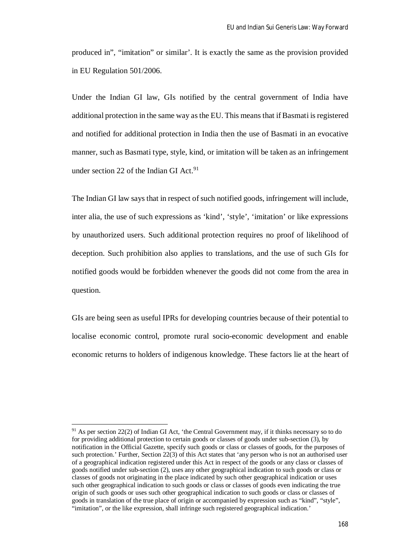produced in", "imitation" or similar'. It is exactly the same as the provision provided in EU Regulation 501/2006.

Under the Indian GI law, GIs notified by the central government of India have additional protection in the same way as the EU. This means that if Basmati is registered and notified for additional protection in India then the use of Basmati in an evocative manner, such as Basmati type, style, kind, or imitation will be taken as an infringement under section 22 of the Indian GI Act.<sup>91</sup>

The Indian GI law says that in respect of such notified goods, infringement will include, inter alia, the use of such expressions as 'kind', 'style', 'imitation' or like expressions by unauthorized users. Such additional protection requires no proof of likelihood of deception. Such prohibition also applies to translations, and the use of such GIs for notified goods would be forbidden whenever the goods did not come from the area in question.

GIs are being seen as useful IPRs for developing countries because of their potential to localise economic control, promote rural socio-economic development and enable economic returns to holders of indigenous knowledge. These factors lie at the heart of

<sup>91</sup> As per section 22(2) of Indian GI Act, 'the Central Government may, if it thinks necessary so to do for providing additional protection to certain goods or classes of goods under sub-section (3), by notification in the Official Gazette, specify such goods or class or classes of goods, for the purposes of such protection.' Further, Section 22(3) of this Act states that 'any person who is not an authorised user of a geographical indication registered under this Act in respect of the goods or any class or classes of goods notified under sub-section (2), uses any other geographical indication to such goods or class or classes of goods not originating in the place indicated by such other geographical indication or uses such other geographical indication to such goods or class or classes of goods even indicating the true origin of such goods or uses such other geographical indication to such goods or class or classes of goods in translation of the true place of origin or accompanied by expression such as "kind", "style", "imitation", or the like expression, shall infringe such registered geographical indication.'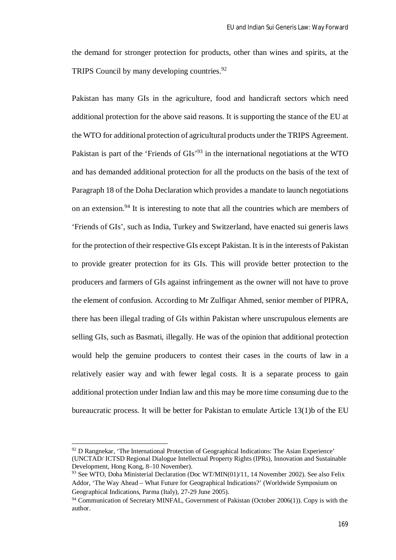the demand for stronger protection for products, other than wines and spirits, at the TRIPS Council by many developing countries.<sup>92</sup>

Pakistan has many GIs in the agriculture, food and handicraft sectors which need additional protection for the above said reasons. It is supporting the stance of the EU at the WTO for additional protection of agricultural products under the TRIPS Agreement. Pakistan is part of the 'Friends of GIs'<sup>93</sup> in the international negotiations at the WTO and has demanded additional protection for all the products on the basis of the text of Paragraph 18 of the Doha Declaration which provides a mandate to launch negotiations on an extension.<sup>94</sup> It is interesting to note that all the countries which are members of 'Friends of GIs', such as India, Turkey and Switzerland, have enacted sui generis laws for the protection of their respective GIs except Pakistan. It is in the interests of Pakistan to provide greater protection for its GIs. This will provide better protection to the producers and farmers of GIs against infringement as the owner will not have to prove the element of confusion. According to Mr Zulfiqar Ahmed, senior member of PIPRA, there has been illegal trading of GIs within Pakistan where unscrupulous elements are selling GIs, such as Basmati, illegally. He was of the opinion that additional protection would help the genuine producers to contest their cases in the courts of law in a relatively easier way and with fewer legal costs. It is a separate process to gain additional protection under Indian law and this may be more time consuming due to the bureaucratic process. It will be better for Pakistan to emulate Article 13(1)b of the EU

<sup>92</sup> D Rangnekar, 'The International Protection of Geographical Indications: The Asian Experience' (UNCTAD/ ICTSD Regional Dialogue Intellectual Property Rights (IPRs), Innovation and Sustainable Development, Hong Kong, 8–10 November).

<sup>93</sup> See WTO, Doha Ministerial Declaration (Doc WT/MIN(01)/11, 14 November 2002). See also Felix Addor, 'The Way Ahead – What Future for Geographical Indications?' (Worldwide Symposium on Geographical Indications, Parma (Italy), 27-29 June 2005).

<sup>94</sup> Communication of Secretary MINFAL, Government of Pakistan (October 2006(1)). Copy is with the author.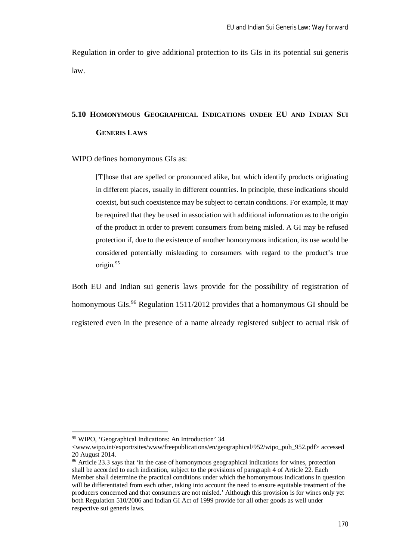Regulation in order to give additional protection to its GIs in its potential sui generis law.

# **5.10 HOMONYMOUS GEOGRAPHICAL INDICATIONS UNDER EU AND INDIAN SUI GENERIS LAWS**

WIPO defines homonymous GIs as:

[T]hose that are spelled or pronounced alike, but which identify products originating in different places, usually in different countries. In principle, these indications should coexist, but such coexistence may be subject to certain conditions. For example, it may be required that they be used in association with additional information as to the origin of the product in order to prevent consumers from being misled. A GI may be refused protection if, due to the existence of another homonymous indication, its use would be considered potentially misleading to consumers with regard to the product's true origin.<sup>95</sup>

Both EU and Indian sui generis laws provide for the possibility of registration of homonymous GIs.<sup>96</sup> Regulation 1511/2012 provides that a homonymous GI should be registered even in the presence of a name already registered subject to actual risk of

<sup>95</sup> WIPO, 'Geographical Indications: An Introduction' 34

<sup>&</sup>lt;www.wipo.int/export/sites/www/freepublications/en/geographical/952/wipo\_pub\_952.pdf> accessed 20 August 2014.

<sup>&</sup>lt;sup>96</sup> Article 23.3 says that 'in the case of homonymous geographical indications for wines, protection shall be accorded to each indication, subject to the provisions of paragraph 4 of Article 22. Each Member shall determine the practical conditions under which the homonymous indications in question will be differentiated from each other, taking into account the need to ensure equitable treatment of the producers concerned and that consumers are not misled.' Although this provision is for wines only yet both Regulation 510/2006 and Indian GI Act of 1999 provide for all other goods as well under respective sui generis laws.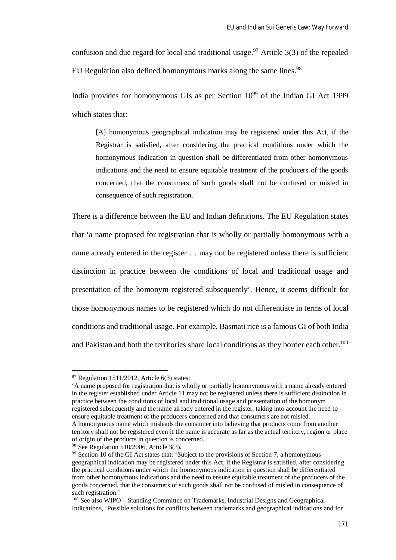confusion and due regard for local and traditional usage.<sup>97</sup> Article 3(3) of the repealed EU Regulation also defined homonymous marks along the same lines.<sup>98</sup>

India provides for homonymous GIs as per Section  $10^{99}$  of the Indian GI Act 1999 which states that:

[A] homonymous geographical indication may be registered under this Act, if the Registrar is satisfied, after considering the practical conditions under which the homonymous indication in question shall be differentiated from other homonymous indications and the need to ensure equitable treatment of the producers of the goods concerned, that the consumers of such goods shall not be confused or misled in consequence of such registration.

There is a difference between the EU and Indian definitions. The EU Regulation states that 'a name proposed for registration that is wholly or partially homonymous with a name already entered in the register … may not be registered unless there is sufficient distinction in practice between the conditions of local and traditional usage and presentation of the homonym registered subsequently'. Hence, it seems difficult for those homonymous names to be registered which do not differentiate in terms of local conditions and traditional usage. For example, Basmati rice is a famous GI of both India and Pakistan and both the territories share local conditions as they border each other.<sup>100</sup>

 $\overline{a}$ 

'A name proposed for registration that is wholly or partially homonymous with a name already entered in the register established under Article 11 may not be registered unless there is sufficient distinction in practice between the conditions of local and traditional usage and presentation of the homonym registered subsequently and the name already entered in the register, taking into account the need to ensure equitable treatment of the producers concerned and that consumers are not misled. A homonymous name which misleads the consumer into believing that products come from another

 $97$  Regulation 1511/2012, Article 6(3) states:

territory shall not be registered even if the name is accurate as far as the actual territory, region or place of origin of the products in question is concerned.

<sup>98</sup> See Regulation 510/2006, Article 3(3).

<sup>&</sup>lt;sup>99</sup> Section 10 of the GI Act states that: 'Subject to the provisions of Section 7, a homonymous geographical indication may be registered under this Act, if the Registrar is satisfied, after considering the practical conditions under which the homonymous indication in question shall be differentiated from other homonymous indications and the need to ensure equitable treatment of the producers of the goods concerned, that the consumers of such goods shall not be confused of misled in consequence of such registration.'

<sup>100</sup> See also WIPO – Standing Committee on Trademarks, Industrial Designs and Geographical Indications, 'Possible solutions for conflicts between trademarks and geographical indications and for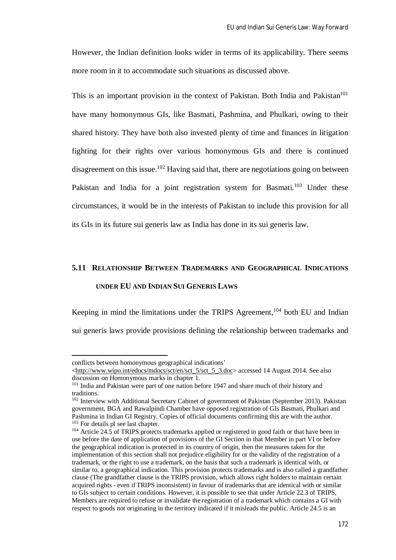However, the Indian definition looks wider in terms of its applicability. There seems more room in it to accommodate such situations as discussed above.

This is an important provision in the context of Pakistan. Both India and Pakistan<sup>101</sup> have many homonymous GIs, like Basmati, Pashmina, and Phulkari, owing to their shared history. They have both also invested plenty of time and finances in litigation fighting for their rights over various homonymous GIs and there is continued disagreement on this issue.<sup>102</sup> Having said that, there are negotiations going on between Pakistan and India for a joint registration system for Basmati.<sup>103</sup> Under these circumstances, it would be in the interests of Pakistan to include this provision for all its GIs in its future sui generis law as India has done in its sui generis law.

# **5.11 RELATIONSHIP BETWEEN TRADEMARKS AND GEOGRAPHICAL INDICATIONS UNDER EU AND INDIAN SUI GENERIS LAWS**

Keeping in mind the limitations under the TRIPS Agreement, $104$  both EU and Indian sui generis laws provide provisions defining the relationship between trademarks and

conflicts between homonymous geographical indications'

<sup>&</sup>lt;http://www.wipo.int/edocs/mdocs/sct/en/sct\_5/sct\_5\_3.doc> accessed 14 August 2014. See also discussion on Homonymous marks in chapter 1.

<sup>&</sup>lt;sup>101</sup> India and Pakistan were part of one nation before 1947 and share much of their history and traditions.

<sup>&</sup>lt;sup>102</sup> Interview with Additional Secretary Cabinet of government of Pakistan (September 2013). Pakistan government, BGA and Rawalpindi Chamber have opposed registration of GIs Basmati, Phulkari and Pashmina in Indian GI Registry. Copies of official documents confirming this are with the author. <sup>103</sup> For details pl see last chapter.

<sup>&</sup>lt;sup>104</sup> Article 24.5 of TRIPS protects trademarks applied or registered in good faith or that have been in use before the date of application of provisions of the GI Section in that Member in part VI or before the geographical indication is protected in its country of origin, then the measures taken for the implementation of this section shall not prejudice eligibility for or the validity of the registration of a trademark, or the right to use a trademark, on the basis that such a trademark is identical with, or similar to, a geographical indication. This provision protects trademarks and is also called a grandfather clause (The grandfather clause is the TRIPS provision, which allows right holders to maintain certain acquired rights - even ifTRIPS inconsistent) in favour of trademarks that are identical with or similar to GIs subject to certain conditions. However, it is possible to see that under Article 22.3 of TRIPS, Members are required to refuse or invalidate the registration of a trademark which contains a GI with respect to goods not originating in the territory indicated if it misleads the public. Article 24.5 is an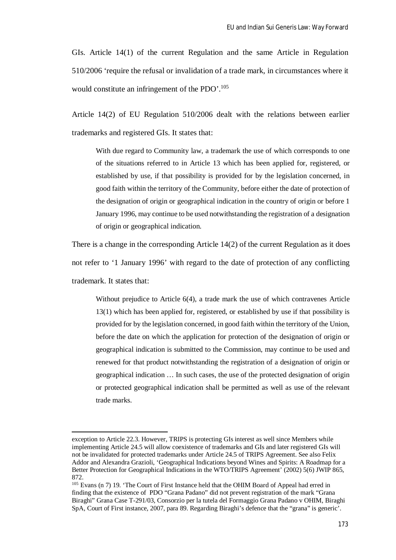GIs. Article 14(1) of the current Regulation and the same Article in Regulation 510/2006 'require the refusal or invalidation of a trade mark, in circumstances where it would constitute an infringement of the PDO'.<sup>105</sup>

Article 14(2) of EU Regulation 510/2006 dealt with the relations between earlier trademarks and registered GIs. It states that:

With due regard to Community law, a trademark the use of which corresponds to one of the situations referred to in Article 13 which has been applied for, registered, or established by use, if that possibility is provided for by the legislation concerned, in good faith within the territory of the Community, before either the date of protection of the designation of origin or geographical indication in the country of origin or before 1 January 1996, may continue to be used notwithstanding the registration of a designation of origin or geographical indication.

There is a change in the corresponding Article 14(2) of the current Regulation as it does not refer to '1 January 1996' with regard to the date of protection of any conflicting trademark. It states that:

Without prejudice to Article 6(4), a trade mark the use of which contravenes Article 13(1) which has been applied for, registered, or established by use if that possibility is provided for by the legislation concerned, in good faith within the territory of the Union, before the date on which the application for protection of the designation of origin or geographical indication is submitted to the Commission, may continue to be used and renewed for that product notwithstanding the registration of a designation of origin or geographical indication … In such cases, the use of the protected designation of origin or protected geographical indication shall be permitted as well as use of the relevant trade marks.

exception to Article 22.3. However, TRIPS is protecting GIs interest as well since Members while implementing Article 24.5 will allow coexistence of trademarks and GIs and later registered GIs will not be invalidated for protected trademarks under Article 24.5 of TRIPS Agreement. See also Felix Addor and Alexandra Grazioli, 'Geographical Indications beyond Wines and Spirits: A Roadmap for a Better Protection for Geographical Indications in the WTO/TRIPS Agreement' (2002) 5(6) JWIP 865, 872.

<sup>&</sup>lt;sup>105</sup> Evans (n 7) 19. 'The Court of First Instance held that the OHIM Board of Appeal had erred in finding that the existence of PDO "Grana Padano" did not prevent registration of the mark "Grana Biraghi" Grana Case T-291/03, Consorzio per la tutela del Formaggio Grana Padano v OHIM, Biraghi SpA, Court of First instance, 2007, para 89. Regarding Biraghi's defence that the "grana" is generic'.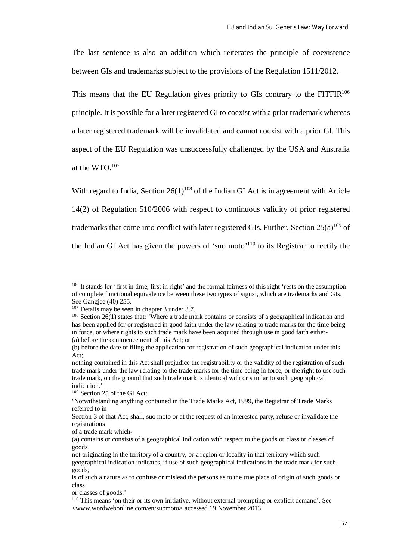The last sentence is also an addition which reiterates the principle of coexistence between GIs and trademarks subject to the provisions of the Regulation 1511/2012.

This means that the EU Regulation gives priority to GIs contrary to the  $FITFIR<sup>106</sup>$ principle. It is possible for a later registered GI to coexist with a prior trademark whereas a later registered trademark will be invalidated and cannot coexist with a prior GI. This aspect of the EU Regulation was unsuccessfully challenged by the USA and Australia at the WTO.<sup>107</sup>

With regard to India, Section  $26(1)^{108}$  of the Indian GI Act is in agreement with Article 14(2) of Regulation 510/2006 with respect to continuous validity of prior registered trademarks that come into conflict with later registered GIs. Further, Section  $25(a)^{109}$  of the Indian GI Act has given the powers of 'suo moto'<sup>110</sup> to its Registrar to rectify the

<sup>&</sup>lt;sup>106</sup> It stands for 'first in time, first in right' and the formal fairness of this right 'rests on the assumption of complete functional equivalence between these two types of signs', which are trademarks and GIs. See Gangjee (40) 255.

<sup>&</sup>lt;sup>107</sup> Details may be seen in chapter 3 under 3.7.

<sup>108</sup> Section 26(1) states that: 'Where a trade mark contains or consists of a geographical indication and has been applied for or registered in good faith under the law relating to trade marks for the time being in force, or where rights to such trade mark have been acquired through use in good faith either- (a) before the commencement of this Act; or

<sup>(</sup>b) before the date of filing the application for registration of such geographical indication under this Act;

nothing contained in this Act shall prejudice the registrability or the validity of the registration of such trade mark under the law relating to the trade marks for the time being in force, or the right to use such trade mark, on the ground that such trade mark is identical with or similar to such geographical indication.'

<sup>109</sup> Section 25 of the GI Act:

<sup>&#</sup>x27;Notwithstanding anything contained in the Trade Marks Act, 1999, the Registrar of Trade Marks referred to in

Section 3 of that Act, shall, suo moto or at the request of an interested party, refuse or invalidate the registrations

of a trade mark which-

<sup>(</sup>a) contains or consists of a geographical indication with respect to the goods or class or classes of goods

not originating in the territory of a country, or a region or locality in that territory which such geographical indication indicates, if use of such geographical indications in the trade mark for such goods,

is of such a nature as to confuse or mislead the persons as to the true place of origin of such goods or class

or classes of goods.'

<sup>110</sup> This means 'on their or its own initiative, without external prompting or explicit demand'. See <www.wordwebonline.com/en/suomoto> accessed 19 November 2013.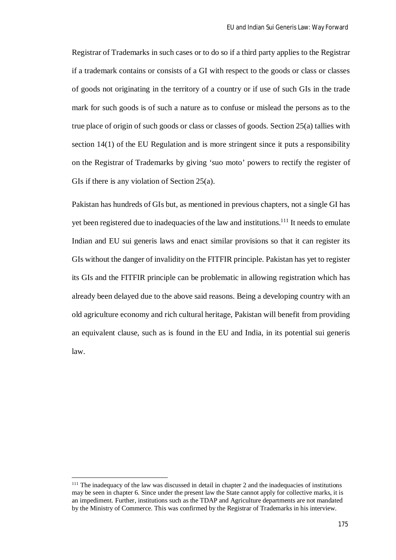Registrar of Trademarks in such cases or to do so if a third party applies to the Registrar if a trademark contains or consists of a GI with respect to the goods or class or classes of goods not originating in the territory of a country or if use of such GIs in the trade mark for such goods is of such a nature as to confuse or mislead the persons as to the true place of origin of such goods or class or classes of goods. Section 25(a) tallies with section 14(1) of the EU Regulation and is more stringent since it puts a responsibility on the Registrar of Trademarks by giving 'suo moto' powers to rectify the register of GIs if there is any violation of Section 25(a).

Pakistan has hundreds of GIs but, as mentioned in previous chapters, not a single GI has yet been registered due to inadequacies of the law and institutions.<sup>111</sup> It needs to emulate Indian and EU sui generis laws and enact similar provisions so that it can register its GIs without the danger of invalidity on the FITFIR principle. Pakistan has yet to register its GIs and the FITFIR principle can be problematic in allowing registration which has already been delayed due to the above said reasons. Being a developing country with an old agriculture economy and rich cultural heritage, Pakistan will benefit from providing an equivalent clause, such as is found in the EU and India, in its potential sui generis law.

<sup>&</sup>lt;sup>111</sup> The inadequacy of the law was discussed in detail in chapter 2 and the inadequacies of institutions may be seen in chapter 6. Since under the present law the State cannot apply for collective marks, it is an impediment. Further, institutions such as the TDAP and Agriculture departments are not mandated by the Ministry of Commerce. This was confirmed by the Registrar of Trademarks in his interview.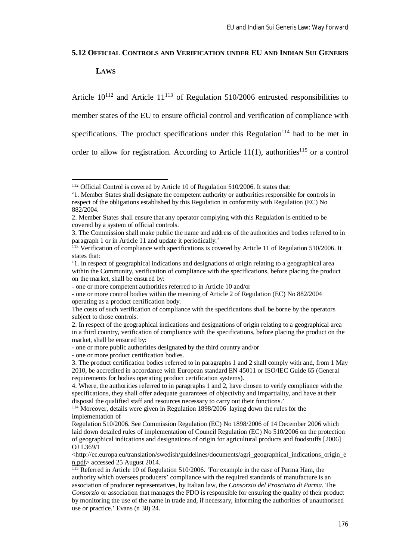#### **5.12 OFFICIAL CONTROLS AND VERIFICATION UNDER EU AND INDIAN SUI GENERIS**

## **LAWS**

 $\overline{a}$ 

Article  $10^{112}$  and Article  $11^{113}$  of Regulation 510/2006 entrusted responsibilities to member states of the EU to ensure official control and verification of compliance with specifications. The product specifications under this Regulation<sup>114</sup> had to be met in order to allow for registration. According to Article  $11(1)$ , authorities<sup>115</sup> or a control

<sup>&</sup>lt;sup>112</sup> Official Control is covered by Article 10 of Regulation 510/2006. It states that:

<sup>&#</sup>x27;1. Member States shall designate the competent authority or authorities responsible for controls in respect of the obligations established by this Regulation in conformity with Regulation (EC) No 882/2004.

<sup>2.</sup> Member States shall ensure that any operator complying with this Regulation is entitled to be covered by a system of official controls.

<sup>3.</sup> The Commission shall make public the name and address of the authorities and bodies referred to in paragraph 1 or in Article 11 and update it periodically.'

<sup>&</sup>lt;sup>113</sup> Verification of compliance with specifications is covered by Article 11 of Regulation 510/2006. It states that:

<sup>&#</sup>x27;1. In respect of geographical indications and designations of origin relating to a geographical area within the Community, verification of compliance with the specifications, before placing the product on the market, shall be ensured by:

<sup>-</sup> one or more competent authorities referred to in Article 10 and/or

<sup>-</sup> one or more control bodies within the meaning of Article 2 of Regulation (EC) No 882/2004 operating as a product certification body.

The costs of such verification of compliance with the specifications shall be borne by the operators subject to those controls.

<sup>2.</sup> In respect of the geographical indications and designations of origin relating to a geographical area in a third country, verification of compliance with the specifications, before placing the product on the market, shall be ensured by:

<sup>-</sup> one or more public authorities designated by the third country and/or

<sup>-</sup> one or more product certification bodies.

<sup>3.</sup> The product certification bodies referred to in paragraphs 1 and 2 shall comply with and, from 1 May 2010, be accredited in accordance with European standard EN 45011 or ISO/IEC Guide 65 (General requirements for bodies operating product certification systems).

<sup>4.</sup> Where, the authorities referred to in paragraphs 1 and 2, have chosen to verify compliance with the specifications, they shall offer adequate guarantees of objectivity and impartiality, and have at their disposal the qualified staff and resources necessary to carry out their functions.'

<sup>&</sup>lt;sup>114</sup> Moreover, details were given in Regulation 1898/2006 laying down the rules for the implementation of

Regulation 510/2006. See Commission Regulation (EC) No 1898/2006 of 14 December 2006 which laid down detailed rules of implementation of Council Regulation (EC) No 510/2006 on the protection of geographical indications and designations of origin for agricultural products and foodstuffs [2006] OJ L369/1

<sup>&</sup>lt;http://ec.europa.eu/translation/swedish/guidelines/documents/agri\_geographical\_indications\_origin\_e n.pdf> accessed 25 August 2014.

 $\frac{115}{115}$  Referred in Article 10 of Regulation 510/2006. 'For example in the case of Parma Ham, the authority which oversees producers' compliance with the required standards of manufacture is an association of producer representatives, by Italian law, the *Consorzio del Prosciutto di Parma*. The *Consorzio* or association that manages the PDO is responsible for ensuring the quality of their product by monitoring the use of the name in trade and, if necessary, informing the authorities of unauthorised use or practice.' Evans (n 38) 24.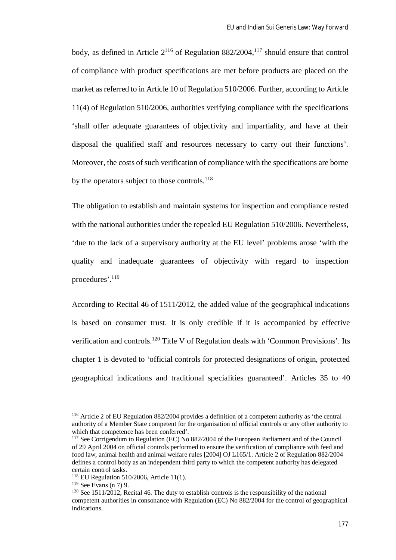body, as defined in Article  $2^{116}$  of Regulation 882/2004,<sup>117</sup> should ensure that control of compliance with product specifications are met before products are placed on the market as referred to in Article 10 of Regulation 510/2006. Further, according to Article 11(4) of Regulation 510/2006, authorities verifying compliance with the specifications 'shall offer adequate guarantees of objectivity and impartiality, and have at their disposal the qualified staff and resources necessary to carry out their functions'. Moreover, the costs of such verification of compliance with the specifications are borne by the operators subject to those controls.<sup>118</sup>

The obligation to establish and maintain systems for inspection and compliance rested with the national authorities under the repealed EU Regulation 510/2006. Nevertheless, 'due to the lack of a supervisory authority at the EU level' problems arose 'with the quality and inadequate guarantees of objectivity with regard to inspection procedures'.<sup>119</sup>

According to Recital 46 of 1511/2012, the added value of the geographical indications is based on consumer trust. It is only credible if it is accompanied by effective verification and controls.<sup>120</sup> Title V of Regulation deals with 'Common Provisions'. Its chapter 1 is devoted to 'official controls for protected designations of origin, protected geographical indications and traditional specialities guaranteed'. Articles 35 to 40

<sup>116</sup> Article 2 of EU Regulation 882/2004 provides a definition of a competent authority as 'the central authority of a Member State competent for the organisation of official controls or any other authority to which that competence has been conferred'.

<sup>117</sup> See Corrigendum to Regulation (EC) No 882/2004 of the European Parliament and of the Council of 29 April 2004 on official controls performed to ensure the verification of compliance with feed and food law, animal health and animal welfare rules [2004] OJ L165/1. Article 2 of Regulation 882/2004 defines a control body as an independent third party to which the competent authority has delegated certain control tasks.

<sup>118</sup> EU Regulation 510/2006, Article 11(1).

 $119$  See Evans (n 7) 9.

 $120$  See 1511/2012, Recital 46. The duty to establish controls is the responsibility of the national competent authorities in consonance with Regulation (EC) No 882/2004 for the control of geographical indications.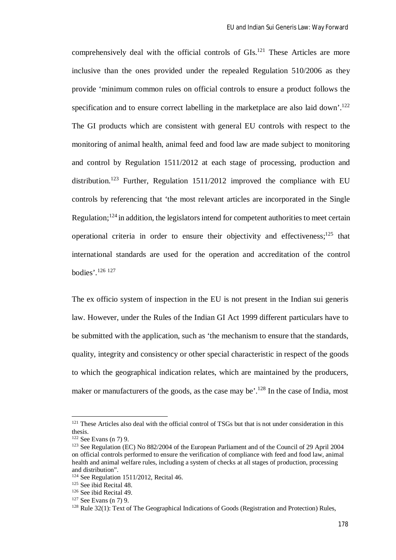comprehensively deal with the official controls of GIs.<sup>121</sup> These Articles are more inclusive than the ones provided under the repealed Regulation 510/2006 as they provide 'minimum common rules on official controls to ensure a product follows the specification and to ensure correct labelling in the marketplace are also laid down'.<sup>122</sup> The GI products which are consistent with general EU controls with respect to the monitoring of animal health, animal feed and food law are made subject to monitoring and control by Regulation 1511/2012 at each stage of processing, production and distribution.<sup>123</sup> Further, Regulation  $1511/2012$  improved the compliance with EU controls by referencing that 'the most relevant articles are incorporated in the Single Regulation;<sup>124</sup> in addition, the legislators intend for competent authorities to meet certain operational criteria in order to ensure their objectivity and effectiveness;<sup>125</sup> that international standards are used for the operation and accreditation of the control bodies'.<sup>126</sup> <sup>127</sup>

The ex officio system of inspection in the EU is not present in the Indian sui generis law. However, under the Rules of the Indian GI Act 1999 different particulars have to be submitted with the application, such as 'the mechanism to ensure that the standards, quality, integrity and consistency or other special characteristic in respect of the goods to which the geographical indication relates, which are maintained by the producers, maker or manufacturers of the goods, as the case may be'.<sup>128</sup> In the case of India, most

<sup>&</sup>lt;sup>121</sup> These Articles also deal with the official control of TSGs but that is not under consideration in this thesis.

 $122$  See Evans (n 7) 9.

<sup>&</sup>lt;sup>123</sup> See Regulation (EC) No 882/2004 of the European Parliament and of the Council of 29 April 2004 on official controls performed to ensure the verification of compliance with feed and food law, animal health and animal welfare rules, including a system of checks at all stages of production, processing and distribution".

 $124$  See Regulation 1511/2012, Recital 46.

<sup>&</sup>lt;sup>125</sup> See ibid Recital 48.

<sup>126</sup> See ibid Recital 49.

<sup>127</sup> See Evans (n 7) 9.

 $128$  Rule 32(1): Text of The Geographical Indications of Goods (Registration and Protection) Rules,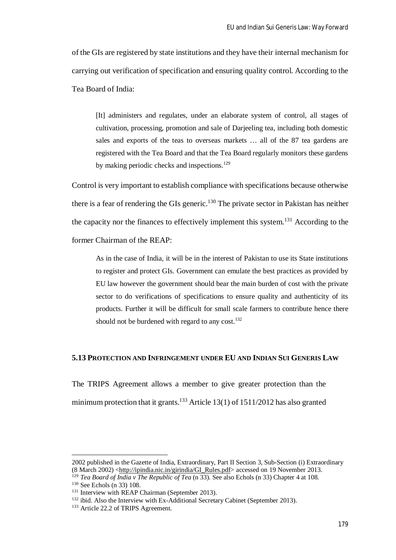of the GIs are registered by state institutions and they have their internal mechanism for carrying out verification of specification and ensuring quality control. According to the Tea Board of India:

[It] administers and regulates, under an elaborate system of control, all stages of cultivation, processing, promotion and sale of Darjeeling tea, including both domestic sales and exports of the teas to overseas markets … all of the 87 tea gardens are registered with the Tea Board and that the Tea Board regularly monitors these gardens by making periodic checks and inspections.<sup>129</sup>

Control is very important to establish compliance with specifications because otherwise there is a fear of rendering the GIs generic.<sup>130</sup> The private sector in Pakistan has neither the capacity nor the finances to effectively implement this system.<sup>131</sup> According to the former Chairman of the REAP:

As in the case of India, it will be in the interest of Pakistan to use its State institutions to register and protect GIs. Government can emulate the best practices as provided by EU law however the government should bear the main burden of cost with the private sector to do verifications of specifications to ensure quality and authenticity of its products. Further it will be difficult for small scale farmers to contribute hence there should not be burdened with regard to any cost.<sup>132</sup>

## **5.13 PROTECTION AND INFRINGEMENT UNDER EU AND INDIAN SUI GENERIS LAW**

The TRIPS Agreement allows a member to give greater protection than the minimum protection that it grants.<sup>133</sup> Article 13(1) of 1511/2012 has also granted

<sup>2002</sup> published in the Gazette of India, Extraordinary, Part II Section 3, Sub-Section (i) Extraordinary (8 March 2002) <http://ipindia.nic.in/girindia/GI\_Rules.pdf> accessed on 19 November 2013.

<sup>&</sup>lt;sup>129</sup> *Tea Board of India v The Republic of Tea* (n 33). See also Echols (n 33) Chapter 4 at 108.

<sup>&</sup>lt;sup>130</sup> See Echols (n 33) 108.

<sup>&</sup>lt;sup>131</sup> Interview with REAP Chairman (September 2013).

<sup>&</sup>lt;sup>132</sup> ibid. Also the Interview with Ex-Additional Secretary Cabinet (September 2013).

<sup>&</sup>lt;sup>133</sup> Article 22.2 of TRIPS Agreement.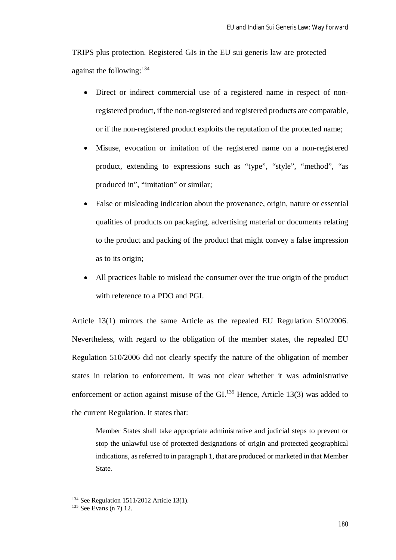TRIPS plus protection. Registered GIs in the EU sui generis law are protected against the following:<sup>134</sup>

- Direct or indirect commercial use of a registered name in respect of nonregistered product, if the non-registered and registered products are comparable, or if the non-registered product exploits the reputation of the protected name;
- Misuse, evocation or imitation of the registered name on a non-registered product, extending to expressions such as "type", "style", "method", "as produced in", "imitation" or similar;
- False or misleading indication about the provenance, origin, nature or essential qualities of products on packaging, advertising material or documents relating to the product and packing of the product that might convey a false impression as to its origin;
- All practices liable to mislead the consumer over the true origin of the product with reference to a PDO and PGI.

Article 13(1) mirrors the same Article as the repealed EU Regulation 510/2006. Nevertheless, with regard to the obligation of the member states, the repealed EU Regulation 510/2006 did not clearly specify the nature of the obligation of member states in relation to enforcement. It was not clear whether it was administrative enforcement or action against misuse of the GI.<sup>135</sup> Hence, Article 13(3) was added to the current Regulation. It states that:

Member States shall take appropriate administrative and judicial steps to prevent or stop the unlawful use of protected designations of origin and protected geographical indications, as referred to in paragraph 1, that are produced or marketed in that Member State.

<sup>&</sup>lt;sup>134</sup> See Regulation 1511/2012 Article 13(1).

<sup>135</sup> See Evans (n 7) 12.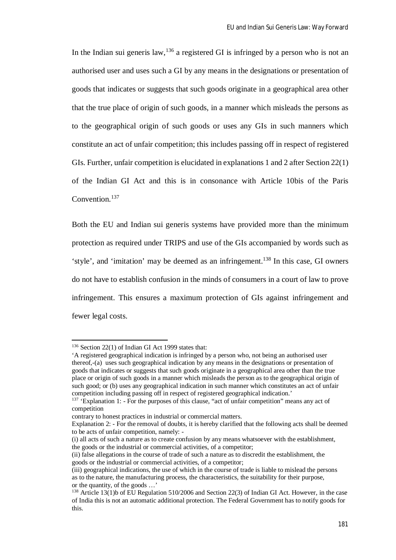In the Indian sui generis law,  $136$  a registered GI is infringed by a person who is not an authorised user and uses such a GI by any means in the designations or presentation of goods that indicates or suggests that such goods originate in a geographical area other that the true place of origin of such goods, in a manner which misleads the persons as to the geographical origin of such goods or uses any GIs in such manners which constitute an act of unfair competition; this includes passing off in respect of registered GIs. Further, unfair competition is elucidated in explanations 1 and 2 after Section 22(1) of the Indian GI Act and this is in consonance with Article 10bis of the Paris Convention.<sup>137</sup>

Both the EU and Indian sui generis systems have provided more than the minimum protection as required under TRIPS and use of the GIs accompanied by words such as 'style', and 'imitation' may be deemed as an infringement.<sup>138</sup> In this case, GI owners do not have to establish confusion in the minds of consumers in a court of law to prove infringement. This ensures a maximum protection of GIs against infringement and fewer legal costs.

<sup>136</sup> Section 22(1) of Indian GI Act 1999 states that:

<sup>&#</sup>x27;A registered geographical indication is infringed by a person who, not being an authorised user thereof,-(a) uses such geographical indication by any means in the designations or presentation of goods that indicates or suggests that such goods originate in a geographical area other than the true place or origin of such goods in a manner which misleads the person as to the geographical origin of such good; or (b) uses any geographical indication in such manner which constitutes an act of unfair competition including passing off in respect of registered geographical indication.'

<sup>&</sup>lt;sup>137</sup> 'Explanation 1: - For the purposes of this clause, "act of unfair competition" means any act of competition

contrary to honest practices in industrial or commercial matters.

Explanation 2: - For the removal of doubts, it is hereby clarified that the following acts shall be deemed to be acts of unfair competition, namely: -

<sup>(</sup>i) all acts of such a nature as to create confusion by any means whatsoever with the establishment, the goods or the industrial or commercial activities, of a competitor;

<sup>(</sup>ii) false allegations in the course of trade of such a nature as to discredit the establishment, the goods or the industrial or commercial activities, of a competitor;

<sup>(</sup>iii) geographical indications, the use of which in the course of trade is liable to mislead the persons as to the nature, the manufacturing process, the characteristics, the suitability for their purpose, or the quantity, of the goods …'

<sup>138</sup> Article 13(1)b of EU Regulation 510/2006 and Section 22(3) of Indian GI Act. However, in the case of India this is not an automatic additional protection. The Federal Government has to notify goods for this.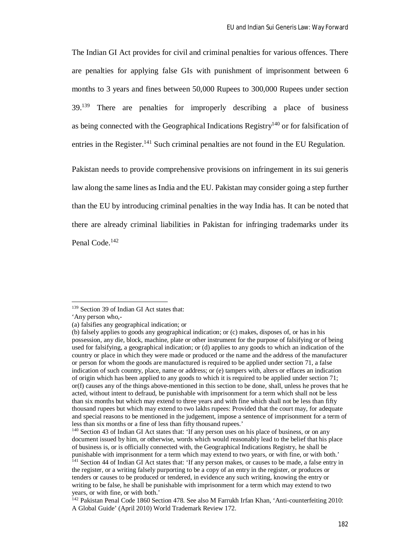The Indian GI Act provides for civil and criminal penalties for various offences. There are penalties for applying false GIs with punishment of imprisonment between 6 months to 3 years and fines between 50,000 Rupees to 300,000 Rupees under section 39.<sup>139</sup> There are penalties for improperly describing a place of business as being connected with the Geographical Indications Registry<sup>140</sup> or for falsification of entries in the Register.<sup>141</sup> Such criminal penalties are not found in the EU Regulation.

Pakistan needs to provide comprehensive provisions on infringement in its sui generis law along the same lines as India and the EU. Pakistan may consider going a step further than the EU by introducing criminal penalties in the way India has. It can be noted that there are already criminal liabilities in Pakistan for infringing trademarks under its Penal Code.<sup>142</sup>

<sup>139</sup> Section 39 of Indian GI Act states that:

<sup>&#</sup>x27;Any person who,-

<sup>(</sup>a) falsifies any geographical indication; or

<sup>(</sup>b) falsely applies to goods any geographical indication; or (c) makes, disposes of, or has in his possession, any die, block, machine, plate or other instrument for the purpose of falsifying or of being used for falsifying, a geographical indication; or (d) applies to any goods to which an indication of the country or place in which they were made or produced or the name and the address of the manufacturer or person for whom the goods are manufactured is required to be applied under section 71, a false indication of such country, place, name or address; or (e) tampers with, alters or effaces an indication of origin which has been applied to any goods to which it is required to be applied under section 71; or(f) causes any of the things above-mentioned in this section to be done, shall, unless he proves that he acted, without intent to defraud, be punishable with imprisonment for a term which shall not be less than six months but which may extend to three years and with fine which shall not be less than fifty thousand rupees but which may extend to two lakhs rupees: Provided that the court may, for adequate and special reasons to be mentioned in the judgement, impose a sentence of imprisonment for a term of less than six months or a fine of less than fifty thousand rupees.'

<sup>140</sup> Section 43 of Indian GI Act states that: 'If any person uses on his place of business, or on any document issued by him, or otherwise, words which would reasonably lead to the belief that his place of business is, or is officially connected with, the Geographical Indications Registry, he shall be punishable with imprisonment for a term which may extend to two years, or with fine, or with both.' <sup>141</sup> Section 44 of Indian GI Act states that: 'If any person makes, or causes to be made, a false entry in the register, or a writing falsely purporting to be a copy of an entry in the register, or produces or tenders or causes to be produced or tendered, in evidence any such writing, knowing the entry or writing to be false, he shall be punishable with imprisonment for a term which may extend to two years, or with fine, or with both.'

<sup>&</sup>lt;sup>142</sup> Pakistan Penal Code 1860 Section 478. See also M Farrukh Irfan Khan, 'Anti-counterfeiting 2010: A Global Guide' (April 2010) World Trademark Review 172.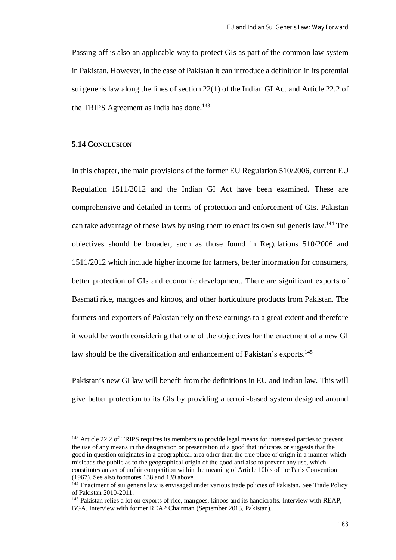Passing off is also an applicable way to protect GIs as part of the common law system in Pakistan. However, in the case of Pakistan it can introduce a definition in its potential sui generis law along the lines of section 22(1) of the Indian GI Act and Article 22.2 of the TRIPS Agreement as India has done.<sup>143</sup>

# **5.14 CONCLUSION**

 $\overline{a}$ 

In this chapter, the main provisions of the former EU Regulation 510/2006, current EU Regulation 1511/2012 and the Indian GI Act have been examined. These are comprehensive and detailed in terms of protection and enforcement of GIs. Pakistan can take advantage of these laws by using them to enact its own sui generis law.<sup>144</sup> The objectives should be broader, such as those found in Regulations 510/2006 and 1511/2012 which include higher income for farmers, better information for consumers, better protection of GIs and economic development. There are significant exports of Basmati rice, mangoes and kinoos, and other horticulture products from Pakistan. The farmers and exporters of Pakistan rely on these earnings to a great extent and therefore it would be worth considering that one of the objectives for the enactment of a new GI law should be the diversification and enhancement of Pakistan's exports.<sup>145</sup>

Pakistan's new GI law will benefit from the definitions in EU and Indian law. This will give better protection to its GIs by providing a terroir-based system designed around

<sup>143</sup> Article 22.2 of TRIPS requires its members to provide legal means for interested parties to prevent the use of any means in the designation or presentation of a good that indicates or suggests that the good in question originates in a geographical area other than the true place of origin in a manner which misleads the public as to the geographical origin of the good and also to prevent any use, which constitutes an act of unfair competition within the meaning of Article 10bis of the Paris Convention (1967). See also footnotes 138 and 139 above.

<sup>&</sup>lt;sup>144</sup> Enactment of sui generis law is envisaged under various trade policies of Pakistan. See Trade Policy of Pakistan 2010-2011.

<sup>145</sup> Pakistan relies a lot on exports of rice, mangoes, kinoos and its handicrafts. Interview with REAP, BGA. Interview with former REAP Chairman (September 2013, Pakistan).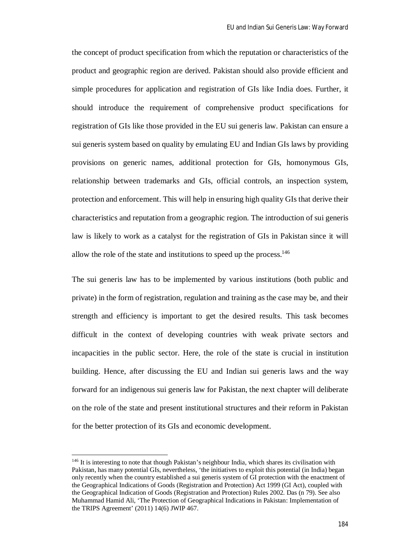the concept of product specification from which the reputation or characteristics of the product and geographic region are derived. Pakistan should also provide efficient and simple procedures for application and registration of GIs like India does. Further, it should introduce the requirement of comprehensive product specifications for registration of GIs like those provided in the EU sui generis law. Pakistan can ensure a sui generis system based on quality by emulating EU and Indian GIs laws by providing provisions on generic names, additional protection for GIs, homonymous GIs, relationship between trademarks and GIs, official controls, an inspection system, protection and enforcement. This will help in ensuring high quality GIs that derive their characteristics and reputation from a geographic region. The introduction of sui generis law is likely to work as a catalyst for the registration of GIs in Pakistan since it will allow the role of the state and institutions to speed up the process.<sup>146</sup>

The sui generis law has to be implemented by various institutions (both public and private) in the form of registration, regulation and training as the case may be, and their strength and efficiency is important to get the desired results. This task becomes difficult in the context of developing countries with weak private sectors and incapacities in the public sector. Here, the role of the state is crucial in institution building. Hence, after discussing the EU and Indian sui generis laws and the way forward for an indigenous sui generis law for Pakistan, the next chapter will deliberate on the role of the state and present institutional structures and their reform in Pakistan for the better protection of its GIs and economic development.

<sup>&</sup>lt;sup>146</sup> It is interesting to note that though Pakistan's neighbour India, which shares its civilisation with Pakistan, has many potential GIs, nevertheless, 'the initiatives to exploit this potential (in India) began only recently when the country established a sui generis system of GI protection with the enactment of the Geographical Indications of Goods (Registration and Protection) Act 1999 (GI Act), coupled with the Geographical Indication of Goods (Registration and Protection) Rules 2002. Das (n 79). See also Muhammad Hamid Ali, 'The Protection of Geographical Indications in Pakistan: Implementation of the TRIPS Agreement' (2011) 14(6) JWIP 467.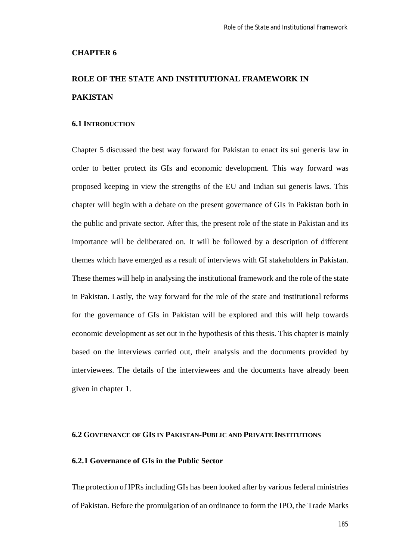#### **CHAPTER 6**

# **ROLE OF THE STATE AND INSTITUTIONAL FRAMEWORK IN PAKISTAN**

#### **6.1 INTRODUCTION**

Chapter 5 discussed the best way forward for Pakistan to enact its sui generis law in order to better protect its GIs and economic development. This way forward was proposed keeping in view the strengths of the EU and Indian sui generis laws. This chapter will begin with a debate on the present governance of GIs in Pakistan both in the public and private sector. After this, the present role of the state in Pakistan and its importance will be deliberated on. It will be followed by a description of different themes which have emerged as a result of interviews with GI stakeholders in Pakistan. These themes will help in analysing the institutional framework and the role of the state in Pakistan. Lastly, the way forward for the role of the state and institutional reforms for the governance of GIs in Pakistan will be explored and this will help towards economic development as set out in the hypothesis of this thesis. This chapter is mainly based on the interviews carried out, their analysis and the documents provided by interviewees. The details of the interviewees and the documents have already been given in chapter 1.

## **6.2 GOVERNANCE OF GIS IN PAKISTAN-PUBLIC AND PRIVATE INSTITUTIONS**

#### **6.2.1 Governance of GIs in the Public Sector**

The protection of IPRs including GIs has been looked after by various federal ministries of Pakistan. Before the promulgation of an ordinance to form the IPO, the Trade Marks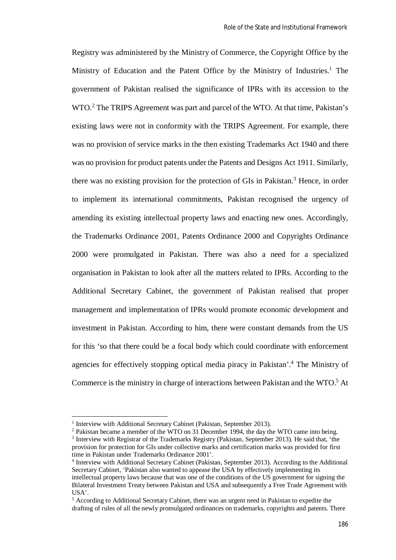Registry was administered by the Ministry of Commerce, the Copyright Office by the Ministry of Education and the Patent Office by the Ministry of Industries.<sup>1</sup> The government of Pakistan realised the significance of IPRs with its accession to the WTO.<sup>2</sup> The TRIPS Agreement was part and parcel of the WTO. At that time, Pakistan's existing laws were not in conformity with the TRIPS Agreement. For example, there was no provision of service marks in the then existing Trademarks Act 1940 and there was no provision for product patents under the Patents and Designs Act 1911. Similarly, there was no existing provision for the protection of GIs in Pakistan.<sup>3</sup> Hence, in order to implement its international commitments, Pakistan recognised the urgency of amending its existing intellectual property laws and enacting new ones. Accordingly, the Trademarks Ordinance 2001, Patents Ordinance 2000 and Copyrights Ordinance 2000 were promulgated in Pakistan. There was also a need for a specialized organisation in Pakistan to look after all the matters related to IPRs. According to the Additional Secretary Cabinet, the government of Pakistan realised that proper management and implementation of IPRs would promote economic development and investment in Pakistan. According to him, there were constant demands from the US for this 'so that there could be a focal body which could coordinate with enforcement agencies for effectively stopping optical media piracy in Pakistan'.<sup>4</sup> The Ministry of Commerce is the ministry in charge of interactions between Pakistan and the WTO.<sup>5</sup> At

<sup>&</sup>lt;sup>1</sup> Interview with Additional Secretary Cabinet (Pakistan, September 2013).

<sup>2</sup> Pakistan became a member of the WTO on 31 December 1994, the day the WTO came into being.

 $3$  Interview with Registrar of the Trademarks Registry (Pakistan, September 2013). He said that, 'the provision for protection for GIs under collective marks and certification marks was provided for first time in Pakistan under Trademarks Ordinance 2001'.

<sup>&</sup>lt;sup>4</sup> Interview with Additional Secretary Cabinet (Pakistan, September 2013). According to the Additional Secretary Cabinet, 'Pakistan also wanted to appease the USA by effectively implementing its intellectual property laws because that was one of the conditions of the US government for signing the Bilateral Investment Treaty between Pakistan and USA and subsequently a Free Trade Agreement with USA'.

<sup>5</sup> According to Additional Secretary Cabinet, there was an urgent need in Pakistan to expedite the drafting of rules of all the newly promulgated ordinances on trademarks, copyrights and patents. There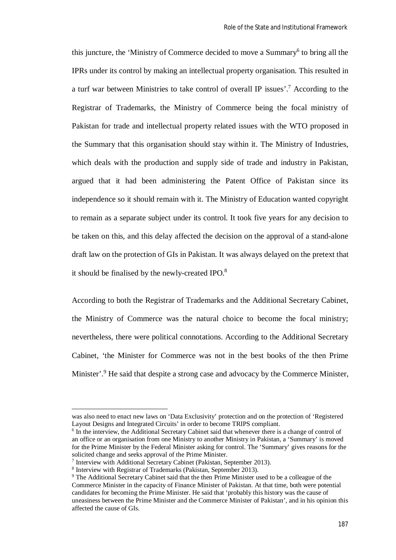this juncture, the 'Ministry of Commerce decided to move a Summary<sup>6</sup> to bring all the IPRs under its control by making an intellectual property organisation. This resulted in a turf war between Ministries to take control of overall IP issues'.<sup>7</sup> According to the Registrar of Trademarks, the Ministry of Commerce being the focal ministry of Pakistan for trade and intellectual property related issues with the WTO proposed in the Summary that this organisation should stay within it. The Ministry of Industries, which deals with the production and supply side of trade and industry in Pakistan, argued that it had been administering the Patent Office of Pakistan since its independence so it should remain with it. The Ministry of Education wanted copyright to remain as a separate subject under its control. It took five years for any decision to be taken on this, and this delay affected the decision on the approval of a stand-alone draft law on the protection of GIs in Pakistan. It was always delayed on the pretext that it should be finalised by the newly-created IPO.<sup>8</sup>

According to both the Registrar of Trademarks and the Additional Secretary Cabinet, the Ministry of Commerce was the natural choice to become the focal ministry; nevertheless, there were political connotations. According to the Additional Secretary Cabinet, 'the Minister for Commerce was not in the best books of the then Prime Minister'.<sup>9</sup> He said that despite a strong case and advocacy by the Commerce Minister,

was also need to enact new laws on 'Data Exclusivity' protection and on the protection of 'Registered Layout Designs and Integrated Circuits' in order to become TRIPS compliant.

<sup>&</sup>lt;sup>6</sup> In the interview, the Additional Secretary Cabinet said that whenever there is a change of control of an office or an organisation from one Ministry to another Ministry in Pakistan, a 'Summary' is moved for the Prime Minister by the Federal Minister asking for control. The 'Summary' gives reasons for the solicited change and seeks approval of the Prime Minister.

<sup>&</sup>lt;sup>7</sup> Interview with Additional Secretary Cabinet (Pakistan, September 2013).

<sup>8</sup> Interview with Registrar of Trademarks (Pakistan, September 2013).

<sup>&</sup>lt;sup>9</sup> The Additional Secretary Cabinet said that the then Prime Minister used to be a colleague of the Commerce Minister in the capacity of Finance Minister of Pakistan. At that time, both were potential candidates for becoming the Prime Minister. He said that 'probably this history was the cause of uneasiness between the Prime Minister and the Commerce Minister of Pakistan', and in his opinion this affected the cause of GIs.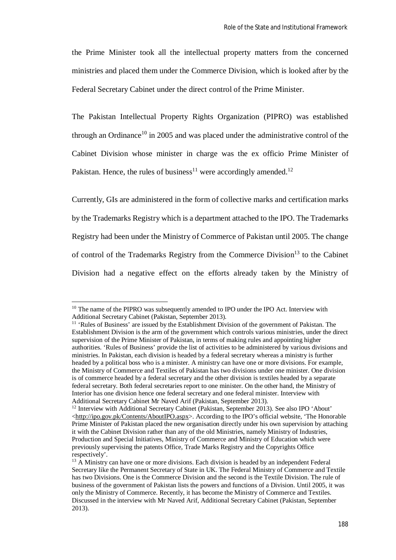the Prime Minister took all the intellectual property matters from the concerned ministries and placed them under the Commerce Division, which is looked after by the Federal Secretary Cabinet under the direct control of the Prime Minister.

The Pakistan Intellectual Property Rights Organization (PIPRO) was established through an Ordinance<sup>10</sup> in 2005 and was placed under the administrative control of the Cabinet Division whose minister in charge was the ex officio Prime Minister of Pakistan. Hence, the rules of business<sup>11</sup> were accordingly amended.<sup>12</sup>

Currently, GIs are administered in the form of collective marks and certification marks by the Trademarks Registry which is a department attached to the IPO. The Trademarks Registry had been under the Ministry of Commerce of Pakistan until 2005. The change of control of the Trademarks Registry from the Commerce Division<sup>13</sup> to the Cabinet Division had a negative effect on the efforts already taken by the Ministry of

<sup>&</sup>lt;sup>10</sup> The name of the PIPRO was subsequently amended to IPO under the IPO Act. Interview with Additional Secretary Cabinet (Pakistan, September 2013).

<sup>&</sup>lt;sup>11</sup> 'Rules of Business' are issued by the Establishment Division of the government of Pakistan. The Establishment Division is the arm of the government which controls various ministries, under the direct supervision of the Prime Minister of Pakistan, in terms of making rules and appointing higher authorities. 'Rules of Business' provide the list of activities to be administered by various divisions and ministries. In Pakistan, each division is headed by a federal secretary whereas a ministry is further headed by a political boss who is a minister. A ministry can have one or more divisions. For example, the Ministry of Commerce and Textiles of Pakistan has two divisions under one minister. One division is of commerce headed by a federal secretary and the other division is textiles headed by a separate federal secretary. Both federal secretaries report to one minister. On the other hand, the Ministry of Interior has one division hence one federal secretary and one federal minister. Interview with Additional Secretary Cabinet Mr Naved Arif (Pakistan, September 2013).

<sup>&</sup>lt;sup>12</sup> Interview with Additional Secretary Cabinet (Pakistan, September 2013). See also IPO 'About' <http://ipo.gov.pk/Contents/AboutIPO.aspx>. According to the IPO's official website, 'The Honorable Prime Minister of Pakistan placed the new organisation directly under his own supervision by attaching it with the Cabinet Division rather than any of the old Ministries, namely Ministry of Industries, Production and Special Initiatives, Ministry of Commerce and Ministry of Education which were previously supervising the patents Office, Trade Marks Registry and the Copyrights Office respectively'.

<sup>&</sup>lt;sup>13</sup> A Ministry can have one or more divisions. Each division is headed by an independent Federal Secretary like the Permanent Secretary of State in UK. The Federal Ministry of Commerce and Textile has two Divisions. One is the Commerce Division and the second is the Textile Division. The rule of business of the government of Pakistan lists the powers and functions of a Division. Until 2005, it was only the Ministry of Commerce. Recently, it has become the Ministry of Commerce and Textiles. Discussed in the interview with Mr Naved Arif, Additional Secretary Cabinet (Pakistan, September 2013).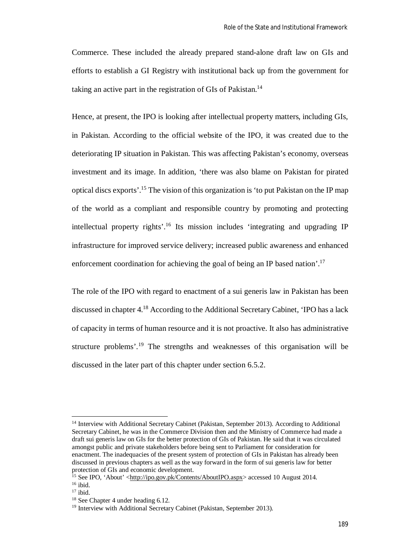Commerce. These included the already prepared stand-alone draft law on GIs and efforts to establish a GI Registry with institutional back up from the government for taking an active part in the registration of GIs of Pakistan.<sup>14</sup>

Hence, at present, the IPO is looking after intellectual property matters, including GIs, in Pakistan. According to the official website of the IPO, it was created due to the deteriorating IP situation in Pakistan. This was affecting Pakistan's economy, overseas investment and its image. In addition, 'there was also blame on Pakistan for pirated optical discs exports'.<sup>15</sup> The vision of this organization is 'to put Pakistan on the IP map of the world as a compliant and responsible country by promoting and protecting intellectual property rights'.<sup>16</sup> Its mission includes 'integrating and upgrading IP infrastructure for improved service delivery; increased public awareness and enhanced enforcement coordination for achieving the goal of being an IP based nation'.<sup>17</sup>

The role of the IPO with regard to enactment of a sui generis law in Pakistan has been discussed in chapter 4.<sup>18</sup> According to the Additional Secretary Cabinet, 'IPO has a lack of capacity in terms of human resource and it is not proactive. It also has administrative structure problems'.<sup>19</sup> The strengths and weaknesses of this organisation will be discussed in the later part of this chapter under section 6.5.2.

<sup>&</sup>lt;sup>14</sup> Interview with Additional Secretary Cabinet (Pakistan, September 2013). According to Additional Secretary Cabinet, he was in the Commerce Division then and the Ministry of Commerce had made a draft sui generis law on GIs for the better protection of GIs of Pakistan. He said that it was circulated amongst public and private stakeholders before being sent to Parliament for consideration for enactment. The inadequacies of the present system of protection of GIs in Pakistan has already been discussed in previous chapters as well as the way forward in the form of sui generis law for better protection of GIs and economic development.

<sup>&</sup>lt;sup>15</sup> See IPO, 'About' <http://ipo.gov.pk/Contents/AboutIPO.aspx> accessed 10 August 2014.  $16$  ibid.

 $17$  ibid.

<sup>&</sup>lt;sup>18</sup> See Chapter 4 under heading 6.12.

<sup>&</sup>lt;sup>19</sup> Interview with Additional Secretary Cabinet (Pakistan, September 2013).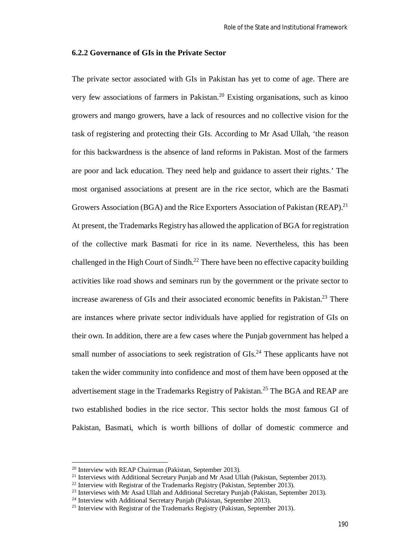#### **6.2.2 Governance of GIs in the Private Sector**

The private sector associated with GIs in Pakistan has yet to come of age. There are very few associations of farmers in Pakistan.<sup>20</sup> Existing organisations, such as kinoo growers and mango growers, have a lack of resources and no collective vision for the task of registering and protecting their GIs. According to Mr Asad Ullah, 'the reason for this backwardness is the absence of land reforms in Pakistan. Most of the farmers are poor and lack education. They need help and guidance to assert their rights.' The most organised associations at present are in the rice sector, which are the Basmati Growers Association (BGA) and the Rice Exporters Association of Pakistan (REAP).<sup>21</sup> At present, the Trademarks Registry has allowed the application of BGA for registration of the collective mark Basmati for rice in its name. Nevertheless, this has been challenged in the High Court of Sindh.<sup>22</sup> There have been no effective capacity building activities like road shows and seminars run by the government or the private sector to increase awareness of GIs and their associated economic benefits in Pakistan.<sup>23</sup> There are instances where private sector individuals have applied for registration of GIs on their own. In addition, there are a few cases where the Punjab government has helped a small number of associations to seek registration of GIs.<sup>24</sup> These applicants have not taken the wider community into confidence and most of them have been opposed at the advertisement stage in the Trademarks Registry of Pakistan.<sup>25</sup> The BGA and REAP are two established bodies in the rice sector. This sector holds the most famous GI of Pakistan, Basmati, which is worth billions of dollar of domestic commerce and

<sup>20</sup> Interview with REAP Chairman (Pakistan, September 2013).

<sup>&</sup>lt;sup>21</sup> Interviews with Additional Secretary Punjab and Mr Asad Ullah (Pakistan, September 2013).

 $22$  Interview with Registrar of the Trademarks Registry (Pakistan, September 2013).

<sup>&</sup>lt;sup>23</sup> Interviews with Mr Asad Ullah and Additional Secretary Punjab (Pakistan, September 2013).

<sup>&</sup>lt;sup>24</sup> Interview with Additional Secretary Punjab (Pakistan, September 2013).

 $^{25}$  Interview with Registrar of the Trademarks Registry (Pakistan, September 2013).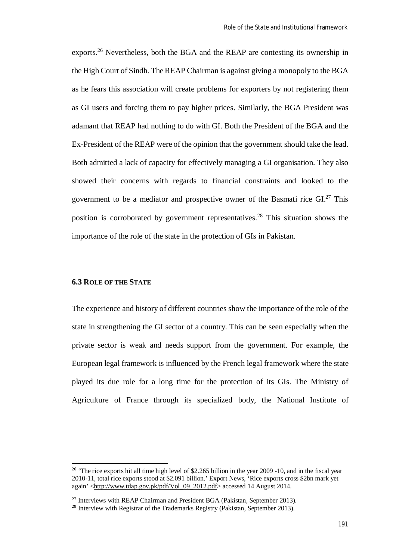exports.<sup>26</sup> Nevertheless, both the BGA and the REAP are contesting its ownership in the High Court of Sindh. The REAP Chairman is against giving a monopoly to the BGA as he fears this association will create problems for exporters by not registering them as GI users and forcing them to pay higher prices. Similarly, the BGA President was adamant that REAP had nothing to do with GI. Both the President of the BGA and the Ex-President of the REAP were of the opinion that the government should take the lead. Both admitted a lack of capacity for effectively managing a GI organisation. They also showed their concerns with regards to financial constraints and looked to the government to be a mediator and prospective owner of the Basmati rice  $GI^{27}$ . This position is corroborated by government representatives.<sup>28</sup> This situation shows the importance of the role of the state in the protection of GIs in Pakistan.

#### **6.3 ROLE OF THE STATE**

The experience and history of different countries show the importance of the role of the state in strengthening the GI sector of a country. This can be seen especially when the private sector is weak and needs support from the government. For example, the European legal framework is influenced by the French legal framework where the state played its due role for a long time for the protection of its GIs. The Ministry of Agriculture of France through its specialized body, the National Institute of

<sup>&</sup>lt;sup>26</sup> The rice exports hit all time high level of \$2.265 billion in the year 2009 -10, and in the fiscal year 2010-11, total rice exports stood at \$2.091 billion.' Export News, 'Rice exports cross \$2bn mark yet again' <http://www.tdap.gov.pk/pdf/Vol\_09\_2012.pdf> accessed 14 August 2014.

 $27$  Interviews with REAP Chairman and President BGA (Pakistan, September 2013).

 $^{28}$  Interview with Registrar of the Trademarks Registry (Pakistan, September 2013).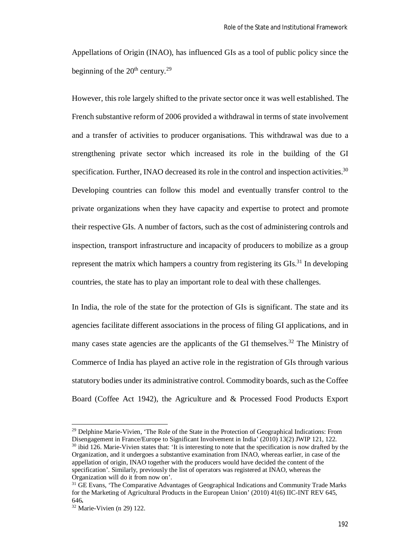Appellations of Origin (INAO), has influenced GIs as a tool of public policy since the beginning of the  $20<sup>th</sup>$  century.<sup>29</sup>

However, this role largely shifted to the private sector once it was well established. The French substantive reform of 2006 provided a withdrawal in terms of state involvement and a transfer of activities to producer organisations. This withdrawal was due to a strengthening private sector which increased its role in the building of the GI specification. Further, INAO decreased its role in the control and inspection activities.<sup>30</sup> Developing countries can follow this model and eventually transfer control to the private organizations when they have capacity and expertise to protect and promote their respective GIs. A number of factors, such as the cost of administering controls and inspection, transport infrastructure and incapacity of producers to mobilize as a group represent the matrix which hampers a country from registering its  $GIs.<sup>31</sup>$  In developing countries, the state has to play an important role to deal with these challenges.

In India, the role of the state for the protection of GIs is significant. The state and its agencies facilitate different associations in the process of filing GI applications, and in many cases state agencies are the applicants of the GI themselves.<sup>32</sup> The Ministry of Commerce of India has played an active role in the registration of GIs through various statutory bodies under its administrative control. Commodity boards, such as the Coffee Board (Coffee Act 1942), the Agriculture and & Processed Food Products Export

<sup>&</sup>lt;sup>29</sup> Delphine Marie-Vivien, 'The Role of the State in the Protection of Geographical Indications: From Disengagement in France/Europe to Significant Involvement in India' (2010) 13(2) JWIP 121, 122. <sup>30</sup> ibid 126. Marie-Vivien states that: 'It is interesting to note that the specification is now drafted by the Organization, and it undergoes a substantive examination from INAO, whereas earlier, in case of the appellation of origin, INAO together with the producers would have decided the content of the specification'. Similarly, previously the list of operators was registered at INAO, whereas the Organization will do it from now on'.

<sup>&</sup>lt;sup>31</sup> GE Evans, 'The Comparative Advantages of Geographical Indications and Community Trade Marks for the Marketing of Agricultural Products in the European Union' (2010) 41(6) IIC-INT REV 645, 646*.*

<sup>32</sup> Marie-Vivien (n 29) 122.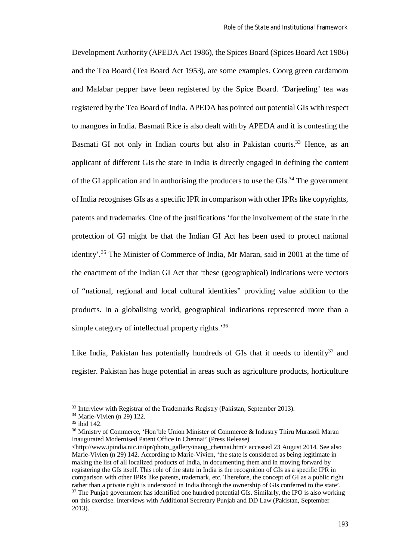Development Authority (APEDA Act 1986), the Spices Board (Spices Board Act 1986) and the Tea Board (Tea Board Act 1953), are some examples. Coorg green cardamom and Malabar pepper have been registered by the Spice Board. 'Darjeeling' tea was registered by the Tea Board of India. APEDA has pointed out potential GIs with respect to mangoes in India. Basmati Rice is also dealt with by APEDA and it is contesting the Basmati GI not only in Indian courts but also in Pakistan courts.<sup>33</sup> Hence, as an applicant of different GIs the state in India is directly engaged in defining the content of the GI application and in authorising the producers to use the GIs.<sup>34</sup> The government of India recognises GIs as a specific IPR in comparison with other IPRs like copyrights, patents and trademarks. One of the justifications 'for the involvement of the state in the protection of GI might be that the Indian GI Act has been used to protect national identity'.<sup>35</sup> The Minister of Commerce of India, Mr Maran, said in 2001 at the time of the enactment of the Indian GI Act that 'these (geographical) indications were vectors of "national, regional and local cultural identities" providing value addition to the products. In a globalising world, geographical indications represented more than a simple category of intellectual property rights.<sup>36</sup>

Like India, Pakistan has potentially hundreds of GIs that it needs to identify<sup>37</sup> and register. Pakistan has huge potential in areas such as agriculture products, horticulture

<sup>&</sup>lt;sup>33</sup> Interview with Registrar of the Trademarks Registry (Pakistan, September 2013).

 $34$  Marie-Vivien (n 29) 122.

<sup>35</sup> ibid 142.

<sup>&</sup>lt;sup>36</sup> Ministry of Commerce, 'Hon'ble Union Minister of Commerce & Industry Thiru Murasoli Maran Inaugurated Modernised Patent Office in Chennai' (Press Release)

<sup>&</sup>lt;http://www.ipindia.nic.in/ipr/photo\_gallery/inaug\_chennai.htm> accessed 23 August 2014. See also Marie-Vivien (n 29) 142. According to Marie-Vivien, 'the state is considered as being legitimate in making the list of all localized products of India, in documenting them and in moving forward by registering the GIs itself. This role of the state in India is the recognition of GIs as a specific IPR in comparison with other IPRs like patents, trademark, etc. Therefore, the concept of GI as a public right rather than a private right is understood in India through the ownership of GIs conferred to the state'. <sup>37</sup> The Punjab government has identified one hundred potential GIs. Similarly, the IPO is also working on this exercise. Interviews with Additional Secretary Punjab and DD Law (Pakistan, September 2013).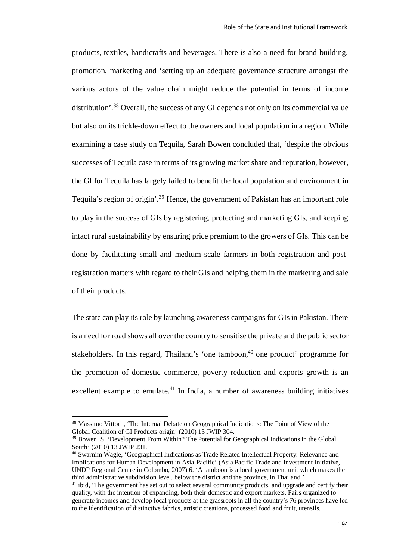products, textiles, handicrafts and beverages. There is also a need for brand-building, promotion, marketing and 'setting up an adequate governance structure amongst the various actors of the value chain might reduce the potential in terms of income distribution'.<sup>38</sup> Overall, the success of any GI depends not only on its commercial value but also on its trickle-down effect to the owners and local population in a region. While examining a case study on Tequila, Sarah Bowen concluded that, 'despite the obvious successes of Tequila case in terms of its growing market share and reputation, however, the GI for Tequila has largely failed to benefit the local population and environment in Tequila's region of origin'.<sup>39</sup> Hence, the government of Pakistan has an important role to play in the success of GIs by registering, protecting and marketing GIs, and keeping intact rural sustainability by ensuring price premium to the growers of GIs. This can be done by facilitating small and medium scale farmers in both registration and postregistration matters with regard to their GIs and helping them in the marketing and sale of their products.

The state can play its role by launching awareness campaigns for GIs in Pakistan. There is a need for road shows all over the country to sensitise the private and the public sector stakeholders. In this regard, Thailand's 'one tamboon,<sup>40</sup> one product' programme for the promotion of domestic commerce, poverty reduction and exports growth is an excellent example to emulate.<sup>41</sup> In India, a number of awareness building initiatives

<sup>&</sup>lt;sup>38</sup> Massimo Vittori, 'The Internal Debate on Geographical Indications: The Point of View of the Global Coalition of GI Products origin' (2010) 13 JWIP 304.

<sup>&</sup>lt;sup>39</sup> Bowen, S, 'Development From Within? The Potential for Geographical Indications in the Global South' (2010) 13 JWIP 231.

<sup>40</sup> Swarnim Wagle, 'Geographical Indications as Trade Related Intellectual Property: Relevance and Implications for Human Development in Asia-Pacific' (Asia Pacific Trade and Investment Initiative, UNDP Regional Centre in Colombo, 2007) 6. 'A tamboon is a local government unit which makes the third administrative subdivision level, below the district and the province, in Thailand.'

<sup>&</sup>lt;sup>41</sup> ibid, 'The government has set out to select several community products, and upgrade and certify their quality, with the intention of expanding, both their domestic and export markets. Fairs organized to generate incomes and develop local products at the grassroots in all the country's 76 provinces have led to the identification of distinctive fabrics, artistic creations, processed food and fruit, utensils,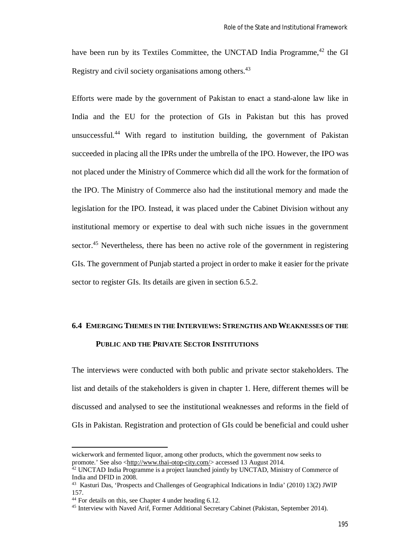have been run by its Textiles Committee, the UNCTAD India Programme,<sup>42</sup> the GI Registry and civil society organisations among others.<sup>43</sup>

Efforts were made by the government of Pakistan to enact a stand-alone law like in India and the EU for the protection of GIs in Pakistan but this has proved unsuccessful.<sup>44</sup> With regard to institution building, the government of Pakistan succeeded in placing all the IPRs under the umbrella of the IPO. However, the IPO was not placed under the Ministry of Commerce which did all the work for the formation of the IPO. The Ministry of Commerce also had the institutional memory and made the legislation for the IPO. Instead, it was placed under the Cabinet Division without any institutional memory or expertise to deal with such niche issues in the government sector.<sup>45</sup> Nevertheless, there has been no active role of the government in registering GIs. The government of Punjab started a project in order to make it easier for the private sector to register GIs. Its details are given in section 6.5.2.

# **6.4 EMERGING THEMES IN THE INTERVIEWS: STRENGTHS AND WEAKNESSES OF THE**

# **PUBLIC AND THE PRIVATE SECTOR INSTITUTIONS**

The interviews were conducted with both public and private sector stakeholders. The list and details of the stakeholders is given in chapter 1. Here, different themes will be discussed and analysed to see the institutional weaknesses and reforms in the field of GIs in Pakistan. Registration and protection of GIs could be beneficial and could usher

wickerwork and fermented liquor, among other products, which the government now seeks to promote.' See also <http://www.thai-otop-city.com/> accessed 13 August 2014.

<sup>&</sup>lt;sup>42</sup> UNCTAD India Programme is a project launched jointly by UNCTAD, Ministry of Commerce of India and DFID in 2008.

<sup>&</sup>lt;sup>43</sup> Kasturi Das, 'Prospects and Challenges of Geographical Indications in India' (2010) 13(2) JWIP 157.

<sup>44</sup> For details on this, see Chapter 4 under heading 6.12.

<sup>45</sup> Interview with Naved Arif, Former Additional Secretary Cabinet (Pakistan, September 2014).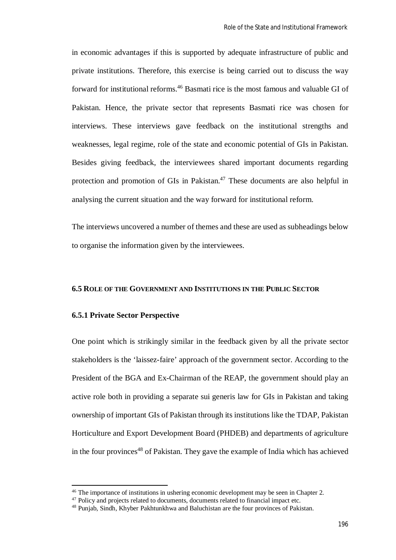in economic advantages if this is supported by adequate infrastructure of public and private institutions. Therefore, this exercise is being carried out to discuss the way forward for institutional reforms.<sup>46</sup> Basmati rice is the most famous and valuable GI of Pakistan. Hence, the private sector that represents Basmati rice was chosen for interviews. These interviews gave feedback on the institutional strengths and weaknesses, legal regime, role of the state and economic potential of GIs in Pakistan. Besides giving feedback, the interviewees shared important documents regarding protection and promotion of GIs in Pakistan.<sup>47</sup> These documents are also helpful in analysing the current situation and the way forward for institutional reform.

The interviews uncovered a number of themes and these are used as subheadings below to organise the information given by the interviewees.

#### **6.5 ROLE OF THE GOVERNMENT AND INSTITUTIONS IN THE PUBLIC SECTOR**

#### **6.5.1 Private Sector Perspective**

 $\overline{\phantom{a}}$ 

One point which is strikingly similar in the feedback given by all the private sector stakeholders is the 'laissez-faire' approach of the government sector. According to the President of the BGA and Ex-Chairman of the REAP, the government should play an active role both in providing a separate sui generis law for GIs in Pakistan and taking ownership of important GIs of Pakistan through its institutions like the TDAP, Pakistan Horticulture and Export Development Board (PHDEB) and departments of agriculture in the four provinces<sup>48</sup> of Pakistan. They gave the example of India which has achieved

<sup>46</sup> The importance of institutions in ushering economic development may be seen in Chapter 2.

<sup>&</sup>lt;sup>47</sup> Policy and projects related to documents, documents related to financial impact etc.

<sup>48</sup> Punjab, Sindh, Khyber Pakhtunkhwa and Baluchistan are the four provinces of Pakistan.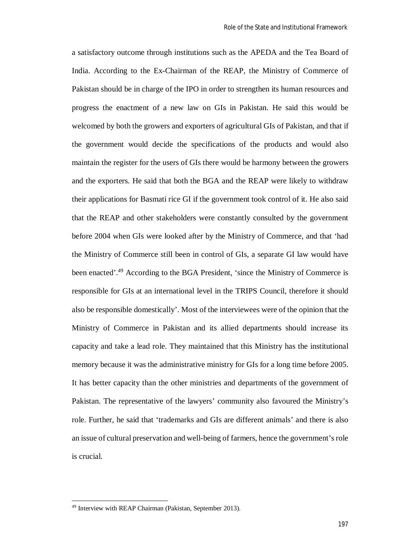a satisfactory outcome through institutions such as the APEDA and the Tea Board of India. According to the Ex-Chairman of the REAP, the Ministry of Commerce of Pakistan should be in charge of the IPO in order to strengthen its human resources and progress the enactment of a new law on GIs in Pakistan. He said this would be welcomed by both the growers and exporters of agricultural GIs of Pakistan, and that if the government would decide the specifications of the products and would also maintain the register for the users of GIs there would be harmony between the growers and the exporters. He said that both the BGA and the REAP were likely to withdraw their applications for Basmati rice GI if the government took control of it. He also said that the REAP and other stakeholders were constantly consulted by the government before 2004 when GIs were looked after by the Ministry of Commerce, and that 'had the Ministry of Commerce still been in control of GIs, a separate GI law would have been enacted'.<sup>49</sup> According to the BGA President, 'since the Ministry of Commerce is responsible for GIs at an international level in the TRIPS Council, therefore it should also be responsible domestically'. Most of the interviewees were of the opinion that the Ministry of Commerce in Pakistan and its allied departments should increase its capacity and take a lead role. They maintained that this Ministry has the institutional memory because it was the administrative ministry for GIs for a long time before 2005. It has better capacity than the other ministries and departments of the government of Pakistan. The representative of the lawyers' community also favoured the Ministry's role. Further, he said that 'trademarks and GIs are different animals' and there is also an issue of cultural preservation and well-being of farmers, hence the government's role is crucial.

<sup>49</sup> Interview with REAP Chairman (Pakistan, September 2013).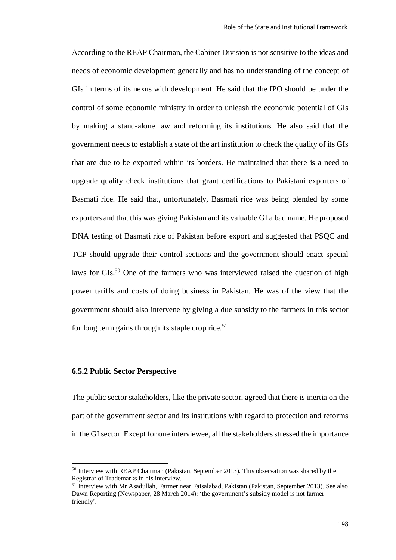According to the REAP Chairman, the Cabinet Division is not sensitive to the ideas and needs of economic development generally and has no understanding of the concept of GIs in terms of its nexus with development. He said that the IPO should be under the control of some economic ministry in order to unleash the economic potential of GIs by making a stand-alone law and reforming its institutions. He also said that the government needs to establish a state of the art institution to check the quality of its GIs that are due to be exported within its borders. He maintained that there is a need to upgrade quality check institutions that grant certifications to Pakistani exporters of Basmati rice. He said that, unfortunately, Basmati rice was being blended by some exporters and that this was giving Pakistan and its valuable GI a bad name. He proposed DNA testing of Basmati rice of Pakistan before export and suggested that PSQC and TCP should upgrade their control sections and the government should enact special laws for GIs.<sup>50</sup> One of the farmers who was interviewed raised the question of high power tariffs and costs of doing business in Pakistan. He was of the view that the government should also intervene by giving a due subsidy to the farmers in this sector for long term gains through its staple crop rice.<sup>51</sup>

#### **6.5.2 Public Sector Perspective**

 $\overline{a}$ 

The public sector stakeholders, like the private sector, agreed that there is inertia on the part of the government sector and its institutions with regard to protection and reforms in the GI sector. Except for one interviewee, all the stakeholders stressed the importance

<sup>50</sup> Interview with REAP Chairman (Pakistan, September 2013). This observation was shared by the Registrar of Trademarks in his interview.

<sup>51</sup> Interview with Mr Asadullah, Farmer near Faisalabad, Pakistan (Pakistan, September 2013). See also Dawn Reporting (Newspaper, 28 March 2014): 'the government's subsidy model is not farmer friendly'.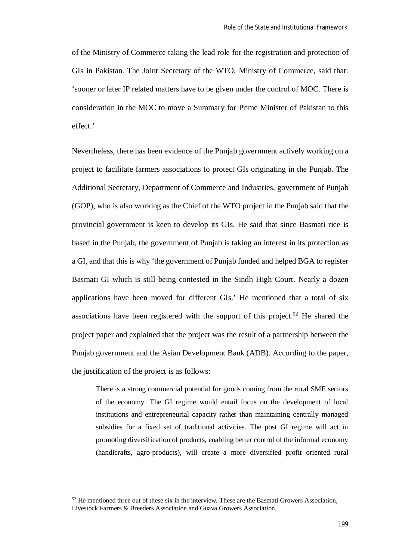of the Ministry of Commerce taking the lead role for the registration and protection of GIs in Pakistan. The Joint Secretary of the WTO, Ministry of Commerce, said that: 'sooner or later IP related matters have to be given under the control of MOC. There is consideration in the MOC to move a Summary for Prime Minister of Pakistan to this effect.'

Nevertheless, there has been evidence of the Punjab government actively working on a project to facilitate farmers associations to protect GIs originating in the Punjab. The Additional Secretary, Department of Commerce and Industries, government of Punjab (GOP), who is also working as the Chief of the WTO project in the Punjab said that the provincial government is keen to develop its GIs. He said that since Basmati rice is based in the Punjab, the government of Punjab is taking an interest in its protection as a GI, and that this is why 'the government of Punjab funded and helped BGA to register Basmati GI which is still being contested in the Sindh High Court. Nearly a dozen applications have been moved for different GIs.' He mentioned that a total of six associations have been registered with the support of this project.<sup>52</sup> He shared the project paper and explained that the project was the result of a partnership between the Punjab government and the Asian Development Bank (ADB). According to the paper, the justification of the project is as follows:

There is a strong commercial potential for goods coming from the rural SME sectors of the economy. The GI regime would entail focus on the development of local institutions and entrepreneurial capacity rather than maintaining centrally managed subsidies for a fixed set of traditional activities. The post GI regime will act in promoting diversification of products, enabling better control of the informal economy (handicrafts, agro-products), will create a more diversified profit oriented rural

 $52$  He mentioned three out of these six in the interview. These are the Basmati Growers Association, Livestock Farmers & Breeders Association and Guava Growers Association.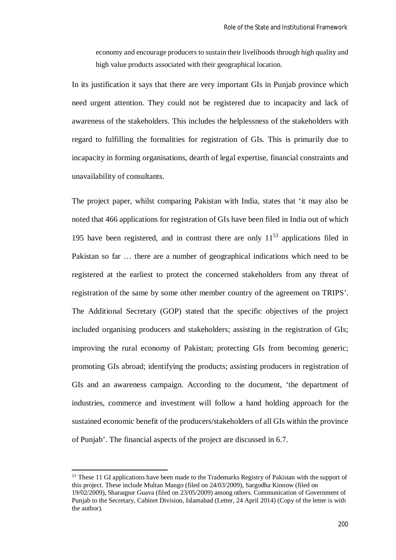economy and encourage producers to sustain their livelihoods through high quality and high value products associated with their geographical location.

In its justification it says that there are very important GIs in Punjab province which need urgent attention. They could not be registered due to incapacity and lack of awareness of the stakeholders. This includes the helplessness of the stakeholders with regard to fulfilling the formalities for registration of GIs. This is primarily due to incapacity in forming organisations, dearth of legal expertise, financial constraints and unavailability of consultants.

The project paper, whilst comparing Pakistan with India, states that 'it may also be noted that 466 applications for registration of GIs have been filed in India out of which 195 have been registered, and in contrast there are only  $11^{53}$  applications filed in Pakistan so far … there are a number of geographical indications which need to be registered at the earliest to protect the concerned stakeholders from any threat of registration of the same by some other member country of the agreement on TRIPS'. The Additional Secretary (GOP) stated that the specific objectives of the project included organising producers and stakeholders; assisting in the registration of GIs; improving the rural economy of Pakistan; protecting GIs from becoming generic; promoting GIs abroad; identifying the products; assisting producers in registration of GIs and an awareness campaign. According to the document, 'the department of industries, commerce and investment will follow a hand holding approach for the sustained economic benefit of the producers/stakeholders of all GIs within the province of Punjab'. The financial aspects of the project are discussed in 6.7.

<sup>&</sup>lt;sup>53</sup> These 11 GI applications have been made to the Trademarks Registry of Pakistan with the support of this project. These include Multan Mango (filed on 24/03/2009), Sargodha Kinnow (filed on 19/02/2009), Sharaqpur Guava (filed on 23/05/2009) among others. Communication of Government of Punjab to the Secretary, Cabinet Division, Islamabad (Letter, 24 April 2014) (Copy of the letter is with the author).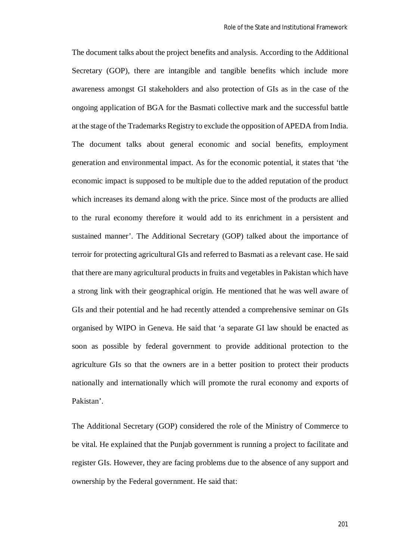The document talks about the project benefits and analysis. According to the Additional Secretary (GOP), there are intangible and tangible benefits which include more awareness amongst GI stakeholders and also protection of GIs as in the case of the ongoing application of BGA for the Basmati collective mark and the successful battle at the stage of the Trademarks Registry to exclude the opposition of APEDA from India. The document talks about general economic and social benefits, employment generation and environmental impact. As for the economic potential, it states that 'the economic impact is supposed to be multiple due to the added reputation of the product which increases its demand along with the price. Since most of the products are allied to the rural economy therefore it would add to its enrichment in a persistent and sustained manner'. The Additional Secretary (GOP) talked about the importance of terroir for protecting agricultural GIs and referred to Basmati as a relevant case. He said that there are many agricultural products in fruits and vegetables in Pakistan which have a strong link with their geographical origin. He mentioned that he was well aware of GIs and their potential and he had recently attended a comprehensive seminar on GIs organised by WIPO in Geneva. He said that 'a separate GI law should be enacted as soon as possible by federal government to provide additional protection to the agriculture GIs so that the owners are in a better position to protect their products nationally and internationally which will promote the rural economy and exports of Pakistan'.

The Additional Secretary (GOP) considered the role of the Ministry of Commerce to be vital. He explained that the Punjab government is running a project to facilitate and register GIs. However, they are facing problems due to the absence of any support and ownership by the Federal government. He said that: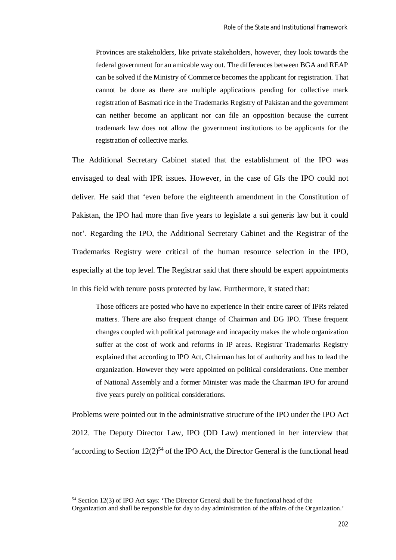Provinces are stakeholders, like private stakeholders, however, they look towards the federal government for an amicable way out. The differences between BGA and REAP can be solved if the Ministry of Commerce becomes the applicant for registration. That cannot be done as there are multiple applications pending for collective mark registration of Basmati rice in the Trademarks Registry of Pakistan and the government can neither become an applicant nor can file an opposition because the current trademark law does not allow the government institutions to be applicants for the registration of collective marks.

The Additional Secretary Cabinet stated that the establishment of the IPO was envisaged to deal with IPR issues. However, in the case of GIs the IPO could not deliver. He said that 'even before the eighteenth amendment in the Constitution of Pakistan, the IPO had more than five years to legislate a sui generis law but it could not'. Regarding the IPO, the Additional Secretary Cabinet and the Registrar of the Trademarks Registry were critical of the human resource selection in the IPO, especially at the top level. The Registrar said that there should be expert appointments in this field with tenure posts protected by law. Furthermore, it stated that:

Those officers are posted who have no experience in their entire career of IPRs related matters. There are also frequent change of Chairman and DG IPO. These frequent changes coupled with political patronage and incapacity makes the whole organization suffer at the cost of work and reforms in IP areas. Registrar Trademarks Registry explained that according to IPO Act, Chairman has lot of authority and has to lead the organization. However they were appointed on political considerations. One member of National Assembly and a former Minister was made the Chairman IPO for around five years purely on political considerations.

Problems were pointed out in the administrative structure of the IPO under the IPO Act 2012. The Deputy Director Law, IPO (DD Law) mentioned in her interview that 'according to Section  $12(2)^{54}$  of the IPO Act, the Director General is the functional head

<sup>54</sup> Section 12(3) of IPO Act says: 'The Director General shall be the functional head of the

Organization and shall be responsible for day to day administration of the affairs of the Organization.'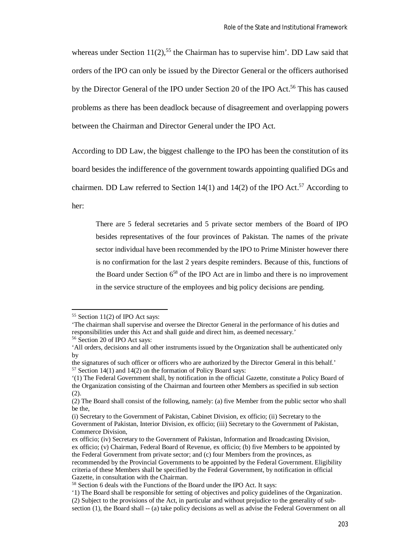whereas under Section  $11(2)$ ,<sup>55</sup> the Chairman has to supervise him'. DD Law said that orders of the IPO can only be issued by the Director General or the officers authorised by the Director General of the IPO under Section 20 of the IPO Act.<sup>56</sup> This has caused problems as there has been deadlock because of disagreement and overlapping powers between the Chairman and Director General under the IPO Act.

According to DD Law, the biggest challenge to the IPO has been the constitution of its

board besides the indifference of the government towards appointing qualified DGs and

chairmen. DD Law referred to Section 14(1) and 14(2) of the IPO Act.<sup>57</sup> According to

her:

 $\overline{a}$ 

There are 5 federal secretaries and 5 private sector members of the Board of IPO besides representatives of the four provinces of Pakistan. The names of the private sector individual have been recommended by the IPO to Prime Minister however there is no confirmation for the last 2 years despite reminders. Because of this, functions of the Board under Section  $6^{58}$  of the IPO Act are in limbo and there is no improvement in the service structure of the employees and big policy decisions are pending.

<sup>&</sup>lt;sup>55</sup> Section 11(2) of IPO Act says:

<sup>&#</sup>x27;The chairman shall supervise and oversee the Director General in the performance of his duties and responsibilities under this Act and shall guide and direct him, as deemed necessary.'

<sup>56</sup> Section 20 of IPO Act says:

<sup>&#</sup>x27;All orders, decisions and all other instruments issued by the Organization shall be authenticated only by

the signatures of such officer or officers who are authorized by the Director General in this behalf.'  $57$  Section 14(1) and 14(2) on the formation of Policy Board says:

<sup>&#</sup>x27;(1) The Federal Government shall, by notification in the official Gazette, constitute a Policy Board of the Organization consisting of the Chairman and fourteen other Members as specified in sub section  $(2)$ .

<sup>(2)</sup> The Board shall consist of the following, namely: (a) five Member from the public sector who shall be the,

<sup>(</sup>i) Secretary to the Government of Pakistan, Cabinet Division, ex officio; (ii) Secretary to the Government of Pakistan, Interior Division, ex officio; (iii) Secretary to the Government of Pakistan, Commerce Division,

ex officio; (iv) Secretary to the Government of Pakistan, Information and Broadcasting Division, ex officio; (v) Chairman, Federal Board of Revenue, ex officio; (b) five Members to be appointed by the Federal Government from private sector; and (c) four Members from the provinces, as recommended by the Provincial Governments to be appointed by the Federal Government. Eligibility criteria of these Members shall be specified by the Federal Government, by notification in official Gazette, in consultation with the Chairman.

<sup>&</sup>lt;sup>58</sup> Section 6 deals with the Functions of the Board under the IPO Act. It says:

<sup>&#</sup>x27;1) The Board shall be responsible for setting of objectives and policy guidelines of the Organization. (2) Subject to the provisions of the Act, in particular and without prejudice to the generality of subsection (1), the Board shall -- (a) take policy decisions as well as advise the Federal Government on all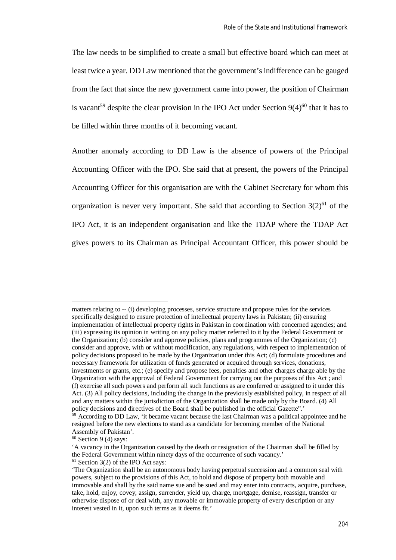The law needs to be simplified to create a small but effective board which can meet at least twice a year. DD Law mentioned that the government's indifference can be gauged from the fact that since the new government came into power, the position of Chairman is vacant<sup>59</sup> despite the clear provision in the IPO Act under Section  $9(4)^{60}$  that it has to be filled within three months of it becoming vacant.

Another anomaly according to DD Law is the absence of powers of the Principal Accounting Officer with the IPO. She said that at present, the powers of the Principal Accounting Officer for this organisation are with the Cabinet Secretary for whom this organization is never very important. She said that according to Section  $3(2)^{61}$  of the IPO Act, it is an independent organisation and like the TDAP where the TDAP Act gives powers to its Chairman as Principal Accountant Officer, this power should be

matters relating to -- (i) developing processes, service structure and propose rules for the services specifically designed to ensure protection of intellectual property laws in Pakistan; (ii) ensuring implementation of intellectual property rights in Pakistan in coordination with concerned agencies; and (iii) expressing its opinion in writing on any policy matter referred to it by the Federal Government or the Organization; (b) consider and approve policies, plans and programmes of the Organization; (c) consider and approve, with or without modification, any regulations, with respect to implementation of policy decisions proposed to be made by the Organization under this Act; (d) formulate procedures and necessary framework for utilization of funds generated or acquired through services, donations, investments or grants, etc.; (e) specify and propose fees, penalties and other charges charge able by the Organization with the approval of Federal Government for carrying out the purposes of this Act ; and (f) exercise all such powers and perform all such functions as are conferred or assigned to it under this Act. (3) All policy decisions, including the change in the previously established policy, in respect of all and any matters within the jurisdiction of the Organization shall be made only by the Board. (4) All policy decisions and directives of the Board shall be published in the official Gazette".'

<sup>&</sup>lt;sup>59</sup> According to DD Law, 'it became vacant because the last Chairman was a political appointee and he resigned before the new elections to stand as a candidate for becoming member of the National Assembly of Pakistan'.

 $60$  Section 9 (4) says:

<sup>&#</sup>x27;A vacancy in the Organization caused by the death or resignation of the Chairman shall be filled by the Federal Government within ninety days of the occurrence of such vacancy.'

<sup>61</sup> Section 3(2) of the IPO Act says:

<sup>&#</sup>x27;The Organization shall be an autonomous body having perpetual succession and a common seal with powers, subject to the provisions of this Act, to hold and dispose of property both movable and immovable and shall by the said name sue and be sued and may enter into contracts, acquire, purchase, take, hold, enjoy, covey, assign, surrender, yield up, charge, mortgage, demise, reassign, transfer or otherwise dispose of or deal with, any movable or immovable property of every description or any interest vested in it, upon such terms as it deems fit.'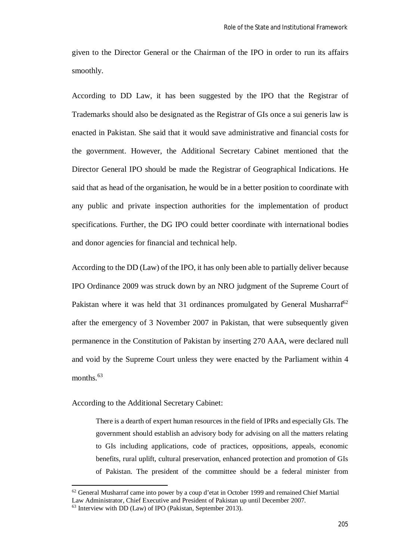given to the Director General or the Chairman of the IPO in order to run its affairs smoothly.

According to DD Law, it has been suggested by the IPO that the Registrar of Trademarks should also be designated as the Registrar of GIs once a sui generis law is enacted in Pakistan. She said that it would save administrative and financial costs for the government. However, the Additional Secretary Cabinet mentioned that the Director General IPO should be made the Registrar of Geographical Indications. He said that as head of the organisation, he would be in a better position to coordinate with any public and private inspection authorities for the implementation of product specifications. Further, the DG IPO could better coordinate with international bodies and donor agencies for financial and technical help.

According to the DD (Law) of the IPO, it has only been able to partially deliver because IPO Ordinance 2009 was struck down by an NRO judgment of the Supreme Court of Pakistan where it was held that 31 ordinances promulgated by General Musharraf<sup>62</sup> after the emergency of 3 November 2007 in Pakistan, that were subsequently given permanence in the Constitution of Pakistan by inserting 270 AAA, were declared null and void by the Supreme Court unless they were enacted by the Parliament within 4 months.<sup>63</sup>

According to the Additional Secretary Cabinet:

There is a dearth of expert human resources in the field of IPRs and especially GIs. The government should establish an advisory body for advising on all the matters relating to GIs including applications, code of practices, oppositions, appeals, economic benefits, rural uplift, cultural preservation, enhanced protection and promotion of GIs of Pakistan. The president of the committee should be a federal minister from

<sup>62</sup> General Musharraf came into power by a coup d'etat in October 1999 and remained Chief Martial Law Administrator, Chief Executive and President of Pakistan up until December 2007.

 $63$  Interview with DD (Law) of IPO (Pakistan, September 2013).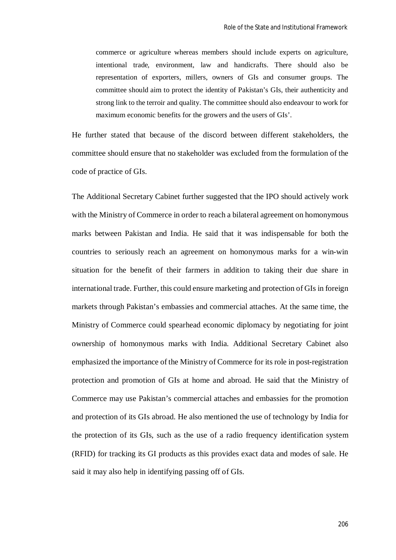commerce or agriculture whereas members should include experts on agriculture, intentional trade, environment, law and handicrafts. There should also be representation of exporters, millers, owners of GIs and consumer groups. The committee should aim to protect the identity of Pakistan's GIs, their authenticity and strong link to the terroir and quality. The committee should also endeavour to work for maximum economic benefits for the growers and the users of GIs'.

He further stated that because of the discord between different stakeholders, the committee should ensure that no stakeholder was excluded from the formulation of the code of practice of GIs.

The Additional Secretary Cabinet further suggested that the IPO should actively work with the Ministry of Commerce in order to reach a bilateral agreement on homonymous marks between Pakistan and India. He said that it was indispensable for both the countries to seriously reach an agreement on homonymous marks for a win-win situation for the benefit of their farmers in addition to taking their due share in international trade. Further, this could ensure marketing and protection of GIs in foreign markets through Pakistan's embassies and commercial attaches. At the same time, the Ministry of Commerce could spearhead economic diplomacy by negotiating for joint ownership of homonymous marks with India. Additional Secretary Cabinet also emphasized the importance of the Ministry of Commerce for its role in post-registration protection and promotion of GIs at home and abroad. He said that the Ministry of Commerce may use Pakistan's commercial attaches and embassies for the promotion and protection of its GIs abroad. He also mentioned the use of technology by India for the protection of its GIs, such as the use of a radio frequency identification system (RFID) for tracking its GI products as this provides exact data and modes of sale. He said it may also help in identifying passing off of GIs.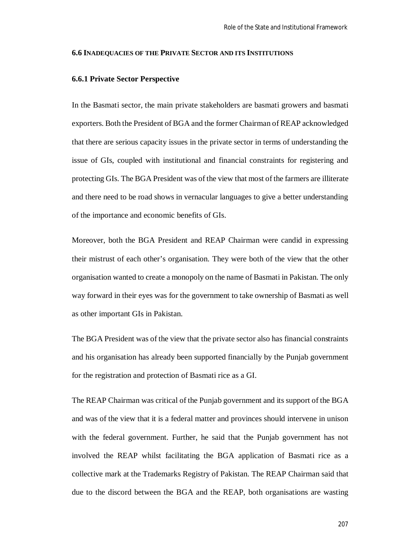#### **6.6 INADEQUACIES OF THE PRIVATE SECTOR AND ITS INSTITUTIONS**

#### **6.6.1 Private Sector Perspective**

In the Basmati sector, the main private stakeholders are basmati growers and basmati exporters. Both the President of BGA and the former Chairman of REAP acknowledged that there are serious capacity issues in the private sector in terms of understanding the issue of GIs, coupled with institutional and financial constraints for registering and protecting GIs. The BGA President was of the view that most of the farmers are illiterate and there need to be road shows in vernacular languages to give a better understanding of the importance and economic benefits of GIs.

Moreover, both the BGA President and REAP Chairman were candid in expressing their mistrust of each other's organisation. They were both of the view that the other organisation wanted to create a monopoly on the name of Basmati in Pakistan. The only way forward in their eyes was for the government to take ownership of Basmati as well as other important GIs in Pakistan.

The BGA President was of the view that the private sector also has financial constraints and his organisation has already been supported financially by the Punjab government for the registration and protection of Basmati rice as a GI.

The REAP Chairman was critical of the Punjab government and its support of the BGA and was of the view that it is a federal matter and provinces should intervene in unison with the federal government. Further, he said that the Punjab government has not involved the REAP whilst facilitating the BGA application of Basmati rice as a collective mark at the Trademarks Registry of Pakistan. The REAP Chairman said that due to the discord between the BGA and the REAP, both organisations are wasting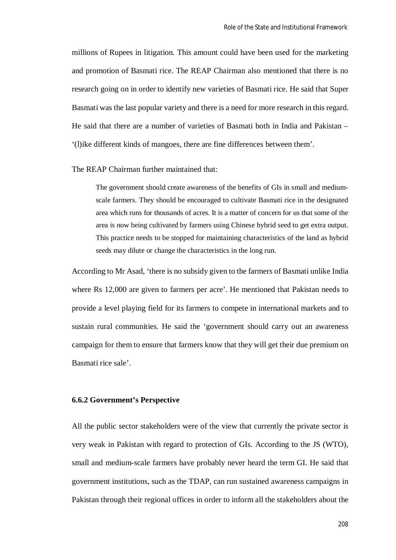millions of Rupees in litigation. This amount could have been used for the marketing and promotion of Basmati rice. The REAP Chairman also mentioned that there is no research going on in order to identify new varieties of Basmati rice. He said that Super Basmati was the last popular variety and there is a need for more research in this regard. He said that there are a number of varieties of Basmati both in India and Pakistan – '(l)ike different kinds of mangoes, there are fine differences between them'.

The REAP Chairman further maintained that:

The government should create awareness of the benefits of GIs in small and mediumscale farmers. They should be encouraged to cultivate Basmati rice in the designated area which runs for thousands of acres. It is a matter of concern for us that some of the area is now being cultivated by farmers using Chinese hybrid seed to get extra output. This practice needs to be stopped for maintaining characteristics of the land as hybrid seeds may dilute or change the characteristics in the long run.

According to Mr Asad, 'there is no subsidy given to the farmers of Basmati unlike India where Rs 12,000 are given to farmers per acre'. He mentioned that Pakistan needs to provide a level playing field for its farmers to compete in international markets and to sustain rural communities. He said the 'government should carry out an awareness campaign for them to ensure that farmers know that they will get their due premium on Basmati rice sale'.

#### **6.6.2 Government's Perspective**

All the public sector stakeholders were of the view that currently the private sector is very weak in Pakistan with regard to protection of GIs. According to the JS (WTO), small and medium-scale farmers have probably never heard the term GI. He said that government institutions, such as the TDAP, can run sustained awareness campaigns in Pakistan through their regional offices in order to inform all the stakeholders about the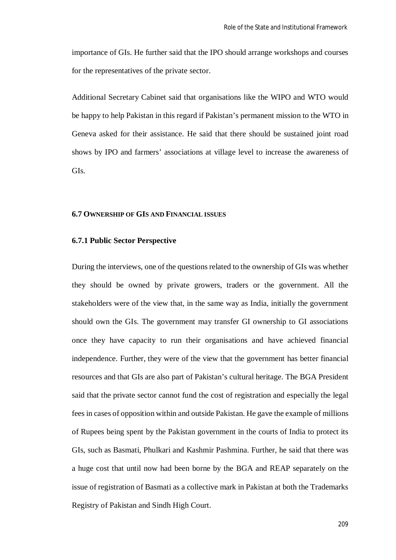importance of GIs. He further said that the IPO should arrange workshops and courses for the representatives of the private sector.

Additional Secretary Cabinet said that organisations like the WIPO and WTO would be happy to help Pakistan in this regard if Pakistan's permanent mission to the WTO in Geneva asked for their assistance. He said that there should be sustained joint road shows by IPO and farmers' associations at village level to increase the awareness of GIs.

## **6.7 OWNERSHIP OF GIS AND FINANCIAL ISSUES**

#### **6.7.1 Public Sector Perspective**

During the interviews, one of the questions related to the ownership of GIs was whether they should be owned by private growers, traders or the government. All the stakeholders were of the view that, in the same way as India, initially the government should own the GIs. The government may transfer GI ownership to GI associations once they have capacity to run their organisations and have achieved financial independence. Further, they were of the view that the government has better financial resources and that GIs are also part of Pakistan's cultural heritage. The BGA President said that the private sector cannot fund the cost of registration and especially the legal fees in cases of opposition within and outside Pakistan. He gave the example of millions of Rupees being spent by the Pakistan government in the courts of India to protect its GIs, such as Basmati, Phulkari and Kashmir Pashmina. Further, he said that there was a huge cost that until now had been borne by the BGA and REAP separately on the issue of registration of Basmati as a collective mark in Pakistan at both the Trademarks Registry of Pakistan and Sindh High Court.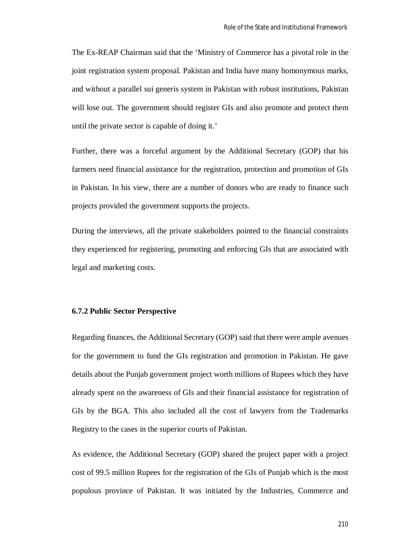The Ex-REAP Chairman said that the 'Ministry of Commerce has a pivotal role in the joint registration system proposal. Pakistan and India have many homonymous marks, and without a parallel sui generis system in Pakistan with robust institutions, Pakistan will lose out. The government should register GIs and also promote and protect them until the private sector is capable of doing it.'

Further, there was a forceful argument by the Additional Secretary (GOP) that his farmers need financial assistance for the registration, protection and promotion of GIs in Pakistan. In his view, there are a number of donors who are ready to finance such projects provided the government supports the projects.

During the interviews, all the private stakeholders pointed to the financial constraints they experienced for registering, promoting and enforcing GIs that are associated with legal and marketing costs.

#### **6.7.2 Public Sector Perspective**

Regarding finances, the Additional Secretary (GOP) said that there were ample avenues for the government to fund the GIs registration and promotion in Pakistan. He gave details about the Punjab government project worth millions of Rupees which they have already spent on the awareness of GIs and their financial assistance for registration of GIs by the BGA. This also included all the cost of lawyers from the Trademarks Registry to the cases in the superior courts of Pakistan.

As evidence, the Additional Secretary (GOP) shared the project paper with a project cost of 99.5 million Rupees for the registration of the GIs of Punjab which is the most populous province of Pakistan. It was initiated by the Industries, Commerce and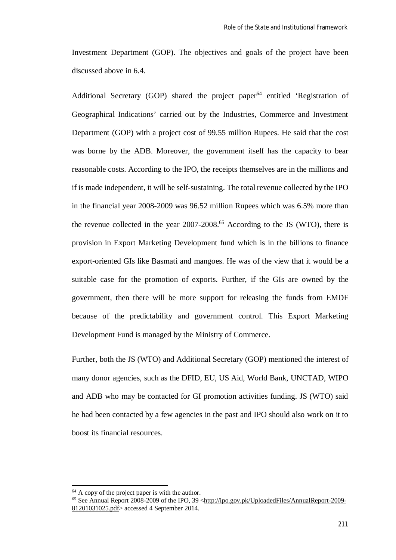Investment Department (GOP). The objectives and goals of the project have been discussed above in 6.4.

Additional Secretary (GOP) shared the project paper $64$  entitled 'Registration of Geographical Indications' carried out by the Industries, Commerce and Investment Department (GOP) with a project cost of 99.55 million Rupees. He said that the cost was borne by the ADB. Moreover, the government itself has the capacity to bear reasonable costs. According to the IPO, the receipts themselves are in the millions and if is made independent, it will be self-sustaining. The total revenue collected by the IPO in the financial year 2008-2009 was 96.52 million Rupees which was 6.5% more than the revenue collected in the year  $2007-2008$ .<sup>65</sup> According to the JS (WTO), there is provision in Export Marketing Development fund which is in the billions to finance export-oriented GIs like Basmati and mangoes. He was of the view that it would be a suitable case for the promotion of exports. Further, if the GIs are owned by the government, then there will be more support for releasing the funds from EMDF because of the predictability and government control. This Export Marketing Development Fund is managed by the Ministry of Commerce.

Further, both the JS (WTO) and Additional Secretary (GOP) mentioned the interest of many donor agencies, such as the DFID, EU, US Aid, World Bank, UNCTAD, WIPO and ADB who may be contacted for GI promotion activities funding. JS (WTO) said he had been contacted by a few agencies in the past and IPO should also work on it to boost its financial resources.

 $64$  A copy of the project paper is with the author.

<sup>65</sup> See Annual Report 2008-2009 of the IPO, 39 <http://ipo.gov.pk/UploadedFiles/AnnualReport-2009- 81201031025.pdf> accessed 4 September 2014.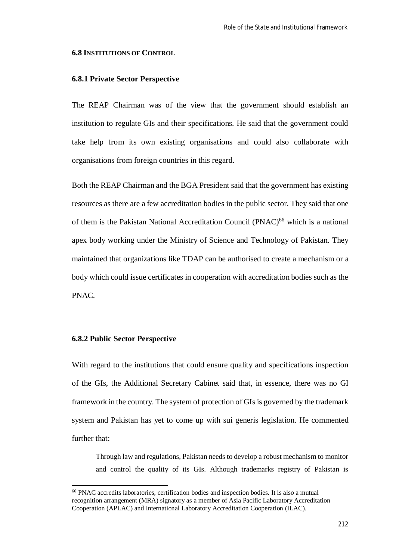#### **6.8 INSTITUTIONS OF CONTROL**

#### **6.8.1 Private Sector Perspective**

The REAP Chairman was of the view that the government should establish an institution to regulate GIs and their specifications. He said that the government could take help from its own existing organisations and could also collaborate with organisations from foreign countries in this regard.

Both the REAP Chairman and the BGA President said that the government has existing resources as there are a few accreditation bodies in the public sector. They said that one of them is the Pakistan National Accreditation Council (PNAC)<sup>66</sup> which is a national apex body working under the Ministry of Science and Technology of Pakistan. They maintained that organizations like TDAP can be authorised to create a mechanism or a body which could issue certificates in cooperation with accreditation bodies such as the PNAC.

#### **6.8.2 Public Sector Perspective**

 $\overline{\phantom{a}}$ 

With regard to the institutions that could ensure quality and specifications inspection of the GIs, the Additional Secretary Cabinet said that, in essence, there was no GI framework in the country. The system of protection of GIs is governed by the trademark system and Pakistan has yet to come up with sui generis legislation. He commented further that:

Through law and regulations, Pakistan needs to develop a robust mechanism to monitor and control the quality of its GIs. Although trademarks registry of Pakistan is

<sup>66</sup> PNAC accredits laboratories, certification bodies and inspection bodies. It is also a mutual recognition arrangement (MRA) signatory as a member of Asia Pacific Laboratory Accreditation Cooperation (APLAC) and International Laboratory Accreditation Cooperation (ILAC).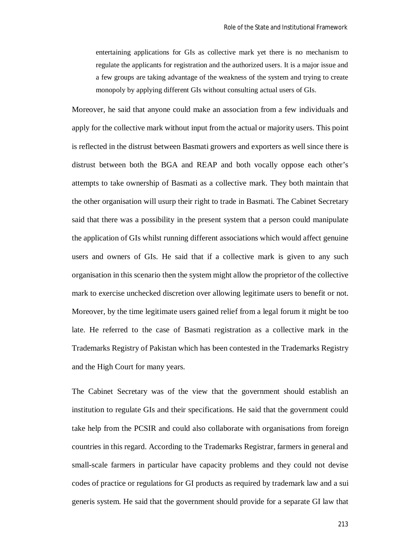entertaining applications for GIs as collective mark yet there is no mechanism to regulate the applicants for registration and the authorized users. It is a major issue and a few groups are taking advantage of the weakness of the system and trying to create monopoly by applying different GIs without consulting actual users of GIs.

Moreover, he said that anyone could make an association from a few individuals and apply for the collective mark without input from the actual or majority users. This point is reflected in the distrust between Basmati growers and exporters as well since there is distrust between both the BGA and REAP and both vocally oppose each other's attempts to take ownership of Basmati as a collective mark. They both maintain that the other organisation will usurp their right to trade in Basmati. The Cabinet Secretary said that there was a possibility in the present system that a person could manipulate the application of GIs whilst running different associations which would affect genuine users and owners of GIs. He said that if a collective mark is given to any such organisation in this scenario then the system might allow the proprietor of the collective mark to exercise unchecked discretion over allowing legitimate users to benefit or not. Moreover, by the time legitimate users gained relief from a legal forum it might be too late. He referred to the case of Basmati registration as a collective mark in the Trademarks Registry of Pakistan which has been contested in the Trademarks Registry and the High Court for many years.

The Cabinet Secretary was of the view that the government should establish an institution to regulate GIs and their specifications. He said that the government could take help from the PCSIR and could also collaborate with organisations from foreign countries in this regard. According to the Trademarks Registrar, farmers in general and small-scale farmers in particular have capacity problems and they could not devise codes of practice or regulations for GI products as required by trademark law and a sui generis system. He said that the government should provide for a separate GI law that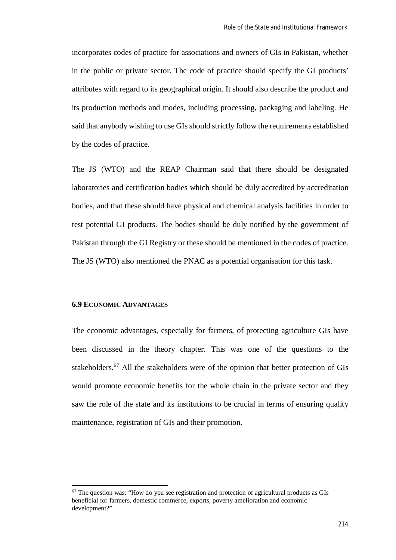incorporates codes of practice for associations and owners of GIs in Pakistan, whether in the public or private sector. The code of practice should specify the GI products' attributes with regard to its geographical origin. It should also describe the product and its production methods and modes, including processing, packaging and labeling. He said that anybody wishing to use GIs should strictly follow the requirements established by the codes of practice.

The JS (WTO) and the REAP Chairman said that there should be designated laboratories and certification bodies which should be duly accredited by accreditation bodies, and that these should have physical and chemical analysis facilities in order to test potential GI products. The bodies should be duly notified by the government of Pakistan through the GI Registry or these should be mentioned in the codes of practice. The JS (WTO) also mentioned the PNAC as a potential organisation for this task.

#### **6.9 ECONOMIC ADVANTAGES**

 $\overline{\phantom{a}}$ 

The economic advantages, especially for farmers, of protecting agriculture GIs have been discussed in the theory chapter. This was one of the questions to the stakeholders.<sup>67</sup> All the stakeholders were of the opinion that better protection of GIs would promote economic benefits for the whole chain in the private sector and they saw the role of the state and its institutions to be crucial in terms of ensuring quality maintenance, registration of GIs and their promotion.

<sup>&</sup>lt;sup>67</sup> The question was: "How do you see registration and protection of agricultural products as GIs beneficial for farmers, domestic commerce, exports, poverty amelioration and economic development?"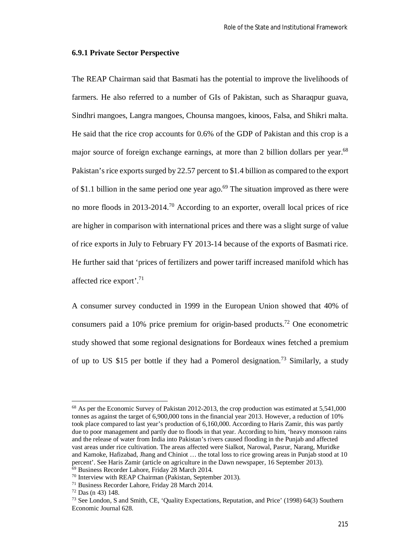#### **6.9.1 Private Sector Perspective**

The REAP Chairman said that Basmati has the potential to improve the livelihoods of farmers. He also referred to a number of GIs of Pakistan, such as Sharaqpur guava, Sindhri mangoes, Langra mangoes, Chounsa mangoes, kinoos, Falsa, and Shikri malta. He said that the rice crop accounts for 0.6% of the GDP of Pakistan and this crop is a major source of foreign exchange earnings, at more than 2 billion dollars per year.<sup>68</sup> Pakistan's rice exports surged by 22.57 percent to \$1.4 billion as compared to the export of \$1.1 billion in the same period one year ago.<sup>69</sup> The situation improved as there were no more floods in 2013-2014.<sup>70</sup> According to an exporter, overall local prices of rice are higher in comparison with international prices and there was a slight surge of value of rice exports in July to February FY 2013-14 because of the exports of Basmati rice. He further said that 'prices of fertilizers and power tariff increased manifold which has affected rice export'.<sup>71</sup>

A consumer survey conducted in 1999 in the European Union showed that 40% of consumers paid a 10% price premium for origin-based products.<sup>72</sup> One econometric study showed that some regional designations for Bordeaux wines fetched a premium of up to US \$15 per bottle if they had a Pomerol designation.<sup>73</sup> Similarly, a study

<sup>&</sup>lt;sup>68</sup> As per the Economic Survey of Pakistan 2012-2013, the crop production was estimated at 5,541,000 tonnes as against the target of 6,900,000 tons in the financial year 2013. However, a reduction of 10% took place compared to last year's production of 6,160,000. According to Haris Zamir, this was partly due to poor management and partly due to floods in that year. According to him, 'heavy monsoon rains and the release of water from India into Pakistan's rivers caused flooding in the Punjab and affected vast areas under rice cultivation. The areas affected were Sialkot, Narowal, Pasrur, Narang, Muridke and Kamoke, Hafizabad, Jhang and Chiniot … the total loss to rice growing areas in Punjab stood at 10 percent'. See Haris Zamir (article on agriculture in the Dawn newspaper, 16 September 2013).

<sup>69</sup> Business Recorder Lahore, Friday 28 March 2014.

<sup>70</sup> Interview with REAP Chairman (Pakistan, September 2013).

<sup>71</sup> Business Recorder Lahore, Friday 28 March 2014.

<sup>72</sup> Das (n 43) 148.

<sup>73</sup> See London, S and Smith, CE, 'Quality Expectations, Reputation, and Price' (1998) 64(3) Southern Economic Journal 628.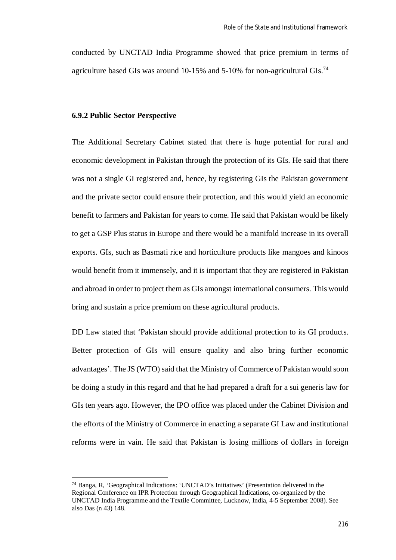conducted by UNCTAD India Programme showed that price premium in terms of agriculture based GIs was around 10-15% and 5-10% for non-agricultural GIs.<sup>74</sup>

#### **6.9.2 Public Sector Perspective**

 $\overline{a}$ 

The Additional Secretary Cabinet stated that there is huge potential for rural and economic development in Pakistan through the protection of its GIs. He said that there was not a single GI registered and, hence, by registering GIs the Pakistan government and the private sector could ensure their protection, and this would yield an economic benefit to farmers and Pakistan for years to come. He said that Pakistan would be likely to get a GSP Plus status in Europe and there would be a manifold increase in its overall exports. GIs, such as Basmati rice and horticulture products like mangoes and kinoos would benefit from it immensely, and it is important that they are registered in Pakistan and abroad in order to project them as GIs amongst international consumers. This would bring and sustain a price premium on these agricultural products.

DD Law stated that 'Pakistan should provide additional protection to its GI products. Better protection of GIs will ensure quality and also bring further economic advantages'. The JS (WTO) said that the Ministry of Commerce of Pakistan would soon be doing a study in this regard and that he had prepared a draft for a sui generis law for GIs ten years ago. However, the IPO office was placed under the Cabinet Division and the efforts of the Ministry of Commerce in enacting a separate GI Law and institutional reforms were in vain. He said that Pakistan is losing millions of dollars in foreign

<sup>74</sup> Banga, R, 'Geographical Indications: 'UNCTAD's Initiatives' (Presentation delivered in the Regional Conference on IPR Protection through Geographical Indications, co-organized by the UNCTAD India Programme and the Textile Committee, Lucknow, India, 4-5 September 2008). See also Das (n 43) 148.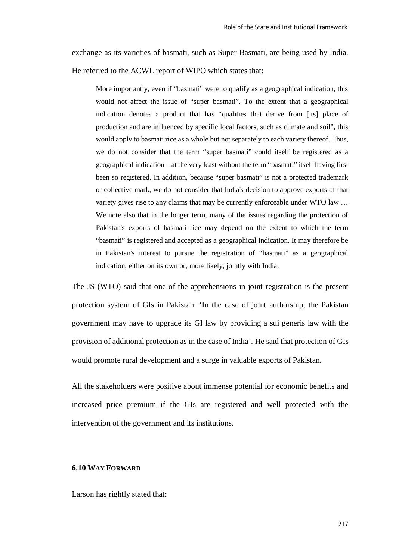exchange as its varieties of basmati, such as Super Basmati, are being used by India. He referred to the ACWL report of WIPO which states that:

More importantly, even if "basmati" were to qualify as a geographical indication, this would not affect the issue of "super basmati". To the extent that a geographical indication denotes a product that has "qualities that derive from [its] place of production and are influenced by specific local factors, such as climate and soil", this would apply to basmati rice as a whole but not separately to each variety thereof. Thus, we do not consider that the term "super basmati" could itself be registered as a geographical indication – at the very least without the term "basmati" itself having first been so registered. In addition, because "super basmati" is not a protected trademark or collective mark, we do not consider that India's decision to approve exports of that variety gives rise to any claims that may be currently enforceable under WTO law … We note also that in the longer term, many of the issues regarding the protection of Pakistan's exports of basmati rice may depend on the extent to which the term "basmati" is registered and accepted as a geographical indication. It may therefore be in Pakistan's interest to pursue the registration of "basmati" as a geographical indication, either on its own or, more likely, jointly with India.

The JS (WTO) said that one of the apprehensions in joint registration is the present protection system of GIs in Pakistan: 'In the case of joint authorship, the Pakistan government may have to upgrade its GI law by providing a sui generis law with the provision of additional protection as in the case of India'. He said that protection of GIs would promote rural development and a surge in valuable exports of Pakistan.

All the stakeholders were positive about immense potential for economic benefits and increased price premium if the GIs are registered and well protected with the intervention of the government and its institutions.

#### **6.10 WAY FORWARD**

Larson has rightly stated that: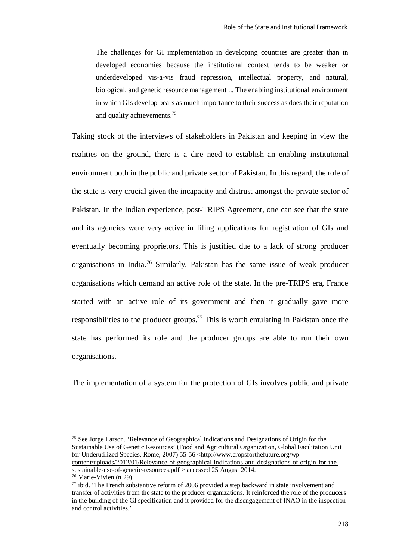The challenges for GI implementation in developing countries are greater than in developed economies because the institutional context tends to be weaker or underdeveloped vis-a-vis fraud repression, intellectual property, and natural, biological, and genetic resource management ... The enabling institutional environment in which GIs develop bears as much importance to their success as does their reputation and quality achievements.<sup>75</sup>

Taking stock of the interviews of stakeholders in Pakistan and keeping in view the realities on the ground, there is a dire need to establish an enabling institutional environment both in the public and private sector of Pakistan. In this regard, the role of the state is very crucial given the incapacity and distrust amongst the private sector of Pakistan. In the Indian experience, post-TRIPS Agreement, one can see that the state and its agencies were very active in filing applications for registration of GIs and eventually becoming proprietors. This is justified due to a lack of strong producer organisations in India.<sup>76</sup> Similarly, Pakistan has the same issue of weak producer organisations which demand an active role of the state. In the pre-TRIPS era, France started with an active role of its government and then it gradually gave more responsibilities to the producer groups.<sup>77</sup> This is worth emulating in Pakistan once the state has performed its role and the producer groups are able to run their own organisations.

The implementation of a system for the protection of GIs involves public and private

<sup>75</sup> See Jorge Larson, 'Relevance of Geographical Indications and Designations of Origin for the Sustainable Use of Genetic Resources' (Food and Agricultural Organization, Global Facilitation Unit for Underutilized Species, Rome, 2007) 55-56 <http://www.cropsforthefuture.org/wpcontent/uploads/2012/01/Relevance-of-geographical-indications-and-designations-of-origin-for-thesustainable-use-of-genetic-resources.pdf > accessed 25 August 2014.

 $\overline{a}$ 

 $76$  Marie-Vivien (n 29).

 $77$  ibid. 'The French substantive reform of 2006 provided a step backward in state involvement and transfer of activities from the state to the producer organizations. It reinforced the role of the producers in the building of the GI specification and it provided for the disengagement of INAO in the inspection and control activities.'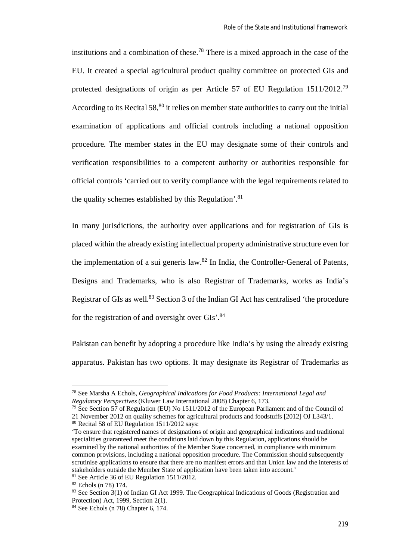institutions and a combination of these.<sup>78</sup> There is a mixed approach in the case of the EU. It created a special agricultural product quality committee on protected GIs and protected designations of origin as per Article 57 of EU Regulation 1511/2012.<sup>79</sup> According to its Recital  $58$ <sup>80</sup> it relies on member state authorities to carry out the initial examination of applications and official controls including a national opposition procedure. The member states in the EU may designate some of their controls and verification responsibilities to a competent authority or authorities responsible for official controls 'carried out to verify compliance with the legal requirements related to the quality schemes established by this Regulation'.<sup>81</sup>

In many jurisdictions, the authority over applications and for registration of GIs is placed within the already existing intellectual property administrative structure even for the implementation of a sui generis law. $82$  In India, the Controller-General of Patents, Designs and Trademarks, who is also Registrar of Trademarks, works as India's Registrar of GIs as well.<sup>83</sup> Section 3 of the Indian GI Act has centralised 'the procedure for the registration of and oversight over GIs'.<sup>84</sup>

Pakistan can benefit by adopting a procedure like India's by using the already existing apparatus. Pakistan has two options. It may designate its Registrar of Trademarks as

<sup>78</sup> See Marsha A Echols, *Geographical Indications for Food Products: International Legal and Regulatory Perspectives* (Kluwer Law International 2008) Chapter 6, 173.

<sup>&</sup>lt;sup>79</sup> See Section 57 of Regulation (EU) No 1511/2012 of the European Parliament and of the Council of 21 November 2012 on quality schemes for agricultural products and foodstuffs [2012] OJ L343/1. <sup>80</sup> Recital 58 of EU Regulation 1511/2012 says:

<sup>&#</sup>x27;To ensure that registered names of designations of origin and geographical indications and traditional specialities guaranteed meet the conditions laid down by this Regulation, applications should be examined by the national authorities of the Member State concerned, in compliance with minimum common provisions, including a national opposition procedure. The Commission should subsequently scrutinise applications to ensure that there are no manifest errors and that Union law and the interests of stakeholders outside the Member State of application have been taken into account.' <sup>81</sup> See Article 36 of EU Regulation 1511/2012.

<sup>82</sup> Echols (n 78) 174.

<sup>83</sup> See Section 3(1) of Indian GI Act 1999. The Geographical Indications of Goods (Registration and Protection) Act, 1999, Section 2(1).

<sup>84</sup> See Echols (n 78) Chapter 6, 174.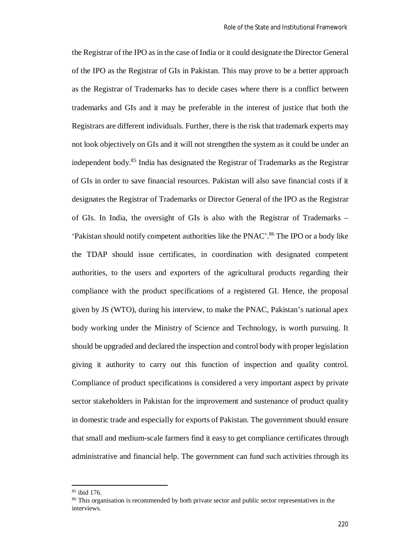the Registrar of the IPO as in the case of India or it could designate the Director General of the IPO as the Registrar of GIs in Pakistan. This may prove to be a better approach as the Registrar of Trademarks has to decide cases where there is a conflict between trademarks and GIs and it may be preferable in the interest of justice that both the Registrars are different individuals. Further, there is the risk that trademark experts may not look objectively on GIs and it will not strengthen the system as it could be under an independent body.<sup>85</sup> India has designated the Registrar of Trademarks as the Registrar of GIs in order to save financial resources. Pakistan will also save financial costs if it designates the Registrar of Trademarks or Director General of the IPO as the Registrar of GIs. In India, the oversight of GIs is also with the Registrar of Trademarks – 'Pakistan should notify competent authorities like the PNAC'.<sup>86</sup> The IPO or a body like the TDAP should issue certificates, in coordination with designated competent authorities, to the users and exporters of the agricultural products regarding their compliance with the product specifications of a registered GI. Hence, the proposal given by JS (WTO), during his interview, to make the PNAC, Pakistan's national apex body working under the Ministry of Science and Technology, is worth pursuing. It should be upgraded and declared the inspection and control body with proper legislation giving it authority to carry out this function of inspection and quality control. Compliance of product specifications is considered a very important aspect by private sector stakeholders in Pakistan for the improvement and sustenance of product quality in domestic trade and especially for exports of Pakistan. The government should ensure that small and medium-scale farmers find it easy to get compliance certificates through administrative and financial help. The government can fund such activities through its

<sup>85</sup> ibid 176.

<sup>&</sup>lt;sup>86</sup> This organisation is recommended by both private sector and public sector representatives in the interviews.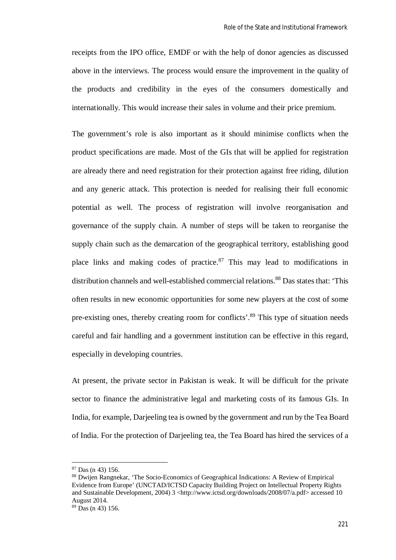receipts from the IPO office, EMDF or with the help of donor agencies as discussed above in the interviews. The process would ensure the improvement in the quality of the products and credibility in the eyes of the consumers domestically and internationally. This would increase their sales in volume and their price premium.

The government's role is also important as it should minimise conflicts when the product specifications are made. Most of the GIs that will be applied for registration are already there and need registration for their protection against free riding, dilution and any generic attack. This protection is needed for realising their full economic potential as well. The process of registration will involve reorganisation and governance of the supply chain. A number of steps will be taken to reorganise the supply chain such as the demarcation of the geographical territory, establishing good place links and making codes of practice. $87$  This may lead to modifications in distribution channels and well-established commercial relations.<sup>88</sup> Das states that: 'This often results in new economic opportunities for some new players at the cost of some pre-existing ones, thereby creating room for conflicts'.<sup>89</sup> This type of situation needs careful and fair handling and a government institution can be effective in this regard, especially in developing countries.

At present, the private sector in Pakistan is weak. It will be difficult for the private sector to finance the administrative legal and marketing costs of its famous GIs. In India, for example, Darjeeling tea is owned by the government and run by the Tea Board of India. For the protection of Darjeeling tea, the Tea Board has hired the services of a

<sup>87</sup> Das (n 43) 156.

<sup>88</sup> Dwijen Rangnekar, 'The Socio-Economics of Geographical Indications: A Review of Empirical Evidence from Europe' (UNCTAD/ICTSD Capacity Building Project on Intellectual Property Rights and Sustainable Development, 2004) 3 <http://www.ictsd.org/downloads/2008/07/a.pdf> accessed 10 August 2014.

 $89$  Das (n 43) 156.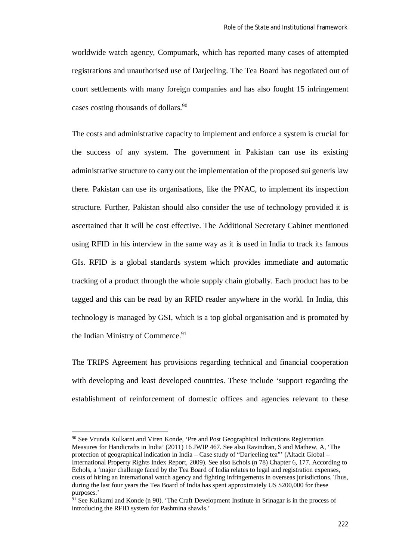worldwide watch agency, Compumark, which has reported many cases of attempted registrations and unauthorised use of Darjeeling. The Tea Board has negotiated out of court settlements with many foreign companies and has also fought 15 infringement cases costing thousands of dollars.<sup>90</sup>

The costs and administrative capacity to implement and enforce a system is crucial for the success of any system. The government in Pakistan can use its existing administrative structure to carry out the implementation of the proposed sui generis law there. Pakistan can use its organisations, like the PNAC, to implement its inspection structure. Further, Pakistan should also consider the use of technology provided it is ascertained that it will be cost effective. The Additional Secretary Cabinet mentioned using RFID in his interview in the same way as it is used in India to track its famous GIs. RFID is a global standards system which provides immediate and automatic tracking of a product through the whole supply chain globally. Each product has to be tagged and this can be read by an RFID reader anywhere in the world. In India, this technology is managed by GSI, which is a top global organisation and is promoted by the Indian Ministry of Commerce.<sup>91</sup>

The TRIPS Agreement has provisions regarding technical and financial cooperation with developing and least developed countries. These include 'support regarding the establishment of reinforcement of domestic offices and agencies relevant to these

 $\overline{a}$ 

<sup>90</sup> See Vrunda Kulkarni and Viren Konde, 'Pre and Post Geographical Indications Registration Measures for Handicrafts in India' (2011) 16 JWIP 467. See also Ravindran, S and Mathew, A, 'The protection of geographical indication in India – Case study of "Darjeeling tea"' (Altacit Global – International Property Rights Index Report, 2009). See also Echols (n 78) Chapter 6, 177. According to Echols, a 'major challenge faced by the Tea Board of India relates to legal and registration expenses, costs of hiring an international watch agency and fighting infringements in overseas jurisdictions. Thus, during the last four years the Tea Board of India has spent approximately US \$200,000 for these purposes.'

<sup>&</sup>lt;sup>91</sup> See Kulkarni and Konde (n 90). 'The Craft Development Institute in Srinagar is in the process of introducing the RFID system for Pashmina shawls.'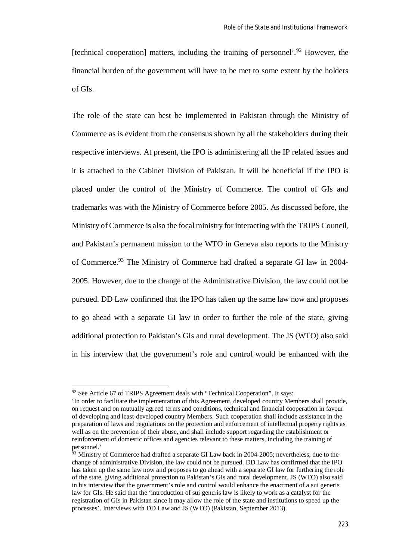[technical cooperation] matters, including the training of personnel'.<sup>92</sup> However, the financial burden of the government will have to be met to some extent by the holders of GIs.

The role of the state can best be implemented in Pakistan through the Ministry of Commerce as is evident from the consensus shown by all the stakeholders during their respective interviews. At present, the IPO is administering all the IP related issues and it is attached to the Cabinet Division of Pakistan. It will be beneficial if the IPO is placed under the control of the Ministry of Commerce. The control of GIs and trademarks was with the Ministry of Commerce before 2005. As discussed before, the Ministry of Commerce is also the focal ministry for interacting with the TRIPS Council, and Pakistan's permanent mission to the WTO in Geneva also reports to the Ministry of Commerce.<sup>93</sup> The Ministry of Commerce had drafted a separate GI law in 2004- 2005. However, due to the change of the Administrative Division, the law could not be pursued. DD Law confirmed that the IPO has taken up the same law now and proposes to go ahead with a separate GI law in order to further the role of the state, giving additional protection to Pakistan's GIs and rural development. The JS (WTO) also said in his interview that the government's role and control would be enhanced with the

<sup>&</sup>lt;sup>92</sup> See Article 67 of TRIPS Agreement deals with "Technical Cooperation". It says:

<sup>&#</sup>x27;In order to facilitate the implementation of this Agreement, developed country Members shall provide, on request and on mutually agreed terms and conditions, technical and financial cooperation in favour of developing and least-developed country Members. Such cooperation shall include assistance in the preparation of laws and regulations on the protection and enforcement of intellectual property rights as well as on the prevention of their abuse, and shall include support regarding the establishment or reinforcement of domestic offices and agencies relevant to these matters, including the training of personnel.'

<sup>&</sup>lt;sup>93</sup> Ministry of Commerce had drafted a separate GI Law back in 2004-2005; nevertheless, due to the change of administrative Division, the law could not be pursued. DD Law has confirmed that the IPO has taken up the same law now and proposes to go ahead with a separate GI law for furthering the role of the state, giving additional protection to Pakistan's GIs and rural development. JS (WTO) also said in his interview that the government's role and control would enhance the enactment of a sui generis law for GIs. He said that the 'introduction of sui generis law is likely to work as a catalyst for the registration of GIs in Pakistan since it may allow the role of the state and institutions to speed up the processes'. Interviews with DD Law and JS (WTO) (Pakistan, September 2013).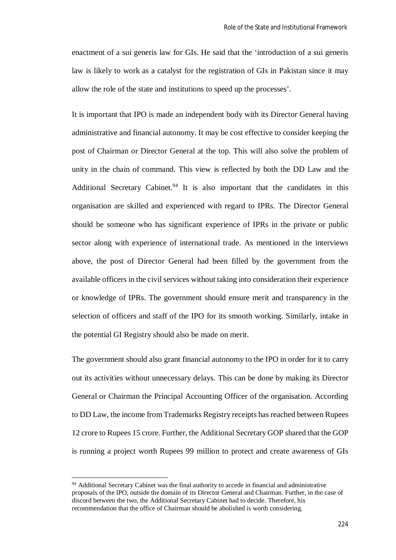enactment of a sui generis law for GIs. He said that the 'introduction of a sui generis law is likely to work as a catalyst for the registration of GIs in Pakistan since it may allow the role of the state and institutions to speed up the processes'.

It is important that IPO is made an independent body with its Director General having administrative and financial autonomy. It may be cost effective to consider keeping the post of Chairman or Director General at the top. This will also solve the problem of unity in the chain of command. This view is reflected by both the DD Law and the Additional Secretary Cabinet.<sup>94</sup> It is also important that the candidates in this organisation are skilled and experienced with regard to IPRs. The Director General should be someone who has significant experience of IPRs in the private or public sector along with experience of international trade. As mentioned in the interviews above, the post of Director General had been filled by the government from the available officers in the civil services without taking into consideration their experience or knowledge of IPRs. The government should ensure merit and transparency in the selection of officers and staff of the IPO for its smooth working. Similarly, intake in the potential GI Registry should also be made on merit.

The government should also grant financial autonomy to the IPO in order for it to carry out its activities without unnecessary delays. This can be done by making its Director General or Chairman the Principal Accounting Officer of the organisation. According to DD Law, the income from Trademarks Registry receipts has reached between Rupees 12 crore to Rupees 15 crore. Further, the Additional Secretary GOP shared that the GOP is running a project worth Rupees 99 million to protect and create awareness of GIs

 $\overline{a}$ 

<sup>&</sup>lt;sup>94</sup> Additional Secretary Cabinet was the final authority to accede in financial and administrative proposals of the IPO, outside the domain of its Director General and Chairman. Further, in the case of discord between the two, the Additional Secretary Cabinet had to decide. Therefore, his recommendation that the office of Chairman should be abolished is worth considering.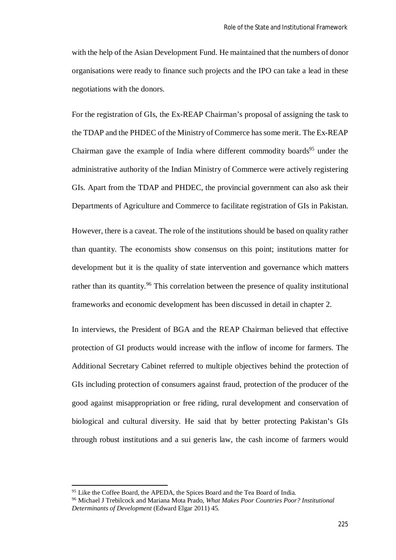with the help of the Asian Development Fund. He maintained that the numbers of donor organisations were ready to finance such projects and the IPO can take a lead in these negotiations with the donors.

For the registration of GIs, the Ex-REAP Chairman's proposal of assigning the task to the TDAP and the PHDEC of the Ministry of Commerce has some merit. The Ex-REAP Chairman gave the example of India where different commodity boards<sup>95</sup> under the administrative authority of the Indian Ministry of Commerce were actively registering GIs. Apart from the TDAP and PHDEC, the provincial government can also ask their Departments of Agriculture and Commerce to facilitate registration of GIs in Pakistan.

However, there is a caveat. The role of the institutions should be based on quality rather than quantity. The economists show consensus on this point; institutions matter for development but it is the quality of state intervention and governance which matters rather than its quantity.<sup>96</sup> This correlation between the presence of quality institutional frameworks and economic development has been discussed in detail in chapter 2.

In interviews, the President of BGA and the REAP Chairman believed that effective protection of GI products would increase with the inflow of income for farmers. The Additional Secretary Cabinet referred to multiple objectives behind the protection of GIs including protection of consumers against fraud, protection of the producer of the good against misappropriation or free riding, rural development and conservation of biological and cultural diversity. He said that by better protecting Pakistan's GIs through robust institutions and a sui generis law, the cash income of farmers would

<sup>&</sup>lt;sup>95</sup> Like the Coffee Board, the APEDA, the Spices Board and the Tea Board of India.

<sup>96</sup> Michael J Trebilcock and Mariana Mota Prado, *What Makes Poor Countries Poor? Institutional Determinants of Development* (Edward Elgar 2011) 45.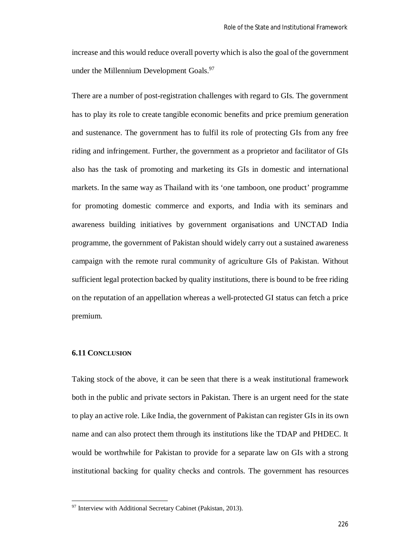increase and this would reduce overall poverty which is also the goal of the government under the Millennium Development Goals.<sup>97</sup>

There are a number of post-registration challenges with regard to GIs. The government has to play its role to create tangible economic benefits and price premium generation and sustenance. The government has to fulfil its role of protecting GIs from any free riding and infringement. Further, the government as a proprietor and facilitator of GIs also has the task of promoting and marketing its GIs in domestic and international markets. In the same way as Thailand with its 'one tamboon, one product' programme for promoting domestic commerce and exports, and India with its seminars and awareness building initiatives by government organisations and UNCTAD India programme, the government of Pakistan should widely carry out a sustained awareness campaign with the remote rural community of agriculture GIs of Pakistan. Without sufficient legal protection backed by quality institutions, there is bound to be free riding on the reputation of an appellation whereas a well-protected GI status can fetch a price premium.

### **6.11 CONCLUSION**

 $\overline{a}$ 

Taking stock of the above, it can be seen that there is a weak institutional framework both in the public and private sectors in Pakistan. There is an urgent need for the state to play an active role. Like India, the government of Pakistan can register GIs in its own name and can also protect them through its institutions like the TDAP and PHDEC. It would be worthwhile for Pakistan to provide for a separate law on GIs with a strong institutional backing for quality checks and controls. The government has resources

 $97$  Interview with Additional Secretary Cabinet (Pakistan, 2013).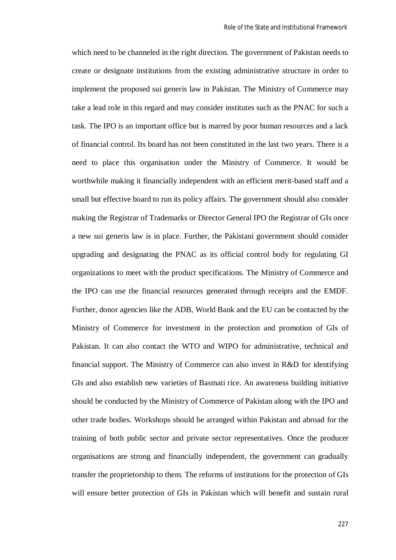which need to be channeled in the right direction. The government of Pakistan needs to create or designate institutions from the existing administrative structure in order to implement the proposed sui generis law in Pakistan. The Ministry of Commerce may take a lead role in this regard and may consider institutes such as the PNAC for such a task. The IPO is an important office but is marred by poor human resources and a lack of financial control. Its board has not been constituted in the last two years. There is a need to place this organisation under the Ministry of Commerce. It would be worthwhile making it financially independent with an efficient merit-based staff and a small but effective board to run its policy affairs. The government should also consider making the Registrar of Trademarks or Director General IPO the Registrar of GIs once a new sui generis law is in place. Further, the Pakistani government should consider upgrading and designating the PNAC as its official control body for regulating GI organizations to meet with the product specifications. The Ministry of Commerce and the IPO can use the financial resources generated through receipts and the EMDF. Further, donor agencies like the ADB, World Bank and the EU can be contacted by the Ministry of Commerce for investment in the protection and promotion of GIs of Pakistan. It can also contact the WTO and WIPO for administrative, technical and financial support. The Ministry of Commerce can also invest in R&D for identifying GIs and also establish new varieties of Basmati rice. An awareness building initiative should be conducted by the Ministry of Commerce of Pakistan along with the IPO and other trade bodies. Workshops should be arranged within Pakistan and abroad for the training of both public sector and private sector representatives. Once the producer organisations are strong and financially independent, the government can gradually transfer the proprietorship to them. The reforms of institutions for the protection of GIs will ensure better protection of GIs in Pakistan which will benefit and sustain rural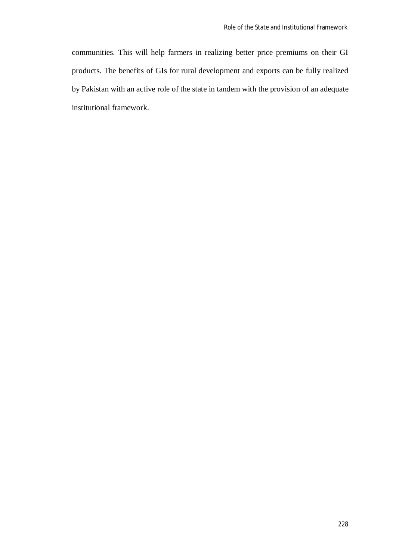communities. This will help farmers in realizing better price premiums on their GI products. The benefits of GIs for rural development and exports can be fully realized by Pakistan with an active role of the state in tandem with the provision of an adequate institutional framework.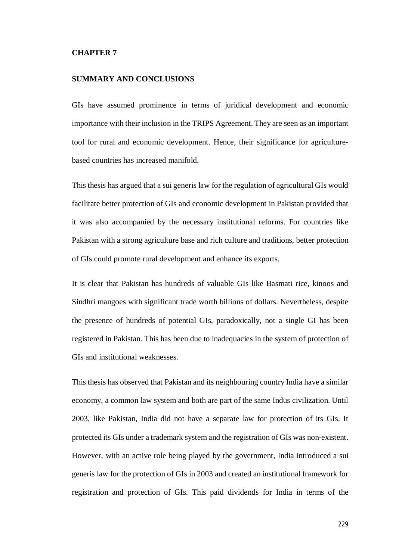#### **CHAPTER 7**

## **SUMMARY AND CONCLUSIONS**

GIs have assumed prominence in terms of juridical development and economic importance with their inclusion in the TRIPS Agreement. They are seen as an important tool for rural and economic development. Hence, their significance for agriculturebased countries has increased manifold.

This thesis has argued that a sui generis law for the regulation of agricultural GIs would facilitate better protection of GIs and economic development in Pakistan provided that it was also accompanied by the necessary institutional reforms. For countries like Pakistan with a strong agriculture base and rich culture and traditions, better protection of GIs could promote rural development and enhance its exports.

It is clear that Pakistan has hundreds of valuable GIs like Basmati rice, kinoos and Sindhri mangoes with significant trade worth billions of dollars. Nevertheless, despite the presence of hundreds of potential GIs, paradoxically, not a single GI has been registered in Pakistan. This has been due to inadequacies in the system of protection of GIs and institutional weaknesses.

This thesis has observed that Pakistan and its neighbouring country India have a similar economy, a common law system and both are part of the same Indus civilization. Until 2003, like Pakistan, India did not have a separate law for protection of its GIs. It protected its GIs under a trademark system and the registration of GIs was non-existent. However, with an active role being played by the government, India introduced a sui generis law for the protection of GIs in 2003 and created an institutional framework for registration and protection of GIs. This paid dividends for India in terms of the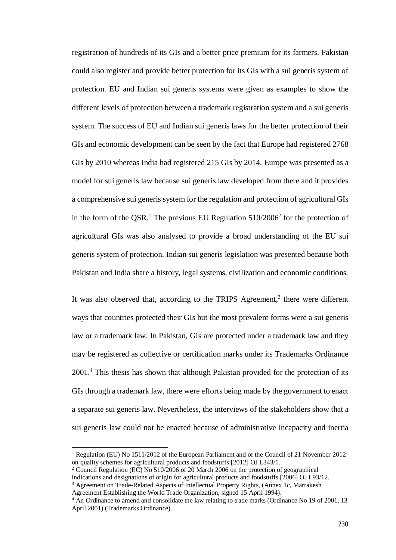registration of hundreds of its GIs and a better price premium for its farmers. Pakistan could also register and provide better protection for its GIs with a sui generis system of protection. EU and Indian sui generis systems were given as examples to show the different levels of protection between a trademark registration system and a sui generis system. The success of EU and Indian sui generis laws for the better protection of their GIs and economic development can be seen by the fact that Europe had registered 2768 GIs by 2010 whereas India had registered 215 GIs by 2014. Europe was presented as a model for sui generis law because sui generis law developed from there and it provides a comprehensive sui generis system for the regulation and protection of agricultural GIs in the form of the QSR. <sup>1</sup> The previous EU Regulation 510/2006<sup>2</sup> for the protection of agricultural GIs was also analysed to provide a broad understanding of the EU sui generis system of protection. Indian sui generis legislation was presented because both Pakistan and India share a history, legal systems, civilization and economic conditions.

It was also observed that, according to the TRIPS Agreement,<sup>3</sup> there were different ways that countries protected their GIs but the most prevalent forms were a sui generis law or a trademark law. In Pakistan, GIs are protected under a trademark law and they may be registered as collective or certification marks under its Trademarks Ordinance 2001.<sup>4</sup> This thesis has shown that although Pakistan provided for the protection of its GIs through a trademark law, there were efforts being made by the government to enact a separate sui generis law. Nevertheless, the interviews of the stakeholders show that a sui generis law could not be enacted because of administrative incapacity and inertia

<sup>1</sup> Regulation (EU) No 1511/2012 of the European Parliament and of the Council of 21 November 2012 on quality schemes for agricultural products and foodstuffs [2012] OJ L343/1.

<sup>&</sup>lt;sup>2</sup> Council Regulation (EC) No 510/2006 of 20 March 2006 on the protection of geographical

indications and designations of origin for agricultural products and foodstuffs [2006] OJ L93/12. <sup>3</sup> Agreement on Trade-Related Aspects of Intellectual Property Rights, (Annex 1c, Marrakesh

Agreement Establishing the World Trade Organization, signed 15 April 1994).

<sup>&</sup>lt;sup>4</sup> An Ordinance to amend and consolidate the law relating to trade marks (Ordinance No 19 of 2001, 13 April 2001) (Trademarks Ordinance).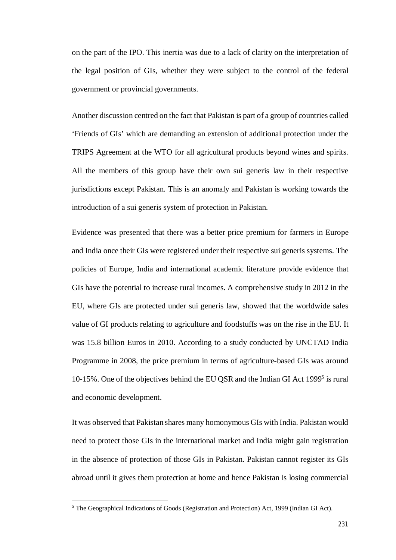on the part of the IPO. This inertia was due to a lack of clarity on the interpretation of the legal position of GIs, whether they were subject to the control of the federal government or provincial governments.

Another discussion centred on the fact that Pakistan is part of a group of countries called 'Friends of GIs' which are demanding an extension of additional protection under the TRIPS Agreement at the WTO for all agricultural products beyond wines and spirits. All the members of this group have their own sui generis law in their respective jurisdictions except Pakistan. This is an anomaly and Pakistan is working towards the introduction of a sui generis system of protection in Pakistan.

Evidence was presented that there was a better price premium for farmers in Europe and India once their GIs were registered under their respective sui generis systems. The policies of Europe, India and international academic literature provide evidence that GIs have the potential to increase rural incomes. A comprehensive study in 2012 in the EU, where GIs are protected under sui generis law, showed that the worldwide sales value of GI products relating to agriculture and foodstuffs was on the rise in the EU. It was 15.8 billion Euros in 2010. According to a study conducted by UNCTAD India Programme in 2008, the price premium in terms of agriculture-based GIs was around 10-15%. One of the objectives behind the EU QSR and the Indian GI Act 1999<sup>5</sup> is rural and economic development.

It was observed that Pakistan shares many homonymous GIs with India. Pakistan would need to protect those GIs in the international market and India might gain registration in the absence of protection of those GIs in Pakistan. Pakistan cannot register its GIs abroad until it gives them protection at home and hence Pakistan is losing commercial

 $\overline{a}$ 

<sup>5</sup> The Geographical Indications of Goods (Registration and Protection) Act, 1999 (Indian GI Act).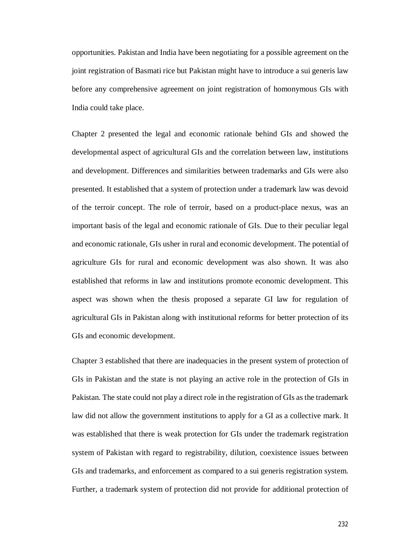opportunities. Pakistan and India have been negotiating for a possible agreement on the joint registration of Basmati rice but Pakistan might have to introduce a sui generis law before any comprehensive agreement on joint registration of homonymous GIs with India could take place.

Chapter 2 presented the legal and economic rationale behind GIs and showed the developmental aspect of agricultural GIs and the correlation between law, institutions and development. Differences and similarities between trademarks and GIs were also presented. It established that a system of protection under a trademark law was devoid of the terroir concept. The role of terroir, based on a product-place nexus, was an important basis of the legal and economic rationale of GIs. Due to their peculiar legal and economic rationale, GIs usher in rural and economic development. The potential of agriculture GIs for rural and economic development was also shown. It was also established that reforms in law and institutions promote economic development. This aspect was shown when the thesis proposed a separate GI law for regulation of agricultural GIs in Pakistan along with institutional reforms for better protection of its GIs and economic development.

Chapter 3 established that there are inadequacies in the present system of protection of GIs in Pakistan and the state is not playing an active role in the protection of GIs in Pakistan. The state could not play a direct role in the registration of GIs as the trademark law did not allow the government institutions to apply for a GI as a collective mark. It was established that there is weak protection for GIs under the trademark registration system of Pakistan with regard to registrability, dilution, coexistence issues between GIs and trademarks, and enforcement as compared to a sui generis registration system. Further, a trademark system of protection did not provide for additional protection of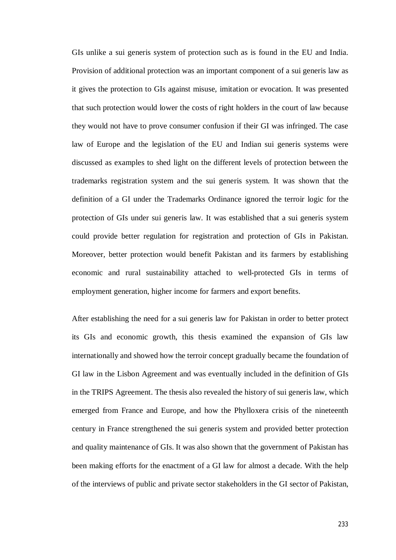GIs unlike a sui generis system of protection such as is found in the EU and India. Provision of additional protection was an important component of a sui generis law as it gives the protection to GIs against misuse, imitation or evocation. It was presented that such protection would lower the costs of right holders in the court of law because they would not have to prove consumer confusion if their GI was infringed. The case law of Europe and the legislation of the EU and Indian sui generis systems were discussed as examples to shed light on the different levels of protection between the trademarks registration system and the sui generis system. It was shown that the definition of a GI under the Trademarks Ordinance ignored the terroir logic for the protection of GIs under sui generis law. It was established that a sui generis system could provide better regulation for registration and protection of GIs in Pakistan. Moreover, better protection would benefit Pakistan and its farmers by establishing economic and rural sustainability attached to well-protected GIs in terms of employment generation, higher income for farmers and export benefits.

After establishing the need for a sui generis law for Pakistan in order to better protect its GIs and economic growth, this thesis examined the expansion of GIs law internationally and showed how the terroir concept gradually became the foundation of GI law in the Lisbon Agreement and was eventually included in the definition of GIs in the TRIPS Agreement. The thesis also revealed the history of sui generis law, which emerged from France and Europe, and how the Phylloxera crisis of the nineteenth century in France strengthened the sui generis system and provided better protection and quality maintenance of GIs. It was also shown that the government of Pakistan has been making efforts for the enactment of a GI law for almost a decade. With the help of the interviews of public and private sector stakeholders in the GI sector of Pakistan,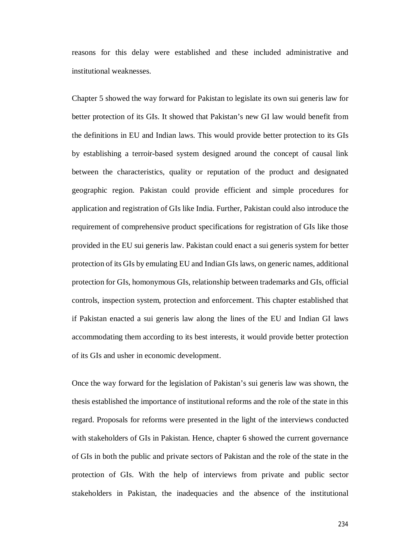reasons for this delay were established and these included administrative and institutional weaknesses.

Chapter 5 showed the way forward for Pakistan to legislate its own sui generis law for better protection of its GIs. It showed that Pakistan's new GI law would benefit from the definitions in EU and Indian laws. This would provide better protection to its GIs by establishing a terroir-based system designed around the concept of causal link between the characteristics, quality or reputation of the product and designated geographic region. Pakistan could provide efficient and simple procedures for application and registration of GIs like India. Further, Pakistan could also introduce the requirement of comprehensive product specifications for registration of GIs like those provided in the EU sui generis law. Pakistan could enact a sui generis system for better protection of its GIs by emulating EU and Indian GIs laws, on generic names, additional protection for GIs, homonymous GIs, relationship between trademarks and GIs, official controls, inspection system, protection and enforcement. This chapter established that if Pakistan enacted a sui generis law along the lines of the EU and Indian GI laws accommodating them according to its best interests, it would provide better protection of its GIs and usher in economic development.

Once the way forward for the legislation of Pakistan's sui generis law was shown, the thesis established the importance of institutional reforms and the role of the state in this regard. Proposals for reforms were presented in the light of the interviews conducted with stakeholders of GIs in Pakistan. Hence, chapter 6 showed the current governance of GIs in both the public and private sectors of Pakistan and the role of the state in the protection of GIs. With the help of interviews from private and public sector stakeholders in Pakistan, the inadequacies and the absence of the institutional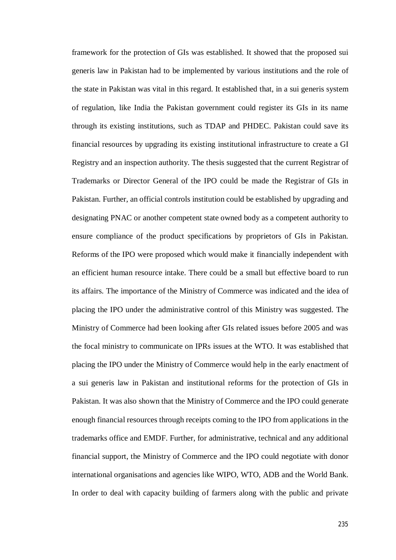framework for the protection of GIs was established. It showed that the proposed sui generis law in Pakistan had to be implemented by various institutions and the role of the state in Pakistan was vital in this regard. It established that, in a sui generis system of regulation, like India the Pakistan government could register its GIs in its name through its existing institutions, such as TDAP and PHDEC. Pakistan could save its financial resources by upgrading its existing institutional infrastructure to create a GI Registry and an inspection authority. The thesis suggested that the current Registrar of Trademarks or Director General of the IPO could be made the Registrar of GIs in Pakistan. Further, an official controls institution could be established by upgrading and designating PNAC or another competent state owned body as a competent authority to ensure compliance of the product specifications by proprietors of GIs in Pakistan. Reforms of the IPO were proposed which would make it financially independent with an efficient human resource intake. There could be a small but effective board to run its affairs. The importance of the Ministry of Commerce was indicated and the idea of placing the IPO under the administrative control of this Ministry was suggested. The Ministry of Commerce had been looking after GIs related issues before 2005 and was the focal ministry to communicate on IPRs issues at the WTO. It was established that placing the IPO under the Ministry of Commerce would help in the early enactment of a sui generis law in Pakistan and institutional reforms for the protection of GIs in Pakistan. It was also shown that the Ministry of Commerce and the IPO could generate enough financial resources through receipts coming to the IPO from applications in the trademarks office and EMDF. Further, for administrative, technical and any additional financial support, the Ministry of Commerce and the IPO could negotiate with donor international organisations and agencies like WIPO, WTO, ADB and the World Bank. In order to deal with capacity building of farmers along with the public and private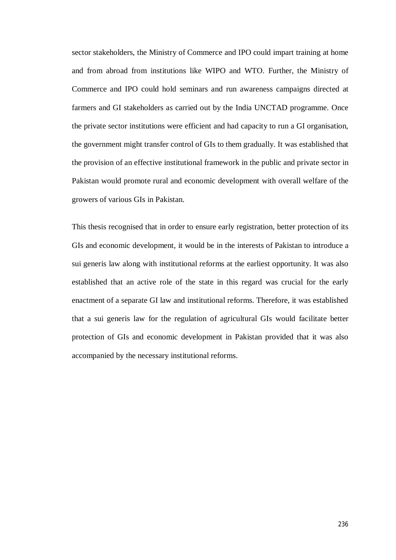sector stakeholders, the Ministry of Commerce and IPO could impart training at home and from abroad from institutions like WIPO and WTO. Further, the Ministry of Commerce and IPO could hold seminars and run awareness campaigns directed at farmers and GI stakeholders as carried out by the India UNCTAD programme. Once the private sector institutions were efficient and had capacity to run a GI organisation, the government might transfer control of GIs to them gradually. It was established that the provision of an effective institutional framework in the public and private sector in Pakistan would promote rural and economic development with overall welfare of the growers of various GIs in Pakistan.

This thesis recognised that in order to ensure early registration, better protection of its GIs and economic development, it would be in the interests of Pakistan to introduce a sui generis law along with institutional reforms at the earliest opportunity. It was also established that an active role of the state in this regard was crucial for the early enactment of a separate GI law and institutional reforms. Therefore, it was established that a sui generis law for the regulation of agricultural GIs would facilitate better protection of GIs and economic development in Pakistan provided that it was also accompanied by the necessary institutional reforms.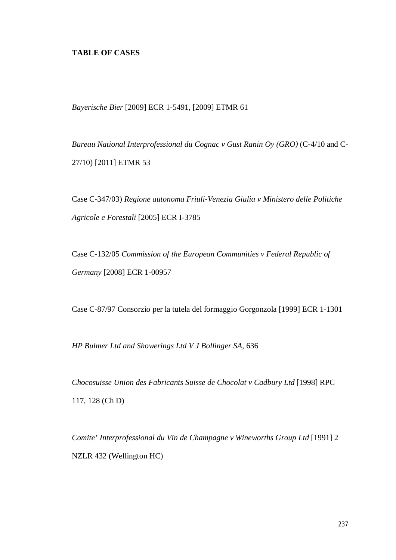# **TABLE OF CASES**

*Bayerische Bier* [2009] ECR 1-5491, [2009] ETMR 61

*Bureau National Interprofessional du Cognac v Gust Ranin Oy (GRO)* (C-4/10 and C-27/10) [2011] ETMR 53

Case C-347/03) *Regione autonoma Friuli-Venezia Giulia v Ministero delle Politiche Agricole e Forestali* [2005] ECR I-3785

Case C-132/05 *Commission of the European Communities v Federal Republic of Germany* [2008] ECR 1-00957

Case C-87/97 Consorzio per la tutela del formaggio Gorgonzola [1999] ECR 1-1301

*HP Bulmer Ltd and Showerings Ltd V J Bollinger SA*, 636

*Chocosuisse Union des Fabricants Suisse de Chocolat v Cadbury Ltd* [1998] RPC 117, 128 (Ch D)

*Comite' Interprofessional du Vin de Champagne v Wineworths Group Ltd* [1991] 2 NZLR 432 (Wellington HC)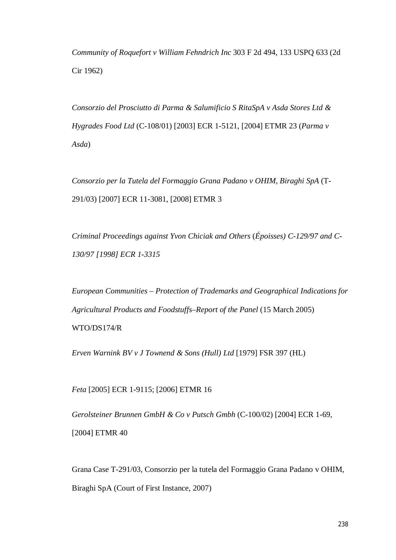*Community of Roquefort v William Fehndrich Inc* 303 F 2d 494, 133 USPQ 633 (2d Cir 1962)

*Consorzio del Prosciutto di Parma & Salumificio S RitaSpA v Asda Stores Ltd & Hygrades Food Ltd* (C-108/01) [2003] ECR 1-5121, [2004] ETMR 23 (*Parma v Asda*)

*Consorzio per la Tutela del Formaggio Grana Padano v OHIM, Biraghi SpA* (T-291/03) [2007] ECR 11-3081, [2008] ETMR 3

*Criminal Proceedings against Yvon Chiciak and Others* (*Époisses) C-129/97 and C-130/97 [1998] ECR 1-3315*

*European Communities – Protection of Trademarks and Geographical Indications for Agricultural Products and Foodstuffs–Report of the Panel* (15 March 2005) WTO/DS174/R

*Erven Warnink BV v J Townend & Sons (Hull) Ltd* [1979] FSR 397 (HL)

*Feta* [2005] ECR 1-9115; [2006] ETMR 16

*Gerolsteiner Brunnen GmbH & Co v Putsch Gmbh* (C-100/02) [2004] ECR 1-69, [2004] ETMR 40

Grana Case T-291/03, Consorzio per la tutela del Formaggio Grana Padano v OHIM, Biraghi SpA (Court of First Instance, 2007)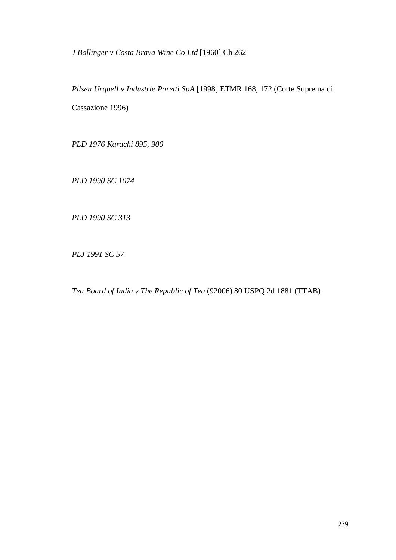*J Bollinger v Costa Brava Wine Co Ltd* [1960] Ch 262

*Pilsen Urquell* v *Industrie Poretti SpA* [1998] ETMR 168, 172 (Corte Suprema di Cassazione 1996)

*PLD 1976 Karachi 895, 900*

*PLD 1990 SC 1074*

*PLD 1990 SC 313*

*PLJ 1991 SC 57*

*Tea Board of India v The Republic of Tea* (92006) 80 USPQ 2d 1881 (TTAB)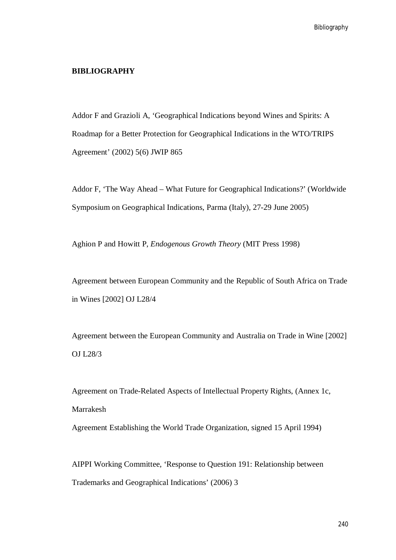## **BIBLIOGRAPHY**

Addor F and Grazioli A, 'Geographical Indications beyond Wines and Spirits: A Roadmap for a Better Protection for Geographical Indications in the WTO/TRIPS Agreement' (2002) 5(6) JWIP 865

Addor F, 'The Way Ahead – What Future for Geographical Indications?' (Worldwide Symposium on Geographical Indications, Parma (Italy), 27-29 June 2005)

Aghion P and Howitt P, *Endogenous Growth Theory* (MIT Press 1998)

Agreement between European Community and the Republic of South Africa on Trade in Wines [2002] OJ L28/4

Agreement between the European Community and Australia on Trade in Wine [2002] OJ L28/3

Agreement on Trade-Related Aspects of Intellectual Property Rights, (Annex 1c, Marrakesh

Agreement Establishing the World Trade Organization, signed 15 April 1994)

AIPPI Working Committee, 'Response to Question 191: Relationship between Trademarks and Geographical Indications' (2006) 3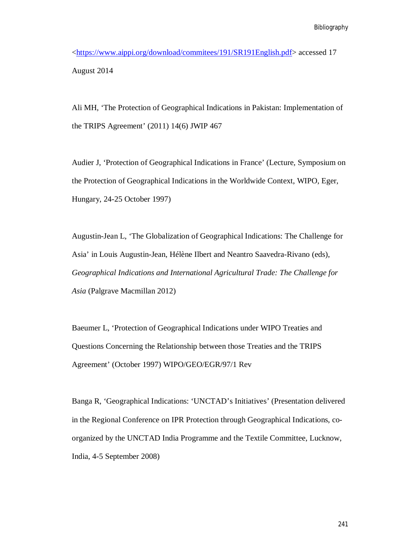<https://www.aippi.org/download/commitees/191/SR191English.pdf> accessed 17 August 2014

Ali MH, 'The Protection of Geographical Indications in Pakistan: Implementation of the TRIPS Agreement' (2011) 14(6) JWIP 467

Audier J, 'Protection of Geographical Indications in France' (Lecture, Symposium on the Protection of Geographical Indications in the Worldwide Context, WIPO, Eger, Hungary, 24-25 October 1997)

Augustin-Jean L, 'The Globalization of Geographical Indications: The Challenge for Asia' in Louis Augustin-Jean, Hélène Ilbert and Neantro Saavedra-Rivano (eds), *Geographical Indications and International Agricultural Trade: The Challenge for Asia* (Palgrave Macmillan 2012)

Baeumer L, 'Protection of Geographical Indications under WIPO Treaties and Questions Concerning the Relationship between those Treaties and the TRIPS Agreement' (October 1997) WIPO/GEO/EGR/97/1 Rev

Banga R, 'Geographical Indications: 'UNCTAD's Initiatives' (Presentation delivered in the Regional Conference on IPR Protection through Geographical Indications, coorganized by the UNCTAD India Programme and the Textile Committee, Lucknow, India, 4-5 September 2008)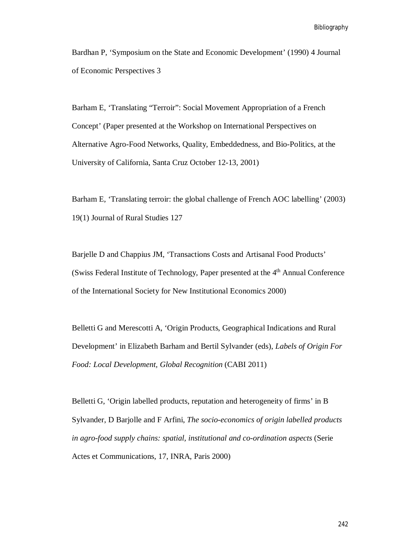Bibliography

Bardhan P, 'Symposium on the State and Economic Development' (1990) 4 Journal of Economic Perspectives 3

Barham E, 'Translating "Terroir": Social Movement Appropriation of a French Concept' (Paper presented at the Workshop on International Perspectives on Alternative Agro-Food Networks, Quality, Embeddedness, and Bio-Politics, at the University of California, Santa Cruz October 12-13, 2001)

Barham E, 'Translating terroir: the global challenge of French AOC labelling' (2003) 19(1) Journal of Rural Studies 127

Barjelle D and Chappius JM, 'Transactions Costs and Artisanal Food Products' (Swiss Federal Institute of Technology, Paper presented at the  $4<sup>th</sup>$  Annual Conference of the International Society for New Institutional Economics 2000)

Belletti G and Merescotti A, 'Origin Products, Geographical Indications and Rural Development' in Elizabeth Barham and Bertil Sylvander (eds), *Labels of Origin For Food: Local Development, Global Recognition* (CABI 2011)

Belletti G, 'Origin labelled products, reputation and heterogeneity of firms' in B Sylvander, D Barjolle and F Arfini, *The socio-economics of origin labelled products in agro-food supply chains: spatial, institutional and co-ordination aspects* (Serie Actes et Communications, 17, INRA, Paris 2000)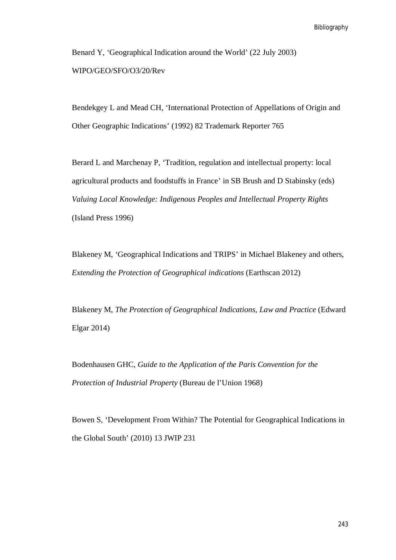Benard Y, 'Geographical Indication around the World' (22 July 2003) WIPO/GEO/SFO/O3/20/Rev

Bendekgey L and Mead CH, 'International Protection of Appellations of Origin and Other Geographic Indications' (1992) 82 Trademark Reporter 765

Berard L and Marchenay P, 'Tradition, regulation and intellectual property: local agricultural products and foodstuffs in France' in SB Brush and D Stabinsky (eds) *Valuing Local Knowledge: Indigenous Peoples and Intellectual Property Rights* (Island Press 1996)

Blakeney M, 'Geographical Indications and TRIPS' in Michael Blakeney and others, *Extending the Protection of Geographical indications* (Earthscan 2012)

Blakeney M, *The Protection of Geographical Indications, Law and Practice* (Edward Elgar 2014)

Bodenhausen GHC, *Guide to the Application of the Paris Convention for the Protection of Industrial Property* (Bureau de l'Union 1968)

Bowen S, 'Development From Within? The Potential for Geographical Indications in the Global South' (2010) 13 JWIP 231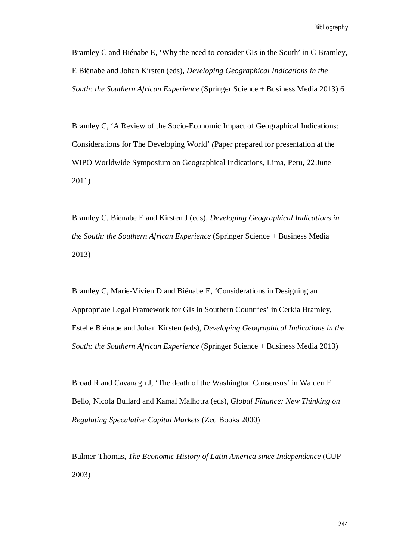Bramley C and Biénabe E, 'Why the need to consider GIs in the South' in C Bramley, E Biénabe and Johan Kirsten (eds), *Developing Geographical Indications in the South: the Southern African Experience* (Springer Science + Business Media 2013) 6

Bramley C, 'A Review of the Socio-Economic Impact of Geographical Indications: Considerations for The Developing World' *(*Paper prepared for presentation at the WIPO Worldwide Symposium on Geographical Indications, Lima, Peru, 22 June 2011)

Bramley C, Biénabe E and Kirsten J (eds), *Developing Geographical Indications in the South: the Southern African Experience* (Springer Science + Business Media 2013)

Bramley C, Marie-Vivien D and Biénabe E, 'Considerations in Designing an Appropriate Legal Framework for GIs in Southern Countries' in Cerkia Bramley, Estelle Biénabe and Johan Kirsten (eds), *Developing Geographical Indications in the South: the Southern African Experience* (Springer Science + Business Media 2013)

Broad R and Cavanagh J, 'The death of the Washington Consensus' in Walden F Bello, Nicola Bullard and Kamal Malhotra (eds), *Global Finance: New Thinking on Regulating Speculative Capital Markets* (Zed Books 2000)

Bulmer-Thomas, *The Economic History of Latin America since Independence* (CUP 2003)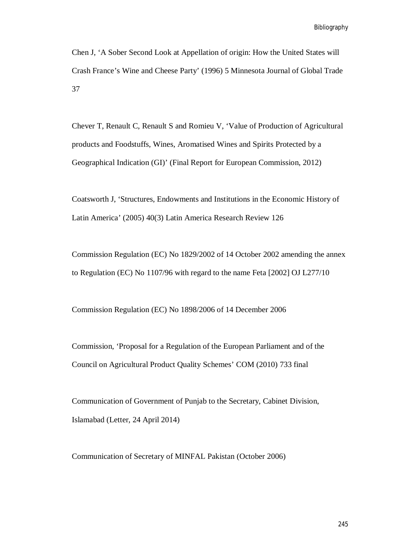Bibliography

Chen J, 'A Sober Second Look at Appellation of origin: How the United States will Crash France's Wine and Cheese Party' (1996) 5 Minnesota Journal of Global Trade 37

Chever T, Renault C, Renault S and Romieu V, 'Value of Production of Agricultural products and Foodstuffs, Wines, Aromatised Wines and Spirits Protected by a Geographical Indication (GI)' (Final Report for European Commission, 2012)

Coatsworth J, 'Structures, Endowments and Institutions in the Economic History of Latin America' (2005) 40(3) Latin America Research Review 126

Commission Regulation (EC) No 1829/2002 of 14 October 2002 amending the annex to Regulation (EC) No 1107/96 with regard to the name Feta [2002] OJ L277/10

Commission Regulation (EC) No 1898/2006 of 14 December 2006

Commission, 'Proposal for a Regulation of the European Parliament and of the Council on Agricultural Product Quality Schemes' COM (2010) 733 final

Communication of Government of Punjab to the Secretary, Cabinet Division, Islamabad (Letter, 24 April 2014)

Communication of Secretary of MINFAL Pakistan (October 2006)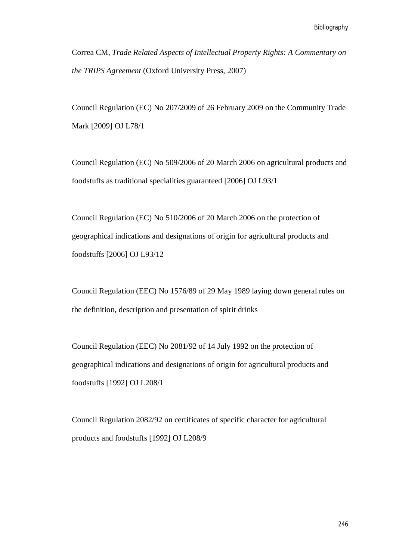Correa CM, *Trade Related Aspects of Intellectual Property Rights: A Commentary on the TRIPS Agreement* (Oxford University Press, 2007)

Council Regulation (EC) No 207/2009 of 26 February 2009 on the Community Trade Mark [2009] OJ L78/1

Council Regulation (EC) No 509/2006 of 20 March 2006 on agricultural products and foodstuffs as traditional specialities guaranteed [2006] OJ L93/1

Council Regulation (EC) No 510/2006 of 20 March 2006 on the protection of geographical indications and designations of origin for agricultural products and foodstuffs [2006] OJ L93/12

Council Regulation (EEC) No 1576/89 of 29 May 1989 laying down general rules on the definition, description and presentation of spirit drinks

Council Regulation (EEC) No 2081/92 of 14 July 1992 on the protection of geographical indications and designations of origin for agricultural products and foodstuffs [1992] OJ L208/1

Council Regulation 2082/92 on certificates of specific character for agricultural products and foodstuffs [1992] OJ L208/9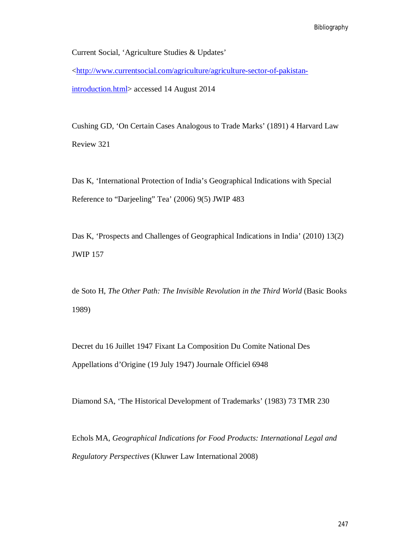Current Social, 'Agriculture Studies & Updates'

<http://www.currentsocial.com/agriculture/agriculture-sector-of-pakistan-

introduction.html> accessed 14 August 2014

Cushing GD, 'On Certain Cases Analogous to Trade Marks' (1891) 4 Harvard Law Review 321

Das K, 'International Protection of India's Geographical Indications with Special Reference to "Darjeeling" Tea' (2006) 9(5) JWIP 483

Das K, 'Prospects and Challenges of Geographical Indications in India' (2010) 13(2) JWIP 157

de Soto H, *The Other Path: The Invisible Revolution in the Third World* (Basic Books 1989)

Decret du 16 Juillet 1947 Fixant La Composition Du Comite National Des Appellations d'Origine (19 July 1947) Journale Officiel 6948

Diamond SA, 'The Historical Development of Trademarks' (1983) 73 TMR 230

Echols MA, *Geographical Indications for Food Products: International Legal and Regulatory Perspectives* (Kluwer Law International 2008)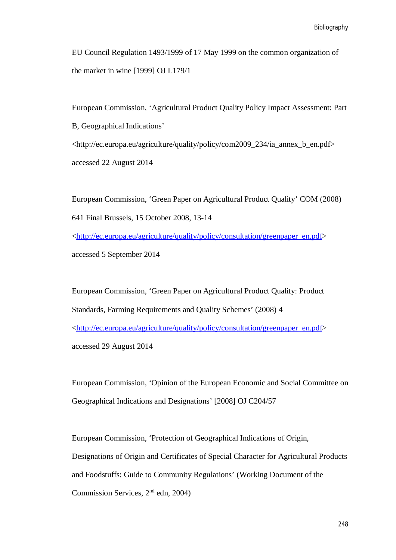EU Council Regulation 1493/1999 of 17 May 1999 on the common organization of the market in wine [1999] OJ L179/1

European Commission, 'Agricultural Product Quality Policy Impact Assessment: Part B, Geographical Indications' <http://ec.europa.eu/agriculture/quality/policy/com2009\_234/ia\_annex\_b\_en.pdf> accessed 22 August 2014

European Commission, 'Green Paper on Agricultural Product Quality' COM (2008) 641 Final Brussels, 15 October 2008, 13-14 <http://ec.europa.eu/agriculture/quality/policy/consultation/greenpaper\_en.pdf> accessed 5 September 2014

European Commission, 'Green Paper on Agricultural Product Quality: Product Standards, Farming Requirements and Quality Schemes' (2008) 4 <http://ec.europa.eu/agriculture/quality/policy/consultation/greenpaper\_en.pdf> accessed 29 August 2014

European Commission, 'Opinion of the European Economic and Social Committee on Geographical Indications and Designations' [2008] OJ C204/57

European Commission, 'Protection of Geographical Indications of Origin, Designations of Origin and Certificates of Special Character for Agricultural Products and Foodstuffs: Guide to Community Regulations' (Working Document of the Commission Services, 2nd edn, 2004)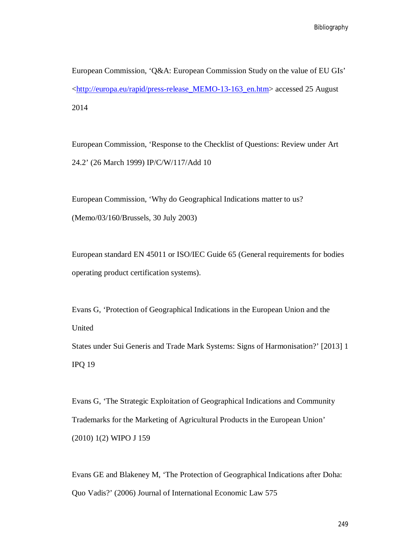Bibliography

European Commission, 'Q&A: European Commission Study on the value of EU GIs' <http://europa.eu/rapid/press-release\_MEMO-13-163\_en.htm> accessed 25 August 2014

European Commission, 'Response to the Checklist of Questions: Review under Art 24.2' (26 March 1999) IP/C/W/117/Add 10

European Commission, 'Why do Geographical Indications matter to us? (Memo/03/160/Brussels, 30 July 2003)

European standard EN 45011 or ISO/IEC Guide 65 (General requirements for bodies operating product certification systems).

Evans G, 'Protection of Geographical Indications in the European Union and the United

States under Sui Generis and Trade Mark Systems: Signs of Harmonisation?' [2013] 1 IPQ 19

Evans G, 'The Strategic Exploitation of Geographical Indications and Community Trademarks for the Marketing of Agricultural Products in the European Union' (2010) 1(2) WIPO J 159

Evans GE and Blakeney M, 'The Protection of Geographical Indications after Doha: Quo Vadis?' (2006) Journal of International Economic Law 575

249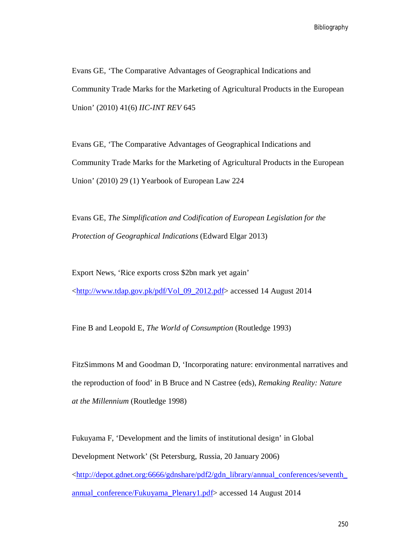Bibliography

Evans GE, 'The Comparative Advantages of Geographical Indications and Community Trade Marks for the Marketing of Agricultural Products in the European Union' (2010) 41(6) *IIC-INT REV* 645

Evans GE, 'The Comparative Advantages of Geographical Indications and Community Trade Marks for the Marketing of Agricultural Products in the European Union' (2010) 29 (1) Yearbook of European Law 224

Evans GE, *The Simplification and Codification of European Legislation for the Protection of Geographical Indications* (Edward Elgar 2013)

Export News, 'Rice exports cross \$2bn mark yet again' <http://www.tdap.gov.pk/pdf/Vol\_09\_2012.pdf> accessed 14 August 2014

Fine B and Leopold E, *The World of Consumption* (Routledge 1993)

FitzSimmons M and Goodman D, 'Incorporating nature: environmental narratives and the reproduction of food' in B Bruce and N Castree (eds), *Remaking Reality: Nature at the Millennium* (Routledge 1998)

Fukuyama F, 'Development and the limits of institutional design' in Global Development Network' (St Petersburg, Russia, 20 January 2006) <http://depot.gdnet.org:6666/gdnshare/pdf2/gdn\_library/annual\_conferences/seventh\_ annual\_conference/Fukuyama\_Plenary1.pdf> accessed 14 August 2014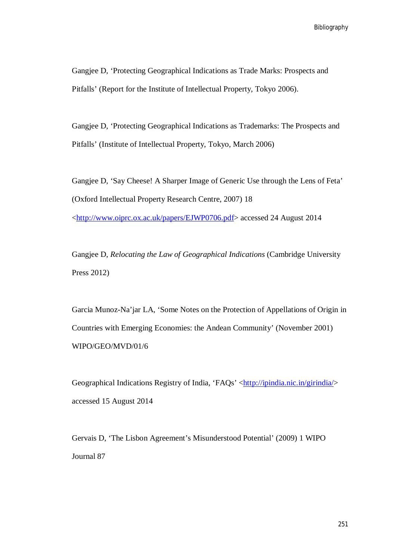Gangjee D, 'Protecting Geographical Indications as Trade Marks: Prospects and Pitfalls' (Report for the Institute of Intellectual Property, Tokyo 2006).

Gangjee D, 'Protecting Geographical Indications as Trademarks: The Prospects and Pitfalls' (Institute of Intellectual Property, Tokyo, March 2006)

Gangjee D, 'Say Cheese! A Sharper Image of Generic Use through the Lens of Feta' (Oxford Intellectual Property Research Centre, 2007) 18 <http://www.oiprc.ox.ac.uk/papers/EJWP0706.pdf> accessed 24 August 2014

Gangjee D, *Relocating the Law of Geographical Indications* (Cambridge University Press 2012)

Garcia Munoz-Na'jar LA, 'Some Notes on the Protection of Appellations of Origin in Countries with Emerging Economies: the Andean Community' (November 2001) WIPO/GEO/MVD/01/6

Geographical Indications Registry of India, 'FAQs' <http://ipindia.nic.in/girindia/> accessed 15 August 2014

Gervais D, 'The Lisbon Agreement's Misunderstood Potential' (2009) 1 WIPO Journal 87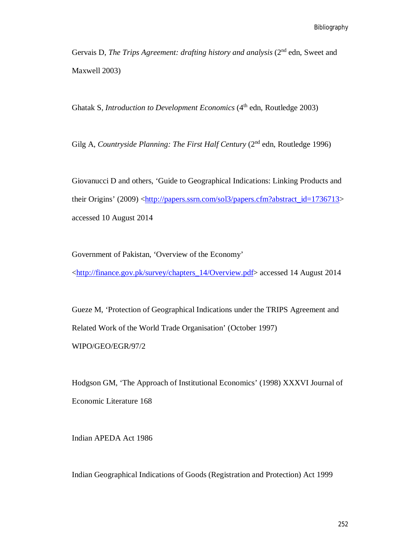Gervais D, *The Trips Agreement: drafting history and analysis* (2<sup>nd</sup> edn, Sweet and Maxwell 2003)

Ghatak S, *Introduction to Development Economics* (4<sup>th</sup> edn, Routledge 2003)

Gilg A, *Countryside Planning: The First Half Century* (2<sup>nd</sup> edn, Routledge 1996)

Giovanucci D and others, 'Guide to Geographical Indications: Linking Products and their Origins' (2009) <http://papers.ssrn.com/sol3/papers.cfm?abstract\_id=1736713> accessed 10 August 2014

Government of Pakistan, 'Overview of the Economy'

<http://finance.gov.pk/survey/chapters\_14/Overview.pdf> accessed 14 August 2014

Gueze M, 'Protection of Geographical Indications under the TRIPS Agreement and Related Work of the World Trade Organisation' (October 1997) WIPO/GEO/EGR/97/2

Hodgson GM, 'The Approach of Institutional Economics' (1998) XXXVI Journal of Economic Literature 168

Indian APEDA Act 1986

Indian Geographical Indications of Goods (Registration and Protection) Act 1999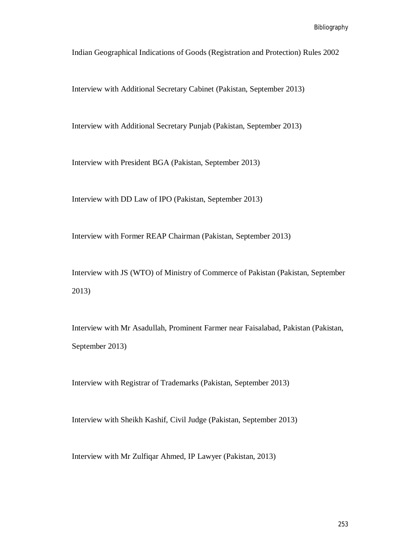Indian Geographical Indications of Goods (Registration and Protection) Rules 2002

Interview with Additional Secretary Cabinet (Pakistan, September 2013)

Interview with Additional Secretary Punjab (Pakistan, September 2013)

Interview with President BGA (Pakistan, September 2013)

Interview with DD Law of IPO (Pakistan, September 2013)

Interview with Former REAP Chairman (Pakistan, September 2013)

Interview with JS (WTO) of Ministry of Commerce of Pakistan (Pakistan, September 2013)

Interview with Mr Asadullah, Prominent Farmer near Faisalabad, Pakistan (Pakistan, September 2013)

Interview with Registrar of Trademarks (Pakistan, September 2013)

Interview with Sheikh Kashif, Civil Judge (Pakistan, September 2013)

Interview with Mr Zulfiqar Ahmed, IP Lawyer (Pakistan, 2013)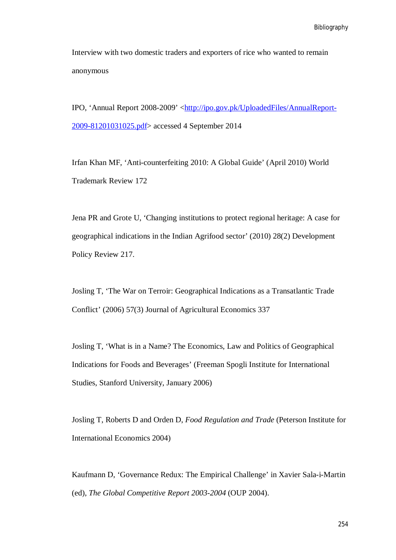Interview with two domestic traders and exporters of rice who wanted to remain anonymous

IPO, 'Annual Report 2008-2009' <http://ipo.gov.pk/UploadedFiles/AnnualReport-2009-81201031025.pdf> accessed 4 September 2014

Irfan Khan MF, 'Anti-counterfeiting 2010: A Global Guide' (April 2010) World Trademark Review 172

Jena PR and Grote U, 'Changing institutions to protect regional heritage: A case for geographical indications in the Indian Agrifood sector' (2010) 28(2) Development Policy Review 217.

Josling T, 'The War on Terroir: Geographical Indications as a Transatlantic Trade Conflict' (2006) 57(3) Journal of Agricultural Economics 337

Josling T, 'What is in a Name? The Economics, Law and Politics of Geographical Indications for Foods and Beverages' (Freeman Spogli Institute for International Studies, Stanford University, January 2006)

Josling T, Roberts D and Orden D, *Food Regulation and Trade* (Peterson Institute for International Economics 2004)

Kaufmann D, 'Governance Redux: The Empirical Challenge' in Xavier Sala-i-Martin (ed), *The Global Competitive Report 2003-2004* (OUP 2004).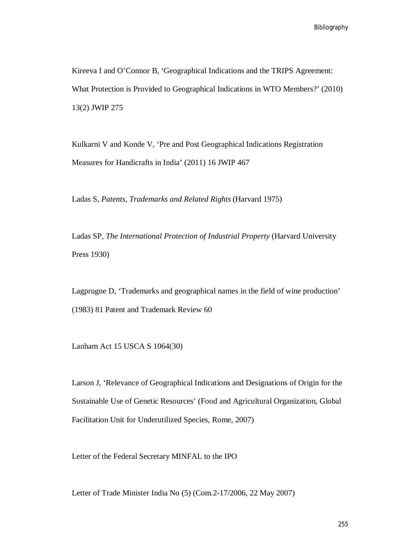Kireeva I and O'Connor B, 'Geographical Indications and the TRIPS Agreement: What Protection is Provided to Geographical Indications in WTO Members?' (2010) 13(2) JWIP 275

Kulkarni V and Konde V, 'Pre and Post Geographical Indications Registration Measures for Handicrafts in India' (2011) 16 JWIP 467

Ladas S, *Patents, Trademarks and Related Rights* (Harvard 1975)

Ladas SP, *The International Protection of Industrial Property* (Harvard University Press 1930)

Lagprugne D, 'Trademarks and geographical names in the field of wine production' (1983) 81 Patent and Trademark Review 60

Lanham Act 15 USCA S 1064(30)

Larson J, 'Relevance of Geographical Indications and Designations of Origin for the Sustainable Use of Genetic Resources' (Food and Agricultural Organization, Global Facilitation Unit for Underutilized Species, Rome, 2007)

Letter of the Federal Secretary MINFAL to the IPO

Letter of Trade Minister India No (5) (Com.2-17/2006, 22 May 2007)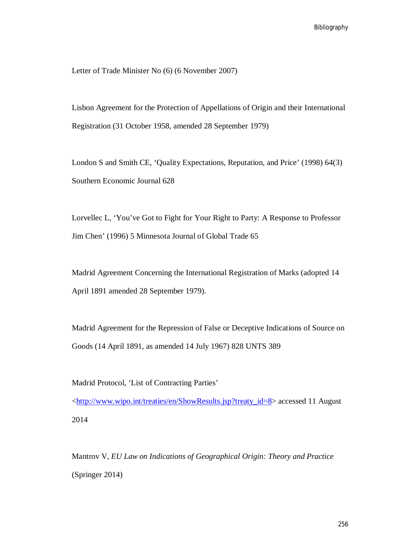Letter of Trade Minister No (6) (6 November 2007)

Lisbon Agreement for the Protection of Appellations of Origin and their International Registration (31 October 1958, amended 28 September 1979)

London S and Smith CE, 'Quality Expectations, Reputation, and Price' (1998) 64(3) Southern Economic Journal 628

Lorvellec L, 'You've Got to Fight for Your Right to Party: A Response to Professor Jim Chen' (1996) 5 Minnesota Journal of Global Trade 65

Madrid Agreement Concerning the International Registration of Marks (adopted 14 April 1891 amended 28 September 1979).

Madrid Agreement for the Repression of False or Deceptive Indications of Source on Goods (14 April 1891, as amended 14 July 1967) 828 UNTS 389

Madrid Protocol, 'List of Contracting Parties'

<http://www.wipo.int/treaties/en/ShowResults.jsp?treaty\_id=8> accessed 11 August 2014

Mantrov V, *EU Law on Indications of Geographical Origin: Theory and Practice* (Springer 2014)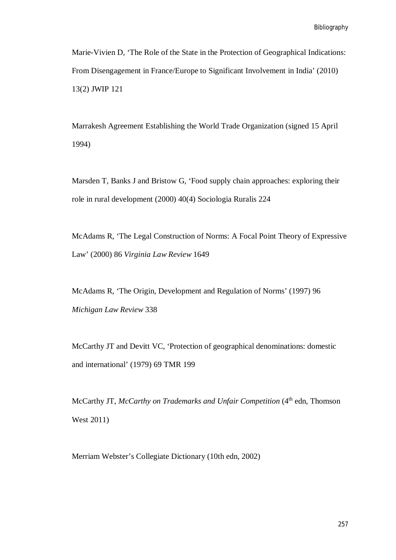Marie-Vivien D, 'The Role of the State in the Protection of Geographical Indications: From Disengagement in France/Europe to Significant Involvement in India' (2010) 13(2) JWIP 121

Marrakesh Agreement Establishing the World Trade Organization (signed 15 April 1994)

Marsden T, Banks J and Bristow G, 'Food supply chain approaches: exploring their role in rural development (2000) 40(4) Sociologia Ruralis 224

McAdams R, 'The Legal Construction of Norms: A Focal Point Theory of Expressive Law' (2000) 86 *Virginia Law Review* 1649

McAdams R, 'The Origin, Development and Regulation of Norms' (1997) 96 *Michigan Law Review* 338

McCarthy JT and Devitt VC, 'Protection of geographical denominations: domestic and international' (1979) 69 TMR 199

McCarthy JT, *McCarthy on Trademarks and Unfair Competition* (4<sup>th</sup> edn, Thomson West 2011)

Merriam Webster's Collegiate Dictionary (10th edn, 2002)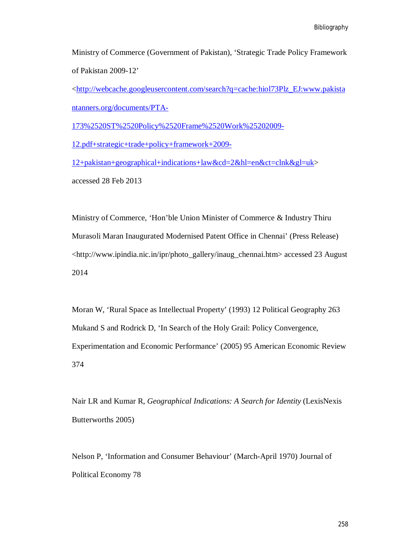Ministry of Commerce (Government of Pakistan), 'Strategic Trade Policy Framework of Pakistan 2009-12'

<http://webcache.googleusercontent.com/search?q=cache:hiol73Plz\_EJ:www.pakista ntanners.org/documents/PTA-

173%2520ST%2520Policy%2520Frame%2520Work%25202009-

12.pdf+strategic+trade+policy+framework+2009-

12+pakistan+geographical+indications+law&cd=2&hl=en&ct=clnk&gl=uk> accessed 28 Feb 2013

Ministry of Commerce, 'Hon'ble Union Minister of Commerce & Industry Thiru Murasoli Maran Inaugurated Modernised Patent Office in Chennai' (Press Release) <http://www.ipindia.nic.in/ipr/photo\_gallery/inaug\_chennai.htm> accessed 23 August 2014

Moran W, 'Rural Space as Intellectual Property' (1993) 12 Political Geography 263 Mukand S and Rodrick D, 'In Search of the Holy Grail: Policy Convergence, Experimentation and Economic Performance' (2005) 95 American Economic Review 374

Nair LR and Kumar R, *Geographical Indications: A Search for Identity* (LexisNexis Butterworths 2005)

Nelson P, 'Information and Consumer Behaviour' (March-April 1970) Journal of Political Economy 78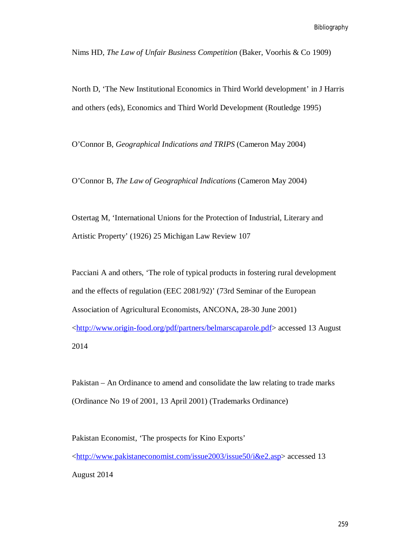Nims HD, *The Law of Unfair Business Competition* (Baker, Voorhis & Co 1909)

North D, 'The New Institutional Economics in Third World development' in J Harris and others (eds), Economics and Third World Development (Routledge 1995)

O'Connor B, *Geographical Indications and TRIPS* (Cameron May 2004)

O'Connor B, *The Law of Geographical Indications* (Cameron May 2004)

Ostertag M, 'International Unions for the Protection of Industrial, Literary and Artistic Property' (1926) 25 Michigan Law Review 107

Pacciani A and others, 'The role of typical products in fostering rural development and the effects of regulation (EEC 2081/92)' (73rd Seminar of the European Association of Agricultural Economists, ANCONA, 28-30 June 2001) <http://www.origin-food.org/pdf/partners/belmarscaparole.pdf> accessed 13 August 2014

Pakistan – An Ordinance to amend and consolidate the law relating to trade marks (Ordinance No 19 of 2001, 13 April 2001) (Trademarks Ordinance)

Pakistan Economist, 'The prospects for Kino Exports' <http://www.pakistaneconomist.com/issue2003/issue50/i&e2.asp> accessed 13 August 2014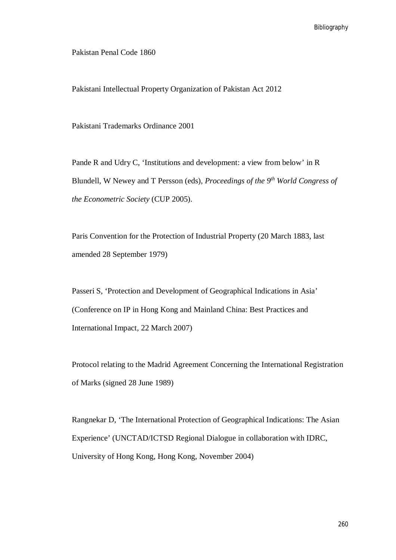Pakistan Penal Code 1860

Pakistani Intellectual Property Organization of Pakistan Act 2012

Pakistani Trademarks Ordinance 2001

Pande R and Udry C, 'Institutions and development: a view from below' in R Blundell, W Newey and T Persson (eds), *Proceedings of the 9th World Congress of the Econometric Society* (CUP 2005).

Paris Convention for the Protection of Industrial Property (20 March 1883, last amended 28 September 1979)

Passeri S, 'Protection and Development of Geographical Indications in Asia' (Conference on IP in Hong Kong and Mainland China: Best Practices and International Impact, 22 March 2007)

Protocol relating to the Madrid Agreement Concerning the International Registration of Marks (signed 28 June 1989)

Rangnekar D, 'The International Protection of Geographical Indications: The Asian Experience' (UNCTAD/ICTSD Regional Dialogue in collaboration with IDRC, University of Hong Kong, Hong Kong, November 2004)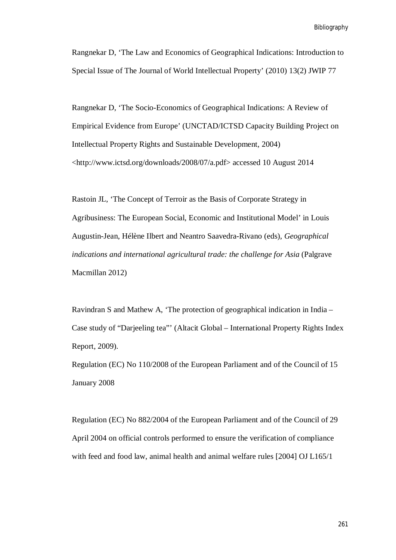Rangnekar D, 'The Law and Economics of Geographical Indications: Introduction to Special Issue of The Journal of World Intellectual Property' (2010) 13(2) JWIP 77

Rangnekar D, 'The Socio-Economics of Geographical Indications: A Review of Empirical Evidence from Europe' (UNCTAD/ICTSD Capacity Building Project on Intellectual Property Rights and Sustainable Development, 2004) <http://www.ictsd.org/downloads/2008/07/a.pdf> accessed 10 August 2014

Rastoin JL, 'The Concept of Terroir as the Basis of Corporate Strategy in Agribusiness: The European Social, Economic and Institutional Model' in Louis Augustin-Jean, Hélène Ilbert and Neantro Saavedra-Rivano (eds), *Geographical indications and international agricultural trade: the challenge for Asia* (Palgrave Macmillan 2012)

Ravindran S and Mathew A, 'The protection of geographical indication in India – Case study of "Darjeeling tea"' (Altacit Global – International Property Rights Index Report, 2009).

Regulation (EC) No 110/2008 of the European Parliament and of the Council of 15 January 2008

Regulation (EC) No 882/2004 of the European Parliament and of the Council of 29 April 2004 on official controls performed to ensure the verification of compliance with feed and food law, animal health and animal welfare rules [2004] OJ L165/1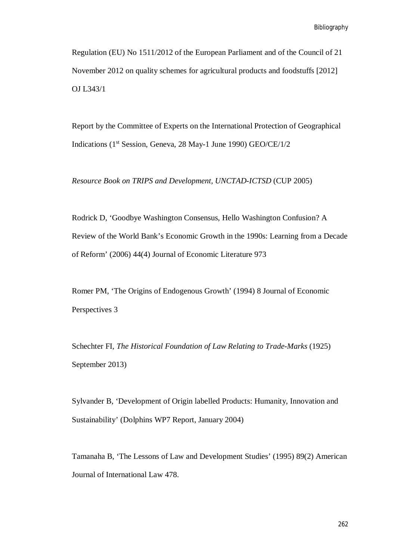Regulation (EU) No 1511/2012 of the European Parliament and of the Council of 21 November 2012 on quality schemes for agricultural products and foodstuffs [2012] OJ L343/1

Report by the Committee of Experts on the International Protection of Geographical Indications (1st Session, Geneva, 28 May-1 June 1990) GEO/CE/1/2

*Resource Book on TRIPS and Development, UNCTAD-ICTSD* (CUP 2005)

Rodrick D, 'Goodbye Washington Consensus, Hello Washington Confusion? A Review of the World Bank's Economic Growth in the 1990s: Learning from a Decade of Reform' (2006) 44(4) Journal of Economic Literature 973

Romer PM, 'The Origins of Endogenous Growth' (1994) 8 Journal of Economic Perspectives 3

Schechter FI*, The Historical Foundation of Law Relating to Trade-Marks* (1925) September 2013)

Sylvander B, 'Development of Origin labelled Products: Humanity, Innovation and Sustainability' (Dolphins WP7 Report, January 2004)

Tamanaha B, 'The Lessons of Law and Development Studies' (1995) 89(2) American Journal of International Law 478.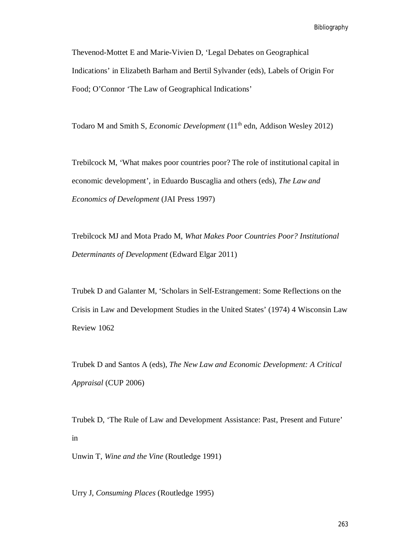Bibliography

Thevenod-Mottet E and Marie-Vivien D, 'Legal Debates on Geographical Indications' in Elizabeth Barham and Bertil Sylvander (eds), Labels of Origin For Food; O'Connor 'The Law of Geographical Indications'

Todaro M and Smith S, *Economic Development* (11<sup>th</sup> edn, Addison Wesley 2012)

Trebilcock M, 'What makes poor countries poor? The role of institutional capital in economic development', in Eduardo Buscaglia and others (eds), *The Law and Economics of Development* (JAI Press 1997)

Trebilcock MJ and Mota Prado M, *What Makes Poor Countries Poor? Institutional Determinants of Development* (Edward Elgar 2011)

Trubek D and Galanter M, 'Scholars in Self-Estrangement: Some Reflections on the Crisis in Law and Development Studies in the United States' (1974) 4 Wisconsin Law Review 1062

Trubek D and Santos A (eds), *The New Law and Economic Development: A Critical Appraisal* (CUP 2006)

Trubek D, 'The Rule of Law and Development Assistance: Past, Present and Future' in

Unwin T, *Wine and the Vine* (Routledge 1991)

Urry J, *Consuming Places* (Routledge 1995)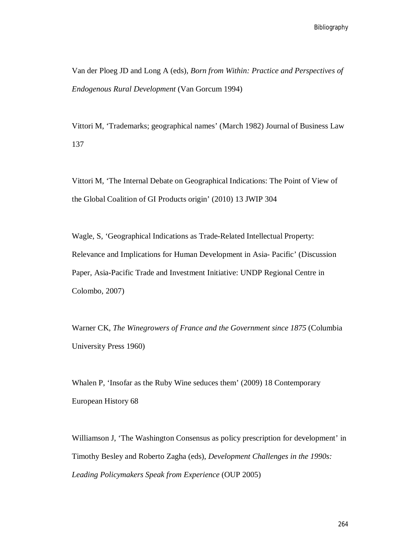Van der Ploeg JD and Long A (eds), *Born from Within: Practice and Perspectives of Endogenous Rural Development* (Van Gorcum 1994)

Vittori M, 'Trademarks; geographical names' (March 1982) Journal of Business Law 137

Vittori M, 'The Internal Debate on Geographical Indications: The Point of View of the Global Coalition of GI Products origin' (2010) 13 JWIP 304

Wagle, S, 'Geographical Indications as Trade-Related Intellectual Property: Relevance and Implications for Human Development in Asia- Pacific' (Discussion Paper, Asia-Pacific Trade and Investment Initiative: UNDP Regional Centre in Colombo, 2007)

Warner CK, *The Winegrowers of France and the Government since 1875* (Columbia University Press 1960)

Whalen P, 'Insofar as the Ruby Wine seduces them' (2009) 18 Contemporary European History 68

Williamson J, 'The Washington Consensus as policy prescription for development' in Timothy Besley and Roberto Zagha (eds), *Development Challenges in the 1990s: Leading Policymakers Speak from Experience* (OUP 2005)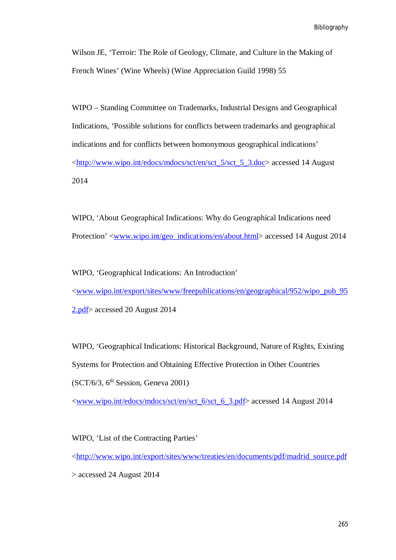Bibliography

Wilson JE, 'Terroir: The Role of Geology, Climate, and Culture in the Making of French Wines' (Wine Wheels) (Wine Appreciation Guild 1998) 55

WIPO – Standing Committee on Trademarks, Industrial Designs and Geographical Indications, 'Possible solutions for conflicts between trademarks and geographical indications and for conflicts between homonymous geographical indications' <http://www.wipo.int/edocs/mdocs/sct/en/sct\_5/sct\_5\_3.doc> accessed 14 August 2014

WIPO, 'About Geographical Indications: Why do Geographical Indications need Protection' <<u>www.wipo.int/geo\_indications/en/about.html</u>> accessed 14 August 2014

WIPO, 'Geographical Indications: An Introduction' <www.wipo.int/export/sites/www/freepublications/en/geographical/952/wipo\_pub\_95 2.pdf> accessed 20 August 2014

WIPO, 'Geographical Indications: Historical Background, Nature of Rights, Existing Systems for Protection and Obtaining Effective Protection in Other Countries  $(SCT/6/3, 6<sup>th</sup> Session, Geneva 2001)$ 

<www.wipo.int/edocs/mdocs/sct/en/sct\_6/sct\_6\_3.pdf> accessed 14 August 2014

WIPO, 'List of the Contracting Parties' <http://www.wipo.int/export/sites/www/treaties/en/documents/pdf/madrid\_source.pdf > accessed 24 August 2014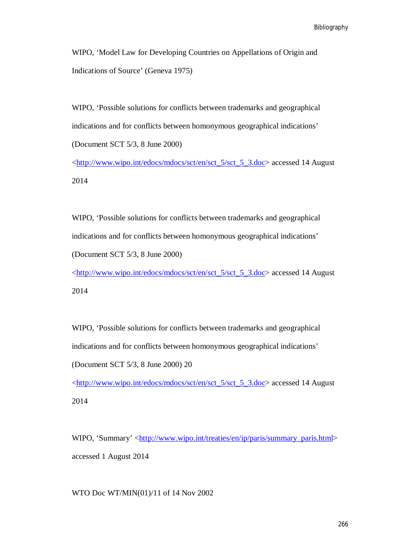WIPO, 'Model Law for Developing Countries on Appellations of Origin and Indications of Source' (Geneva 1975)

WIPO, 'Possible solutions for conflicts between trademarks and geographical indications and for conflicts between homonymous geographical indications' (Document SCT 5/3, 8 June 2000)

<http://www.wipo.int/edocs/mdocs/sct/en/sct\_5/sct\_5\_3.doc> accessed 14 August 2014

WIPO, 'Possible solutions for conflicts between trademarks and geographical indications and for conflicts between homonymous geographical indications' (Document SCT 5/3, 8 June 2000)

<http://www.wipo.int/edocs/mdocs/sct/en/sct\_5/sct\_5\_3.doc> accessed 14 August 2014

WIPO, 'Possible solutions for conflicts between trademarks and geographical indications and for conflicts between homonymous geographical indications' (Document SCT 5/3, 8 June 2000) 20

<http://www.wipo.int/edocs/mdocs/sct/en/sct\_5/sct\_5\_3.doc> accessed 14 August 2014

WIPO, 'Summary' <http://www.wipo.int/treaties/en/ip/paris/summary\_paris.html> accessed 1 August 2014

WTO Doc WT/MIN(01)/11 of 14 Nov 2002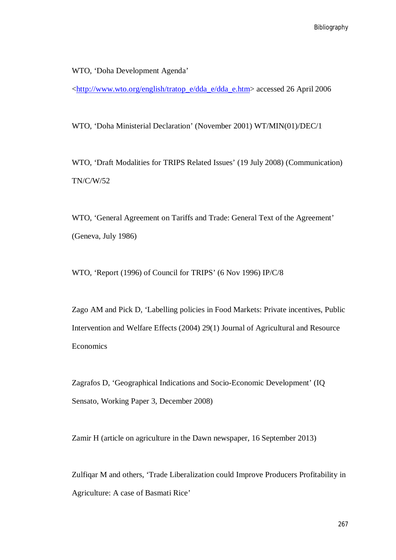WTO, 'Doha Development Agenda'

<http://www.wto.org/english/tratop\_e/dda\_e/dda\_e.htm> accessed 26 April 2006

WTO, 'Doha Ministerial Declaration' (November 2001) WT/MIN(01)/DEC/1

WTO, 'Draft Modalities for TRIPS Related Issues' (19 July 2008) (Communication) TN/C/W/52

WTO, 'General Agreement on Tariffs and Trade: General Text of the Agreement' (Geneva, July 1986)

WTO, 'Report (1996) of Council for TRIPS' (6 Nov 1996) IP/C/8

Zago AM and Pick D, 'Labelling policies in Food Markets: Private incentives, Public Intervention and Welfare Effects (2004) 29(1) Journal of Agricultural and Resource Economics

Zagrafos D, 'Geographical Indications and Socio-Economic Development' (IQ Sensato, Working Paper 3, December 2008)

Zamir H (article on agriculture in the Dawn newspaper, 16 September 2013)

Zulfiqar M and others, 'Trade Liberalization could Improve Producers Profitability in Agriculture: A case of Basmati Rice'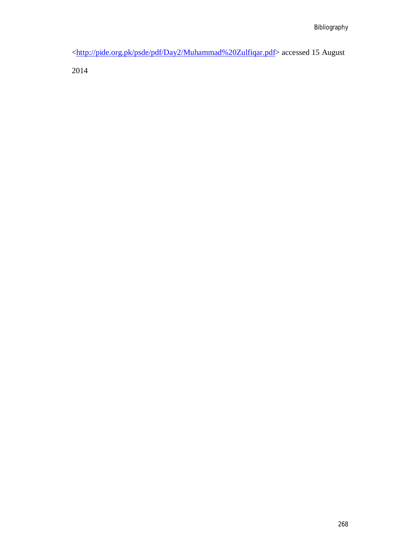<http://pide.org.pk/psde/pdf/Day2/Muhammad%20Zulfiqar.pdf> accessed 15 August

2014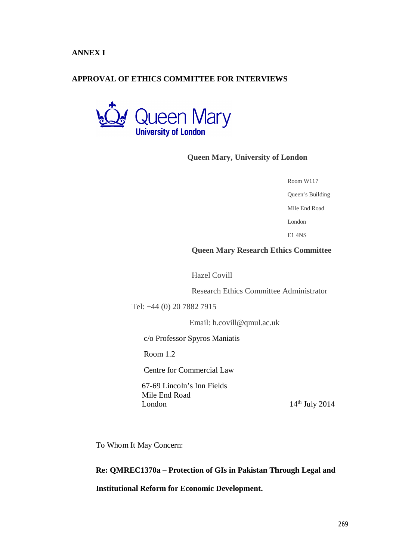**ANNEX I**

## **APPROVAL OF ETHICS COMMITTEE FOR INTERVIEWS**



## **Queen Mary, University of London**

|  | Room W117 |
|--|-----------|
|--|-----------|

Queen's Building

Mile End Road

London

E1 4NS

#### **Queen Mary Research Ethics Committee**

Hazel Covill

Research Ethics Committee Administrator

Tel: +44 (0) 20 7882 7915

Email: h.covill@qmul.ac.uk

c/o Professor Spyros Maniatis

Room 1.2

Centre for Commercial Law

 67-69 Lincoln's Inn Fields Mile End Road London  $14<sup>th</sup>$  July 2014

To Whom It May Concern:

## **Re: QMREC1370a – Protection of GIs in Pakistan Through Legal and**

#### **Institutional Reform for Economic Development.**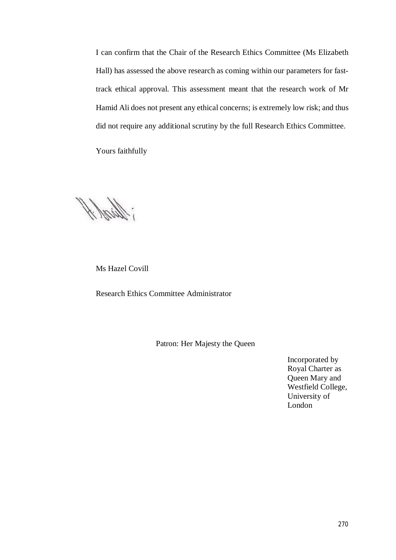I can confirm that the Chair of the Research Ethics Committee (Ms Elizabeth Hall) has assessed the above research as coming within our parameters for fasttrack ethical approval. This assessment meant that the research work of Mr Hamid Ali does not present any ethical concerns; is extremely low risk; and thus did not require any additional scrutiny by the full Research Ethics Committee.

Yours faithfully

; Shink ff

Ms Hazel Covill

Research Ethics Committee Administrator

Patron: Her Majesty the Queen

Incorporated by Royal Charter as Queen Mary and Westfield College, University of London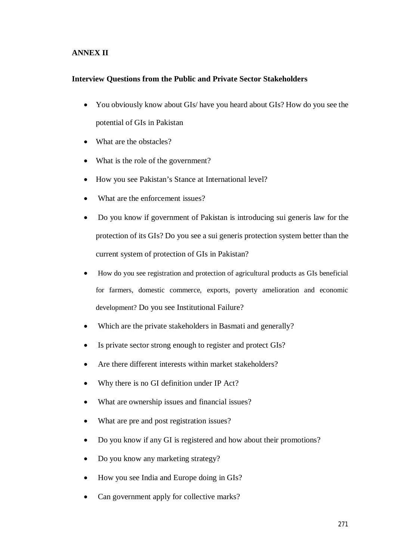# **ANNEX II**

#### **Interview Questions from the Public and Private Sector Stakeholders**

- You obviously know about GIs/ have you heard about GIs? How do you see the potential of GIs in Pakistan
- What are the obstacles?
- What is the role of the government?
- How you see Pakistan's Stance at International level?
- What are the enforcement issues?
- Do you know if government of Pakistan is introducing sui generis law for the protection of its GIs? Do you see a sui generis protection system better than the current system of protection of GIs in Pakistan?
- How do you see registration and protection of agricultural products as GIs beneficial for farmers, domestic commerce, exports, poverty amelioration and economic development? Do you see Institutional Failure?
- Which are the private stakeholders in Basmati and generally?
- Is private sector strong enough to register and protect GIs?
- Are there different interests within market stakeholders?
- Why there is no GI definition under IP Act?
- What are ownership issues and financial issues?
- What are pre and post registration issues?
- Do you know if any GI is registered and how about their promotions?
- Do you know any marketing strategy?
- How you see India and Europe doing in GIs?
- Can government apply for collective marks?